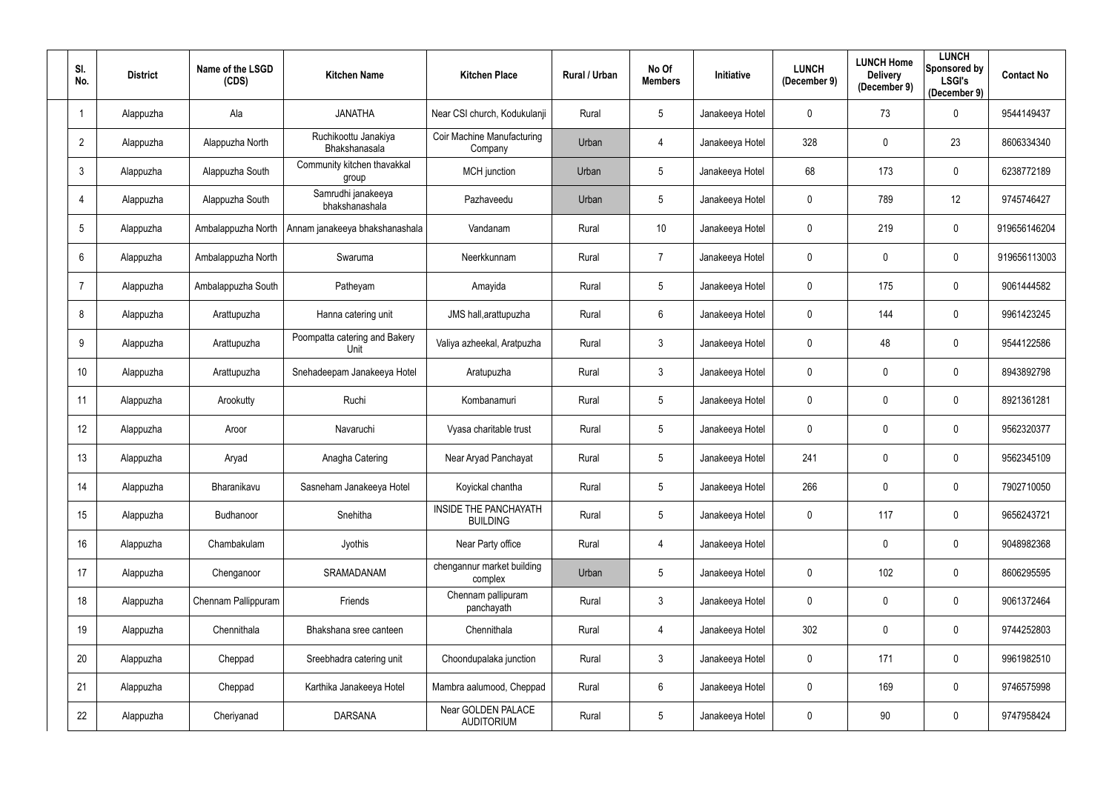| SI.<br>No.     | <b>District</b> | Name of the LSGD<br>(CDS) | <b>Kitchen Name</b>                          | <b>Kitchen Place</b>                     | <b>Rural / Urban</b> | No Of<br><b>Members</b> | Initiative      | <b>LUNCH</b><br>(December 9) | <b>LUNCH Home</b><br><b>Delivery</b><br>(December 9) | <b>LUNCH</b><br>Sponsored by<br><b>LSGI's</b><br>(December 9) | <b>Contact No</b> |
|----------------|-----------------|---------------------------|----------------------------------------------|------------------------------------------|----------------------|-------------------------|-----------------|------------------------------|------------------------------------------------------|---------------------------------------------------------------|-------------------|
|                | Alappuzha       | Ala                       | <b>JANATHA</b>                               | Near CSI church, Kodukulanji             | Rural                | $5\phantom{.0}$         | Janakeeya Hotel | 0                            | 73                                                   | $\mathbf 0$                                                   | 9544149437        |
| $\overline{2}$ | Alappuzha       | Alappuzha North           | Ruchikoottu Janakiya<br><b>Bhakshanasala</b> | Coir Machine Manufacturing<br>Company    | Urban                | 4                       | Janakeeya Hotel | 328                          | $\mathbf 0$                                          | 23                                                            | 8606334340        |
| 3              | Alappuzha       | Alappuzha South           | Community kitchen thavakkal<br>group         | MCH junction                             | Urban                | $5\phantom{.0}$         | Janakeeya Hotel | 68                           | 173                                                  | $\mathbf 0$                                                   | 6238772189        |
|                | Alappuzha       | Alappuzha South           | Samrudhi janakeeya<br>bhakshanashala         | Pazhaveedu                               | Urban                | $5\overline{)}$         | Janakeeya Hotel | 0                            | 789                                                  | 12                                                            | 9745746427        |
| 5              | Alappuzha       | Ambalappuzha North        | Annam janakeeya bhakshanashala               | Vandanam                                 | Rural                | 10 <sup>°</sup>         | Janakeeya Hotel | 0                            | 219                                                  | $\overline{0}$                                                | 919656146204      |
| 6              | Alappuzha       | Ambalappuzha North        | Swaruma                                      | Neerkkunnam                              | Rural                | $\overline{7}$          | Janakeeya Hotel | 0                            | $\mathbf 0$                                          | $\mathbf 0$                                                   | 919656113003      |
|                | Alappuzha       | Ambalappuzha South        | Patheyam                                     | Amayida                                  | Rural                | $5\overline{)}$         | Janakeeya Hotel | 0                            | 175                                                  | $\mathbf 0$                                                   | 9061444582        |
| 8              | Alappuzha       | Arattupuzha               | Hanna catering unit                          | JMS hall, arattupuzha                    | Rural                | 6                       | Janakeeya Hotel | 0                            | 144                                                  | $\mathbf 0$                                                   | 9961423245        |
| 9              | Alappuzha       | Arattupuzha               | Poompatta catering and Bakery<br>Unit        | Valiya azheekal, Aratpuzha               | Rural                | $\mathfrak{Z}$          | Janakeeya Hotel | 0                            | 48                                                   | $\mathbf 0$                                                   | 9544122586        |
| 10             | Alappuzha       | Arattupuzha               | Snehadeepam Janakeeya Hotel                  | Aratupuzha                               | Rural                | $\mathfrak{Z}$          | Janakeeya Hotel | 0                            | $\pmb{0}$                                            | $\mathbf 0$                                                   | 8943892798        |
| 11             | Alappuzha       | Arookutty                 | Ruchi                                        | Kombanamuri                              | Rural                | $5\phantom{.0}$         | Janakeeya Hotel | 0                            | $\mathbf 0$                                          | $\mathbf 0$                                                   | 8921361281        |
| 12             | Alappuzha       | Aroor                     | Navaruchi                                    | Vyasa charitable trust                   | Rural                | 5                       | Janakeeya Hotel | 0                            | $\mathbf 0$                                          | $\mathbf 0$                                                   | 9562320377        |
| 13             | Alappuzha       | Aryad                     | Anagha Catering                              | Near Aryad Panchayat                     | Rural                | $5\overline{)}$         | Janakeeya Hotel | 241                          | $\mathbf 0$                                          | $\mathbf 0$                                                   | 9562345109        |
| 14             | Alappuzha       | Bharanikavu               | Sasneham Janakeeya Hotel                     | Koyickal chantha                         | Rural                | 5                       | Janakeeya Hotel | 266                          | $\mathbf 0$                                          | $\mathbf 0$                                                   | 7902710050        |
| 15             | Alappuzha       | Budhanoor                 | Snehitha                                     | INSIDE THE PANCHAYATH<br><b>BUILDING</b> | Rural                | 5                       | Janakeeya Hotel | $\mathbf 0$                  | 117                                                  | $\overline{0}$                                                | 9656243721        |
| 16             | Alappuzha       | Chambakulam               | Jyothis                                      | Near Party office                        | Rural                | 4                       | Janakeeya Hotel |                              | $\mathbf 0$                                          | $\overline{0}$                                                | 9048982368        |
| 17             | Alappuzha       | Chenganoor                | SRAMADANAM                                   | chengannur market building<br>complex    | Urban                | $5\overline{)}$         | Janakeeya Hotel | 0                            | 102                                                  | $\mathbf 0$                                                   | 8606295595        |
| 18             | Alappuzha       | Chennam Pallippuram       | Friends                                      | Chennam pallipuram<br>panchayath         | Rural                | $\mathfrak{Z}$          | Janakeeya Hotel | $\mathbf 0$                  | $\pmb{0}$                                            | $\overline{0}$                                                | 9061372464        |
| 19             | Alappuzha       | Chennithala               | Bhakshana sree canteen                       | Chennithala                              | Rural                | 4                       | Janakeeya Hotel | 302                          | $\mathbf 0$                                          | $\mathbf 0$                                                   | 9744252803        |
| 20             | Alappuzha       | Cheppad                   | Sreebhadra catering unit                     | Choondupalaka junction                   | Rural                | $\mathfrak{Z}$          | Janakeeya Hotel | $\mathbf 0$                  | 171                                                  | $\mathbf 0$                                                   | 9961982510        |
| 21             | Alappuzha       | Cheppad                   | Karthika Janakeeya Hotel                     | Mambra aalumood, Cheppad                 | Rural                | 6                       | Janakeeya Hotel | $\mathbf 0$                  | 169                                                  | $\mathbf 0$                                                   | 9746575998        |
| 22             | Alappuzha       | Cheriyanad                | <b>DARSANA</b>                               | Near GOLDEN PALACE<br><b>AUDITORIUM</b>  | Rural                | 5                       | Janakeeya Hotel | 0                            | 90                                                   | $\bf{0}$                                                      | 9747958424        |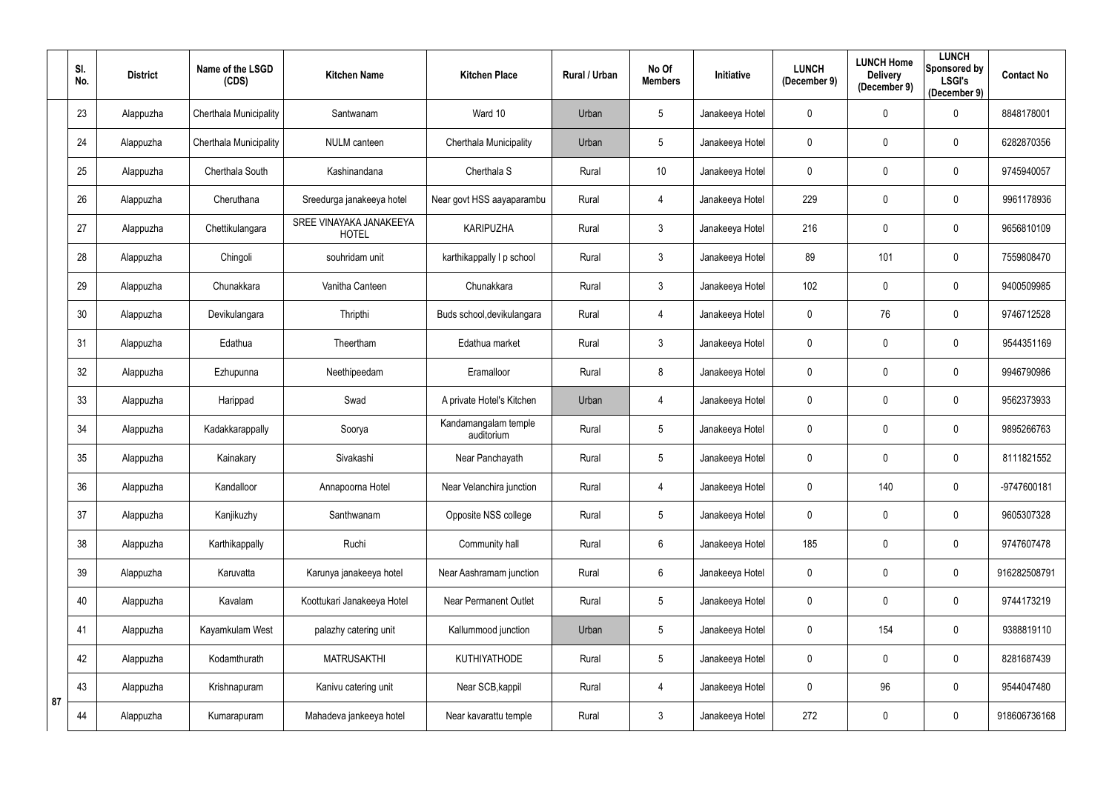|    | SI.<br>No. | <b>District</b> | Name of the LSGD<br>(CDS) | <b>Kitchen Name</b>                     | <b>Kitchen Place</b>               | Rural / Urban | No Of<br><b>Members</b> | Initiative      | <b>LUNCH</b><br>(December 9) | <b>LUNCH Home</b><br><b>Delivery</b><br>(December 9) | <b>LUNCH</b><br>Sponsored by<br><b>LSGI's</b><br>(December 9) | <b>Contact No</b> |
|----|------------|-----------------|---------------------------|-----------------------------------------|------------------------------------|---------------|-------------------------|-----------------|------------------------------|------------------------------------------------------|---------------------------------------------------------------|-------------------|
|    | 23         | Alappuzha       | Cherthala Municipality    | Santwanam                               | Ward 10                            | Urban         | $5\phantom{.0}$         | Janakeeya Hotel | 0                            | $\mathbf 0$                                          | $\mathbf 0$                                                   | 8848178001        |
|    | 24         | Alappuzha       | Cherthala Municipality    | <b>NULM</b> canteen                     | Cherthala Municipality             | Urban         | $5\phantom{.0}$         | Janakeeya Hotel | 0                            | $\mathbf 0$                                          | $\mathbf 0$                                                   | 6282870356        |
|    | 25         | Alappuzha       | Cherthala South           | Kashinandana                            | Cherthala S                        | Rural         | 10 <sup>°</sup>         | Janakeeya Hotel | 0                            | $\mathbf 0$                                          | $\overline{0}$                                                | 9745940057        |
|    | 26         | Alappuzha       | Cheruthana                | Sreedurga janakeeya hotel               | Near govt HSS aayaparambu          | Rural         | 4                       | Janakeeya Hotel | 229                          | $\overline{0}$                                       | $\mathbf 0$                                                   | 9961178936        |
|    | 27         | Alappuzha       | Chettikulangara           | SREE VINAYAKA JANAKEEYA<br><b>HOTEL</b> | <b>KARIPUZHA</b>                   | Rural         | $\mathfrak{Z}$          | Janakeeya Hotel | 216                          | $\mathbf 0$                                          | $\overline{0}$                                                | 9656810109        |
|    | 28         | Alappuzha       | Chingoli                  | souhridam unit                          | karthikappally I p school          | Rural         | $\mathfrak{Z}$          | Janakeeya Hotel | 89                           | 101                                                  | $\boldsymbol{0}$                                              | 7559808470        |
|    | 29         | Alappuzha       | Chunakkara                | Vanitha Canteen                         | Chunakkara                         | Rural         | $\mathfrak{Z}$          | Janakeeya Hotel | 102                          | $\mathbf{0}$                                         | $\mathbf 0$                                                   | 9400509985        |
|    | 30         | Alappuzha       | Devikulangara             | Thripthi                                | Buds school, devikulangara         | Rural         | 4                       | Janakeeya Hotel | 0                            | 76                                                   | $\mathbf 0$                                                   | 9746712528        |
|    | 31         | Alappuzha       | Edathua                   | Theertham                               | Edathua market                     | Rural         | $\mathbf{3}$            | Janakeeya Hotel | 0                            | $\mathbf 0$                                          | $\mathbf 0$                                                   | 9544351169        |
|    | 32         | Alappuzha       | Ezhupunna                 | Neethipeedam                            | Eramalloor                         | Rural         | 8                       | Janakeeya Hotel | $\mathbf 0$                  | $\mathbf 0$                                          | $\mathbf 0$                                                   | 9946790986        |
|    | 33         | Alappuzha       | Harippad                  | Swad                                    | A private Hotel's Kitchen          | Urban         | 4                       | Janakeeya Hotel | 0                            | $\mathbf 0$                                          | $\mathbf 0$                                                   | 9562373933        |
|    | 34         | Alappuzha       | Kadakkarappally           | Soorya                                  | Kandamangalam temple<br>auditorium | Rural         | $5\phantom{.0}$         | Janakeeya Hotel | 0                            | $\mathbf 0$                                          | $\mathbf 0$                                                   | 9895266763        |
|    | 35         | Alappuzha       | Kainakary                 | Sivakashi                               | Near Panchayath                    | Rural         | $5\phantom{.0}$         | Janakeeya Hotel | 0                            | $\mathbf 0$                                          | $\mathbf 0$                                                   | 8111821552        |
|    | 36         | Alappuzha       | Kandalloor                | Annapoorna Hotel                        | Near Velanchira junction           | Rural         | 4                       | Janakeeya Hotel | 0                            | 140                                                  | $\overline{0}$                                                | -9747600181       |
|    | 37         | Alappuzha       | Kanjikuzhy                | Santhwanam                              | Opposite NSS college               | Rural         | $5\phantom{.0}$         | Janakeeya Hotel | $\mathbf 0$                  | $\mathbf 0$                                          | $\overline{0}$                                                | 9605307328        |
|    | 38         | Alappuzha       | Karthikappally            | Ruchi                                   | Community hall                     | Rural         | $6\,$                   | Janakeeya Hotel | 185                          | $\mathbf 0$                                          | $\mathbf 0$                                                   | 9747607478        |
|    | 39         | Alappuzha       | Karuvatta                 | Karunya janakeeya hotel                 | Near Aashramam junction            | Rural         | $6\phantom{.}$          | Janakeeya Hotel | 0                            | $\mathbf 0$                                          | $\mathbf 0$                                                   | 916282508791      |
|    | 40         | Alappuzha       | Kavalam                   | Koottukari Janakeeya Hotel              | <b>Near Permanent Outlet</b>       | Rural         | $5\phantom{.0}$         | Janakeeya Hotel | $\mathbf 0$                  | $\mathbf 0$                                          | $\mathbf 0$                                                   | 9744173219        |
|    | 41         | Alappuzha       | Kayamkulam West           | palazhy catering unit                   | Kallummood junction                | Urban         | $5\phantom{.0}$         | Janakeeya Hotel | $\mathbf 0$                  | 154                                                  | $\overline{0}$                                                | 9388819110        |
|    | 42         | Alappuzha       | Kodamthurath              | <b>MATRUSAKTHI</b>                      | KUTHIYATHODE                       | Rural         | $\overline{5}$          | Janakeeya Hotel | 0                            | $\mathbf 0$                                          | $\mathbf 0$                                                   | 8281687439        |
| 87 | 43         | Alappuzha       | Krishnapuram              | Kanivu catering unit                    | Near SCB, kappil                   | Rural         | 4                       | Janakeeya Hotel | $\pmb{0}$                    | 96                                                   | $\overline{0}$                                                | 9544047480        |
|    | 44         | Alappuzha       | Kumarapuram               | Mahadeva jankeeya hotel                 | Near kavarattu temple              | Rural         | $\mathfrak{Z}$          | Janakeeya Hotel | 272                          | $\overline{0}$                                       | $\mathbf 0$                                                   | 918606736168      |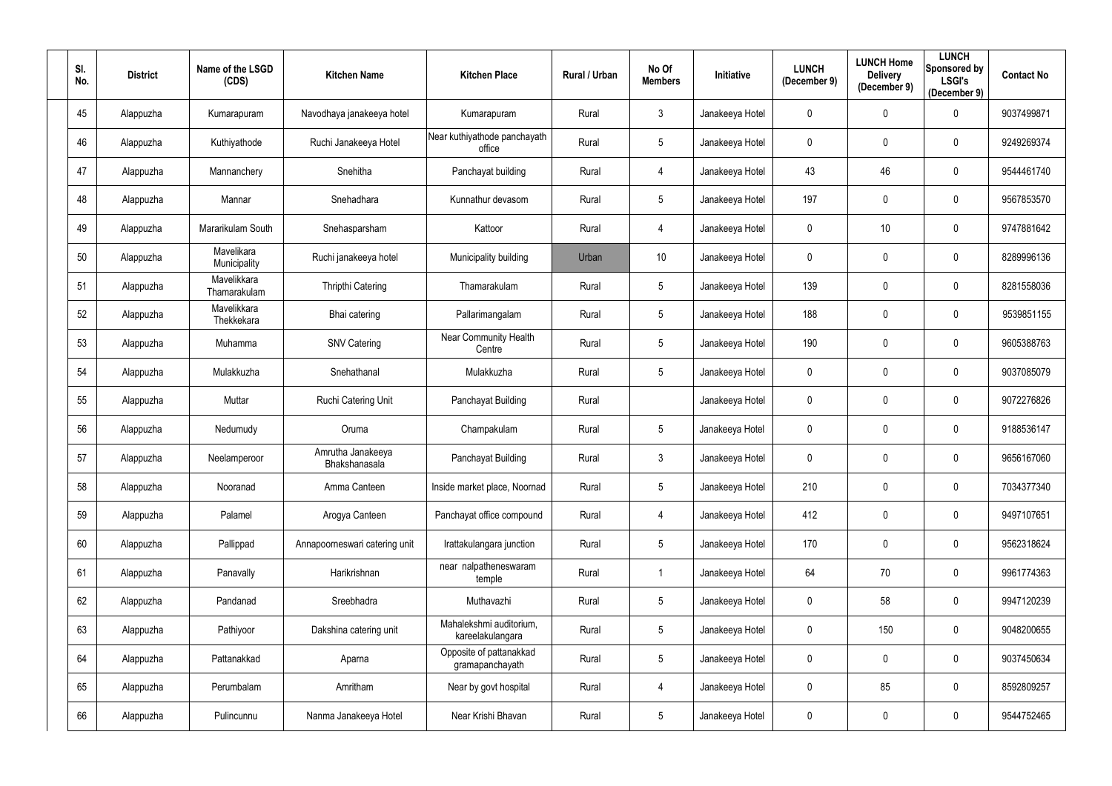| SI.<br>No. | <b>District</b> | Name of the LSGD<br>(CDS)   | <b>Kitchen Name</b>                | <b>Kitchen Place</b>                        | <b>Rural / Urban</b> | No Of<br><b>Members</b> | Initiative      | <b>LUNCH</b><br>(December 9) | <b>LUNCH Home</b><br><b>Delivery</b><br>(December 9) | <b>LUNCH</b><br>Sponsored by<br><b>LSGI's</b><br>(December 9) | <b>Contact No</b> |
|------------|-----------------|-----------------------------|------------------------------------|---------------------------------------------|----------------------|-------------------------|-----------------|------------------------------|------------------------------------------------------|---------------------------------------------------------------|-------------------|
| 45         | Alappuzha       | Kumarapuram                 | Navodhaya janakeeya hotel          | Kumarapuram                                 | Rural                | 3                       | Janakeeya Hotel | 0                            | $\mathbf 0$                                          | $\mathbf 0$                                                   | 9037499871        |
| 46         | Alappuzha       | Kuthiyathode                | Ruchi Janakeeya Hotel              | Near kuthiyathode panchayath<br>office      | Rural                | 5                       | Janakeeya Hotel | 0                            | $\mathbf 0$                                          | $\mathbf 0$                                                   | 9249269374        |
| 47         | Alappuzha       | Mannanchery                 | Snehitha                           | Panchayat building                          | Rural                | 4                       | Janakeeya Hotel | 43                           | 46                                                   | $\mathbf 0$                                                   | 9544461740        |
| 48         | Alappuzha       | Mannar                      | Snehadhara                         | Kunnathur devasom                           | Rural                | $5\phantom{.0}$         | Janakeeya Hotel | 197                          | $\mathbf 0$                                          | $\mathbf 0$                                                   | 9567853570        |
| 49         | Alappuzha       | Mararikulam South           | Snehasparsham                      | Kattoor                                     | Rural                | 4                       | Janakeeya Hotel | 0                            | 10                                                   | $\mathbf 0$                                                   | 9747881642        |
| 50         | Alappuzha       | Mavelikara<br>Municipality  | Ruchi janakeeya hotel              | Municipality building                       | Urban                | 10 <sup>°</sup>         | Janakeeya Hotel | 0                            | $\mathbf 0$                                          | $\mathbf 0$                                                   | 8289996136        |
| 51         | Alappuzha       | Mavelikkara<br>Thamarakulam | <b>Thripthi Catering</b>           | Thamarakulam                                | Rural                | 5                       | Janakeeya Hotel | 139                          | $\mathbf 0$                                          | $\mathbf 0$                                                   | 8281558036        |
| 52         | Alappuzha       | Mavelikkara<br>Thekkekara   | Bhai catering                      | Pallarimangalam                             | Rural                | 5                       | Janakeeya Hotel | 188                          | $\boldsymbol{0}$                                     | $\bf{0}$                                                      | 9539851155        |
| 53         | Alappuzha       | Muhamma                     | <b>SNV Catering</b>                | Near Community Health<br>Centre             | Rural                | 5                       | Janakeeya Hotel | 190                          | $\mathbf 0$                                          | $\mathbf 0$                                                   | 9605388763        |
| 54         | Alappuzha       | Mulakkuzha                  | Snehathanal                        | Mulakkuzha                                  | Rural                | 5                       | Janakeeya Hotel | 0                            | $\mathbf 0$                                          | $\mathbf 0$                                                   | 9037085079        |
| 55         | Alappuzha       | Muttar                      | <b>Ruchi Catering Unit</b>         | Panchayat Building                          | Rural                |                         | Janakeeya Hotel | 0                            | $\mathbf 0$                                          | $\mathbf 0$                                                   | 9072276826        |
| 56         | Alappuzha       | Nedumudy                    | Oruma                              | Champakulam                                 | Rural                | 5                       | Janakeeya Hotel | 0                            | $\boldsymbol{0}$                                     | $\mathbf 0$                                                   | 9188536147        |
| 57         | Alappuzha       | Neelamperoor                | Amrutha Janakeeya<br>Bhakshanasala | Panchayat Building                          | Rural                | 3                       | Janakeeya Hotel | 0                            | $\mathbf 0$                                          | $\boldsymbol{0}$                                              | 9656167060        |
| 58         | Alappuzha       | Nooranad                    | Amma Canteen                       | Inside market place, Noornad                | Rural                | 5                       | Janakeeya Hotel | 210                          | $\mathbf 0$                                          | $\bf{0}$                                                      | 7034377340        |
| 59         | Alappuzha       | Palamel                     | Arogya Canteen                     | Panchayat office compound                   | Rural                | 4                       | Janakeeya Hotel | 412                          | $\pmb{0}$                                            | $\bf{0}$                                                      | 9497107651        |
| 60         | Alappuzha       | Pallippad                   | Annapoorneswari catering unit      | Irattakulangara junction                    | Rural                | 5                       | Janakeeya Hotel | 170                          | $\boldsymbol{0}$                                     | $\mathbf 0$                                                   | 9562318624        |
| 61         | Alappuzha       | Panavally                   | Harikrishnan                       | near nalpatheneswaram<br>temple             | Rural                | $\mathbf{1}$            | Janakeeya Hotel | 64                           | 70                                                   | $\mathbf 0$                                                   | 9961774363        |
| 62         | Alappuzha       | Pandanad                    | Sreebhadra                         | Muthavazhi                                  | Rural                | 5                       | Janakeeya Hotel | $\mathbf 0$                  | 58                                                   | $\overline{0}$                                                | 9947120239        |
| 63         | Alappuzha       | Pathiyoor                   | Dakshina catering unit             | Mahalekshmi auditorium,<br>kareelakulangara | Rural                | 5                       | Janakeeya Hotel | 0                            | 150                                                  | $\mathbf 0$                                                   | 9048200655        |
| 64         | Alappuzha       | Pattanakkad                 | Aparna                             | Opposite of pattanakkad<br>gramapanchayath  | Rural                | 5                       | Janakeeya Hotel | 0                            | $\boldsymbol{0}$                                     | $\overline{0}$                                                | 9037450634        |
| 65         | Alappuzha       | Perumbalam                  | Amritham                           | Near by govt hospital                       | Rural                | 4                       | Janakeeya Hotel | $\mathbf 0$                  | 85                                                   | $\pmb{0}$                                                     | 8592809257        |
| 66         | Alappuzha       | Pulincunnu                  | Nanma Janakeeya Hotel              | Near Krishi Bhavan                          | Rural                | $5\phantom{.0}$         | Janakeeya Hotel | 0                            | $\boldsymbol{0}$                                     | $\overline{0}$                                                | 9544752465        |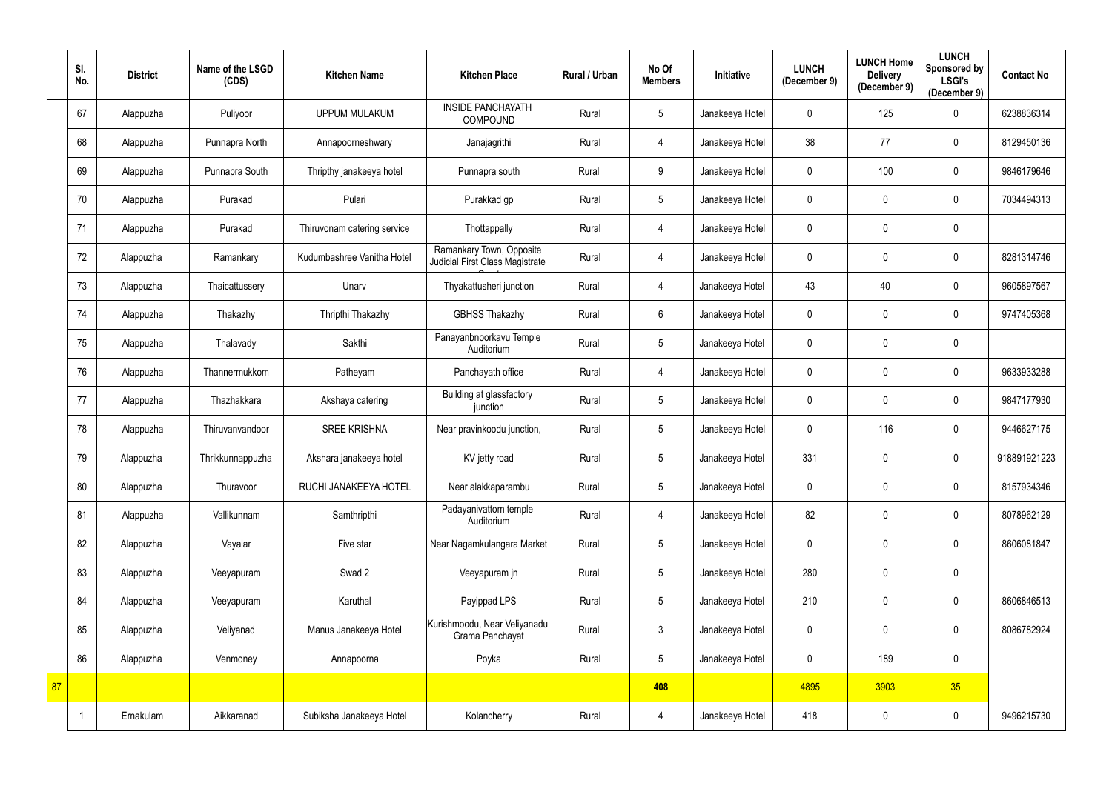|    | SI.<br>No. | <b>District</b> | Name of the LSGD<br>(CDS) | <b>Kitchen Name</b>         | <b>Kitchen Place</b>                                        | Rural / Urban | No Of<br><b>Members</b> | Initiative      | <b>LUNCH</b><br>(December 9) | <b>LUNCH Home</b><br><b>Delivery</b><br>(December 9) | <b>LUNCH</b><br>Sponsored by<br><b>LSGI's</b><br>(December 9) | <b>Contact No</b> |
|----|------------|-----------------|---------------------------|-----------------------------|-------------------------------------------------------------|---------------|-------------------------|-----------------|------------------------------|------------------------------------------------------|---------------------------------------------------------------|-------------------|
|    | 67         | Alappuzha       | Puliyoor                  | <b>UPPUM MULAKUM</b>        | <b>INSIDE PANCHAYATH</b><br>COMPOUND                        | Rural         | $\overline{5}$          | Janakeeya Hotel | 0                            | 125                                                  | $\mathbf 0$                                                   | 6238836314        |
|    | 68         | Alappuzha       | Punnapra North            | Annapoorneshwary            | Janajagrithi                                                | Rural         | 4                       | Janakeeya Hotel | 38                           | 77                                                   | $\mathbf 0$                                                   | 8129450136        |
|    | 69         | Alappuzha       | Punnapra South            | Thripthy janakeeya hotel    | Punnapra south                                              | Rural         | 9                       | Janakeeya Hotel | $\mathbf 0$                  | 100                                                  | $\mathbf 0$                                                   | 9846179646        |
|    | 70         | Alappuzha       | Purakad                   | Pulari                      | Purakkad gp                                                 | Rural         | $\overline{5}$          | Janakeeya Hotel | 0                            | $\mathbf 0$                                          | $\mathbf 0$                                                   | 7034494313        |
|    | 71         | Alappuzha       | Purakad                   | Thiruvonam catering service | Thottappally                                                | Rural         | 4                       | Janakeeya Hotel | $\mathbf 0$                  | $\mathbf{0}$                                         | $\mathbf 0$                                                   |                   |
|    | 72         | Alappuzha       | Ramankary                 | Kudumbashree Vanitha Hotel  | Ramankary Town, Opposite<br>Judicial First Class Magistrate | Rural         | 4                       | Janakeeya Hotel | 0                            | $\mathbf 0$                                          | $\mathbf 0$                                                   | 8281314746        |
|    | 73         | Alappuzha       | Thaicattussery            | Unarv                       | Thyakattusheri junction                                     | Rural         | $\overline{4}$          | Janakeeya Hotel | 43                           | 40                                                   | $\mathbf 0$                                                   | 9605897567        |
|    | 74         | Alappuzha       | Thakazhy                  | Thripthi Thakazhy           | <b>GBHSS Thakazhy</b>                                       | Rural         | $6\,$                   | Janakeeya Hotel | 0                            | $\mathbf 0$                                          | $\mathbf 0$                                                   | 9747405368        |
|    | 75         | Alappuzha       | Thalavady                 | Sakthi                      | Panayanbnoorkavu Temple<br>Auditorium                       | Rural         | $\overline{5}$          | Janakeeya Hotel | 0                            | $\mathbf 0$                                          | $\mathbf 0$                                                   |                   |
|    | 76         | Alappuzha       | Thannermukkom             | Patheyam                    | Panchayath office                                           | Rural         | 4                       | Janakeeya Hotel | $\mathbf 0$                  | $\mathbf 0$                                          | $\mathbf 0$                                                   | 9633933288        |
|    | 77         | Alappuzha       | Thazhakkara               | Akshaya catering            | Building at glassfactory<br>junction                        | Rural         | $\overline{5}$          | Janakeeya Hotel | $\mathbf 0$                  | $\mathbf 0$                                          | $\mathbf 0$                                                   | 9847177930        |
|    | 78         | Alappuzha       | Thiruvanvandoor           | <b>SREE KRISHNA</b>         | Near pravinkoodu junction,                                  | Rural         | $\overline{5}$          | Janakeeya Hotel | $\mathbf 0$                  | 116                                                  | $\mathbf 0$                                                   | 9446627175        |
|    | 79         | Alappuzha       | Thrikkunnappuzha          | Akshara janakeeya hotel     | KV jetty road                                               | Rural         | $5\phantom{.0}$         | Janakeeya Hotel | 331                          | $\mathbf 0$                                          | $\mathbf 0$                                                   | 918891921223      |
|    | 80         | Alappuzha       | Thuravoor                 | RUCHI JANAKEEYA HOTEL       | Near alakkaparambu                                          | Rural         | $5\,$                   | Janakeeya Hotel | $\mathbf 0$                  | $\mathbf 0$                                          | $\mathbf 0$                                                   | 8157934346        |
|    | 81         | Alappuzha       | Vallikunnam               | Samthripthi                 | Padayanivattom temple<br>Auditorium                         | Rural         | $\overline{4}$          | Janakeeya Hotel | 82                           | $\mathbf 0$                                          | $\mathbf 0$                                                   | 8078962129        |
|    | 82         | Alappuzha       | Vayalar                   | Five star                   | Near Nagamkulangara Market                                  | Rural         | $\sqrt{5}$              | Janakeeya Hotel | $\pmb{0}$                    | $\pmb{0}$                                            | $\mathbf 0$                                                   | 8606081847        |
|    | 83         | Alappuzha       | Veeyapuram                | Swad 2                      | Veeyapuram jn                                               | Rural         | $5\phantom{.0}$         | Janakeeya Hotel | 280                          | $\mathbf 0$                                          | $\mathbf 0$                                                   |                   |
|    | 84         | Alappuzha       | Veeyapuram                | Karuthal                    | Payippad LPS                                                | Rural         | $5\,$                   | Janakeeya Hotel | 210                          | $\mathbf 0$                                          | $\mathbf 0$                                                   | 8606846513        |
|    | 85         | Alappuzha       | Veliyanad                 | Manus Janakeeya Hotel       | Kurishmoodu, Near Veliyanadu<br>Grama Panchayat             | Rural         | $\mathfrak{Z}$          | Janakeeya Hotel | 0                            | $\mathbf 0$                                          | $\mathbf 0$                                                   | 8086782924        |
|    | 86         | Alappuzha       | Venmoney                  | Annapoorna                  | Poyka                                                       | Rural         | $\sqrt{5}$              | Janakeeya Hotel | 0                            | 189                                                  | $\mathbf 0$                                                   |                   |
| 87 |            |                 |                           |                             |                                                             |               | 408                     |                 | 4895                         | 3903                                                 | 35                                                            |                   |
|    |            | Ernakulam       | Aikkaranad                | Subiksha Janakeeya Hotel    | Kolancherry                                                 | Rural         | $\overline{4}$          | Janakeeya Hotel | 418                          | $\boldsymbol{0}$                                     | $\mathbf 0$                                                   | 9496215730        |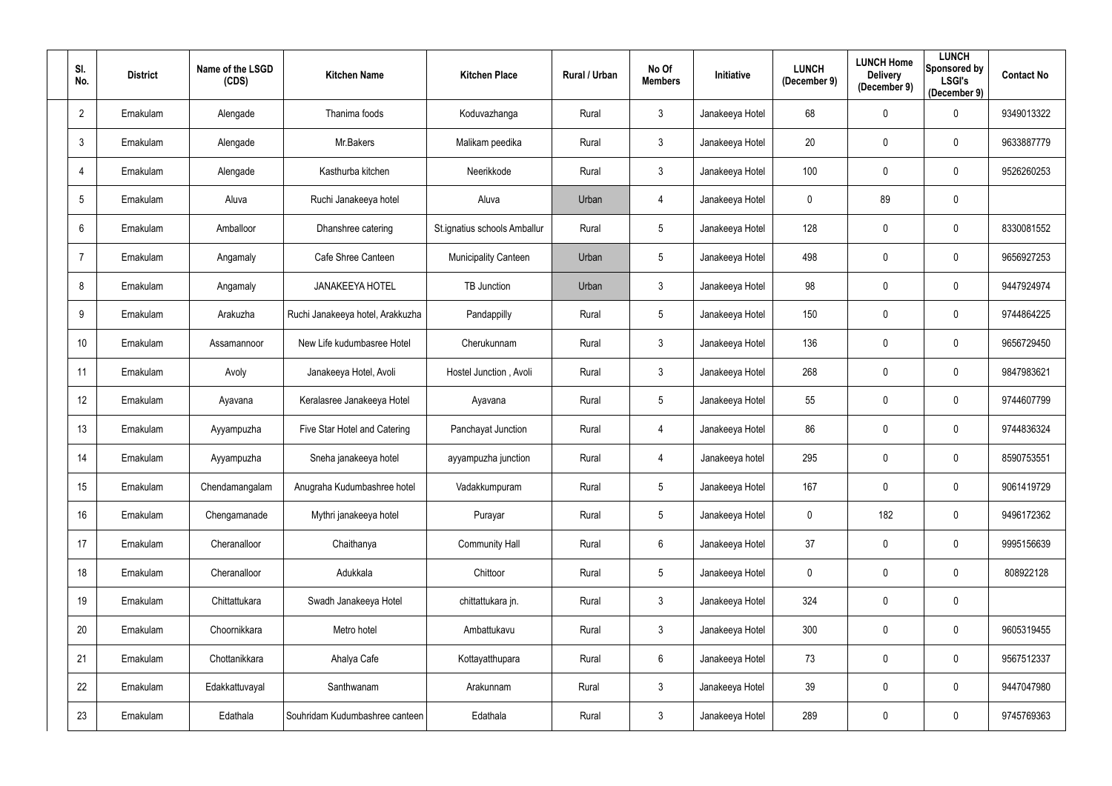| SI.<br>No.      | <b>District</b> | Name of the LSGD<br>(CDS) | <b>Kitchen Name</b>              | <b>Kitchen Place</b>         | <b>Rural / Urban</b> | No Of<br><b>Members</b> | Initiative      | <b>LUNCH</b><br>(December 9) | <b>LUNCH Home</b><br><b>Delivery</b><br>(December 9) | <b>LUNCH</b><br>Sponsored by<br><b>LSGI's</b><br>(December 9) | <b>Contact No</b> |
|-----------------|-----------------|---------------------------|----------------------------------|------------------------------|----------------------|-------------------------|-----------------|------------------------------|------------------------------------------------------|---------------------------------------------------------------|-------------------|
| $\overline{2}$  | Ernakulam       | Alengade                  | Thanima foods                    | Koduvazhanga                 | Rural                | $\mathfrak{Z}$          | Janakeeya Hotel | 68                           | $\boldsymbol{0}$                                     | $\mathbf 0$                                                   | 9349013322        |
| $\mathbf{3}$    | Ernakulam       | Alengade                  | Mr.Bakers                        | Malikam peedika              | Rural                | $\mathfrak{Z}$          | Janakeeya Hotel | 20                           | $\mathbf 0$                                          | $\mathbf 0$                                                   | 9633887779        |
| $\overline{4}$  | Ernakulam       | Alengade                  | Kasthurba kitchen                | Neerikkode                   | Rural                | $\mathbf{3}$            | Janakeeya Hotel | 100                          | $\pmb{0}$                                            | $\mathbf 0$                                                   | 9526260253        |
| 5               | Ernakulam       | Aluva                     | Ruchi Janakeeya hotel            | Aluva                        | Urban                | 4                       | Janakeeya Hotel | 0                            | 89                                                   | $\pmb{0}$                                                     |                   |
| 6               | Ernakulam       | Amballoor                 | Dhanshree catering               | St.ignatius schools Amballur | Rural                | 5                       | Janakeeya Hotel | 128                          | $\mathbf 0$                                          | $\mathbf 0$                                                   | 8330081552        |
| -7              | Ernakulam       | Angamaly                  | Cafe Shree Canteen               | <b>Municipality Canteen</b>  | Urban                | 5                       | Janakeeya Hotel | 498                          | $\mathbf 0$                                          | $\mathbf 0$                                                   | 9656927253        |
| 8               | Ernakulam       | Angamaly                  | <b>JANAKEEYA HOTEL</b>           | <b>TB Junction</b>           | Urban                | $\mathfrak{Z}$          | Janakeeya Hotel | 98                           | $\mathbf 0$                                          | $\mathbf 0$                                                   | 9447924974        |
| 9               | Ernakulam       | Arakuzha                  | Ruchi Janakeeya hotel, Arakkuzha | Pandappilly                  | Rural                | 5                       | Janakeeya Hotel | 150                          | $\boldsymbol{0}$                                     | $\mathbf 0$                                                   | 9744864225        |
| 10 <sup>°</sup> | Ernakulam       | Assamannoor               | New Life kudumbasree Hotel       | Cherukunnam                  | Rural                | $\mathfrak{Z}$          | Janakeeya Hotel | 136                          | $\mathbf 0$                                          | $\mathbf 0$                                                   | 9656729450        |
| 11              | Ernakulam       | Avoly                     | Janakeeya Hotel, Avoli           | Hostel Junction, Avoli       | Rural                | $\mathbf{3}$            | Janakeeya Hotel | 268                          | $\boldsymbol{0}$                                     | $\mathbf 0$                                                   | 9847983621        |
| 12              | Ernakulam       | Ayavana                   | Keralasree Janakeeya Hotel       | Ayavana                      | Rural                | 5                       | Janakeeya Hotel | 55                           | $\boldsymbol{0}$                                     | $\mathbf 0$                                                   | 9744607799        |
| 13              | Ernakulam       | Ayyampuzha                | Five Star Hotel and Catering     | Panchayat Junction           | Rural                | 4                       | Janakeeya Hotel | 86                           | $\boldsymbol{0}$                                     | $\overline{0}$                                                | 9744836324        |
| 14              | Ernakulam       | Ayyampuzha                | Sneha janakeeya hotel            | ayyampuzha junction          | Rural                | 4                       | Janakeeya hotel | 295                          | $\mathbf 0$                                          | 0                                                             | 8590753551        |
| 15              | Ernakulam       | Chendamangalam            | Anugraha Kudumbashree hotel      | Vadakkumpuram                | Rural                | 5                       | Janakeeya Hotel | 167                          | $\boldsymbol{0}$                                     | $\mathbf 0$                                                   | 9061419729        |
| 16              | Ernakulam       | Chengamanade              | Mythri janakeeya hotel           | Purayar                      | Rural                | 5                       | Janakeeya Hotel | 0                            | 182                                                  | $\mathbf 0$                                                   | 9496172362        |
| 17              | Ernakulam       | Cheranalloor              | Chaithanya                       | <b>Community Hall</b>        | Rural                | $6\phantom{.0}$         | Janakeeya Hotel | 37                           | $\boldsymbol{0}$                                     | $\overline{0}$                                                | 9995156639        |
| 18              | Ernakulam       | Cheranalloor              | Adukkala                         | Chittoor                     | Rural                | 5                       | Janakeeya Hotel | $\mathbf 0$                  | $\pmb{0}$                                            | $\mathbf 0$                                                   | 808922128         |
| 19              | Ernakulam       | Chittattukara             | Swadh Janakeeya Hotel            | chittattukara jn.            | Rural                | $\mathfrak{Z}$          | Janakeeya Hotel | 324                          | $\pmb{0}$                                            | $\overline{0}$                                                |                   |
| 20              | Ernakulam       | Choornikkara              | Metro hotel                      | Ambattukavu                  | Rural                | $\mathfrak{Z}$          | Janakeeya Hotel | 300                          | $\pmb{0}$                                            | $\mathbf 0$                                                   | 9605319455        |
| 21              | Ernakulam       | Chottanikkara             | Ahalya Cafe                      | Kottayatthupara              | Rural                | $6\phantom{.0}$         | Janakeeya Hotel | 73                           | $\boldsymbol{0}$                                     | $\overline{0}$                                                | 9567512337        |
| 22              | Ernakulam       | Edakkattuvayal            | Santhwanam                       | Arakunnam                    | Rural                | $\mathfrak{Z}$          | Janakeeya Hotel | 39                           | $\pmb{0}$                                            | $\overline{0}$                                                | 9447047980        |
| 23              | Ernakulam       | Edathala                  | Souhridam Kudumbashree canteen   | Edathala                     | Rural                | $\mathbf{3}$            | Janakeeya Hotel | 289                          | $\pmb{0}$                                            | $\overline{0}$                                                | 9745769363        |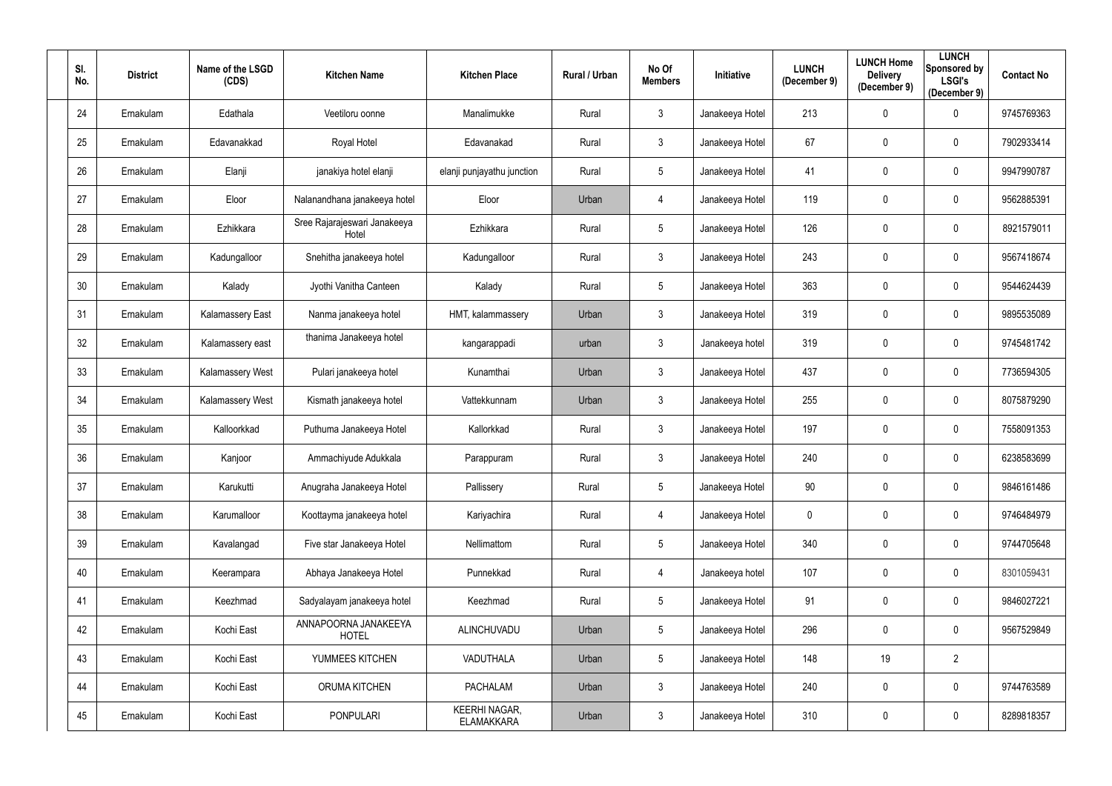| SI.<br>No. | <b>District</b> | Name of the LSGD<br>(CDS) | <b>Kitchen Name</b>                   | <b>Kitchen Place</b>                      | Rural / Urban | No Of<br><b>Members</b> | Initiative      | <b>LUNCH</b><br>(December 9) | <b>LUNCH Home</b><br><b>Delivery</b><br>(December 9) | <b>LUNCH</b><br><b>Sponsored by</b><br><b>LSGI's</b><br>(December 9) | <b>Contact No</b> |
|------------|-----------------|---------------------------|---------------------------------------|-------------------------------------------|---------------|-------------------------|-----------------|------------------------------|------------------------------------------------------|----------------------------------------------------------------------|-------------------|
| 24         | Ernakulam       | Edathala                  | Veetiloru oonne                       | Manalimukke                               | Rural         | $\mathbf{3}$            | Janakeeya Hotel | 213                          | $\boldsymbol{0}$                                     | $\mathbf 0$                                                          | 9745769363        |
| 25         | Ernakulam       | Edavanakkad               | Royal Hotel                           | Edavanakad                                | Rural         | $\mathfrak{Z}$          | Janakeeya Hotel | 67                           | $\mathbf 0$                                          | $\mathbf 0$                                                          | 7902933414        |
| 26         | Ernakulam       | Elanji                    | janakiya hotel elanji                 | elanji punjayathu junction                | Rural         | 5 <sup>5</sup>          | Janakeeya Hotel | 41                           | $\mathbf 0$                                          | $\mathbf 0$                                                          | 9947990787        |
| 27         | Ernakulam       | Eloor                     | Nalanandhana janakeeya hotel          | Eloor                                     | Urban         | 4                       | Janakeeya Hotel | 119                          | $\mathbf 0$                                          | $\mathbf 0$                                                          | 9562885391        |
| 28         | Ernakulam       | Ezhikkara                 | Sree Rajarajeswari Janakeeya<br>Hotel | Ezhikkara                                 | Rural         | 5 <sup>5</sup>          | Janakeeya Hotel | 126                          | $\mathbf 0$                                          | $\mathbf 0$                                                          | 8921579011        |
| 29         | Ernakulam       | Kadungalloor              | Snehitha janakeeya hotel              | Kadungalloor                              | Rural         | $\mathfrak{Z}$          | Janakeeya Hotel | 243                          | $\mathbf 0$                                          | $\mathbf 0$                                                          | 9567418674        |
| 30         | Ernakulam       | Kalady                    | Jyothi Vanitha Canteen                | Kalady                                    | Rural         | $5\overline{)}$         | Janakeeya Hotel | 363                          | $\mathbf 0$                                          | $\mathbf 0$                                                          | 9544624439        |
| 31         | Ernakulam       | Kalamassery East          | Nanma janakeeya hotel                 | HMT, kalammassery                         | Urban         | $\mathfrak{Z}$          | Janakeeya Hotel | 319                          | $\mathbf 0$                                          | $\mathbf 0$                                                          | 9895535089        |
| 32         | Ernakulam       | Kalamassery east          | thanima Janakeeya hotel               | kangarappadi                              | urban         | 3 <sup>1</sup>          | Janakeeya hotel | 319                          | $\mathbf 0$                                          | $\mathbf 0$                                                          | 9745481742        |
| 33         | Ernakulam       | Kalamassery West          | Pulari janakeeya hotel                | Kunamthai                                 | Urban         | $\mathfrak{Z}$          | Janakeeya Hotel | 437                          | $\pmb{0}$                                            | $\mathbf 0$                                                          | 7736594305        |
| 34         | Ernakulam       | Kalamassery West          | Kismath janakeeya hotel               | Vattekkunnam                              | Urban         | 3 <sup>1</sup>          | Janakeeya Hotel | 255                          | $\mathbf 0$                                          | $\mathbf 0$                                                          | 8075879290        |
| 35         | Ernakulam       | Kalloorkkad               | Puthuma Janakeeya Hotel               | Kallorkkad                                | Rural         | $\mathfrak{Z}$          | Janakeeya Hotel | 197                          | $\mathbf 0$                                          | $\mathbf 0$                                                          | 7558091353        |
| 36         | Ernakulam       | Kanjoor                   | Ammachiyude Adukkala                  | Parappuram                                | Rural         | 3                       | Janakeeya Hotel | 240                          | $\mathbf 0$                                          | 0                                                                    | 6238583699        |
| 37         | Ernakulam       | Karukutti                 | Anugraha Janakeeya Hotel              | Pallissery                                | Rural         | $5\phantom{.0}$         | Janakeeya Hotel | 90                           | $\mathbf 0$                                          | $\mathbf 0$                                                          | 9846161486        |
| 38         | Ernakulam       | Karumalloor               | Koottayma janakeeya hotel             | Kariyachira                               | Rural         | $\overline{4}$          | Janakeeya Hotel | $\mathbf 0$                  | $\pmb{0}$                                            | $\overline{0}$                                                       | 9746484979        |
| 39         | Ernakulam       | Kavalangad                | Five star Janakeeya Hotel             | Nellimattom                               | Rural         | $5\phantom{.0}$         | Janakeeya Hotel | 340                          | $\pmb{0}$                                            | $\mathbf 0$                                                          | 9744705648        |
| 40         | Ernakulam       | Keerampara                | Abhaya Janakeeya Hotel                | Punnekkad                                 | Rural         | $\overline{4}$          | Janakeeya hotel | 107                          | $\pmb{0}$                                            | $\mathbf 0$                                                          | 8301059431        |
| 41         | Ernakulam       | Keezhmad                  | Sadyalayam janakeeya hotel            | Keezhmad                                  | Rural         | $5\phantom{.0}$         | Janakeeya Hotel | 91                           | $\pmb{0}$                                            | $\mathbf 0$                                                          | 9846027221        |
| 42         | Ernakulam       | Kochi East                | ANNAPOORNA JANAKEEYA<br><b>HOTEL</b>  | ALINCHUVADU                               | Urban         | $5\phantom{.0}$         | Janakeeya Hotel | 296                          | $\pmb{0}$                                            | $\mathbf 0$                                                          | 9567529849        |
| 43         | Ernakulam       | Kochi East                | YUMMEES KITCHEN                       | VADUTHALA                                 | Urban         | $5\phantom{.0}$         | Janakeeya Hotel | 148                          | 19                                                   | $\overline{2}$                                                       |                   |
| 44         | Ernakulam       | Kochi East                | ORUMA KITCHEN                         | <b>PACHALAM</b>                           | Urban         | 3 <sup>1</sup>          | Janakeeya Hotel | 240                          | $\pmb{0}$                                            | $\mathbf 0$                                                          | 9744763589        |
| 45         | Ernakulam       | Kochi East                | <b>PONPULARI</b>                      | <b>KEERHI NAGAR,</b><br><b>ELAMAKKARA</b> | Urban         | $\mathfrak{Z}$          | Janakeeya Hotel | 310                          | $\boldsymbol{0}$                                     | $\bf{0}$                                                             | 8289818357        |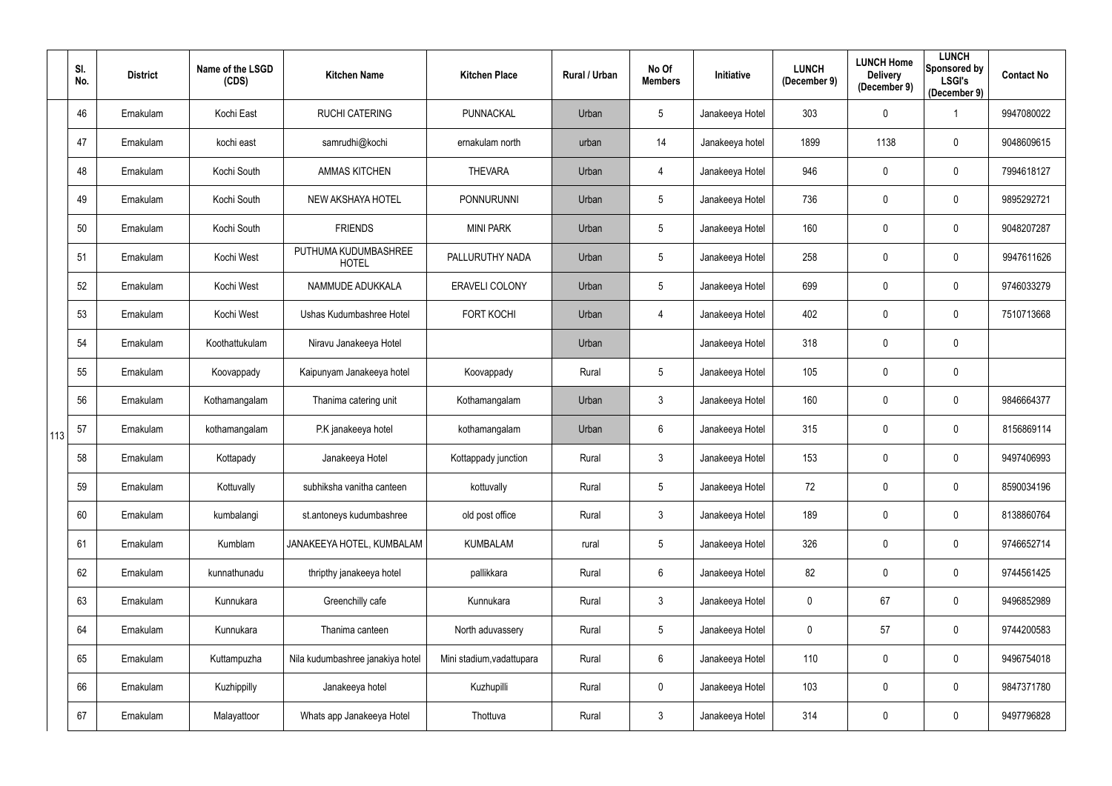|     | SI.<br>No. | <b>District</b> | Name of the LSGD<br>(CDS) | <b>Kitchen Name</b>                  | <b>Kitchen Place</b>      | Rural / Urban | No Of<br><b>Members</b> | Initiative      | <b>LUNCH</b><br>(December 9) | <b>LUNCH Home</b><br><b>Delivery</b><br>(December 9) | <b>LUNCH</b><br>Sponsored by<br><b>LSGI's</b><br>(December 9) | <b>Contact No</b> |
|-----|------------|-----------------|---------------------------|--------------------------------------|---------------------------|---------------|-------------------------|-----------------|------------------------------|------------------------------------------------------|---------------------------------------------------------------|-------------------|
|     | 46         | Ernakulam       | Kochi East                | <b>RUCHI CATERING</b>                | PUNNACKAL                 | Urban         | 5                       | Janakeeya Hotel | 303                          | $\mathbf 0$                                          |                                                               | 9947080022        |
|     | 47         | Ernakulam       | kochi east                | samrudhi@kochi                       | ernakulam north           | urban         | 14                      | Janakeeya hotel | 1899                         | 1138                                                 | $\mathbf 0$                                                   | 9048609615        |
|     | 48         | Ernakulam       | Kochi South               | <b>AMMAS KITCHEN</b>                 | <b>THEVARA</b>            | Urban         | 4                       | Janakeeya Hotel | 946                          | $\mathbf 0$                                          | $\overline{0}$                                                | 7994618127        |
|     | 49         | Ernakulam       | Kochi South               | NEW AKSHAYA HOTEL                    | <b>PONNURUNNI</b>         | Urban         | $5\phantom{.0}$         | Janakeeya Hotel | 736                          | $\overline{0}$                                       | $\overline{0}$                                                | 9895292721        |
|     | 50         | Ernakulam       | Kochi South               | <b>FRIENDS</b>                       | <b>MINI PARK</b>          | Urban         | $5\phantom{.0}$         | Janakeeya Hotel | 160                          | $\mathbf 0$                                          | $\boldsymbol{0}$                                              | 9048207287        |
|     | 51         | Ernakulam       | Kochi West                | PUTHUMA KUDUMBASHREE<br><b>HOTEL</b> | PALLURUTHY NADA           | Urban         | $5\phantom{.0}$         | Janakeeya Hotel | 258                          | $\mathbf 0$                                          | $\boldsymbol{0}$                                              | 9947611626        |
|     | 52         | Ernakulam       | Kochi West                | NAMMUDE ADUKKALA                     | ERAVELI COLONY            | Urban         | $5\phantom{.0}$         | Janakeeya Hotel | 699                          | $\mathbf 0$                                          | $\mathbf 0$                                                   | 9746033279        |
|     | 53         | Ernakulam       | Kochi West                | Ushas Kudumbashree Hotel             | <b>FORT KOCHI</b>         | Urban         | 4                       | Janakeeya Hotel | 402                          | $\overline{0}$                                       | $\overline{0}$                                                | 7510713668        |
|     | 54         | Ernakulam       | Koothattukulam            | Niravu Janakeeya Hotel               |                           | Urban         |                         | Janakeeya Hotel | 318                          | $\mathbf 0$                                          | $\boldsymbol{0}$                                              |                   |
|     | 55         | Ernakulam       | Koovappady                | Kaipunyam Janakeeya hotel            | Koovappady                | Rural         | $5\phantom{.0}$         | Janakeeya Hotel | 105                          | $\mathbf 0$                                          | $\boldsymbol{0}$                                              |                   |
|     | 56         | Ernakulam       | Kothamangalam             | Thanima catering unit                | Kothamangalam             | Urban         | $\mathfrak{Z}$          | Janakeeya Hotel | 160                          | $\overline{0}$                                       | $\overline{0}$                                                | 9846664377        |
| 113 | 57         | Ernakulam       | kothamangalam             | P.K janakeeya hotel                  | kothamangalam             | Urban         | $6\phantom{.}$          | Janakeeya Hotel | 315                          | $\mathbf 0$                                          | $\overline{0}$                                                | 8156869114        |
|     | 58         | Ernakulam       | Kottapady                 | Janakeeya Hotel                      | Kottappady junction       | Rural         | $\mathbf{3}$            | Janakeeya Hotel | 153                          | $\mathbf 0$                                          | 0                                                             | 9497406993        |
|     | 59         | Ernakulam       | Kottuvally                | subhiksha vanitha canteen            | kottuvally                | Rural         | $5\phantom{.0}$         | Janakeeya Hotel | 72                           | $\mathbf 0$                                          | $\bf{0}$                                                      | 8590034196        |
|     | 60         | Ernakulam       | kumbalangi                | st.antoneys kudumbashree             | old post office           | Rural         | $\mathfrak{Z}$          | Janakeeya Hotel | 189                          | $\pmb{0}$                                            | $\overline{0}$                                                | 8138860764        |
|     | 61         | Ernakulam       | Kumblam                   | JANAKEEYA HOTEL, KUMBALAM            | <b>KUMBALAM</b>           | rural         | $\overline{5}$          | Janakeeya Hotel | 326                          | $\mathbf 0$                                          | $\mathbf 0$                                                   | 9746652714        |
|     | 62         | Ernakulam       | kunnathunadu              | thripthy janakeeya hotel             | pallikkara                | Rural         | $6\phantom{.}$          | Janakeeya Hotel | 82                           | $\mathbf 0$                                          | $\overline{0}$                                                | 9744561425        |
|     | 63         | Ernakulam       | Kunnukara                 | Greenchilly cafe                     | Kunnukara                 | Rural         | $\mathfrak{Z}$          | Janakeeya Hotel | $\mathbf 0$                  | 67                                                   | $\mathbf 0$                                                   | 9496852989        |
|     | 64         | Ernakulam       | Kunnukara                 | Thanima canteen                      | North aduvassery          | Rural         | $\overline{5}$          | Janakeeya Hotel | 0                            | 57                                                   | $\overline{0}$                                                | 9744200583        |
|     | 65         | Ernakulam       | Kuttampuzha               | Nila kudumbashree janakiya hotel     | Mini stadium, vadattupara | Rural         | $6\phantom{.}6$         | Janakeeya Hotel | 110                          | $\overline{0}$                                       | $\overline{0}$                                                | 9496754018        |
|     | 66         | Ernakulam       | Kuzhippilly               | Janakeeya hotel                      | Kuzhupilli                | Rural         | $\mathbf 0$             | Janakeeya Hotel | 103                          | $\mathbf 0$                                          | $\overline{0}$                                                | 9847371780        |
|     | 67         | Ernakulam       | Malayattoor               | Whats app Janakeeya Hotel            | Thottuva                  | Rural         | $\mathfrak{Z}$          | Janakeeya Hotel | 314                          | $\overline{0}$                                       | $\overline{0}$                                                | 9497796828        |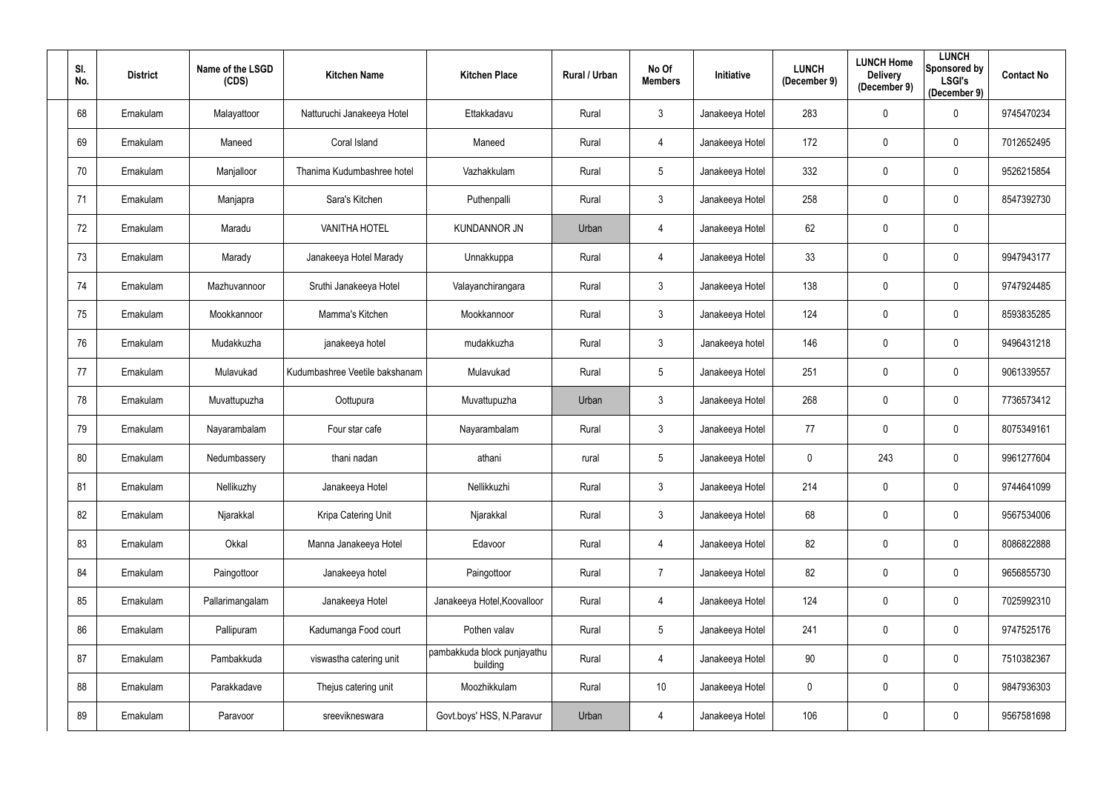| SI.<br>No. | <b>District</b> | Name of the LSGD<br>(CDS) | <b>Kitchen Name</b>            | <b>Kitchen Place</b>                    | <b>Rural / Urban</b> | No Of<br><b>Members</b> | Initiative      | <b>LUNCH</b><br>(December 9) | <b>LUNCH Home</b><br><b>Delivery</b><br>(December 9) | <b>LUNCH</b><br>Sponsored by<br><b>LSGI's</b><br>(December 9) | <b>Contact No</b> |
|------------|-----------------|---------------------------|--------------------------------|-----------------------------------------|----------------------|-------------------------|-----------------|------------------------------|------------------------------------------------------|---------------------------------------------------------------|-------------------|
| 68         | Ernakulam       | Malayattoor               | Natturuchi Janakeeya Hotel     | Ettakkadavu                             | Rural                | $\mathfrak{Z}$          | Janakeeya Hotel | 283                          | $\boldsymbol{0}$                                     | $\mathbf 0$                                                   | 9745470234        |
| 69         | Ernakulam       | Maneed                    | Coral Island                   | Maneed                                  | Rural                | 4                       | Janakeeya Hotel | 172                          | $\mathbf 0$                                          | $\mathbf 0$                                                   | 7012652495        |
| 70         | Ernakulam       | Manjalloor                | Thanima Kudumbashree hotel     | Vazhakkulam                             | Rural                | 5                       | Janakeeya Hotel | 332                          | $\mathbf 0$                                          | $\mathbf 0$                                                   | 9526215854        |
| 71         | Ernakulam       | Manjapra                  | Sara's Kitchen                 | Puthenpalli                             | Rural                | $\mathfrak{Z}$          | Janakeeya Hotel | 258                          | $\boldsymbol{0}$                                     | $\mathbf 0$                                                   | 8547392730        |
| 72         | Ernakulam       | Maradu                    | <b>VANITHA HOTEL</b>           | <b>KUNDANNOR JN</b>                     | Urban                | 4                       | Janakeeya Hotel | 62                           | $\mathbf 0$                                          | $\mathbf 0$                                                   |                   |
| 73         | Ernakulam       | Marady                    | Janakeeya Hotel Marady         | Unnakkuppa                              | Rural                | 4                       | Janakeeya Hotel | 33                           | $\mathbf 0$                                          | $\mathbf 0$                                                   | 9947943177        |
| 74         | Ernakulam       | Mazhuvannoor              | Sruthi Janakeeya Hotel         | Valayanchirangara                       | Rural                | $\mathbf{3}$            | Janakeeya Hotel | 138                          | $\mathbf 0$                                          | $\mathbf 0$                                                   | 9747924485        |
| 75         | Ernakulam       | Mookkannoor               | Mamma's Kitchen                | Mookkannoor                             | Rural                | $\mathfrak{Z}$          | Janakeeya Hotel | 124                          | $\boldsymbol{0}$                                     | $\mathbf 0$                                                   | 8593835285        |
| 76         | Ernakulam       | Mudakkuzha                | janakeeya hotel                | mudakkuzha                              | Rural                | $\mathbf{3}$            | Janakeeya hotel | 146                          | $\boldsymbol{0}$                                     | $\mathbf 0$                                                   | 9496431218        |
| 77         | Ernakulam       | Mulavukad                 | Kudumbashree Veetile bakshanam | Mulavukad                               | Rural                | 5                       | Janakeeya Hotel | 251                          | $\boldsymbol{0}$                                     | $\mathbf 0$                                                   | 9061339557        |
| 78         | Ernakulam       | Muvattupuzha              | Oottupura                      | Muvattupuzha                            | Urban                | $\mathbf{3}$            | Janakeeya Hotel | 268                          | $\mathbf 0$                                          | $\mathbf 0$                                                   | 7736573412        |
| 79         | Ernakulam       | Nayarambalam              | Four star cafe                 | Nayarambalam                            | Rural                | $\mathfrak{Z}$          | Janakeeya Hotel | 77                           | $\mathbf 0$                                          | $\mathbf 0$                                                   | 8075349161        |
| 80         | Ernakulam       | Nedumbassery              | thani nadan                    | athani                                  | rural                | 5                       | Janakeeya Hotel | 0                            | 243                                                  | 0                                                             | 9961277604        |
| 81         | Ernakulam       | Nellikuzhy                | Janakeeya Hotel                | Nellikkuzhi                             | Rural                | $\mathfrak{S}$          | Janakeeya Hotel | 214                          | $\boldsymbol{0}$                                     | $\mathbf 0$                                                   | 9744641099        |
| 82         | Ernakulam       | Njarakkal                 | Kripa Catering Unit            | Njarakkal                               | Rural                | 3 <sup>1</sup>          | Janakeeya Hotel | 68                           | $\pmb{0}$                                            | $\overline{0}$                                                | 9567534006        |
| 83         | Ernakulam       | Okkal                     | Manna Janakeeya Hotel          | Edavoor                                 | Rural                | 4                       | Janakeeya Hotel | 82                           | $\pmb{0}$                                            | $\mathbf 0$                                                   | 8086822888        |
| 84         | Ernakulam       | Paingottoor               | Janakeeya hotel                | Paingottoor                             | Rural                | $\overline{7}$          | Janakeeya Hotel | 82                           | $\pmb{0}$                                            | $\bf{0}$                                                      | 9656855730        |
| 85         | Ernakulam       | Pallarimangalam           | Janakeeya Hotel                | Janakeeya Hotel, Koovalloor             | Rural                | 4                       | Janakeeya Hotel | 124                          | $\pmb{0}$                                            | $\bf{0}$                                                      | 7025992310        |
| 86         | Ernakulam       | Pallipuram                | Kadumanga Food court           | Pothen valav                            | Rural                | 5                       | Janakeeya Hotel | 241                          | $\boldsymbol{0}$                                     | $\mathbf 0$                                                   | 9747525176        |
| 87         | Ernakulam       | Pambakkuda                | viswastha catering unit        | pambakkuda block punjayathu<br>building | Rural                | 4                       | Janakeeya Hotel | 90                           | $\pmb{0}$                                            | $\overline{0}$                                                | 7510382367        |
| 88         | Ernakulam       | Parakkadave               | Thejus catering unit           | Moozhikkulam                            | Rural                | 10                      | Janakeeya Hotel | $\mathbf 0$                  | $\pmb{0}$                                            | $\overline{0}$                                                | 9847936303        |
| 89         | Ernakulam       | Paravoor                  | sreevikneswara                 | Govt.boys' HSS, N.Paravur               | Urban                | 4                       | Janakeeya Hotel | 106                          | $\boldsymbol{0}$                                     | $\bf{0}$                                                      | 9567581698        |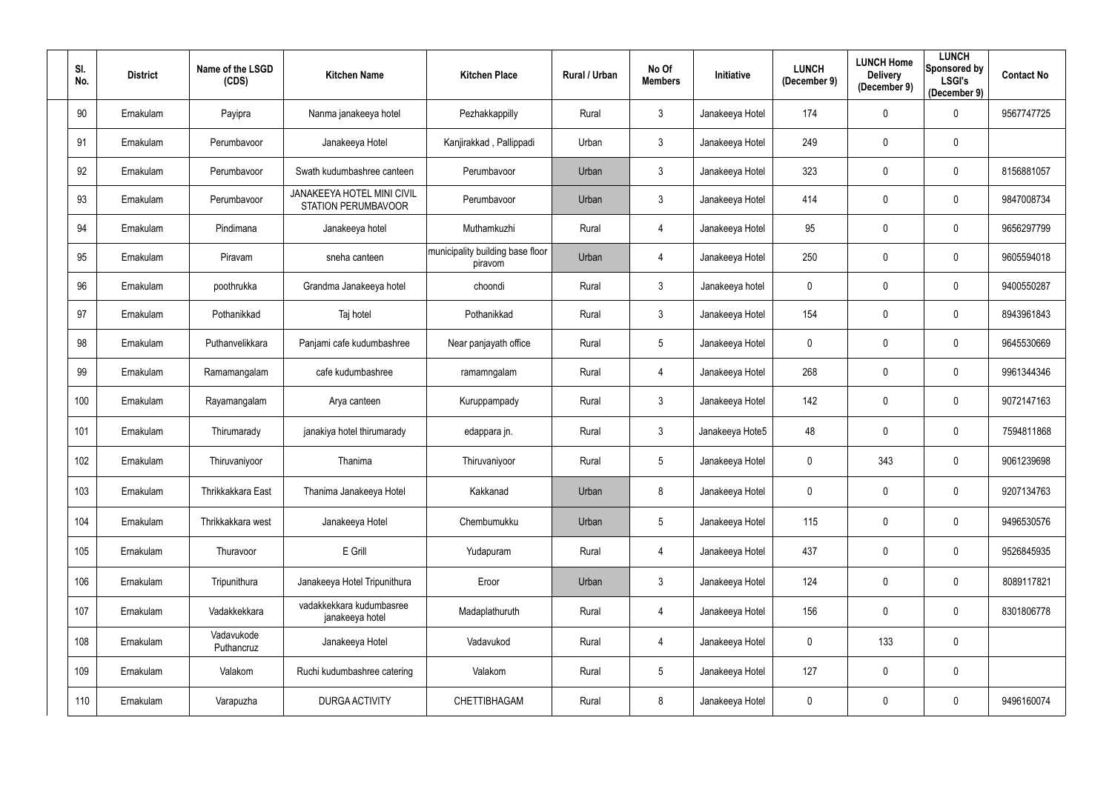| SI.<br>No. | <b>District</b> | Name of the LSGD<br>(CDS) | <b>Kitchen Name</b>                                             | <b>Kitchen Place</b>                        | <b>Rural / Urban</b> | No Of<br><b>Members</b> | Initiative      | <b>LUNCH</b><br>(December 9) | <b>LUNCH Home</b><br><b>Delivery</b><br>(December 9) | <b>LUNCH</b><br>Sponsored by<br><b>LSGI's</b><br>(December 9) | <b>Contact No</b> |
|------------|-----------------|---------------------------|-----------------------------------------------------------------|---------------------------------------------|----------------------|-------------------------|-----------------|------------------------------|------------------------------------------------------|---------------------------------------------------------------|-------------------|
| 90         | Ernakulam       | Payipra                   | Nanma janakeeya hotel                                           | Pezhakkappilly                              | Rural                | $\mathfrak{Z}$          | Janakeeya Hotel | 174                          | $\mathbf 0$                                          | $\overline{0}$                                                | 9567747725        |
| 91         | Ernakulam       | Perumbavoor               | Janakeeya Hotel                                                 | Kanjirakkad, Pallippadi                     | Urban                | $\mathfrak{Z}$          | Janakeeya Hotel | 249                          | $\mathbf 0$                                          | $\overline{0}$                                                |                   |
| 92         | Ernakulam       | Perumbavoor               | Swath kudumbashree canteen                                      | Perumbavoor                                 | Urban                | $\mathbf{3}$            | Janakeeya Hotel | 323                          | $\mathbf 0$                                          | $\overline{0}$                                                | 8156881057        |
| 93         | Ernakulam       | Perumbavoor               | <b>JANAKEEYA HOTEL MINI CIVIL</b><br><b>STATION PERUMBAVOOR</b> | Perumbavoor                                 | Urban                | $\mathfrak{Z}$          | Janakeeya Hotel | 414                          | $\overline{0}$                                       | $\overline{0}$                                                | 9847008734        |
| 94         | Ernakulam       | Pindimana                 | Janakeeya hotel                                                 | Muthamkuzhi                                 | Rural                | 4                       | Janakeeya Hotel | 95                           | $\mathbf 0$                                          | $\overline{0}$                                                | 9656297799        |
| 95         | Ernakulam       | Piravam                   | sneha canteen                                                   | municipality building base floor<br>piravom | Urban                | 4                       | Janakeeya Hotel | 250                          | $\mathbf 0$                                          | $\overline{0}$                                                | 9605594018        |
| 96         | Ernakulam       | poothrukka                | Grandma Janakeeya hotel                                         | choondi                                     | Rural                | $\mathfrak{Z}$          | Janakeeya hotel | 0                            | $\mathbf 0$                                          | $\overline{0}$                                                | 9400550287        |
| 97         | Ernakulam       | Pothanikkad               | Taj hotel                                                       | Pothanikkad                                 | Rural                | 3 <sup>1</sup>          | Janakeeya Hotel | 154                          | $\overline{0}$                                       | $\overline{0}$                                                | 8943961843        |
| 98         | Ernakulam       | Puthanvelikkara           | Panjami cafe kudumbashree                                       | Near panjayath office                       | Rural                | $5\phantom{.0}$         | Janakeeya Hotel | $\mathbf 0$                  | $\mathbf 0$                                          | $\mathbf 0$                                                   | 9645530669        |
| 99         | Ernakulam       | Ramamangalam              | cafe kudumbashree                                               | ramamngalam                                 | Rural                | 4                       | Janakeeya Hotel | 268                          | $\pmb{0}$                                            | $\overline{0}$                                                | 9961344346        |
| 100        | Ernakulam       | Rayamangalam              | Arya canteen                                                    | Kuruppampady                                | Rural                | $\mathfrak{Z}$          | Janakeeya Hotel | 142                          | $\overline{0}$                                       | $\overline{0}$                                                | 9072147163        |
| 101        | Ernakulam       | Thirumarady               | janakiya hotel thirumarady                                      | edappara jn.                                | Rural                | $\mathfrak{Z}$          | Janakeeya Hote5 | 48                           | $\mathbf 0$                                          | $\overline{0}$                                                | 7594811868        |
| 102        | Ernakulam       | Thiruvaniyoor             | Thanima                                                         | Thiruvaniyoor                               | Rural                | 5                       | Janakeeya Hotel | 0                            | 343                                                  | $\mathbf 0$                                                   | 9061239698        |
| 103        | Ernakulam       | Thrikkakkara East         | Thanima Janakeeya Hotel                                         | Kakkanad                                    | Urban                | 8                       | Janakeeya Hotel | $\pmb{0}$                    | $\mathbf 0$                                          | $\mathbf 0$                                                   | 9207134763        |
| 104        | Ernakulam       | Thrikkakkara west         | Janakeeya Hotel                                                 | Chembumukku                                 | Urban                | $5\phantom{.0}$         | Janakeeya Hotel | 115                          | $\mathbf 0$                                          | $\mathbf 0$                                                   | 9496530576        |
| 105        | Ernakulam       | Thuravoor                 | E Grill                                                         | Yudapuram                                   | Rural                | 4                       | Janakeeya Hotel | 437                          | $\mathbf 0$                                          | $\mathbf 0$                                                   | 9526845935        |
| 106        | Ernakulam       | Tripunithura              | Janakeeya Hotel Tripunithura                                    | Eroor                                       | Urban                | $\mathfrak{Z}$          | Janakeeya Hotel | 124                          | $\mathbf 0$                                          | $\mathbf 0$                                                   | 8089117821        |
| 107        | Ernakulam       | Vadakkekkara              | vadakkekkara kudumbasree<br>janakeeya hotel                     | Madaplathuruth                              | Rural                | 4                       | Janakeeya Hotel | 156                          | $\mathbf 0$                                          | $\overline{0}$                                                | 8301806778        |
| 108        | Ernakulam       | Vadavukode<br>Puthancruz  | Janakeeya Hotel                                                 | Vadavukod                                   | Rural                | 4                       | Janakeeya Hotel | $\mathbf 0$                  | 133                                                  | $\mathbf 0$                                                   |                   |
| 109        | Ernakulam       | Valakom                   | Ruchi kudumbashree catering                                     | Valakom                                     | Rural                | $5\phantom{.0}$         | Janakeeya Hotel | 127                          | $\mathbf 0$                                          | $\overline{0}$                                                |                   |
| 110        | Ernakulam       | Varapuzha                 | <b>DURGA ACTIVITY</b>                                           | CHETTIBHAGAM                                | Rural                | 8                       | Janakeeya Hotel | $\pmb{0}$                    | $\boldsymbol{0}$                                     | $\overline{0}$                                                | 9496160074        |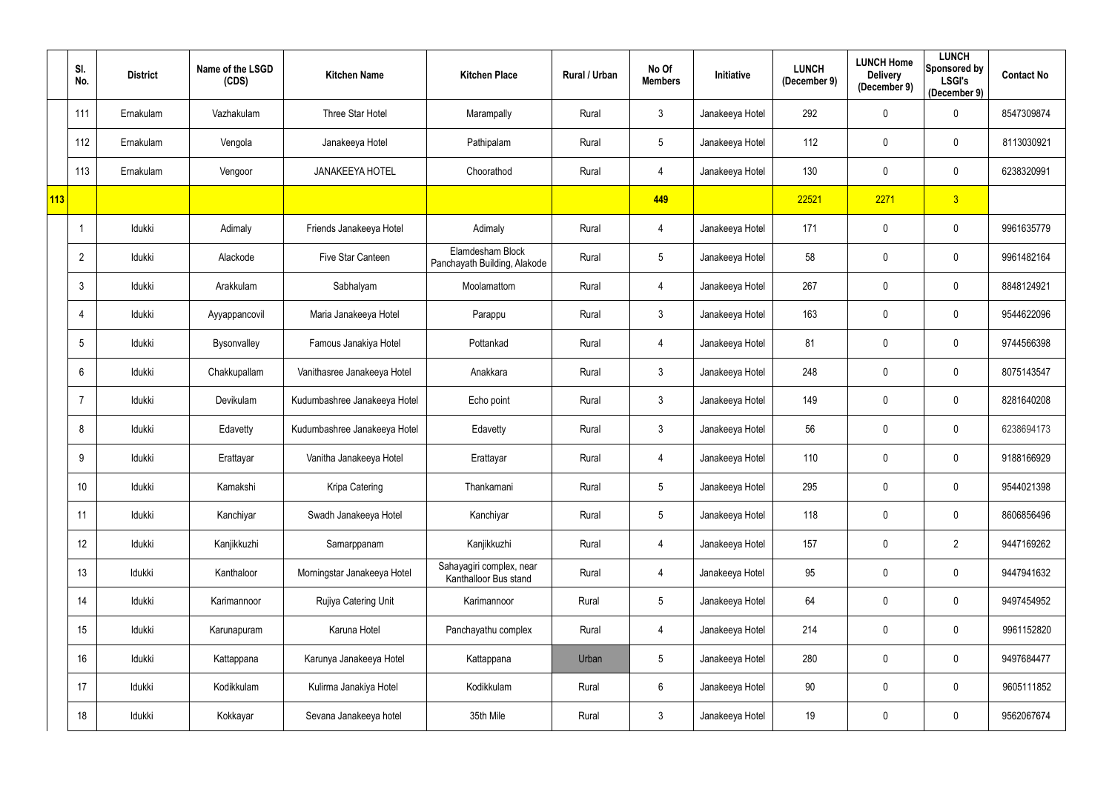|     | SI.<br>No.     | <b>District</b> | Name of the LSGD<br>(CDS) | <b>Kitchen Name</b>          | <b>Kitchen Place</b>                              | Rural / Urban | No Of<br><b>Members</b> | <b>Initiative</b> | <b>LUNCH</b><br>(December 9) | <b>LUNCH Home</b><br><b>Delivery</b><br>(December 9) | <b>LUNCH</b><br>Sponsored by<br><b>LSGI's</b><br>(December 9) | <b>Contact No</b> |
|-----|----------------|-----------------|---------------------------|------------------------------|---------------------------------------------------|---------------|-------------------------|-------------------|------------------------------|------------------------------------------------------|---------------------------------------------------------------|-------------------|
|     | 111            | Ernakulam       | Vazhakulam                | Three Star Hotel             | Marampally                                        | Rural         | 3                       | Janakeeya Hotel   | 292                          | $\mathbf 0$                                          | $\mathbf 0$                                                   | 8547309874        |
|     | 112            | Ernakulam       | Vengola                   | Janakeeya Hotel              | Pathipalam                                        | Rural         | $5\phantom{.0}$         | Janakeeya Hotel   | 112                          | $\mathbf 0$                                          | $\mathbf 0$                                                   | 8113030921        |
|     | 113            | Ernakulam       | Vengoor                   | <b>JANAKEEYA HOTEL</b>       | Choorathod                                        | Rural         | 4                       | Janakeeya Hotel   | 130                          | $\mathbf 0$                                          | $\overline{0}$                                                | 6238320991        |
| 113 |                |                 |                           |                              |                                                   |               | 449                     |                   | 22521                        | 2271                                                 | 3                                                             |                   |
|     |                | Idukki          | Adimaly                   | Friends Janakeeya Hotel      | Adimaly                                           | Rural         | 4                       | Janakeeya Hotel   | 171                          | $\mathbf 0$                                          | $\overline{0}$                                                | 9961635779        |
|     | $\mathbf{2}$   | Idukki          | Alackode                  | Five Star Canteen            | Elamdesham Block<br>Panchayath Building, Alakode  | Rural         | $5\phantom{.0}$         | Janakeeya Hotel   | 58                           | $\mathbf 0$                                          | $\mathbf 0$                                                   | 9961482164        |
|     | 3              | Idukki          | Arakkulam                 | Sabhalyam                    | Moolamattom                                       | Rural         | 4                       | Janakeeya Hotel   | 267                          | $\mathbf{0}$                                         | $\mathbf 0$                                                   | 8848124921        |
|     | 4              | Idukki          | Ayyappancovil             | Maria Janakeeya Hotel        | Parappu                                           | Rural         | $\mathfrak{Z}$          | Janakeeya Hotel   | 163                          | $\overline{0}$                                       | $\mathbf 0$                                                   | 9544622096        |
|     | 5              | Idukki          | Bysonvalley               | Famous Janakiya Hotel        | Pottankad                                         | Rural         | 4                       | Janakeeya Hotel   | 81                           | $\mathbf 0$                                          | $\mathbf 0$                                                   | 9744566398        |
|     | 6              | Idukki          | Chakkupallam              | Vanithasree Janakeeya Hotel  | Anakkara                                          | Rural         | $\mathfrak{Z}$          | Janakeeya Hotel   | 248                          | $\mathbf 0$                                          | $\mathbf 0$                                                   | 8075143547        |
|     | $\overline{7}$ | Idukki          | Devikulam                 | Kudumbashree Janakeeya Hotel | Echo point                                        | Rural         | $\mathfrak{Z}$          | Janakeeya Hotel   | 149                          | $\mathbf 0$                                          | $\mathbf 0$                                                   | 8281640208        |
|     | 8              | Idukki          | Edavetty                  | Kudumbashree Janakeeya Hotel | Edavetty                                          | Rural         | $\mathfrak{Z}$          | Janakeeya Hotel   | 56                           | $\mathbf 0$                                          | $\overline{0}$                                                | 6238694173        |
|     | 9              | Idukki          | Erattayar                 | Vanitha Janakeeya Hotel      | Erattayar                                         | Rural         | 4                       | Janakeeya Hotel   | 110                          | $\mathbf 0$                                          | $\mathbf 0$                                                   | 9188166929        |
|     | 10             | Idukki          | Kamakshi                  | Kripa Catering               | Thankamani                                        | Rural         | $5\phantom{.0}$         | Janakeeya Hotel   | 295                          | $\mathbf 0$                                          | $\mathbf 0$                                                   | 9544021398        |
|     | 11             | Idukki          | Kanchiyar                 | Swadh Janakeeya Hotel        | Kanchiyar                                         | Rural         | $5\phantom{.0}$         | Janakeeya Hotel   | 118                          | $\mathbf 0$                                          | $\mathbf 0$                                                   | 8606856496        |
|     | 12             | Idukki          | Kanjikkuzhi               | Samarppanam                  | Kanjikkuzhi                                       | Rural         | 4                       | Janakeeya Hotel   | 157                          | $\mathbf 0$                                          | $2^{\circ}$                                                   | 9447169262        |
|     | 13             | Idukki          | Kanthaloor                | Morningstar Janakeeya Hotel  | Sahayagiri complex, near<br>Kanthalloor Bus stand | Rural         | 4                       | Janakeeya Hotel   | 95                           | $\mathbf 0$                                          | $\mathbf 0$                                                   | 9447941632        |
|     | 14             | Idukki          | Karimannoor               | Rujiya Catering Unit         | Karimannoor                                       | Rural         | $5\phantom{.0}$         | Janakeeya Hotel   | 64                           | $\mathbf 0$                                          | $\mathbf 0$                                                   | 9497454952        |
|     | 15             | Idukki          | Karunapuram               | Karuna Hotel                 | Panchayathu complex                               | Rural         | 4                       | Janakeeya Hotel   | 214                          | $\mathbf 0$                                          | $\mathbf 0$                                                   | 9961152820        |
|     | 16             | Idukki          | Kattappana                | Karunya Janakeeya Hotel      | Kattappana                                        | Urban         | $5\phantom{.0}$         | Janakeeya Hotel   | 280                          | $\mathbf 0$                                          | $\mathbf 0$                                                   | 9497684477        |
|     | 17             | Idukki          | Kodikkulam                | Kulirma Janakiya Hotel       | Kodikkulam                                        | Rural         | $6\phantom{.0}$         | Janakeeya Hotel   | 90                           | $\overline{0}$                                       | $\mathbf 0$                                                   | 9605111852        |
|     | 18             | Idukki          | Kokkayar                  | Sevana Janakeeya hotel       | 35th Mile                                         | Rural         | $\mathfrak{Z}$          | Janakeeya Hotel   | 19                           | $\pmb{0}$                                            | $\overline{0}$                                                | 9562067674        |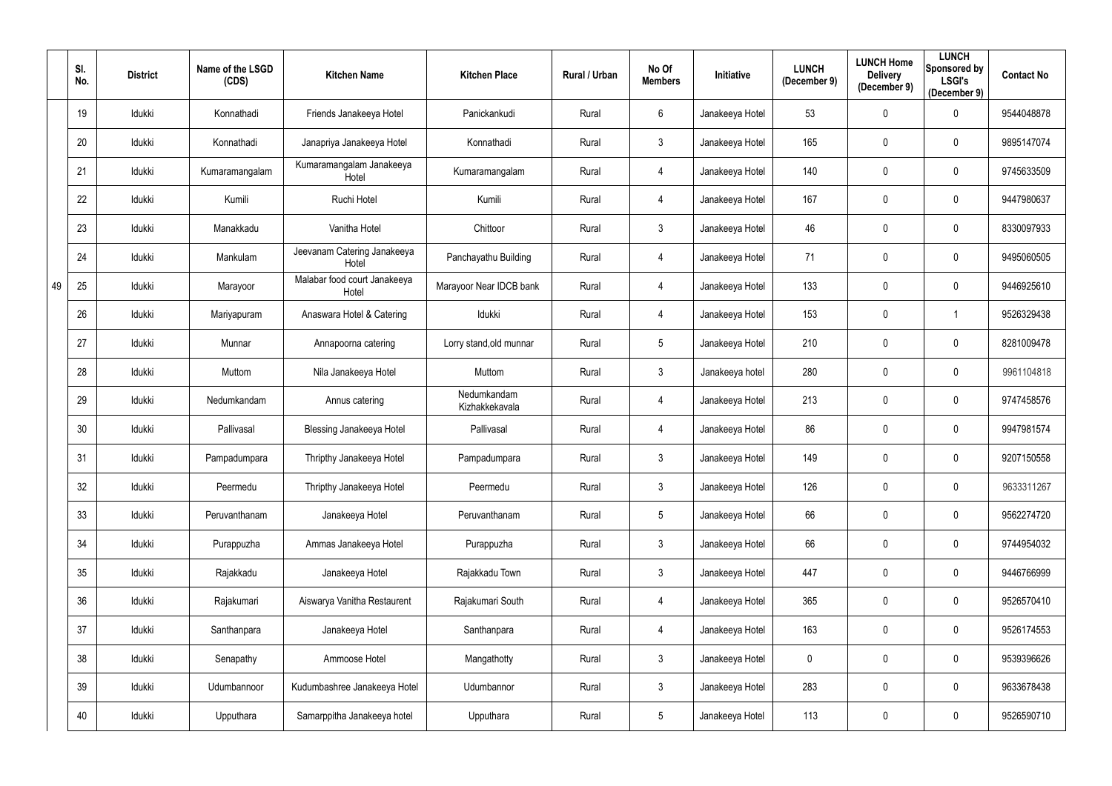|    | SI.<br>No. | <b>District</b> | Name of the LSGD<br>(CDS) | <b>Kitchen Name</b>                   | <b>Kitchen Place</b>          | Rural / Urban | No Of<br><b>Members</b> | Initiative      | <b>LUNCH</b><br>(December 9) | <b>LUNCH Home</b><br><b>Delivery</b><br>(December 9) | <b>LUNCH</b><br>Sponsored by<br><b>LSGI's</b><br>(December 9) | <b>Contact No</b> |
|----|------------|-----------------|---------------------------|---------------------------------------|-------------------------------|---------------|-------------------------|-----------------|------------------------------|------------------------------------------------------|---------------------------------------------------------------|-------------------|
|    | 19         | Idukki          | Konnathadi                | Friends Janakeeya Hotel               | Panickankudi                  | Rural         | 6                       | Janakeeya Hotel | 53                           | $\overline{0}$                                       | $\mathbf 0$                                                   | 9544048878        |
|    | 20         | Idukki          | Konnathadi                | Janapriya Janakeeya Hotel             | Konnathadi                    | Rural         | $\mathfrak{Z}$          | Janakeeya Hotel | 165                          | $\mathbf 0$                                          | $\mathbf 0$                                                   | 9895147074        |
|    | 21         | Idukki          | Kumaramangalam            | Kumaramangalam Janakeeya<br>Hotel     | Kumaramangalam                | Rural         | 4                       | Janakeeya Hotel | 140                          | $\pmb{0}$                                            | $\overline{0}$                                                | 9745633509        |
|    | 22         | Idukki          | Kumili                    | Ruchi Hotel                           | Kumili                        | Rural         | 4                       | Janakeeya Hotel | 167                          | $\overline{0}$                                       | $\mathbf 0$                                                   | 9447980637        |
|    | 23         | Idukki          | Manakkadu                 | Vanitha Hotel                         | Chittoor                      | Rural         | $\mathfrak{Z}$          | Janakeeya Hotel | 46                           | $\mathbf 0$                                          | $\overline{0}$                                                | 8330097933        |
|    | 24         | Idukki          | Mankulam                  | Jeevanam Catering Janakeeya<br>Hotel  | Panchayathu Building          | Rural         | 4                       | Janakeeya Hotel | 71                           | $\overline{0}$                                       | $\boldsymbol{0}$                                              | 9495060505        |
| 49 | 25         | Idukki          | Marayoor                  | Malabar food court Janakeeya<br>Hotel | Marayoor Near IDCB bank       | Rural         | 4                       | Janakeeya Hotel | 133                          | $\mathbf 0$                                          | $\mathbf 0$                                                   | 9446925610        |
|    | 26         | Idukki          | Mariyapuram               | Anaswara Hotel & Catering             | Idukki                        | Rural         | 4                       | Janakeeya Hotel | 153                          | $\overline{0}$                                       |                                                               | 9526329438        |
|    | 27         | Idukki          | Munnar                    | Annapoorna catering                   | Lorry stand, old munnar       | Rural         | $5\phantom{.0}$         | Janakeeya Hotel | 210                          | $\mathbf 0$                                          | $\mathbf 0$                                                   | 8281009478        |
|    | 28         | Idukki          | Muttom                    | Nila Janakeeya Hotel                  | Muttom                        | Rural         | $\mathfrak{Z}$          | Janakeeya hotel | 280                          | $\mathbf 0$                                          | $\mathbf 0$                                                   | 9961104818        |
|    | 29         | Idukki          | Nedumkandam               | Annus catering                        | Nedumkandam<br>Kizhakkekavala | Rural         | 4                       | Janakeeya Hotel | 213                          | $\mathbf 0$                                          | $\mathbf 0$                                                   | 9747458576        |
|    | 30         | Idukki          | Pallivasal                | <b>Blessing Janakeeya Hotel</b>       | Pallivasal                    | Rural         | 4                       | Janakeeya Hotel | 86                           | $\mathbf 0$                                          | $\overline{0}$                                                | 9947981574        |
|    | 31         | Idukki          | Pampadumpara              | Thripthy Janakeeya Hotel              | Pampadumpara                  | Rural         | $\mathbf{3}$            | Janakeeya Hotel | 149                          | $\mathbf 0$                                          | $\mathbf 0$                                                   | 9207150558        |
|    | 32         | Idukki          | Peermedu                  | Thripthy Janakeeya Hotel              | Peermedu                      | Rural         | $\mathfrak{Z}$          | Janakeeya Hotel | 126                          | $\mathbf 0$                                          | $\mathbf 0$                                                   | 9633311267        |
|    | 33         | Idukki          | Peruvanthanam             | Janakeeya Hotel                       | Peruvanthanam                 | Rural         | $5\phantom{.0}$         | Janakeeya Hotel | 66                           | $\mathbf 0$                                          | $\mathbf 0$                                                   | 9562274720        |
|    | 34         | Idukki          | Purappuzha                | Ammas Janakeeya Hotel                 | Purappuzha                    | Rural         | $\mathfrak{Z}$          | Janakeeya Hotel | 66                           | $\mathbf 0$                                          | $\mathbf 0$                                                   | 9744954032        |
|    | 35         | Idukki          | Rajakkadu                 | Janakeeya Hotel                       | Rajakkadu Town                | Rural         | $\mathbf{3}$            | Janakeeya Hotel | 447                          | $\mathbf 0$                                          | $\mathbf 0$                                                   | 9446766999        |
|    | 36         | Idukki          | Rajakumari                | Aiswarya Vanitha Restaurent           | Rajakumari South              | Rural         | 4                       | Janakeeya Hotel | 365                          | $\mathbf 0$                                          | $\mathbf 0$                                                   | 9526570410        |
|    | 37         | Idukki          | Santhanpara               | Janakeeya Hotel                       | Santhanpara                   | Rural         | 4                       | Janakeeya Hotel | 163                          | $\mathbf 0$                                          | $\mathbf 0$                                                   | 9526174553        |
|    | 38         | Idukki          | Senapathy                 | Ammoose Hotel                         | Mangathotty                   | Rural         | $\mathfrak{Z}$          | Janakeeya Hotel | $\mathbf 0$                  | $\mathbf 0$                                          | $\mathbf 0$                                                   | 9539396626        |
|    | 39         | Idukki          | Udumbannoor               | Kudumbashree Janakeeya Hotel          | Udumbannor                    | Rural         | $\mathfrak{Z}$          | Janakeeya Hotel | 283                          | $\mathbf 0$                                          | $\mathbf 0$                                                   | 9633678438        |
|    | 40         | Idukki          | Upputhara                 | Samarppitha Janakeeya hotel           | Upputhara                     | Rural         | $\overline{5}$          | Janakeeya Hotel | 113                          | $\overline{0}$                                       | $\mathbf 0$                                                   | 9526590710        |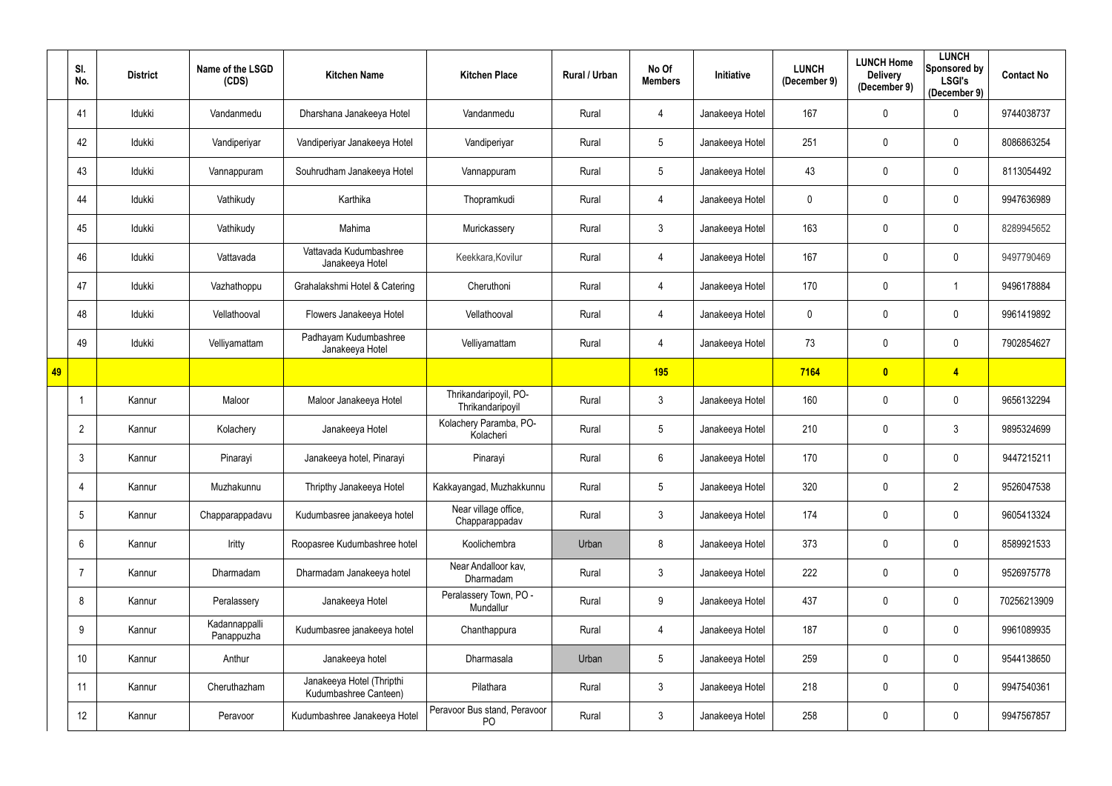|    | SI.<br>No.      | <b>District</b> | Name of the LSGD<br>(CDS)   | <b>Kitchen Name</b>                                | <b>Kitchen Place</b>                      | Rural / Urban | No Of<br><b>Members</b> | <b>Initiative</b> | <b>LUNCH</b><br>(December 9) | <b>LUNCH Home</b><br><b>Delivery</b><br>(December 9) | <b>LUNCH</b><br>Sponsored by<br><b>LSGI's</b><br>(December 9) | <b>Contact No</b> |
|----|-----------------|-----------------|-----------------------------|----------------------------------------------------|-------------------------------------------|---------------|-------------------------|-------------------|------------------------------|------------------------------------------------------|---------------------------------------------------------------|-------------------|
|    | 41              | Idukki          | Vandanmedu                  | Dharshana Janakeeya Hotel                          | Vandanmedu                                | Rural         | 4                       | Janakeeya Hotel   | 167                          | $\mathbf 0$                                          | $\mathbf 0$                                                   | 9744038737        |
|    | 42              | Idukki          | Vandiperiyar                | Vandiperiyar Janakeeya Hotel                       | Vandiperiyar                              | Rural         | $5\phantom{.0}$         | Janakeeya Hotel   | 251                          | $\mathbf 0$                                          | $\mathbf 0$                                                   | 8086863254        |
|    | 43              | Idukki          | Vannappuram                 | Souhrudham Janakeeya Hotel                         | Vannappuram                               | Rural         | $5\phantom{.0}$         | Janakeeya Hotel   | 43                           | $\mathbf 0$                                          | $\mathbf 0$                                                   | 8113054492        |
|    | 44              | Idukki          | Vathikudy                   | Karthika                                           | Thopramkudi                               | Rural         | 4                       | Janakeeya Hotel   | 0                            | $\mathbf 0$                                          | $\mathbf 0$                                                   | 9947636989        |
|    | 45              | Idukki          | Vathikudy                   | Mahima                                             | Murickassery                              | Rural         | $\mathfrak{Z}$          | Janakeeya Hotel   | 163                          | $\mathbf 0$                                          | $\mathbf 0$                                                   | 8289945652        |
|    | 46              | Idukki          | Vattavada                   | Vattavada Kudumbashree<br>Janakeeya Hotel          | Keekkara, Kovilur                         | Rural         | 4                       | Janakeeya Hotel   | 167                          | $\mathbf 0$                                          | $\mathbf 0$                                                   | 9497790469        |
|    | 47              | Idukki          | Vazhathoppu                 | Grahalakshmi Hotel & Catering                      | Cheruthoni                                | Rural         | 4                       | Janakeeya Hotel   | 170                          | $\mathbf 0$                                          |                                                               | 9496178884        |
|    | 48              | Idukki          | Vellathooval                | Flowers Janakeeya Hotel                            | Vellathooval                              | Rural         | 4                       | Janakeeya Hotel   | 0                            | $\mathbf 0$                                          | $\mathbf 0$                                                   | 9961419892        |
|    | 49              | Idukki          | Velliyamattam               | Padhayam Kudumbashree<br>Janakeeya Hotel           | Velliyamattam                             | Rural         | 4                       | Janakeeya Hotel   | 73                           | $\mathbf 0$                                          | $\mathbf 0$                                                   | 7902854627        |
| 49 |                 |                 |                             |                                                    |                                           |               | <b>195</b>              |                   | 7164                         | $\mathbf{0}$                                         | $\overline{4}$                                                |                   |
|    |                 | Kannur          | Maloor                      | Maloor Janakeeya Hotel                             | Thrikandaripoyil, PO-<br>Thrikandaripoyil | Rural         | $\mathfrak{Z}$          | Janakeeya Hotel   | 160                          | $\mathbf{0}$                                         | $\mathbf 0$                                                   | 9656132294        |
|    | $\overline{2}$  | Kannur          | Kolachery                   | Janakeeya Hotel                                    | Kolachery Paramba, PO-<br>Kolacheri       | Rural         | $5\phantom{.0}$         | Janakeeya Hotel   | 210                          | $\mathbf 0$                                          | 3                                                             | 9895324699        |
|    | 3               | Kannur          | Pinarayi                    | Janakeeya hotel, Pinarayi                          | Pinarayi                                  | Rural         | 6                       | Janakeeya Hotel   | 170                          | $\mathbf 0$                                          | $\mathbf 0$                                                   | 9447215211        |
|    | 4               | Kannur          | Muzhakunnu                  | Thripthy Janakeeya Hotel                           | Kakkayangad, Muzhakkunnu                  | Rural         | $5\phantom{.0}$         | Janakeeya Hotel   | 320                          | $\mathbf 0$                                          | $\overline{2}$                                                | 9526047538        |
|    | $5\overline{)}$ | Kannur          | Chapparappadavu             | Kudumbasree janakeeya hotel                        | Near village office,<br>Chapparappadav    | Rural         | $\mathfrak{Z}$          | Janakeeya Hotel   | 174                          | $\pmb{0}$                                            | $\mathbf 0$                                                   | 9605413324        |
|    | 6               | Kannur          | Iritty                      | Roopasree Kudumbashree hotel                       | Koolichembra                              | Urban         | 8                       | Janakeeya Hotel   | 373                          | $\mathbf 0$                                          | $\mathbf 0$                                                   | 8589921533        |
|    | $\overline{7}$  | Kannur          | Dharmadam                   | Dharmadam Janakeeya hotel                          | Near Andalloor kav,<br>Dharmadam          | Rural         | $\mathfrak{Z}$          | Janakeeya Hotel   | 222                          | $\pmb{0}$                                            | $\mathbf 0$                                                   | 9526975778        |
|    | 8               | Kannur          | Peralassery                 | Janakeeya Hotel                                    | Peralassery Town, PO -<br>Mundallur       | Rural         | $9\,$                   | Janakeeya Hotel   | 437                          | $\mathbf 0$                                          | $\mathbf 0$                                                   | 70256213909       |
|    | 9               | Kannur          | Kadannappalli<br>Panappuzha | Kudumbasree janakeeya hotel                        | Chanthappura                              | Rural         | 4                       | Janakeeya Hotel   | 187                          | $\mathbf 0$                                          | $\overline{0}$                                                | 9961089935        |
|    | 10              | Kannur          | Anthur                      | Janakeeya hotel                                    | Dharmasala                                | Urban         | $5\phantom{.0}$         | Janakeeya Hotel   | 259                          | $\mathbf 0$                                          | $\mathbf 0$                                                   | 9544138650        |
|    | 11              | Kannur          | Cheruthazham                | Janakeeya Hotel (Thripthi<br>Kudumbashree Canteen) | Pilathara                                 | Rural         | $\mathbf{3}$            | Janakeeya Hotel   | 218                          | $\pmb{0}$                                            | $\mathbf 0$                                                   | 9947540361        |
|    | 12              | Kannur          | Peravoor                    | Kudumbashree Janakeeya Hotel                       | Peravoor Bus stand, Peravoor<br><b>PO</b> | Rural         | $\mathfrak{Z}$          | Janakeeya Hotel   | 258                          | $\mathbf 0$                                          | $\overline{0}$                                                | 9947567857        |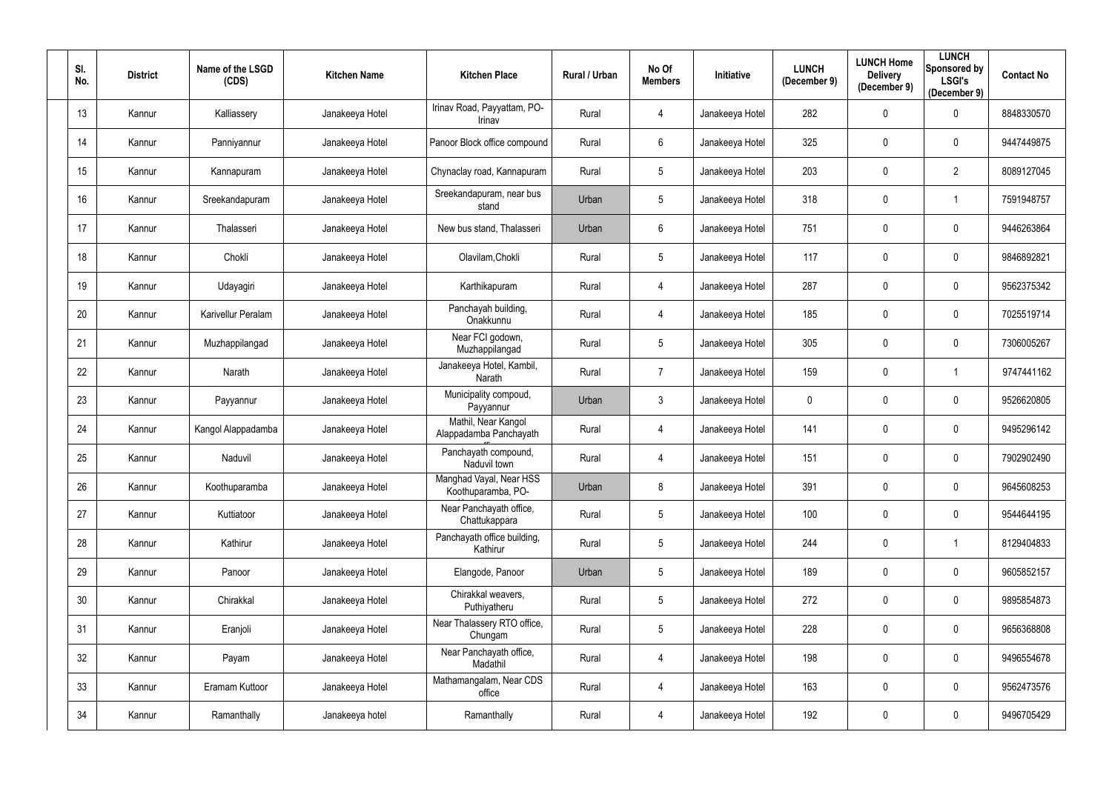| SI.<br>No. | <b>District</b> | Name of the LSGD<br>(CDS) | <b>Kitchen Name</b> | <b>Kitchen Place</b>                          | Rural / Urban | No Of<br><b>Members</b> | Initiative      | <b>LUNCH</b><br>(December 9) | <b>LUNCH Home</b><br><b>Delivery</b><br>(December 9) | <b>LUNCH</b><br>Sponsored by<br><b>LSGI's</b><br>(December 9) | <b>Contact No</b> |
|------------|-----------------|---------------------------|---------------------|-----------------------------------------------|---------------|-------------------------|-----------------|------------------------------|------------------------------------------------------|---------------------------------------------------------------|-------------------|
| 13         | Kannur          | Kalliassery               | Janakeeya Hotel     | Irinav Road, Payyattam, PO-<br>Irinav         | Rural         | 4                       | Janakeeya Hotel | 282                          | $\boldsymbol{0}$                                     | $\mathbf 0$                                                   | 8848330570        |
| 14         | Kannur          | Panniyannur               | Janakeeya Hotel     | Panoor Block office compound                  | Rural         | $6\phantom{.0}$         | Janakeeya Hotel | 325                          | $\mathbf 0$                                          | $\mathbf 0$                                                   | 9447449875        |
| 15         | Kannur          | Kannapuram                | Janakeeya Hotel     | Chynaclay road, Kannapuram                    | Rural         | $5\phantom{.0}$         | Janakeeya Hotel | 203                          | $\pmb{0}$                                            | $\overline{2}$                                                | 8089127045        |
| 16         | Kannur          | Sreekandapuram            | Janakeeya Hotel     | Sreekandapuram, near bus<br>stand             | Urban         | 5                       | Janakeeya Hotel | 318                          | $\mathbf 0$                                          |                                                               | 7591948757        |
| 17         | Kannur          | Thalasseri                | Janakeeya Hotel     | New bus stand, Thalasseri                     | Urban         | 6                       | Janakeeya Hotel | 751                          | $\mathbf 0$                                          | $\mathbf 0$                                                   | 9446263864        |
| 18         | Kannur          | Chokli                    | Janakeeya Hotel     | Olavilam, Chokli                              | Rural         | 5                       | Janakeeya Hotel | 117                          | $\mathbf 0$                                          | $\boldsymbol{0}$                                              | 9846892821        |
| 19         | Kannur          | Udayagiri                 | Janakeeya Hotel     | Karthikapuram                                 | Rural         | 4                       | Janakeeya Hotel | 287                          | $\mathbf{0}$                                         | $\mathbf 0$                                                   | 9562375342        |
| 20         | Kannur          | Karivellur Peralam        | Janakeeya Hotel     | Panchayah building,<br>Onakkunnu              | Rural         | 4                       | Janakeeya Hotel | 185                          | $\mathbf 0$                                          | $\mathbf 0$                                                   | 7025519714        |
| 21         | Kannur          | Muzhappilangad            | Janakeeya Hotel     | Near FCI godown,<br>Muzhappilangad            | Rural         | 5                       | Janakeeya Hotel | 305                          | $\mathbf 0$                                          | $\mathbf 0$                                                   | 7306005267        |
| 22         | Kannur          | Narath                    | Janakeeya Hotel     | Janakeeya Hotel, Kambil,<br>Narath            | Rural         | $\overline{7}$          | Janakeeya Hotel | 159                          | $\pmb{0}$                                            |                                                               | 9747441162        |
| 23         | Kannur          | Payyannur                 | Janakeeya Hotel     | Municipality compoud,<br>Payyannur            | Urban         | $\mathfrak{Z}$          | Janakeeya Hotel | 0                            | $\pmb{0}$                                            | $\mathbf 0$                                                   | 9526620805        |
| 24         | Kannur          | Kangol Alappadamba        | Janakeeya Hotel     | Mathil, Near Kangol<br>Alappadamba Panchayath | Rural         | 4                       | Janakeeya Hotel | 141                          | $\mathbf 0$                                          | $\mathbf 0$                                                   | 9495296142        |
| 25         | Kannur          | Naduvil                   | Janakeeya Hotel     | Panchayath compound,<br>Naduvil town          | Rural         | 4                       | Janakeeya Hotel | 151                          | $\mathbf 0$                                          | $\mathbf 0$                                                   | 7902902490        |
| 26         | Kannur          | Koothuparamba             | Janakeeya Hotel     | Manghad Vayal, Near HSS<br>Koothuparamba, PO- | Urban         | 8                       | Janakeeya Hotel | 391                          | $\overline{0}$                                       | $\mathbf 0$                                                   | 9645608253        |
| 27         | Kannur          | Kuttiatoor                | Janakeeya Hotel     | Near Panchayath office,<br>Chattukappara      | Rural         | $5\phantom{.0}$         | Janakeeya Hotel | 100                          | $\mathbf 0$                                          | $\mathbf 0$                                                   | 9544644195        |
| 28         | Kannur          | Kathirur                  | Janakeeya Hotel     | Panchayath office building,<br>Kathirur       | Rural         | $5\phantom{.0}$         | Janakeeya Hotel | 244                          | $\pmb{0}$                                            |                                                               | 8129404833        |
| 29         | Kannur          | Panoor                    | Janakeeya Hotel     | Elangode, Panoor                              | Urban         | $5\phantom{.0}$         | Janakeeya Hotel | 189                          | $\pmb{0}$                                            | $\mathbf 0$                                                   | 9605852157        |
| 30         | Kannur          | Chirakkal                 | Janakeeya Hotel     | Chirakkal weavers,<br>Puthiyatheru            | Rural         | $5\phantom{.0}$         | Janakeeya Hotel | 272                          | $\mathbf 0$                                          | $\mathbf 0$                                                   | 9895854873        |
| 31         | Kannur          | Eranjoli                  | Janakeeya Hotel     | Near Thalassery RTO office,<br>Chungam        | Rural         | 5                       | Janakeeya Hotel | 228                          | $\pmb{0}$                                            | $\mathbf 0$                                                   | 9656368808        |
| 32         | Kannur          | Payam                     | Janakeeya Hotel     | Near Panchayath office,<br>Madathil           | Rural         | 4                       | Janakeeya Hotel | 198                          | $\pmb{0}$                                            | $\mathbf 0$                                                   | 9496554678        |
| 33         | Kannur          | Eramam Kuttoor            | Janakeeya Hotel     | Mathamangalam, Near CDS<br>office             | Rural         | 4                       | Janakeeya Hotel | 163                          | $\overline{0}$                                       | $\mathbf 0$                                                   | 9562473576        |
| 34         | Kannur          | Ramanthally               | Janakeeya hotel     | Ramanthally                                   | Rural         | 4                       | Janakeeya Hotel | 192                          | $\boldsymbol{0}$                                     | $\overline{0}$                                                | 9496705429        |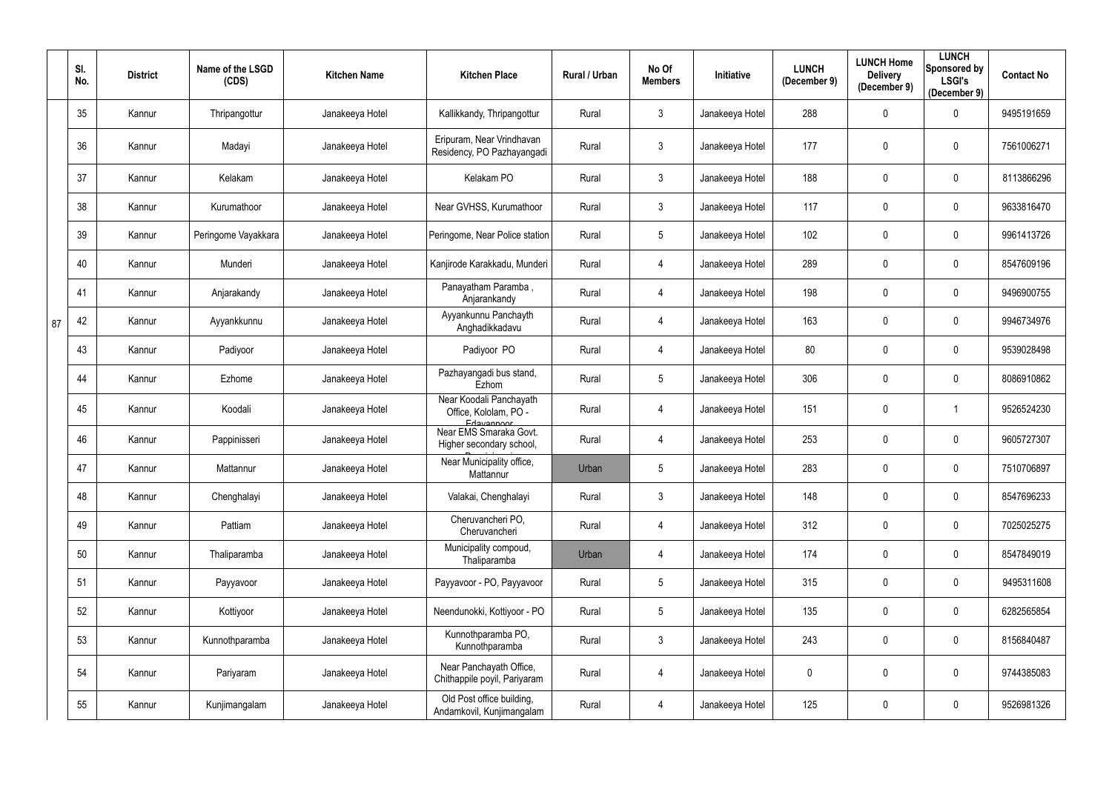|    | SI.<br>No. | <b>District</b> | Name of the LSGD<br>(CDS) | <b>Kitchen Name</b> | <b>Kitchen Place</b>                                             | Rural / Urban | No Of<br><b>Members</b> | Initiative      | <b>LUNCH</b><br>(December 9) | <b>LUNCH Home</b><br><b>Delivery</b><br>(December 9) | <b>LUNCH</b><br>Sponsored by<br><b>LSGI's</b><br>(December 9) | <b>Contact No</b> |
|----|------------|-----------------|---------------------------|---------------------|------------------------------------------------------------------|---------------|-------------------------|-----------------|------------------------------|------------------------------------------------------|---------------------------------------------------------------|-------------------|
|    | 35         | Kannur          | Thripangottur             | Janakeeya Hotel     | Kallikkandy, Thripangottur                                       | Rural         | $\mathbf{3}$            | Janakeeya Hotel | 288                          | $\mathbf 0$                                          | $\mathbf 0$                                                   | 9495191659        |
|    | 36         | Kannur          | Madayi                    | Janakeeya Hotel     | Eripuram, Near Vrindhavan<br>Residency, PO Pazhayangadi          | Rural         | $\mathbf{3}$            | Janakeeya Hotel | 177                          | $\theta$                                             | $\mathbf 0$                                                   | 7561006271        |
|    | 37         | Kannur          | Kelakam                   | Janakeeya Hotel     | Kelakam PO                                                       | Rural         | $\mathfrak{Z}$          | Janakeeya Hotel | 188                          | $\mathbf 0$                                          | $\mathbf 0$                                                   | 8113866296        |
|    | 38         | Kannur          | Kurumathoor               | Janakeeya Hotel     | Near GVHSS, Kurumathoor                                          | Rural         | $\mathfrak{Z}$          | Janakeeya Hotel | 117                          | $\mathbf 0$                                          | $\mathbf 0$                                                   | 9633816470        |
|    | 39         | Kannur          | Peringome Vayakkara       | Janakeeya Hotel     | Peringome, Near Police station                                   | Rural         | $5\phantom{.0}$         | Janakeeya Hotel | 102                          | $\mathbf 0$                                          | $\mathbf 0$                                                   | 9961413726        |
|    | 40         | Kannur          | Munderi                   | Janakeeya Hotel     | Kanjirode Karakkadu, Munderi                                     | Rural         | 4                       | Janakeeya Hotel | 289                          | $\mathbf 0$                                          | $\mathbf 0$                                                   | 8547609196        |
|    | 41         | Kannur          | Anjarakandy               | Janakeeya Hotel     | Panayatham Paramba,<br>Anjarankandy                              | Rural         | 4                       | Janakeeya Hotel | 198                          | $\mathbf 0$                                          | $\mathbf 0$                                                   | 9496900755        |
| 87 | 42         | Kannur          | Ayyankkunnu               | Janakeeya Hotel     | Ayyankunnu Panchayth<br>Anghadikkadavu                           | Rural         | 4                       | Janakeeya Hotel | 163                          | $\mathbf 0$                                          | $\mathbf 0$                                                   | 9946734976        |
|    | 43         | Kannur          | Padiyoor                  | Janakeeya Hotel     | Padiyoor PO                                                      | Rural         | 4                       | Janakeeya Hotel | 80                           | $\mathbf 0$                                          | $\mathbf 0$                                                   | 9539028498        |
|    | 44         | Kannur          | Ezhome                    | Janakeeya Hotel     | Pazhayangadi bus stand,<br>Ezhom                                 | Rural         | $5\phantom{.0}$         | Janakeeya Hotel | 306                          | $\mathbf 0$                                          | $\mathbf 0$                                                   | 8086910862        |
|    | 45         | Kannur          | Koodali                   | Janakeeya Hotel     | Near Koodali Panchayath<br>Office, Kololam, PO -                 | Rural         | 4                       | Janakeeya Hotel | 151                          | $\mathbf 0$                                          |                                                               | 9526524230        |
|    | 46         | Kannur          | Pappinisseri              | Janakeeya Hotel     | Edavannoor<br>Near EMS Smaraka Govt.<br>Higher secondary school, | Rural         | 4                       | Janakeeya Hotel | 253                          | $\mathbf 0$                                          | $\mathbf 0$                                                   | 9605727307        |
|    | 47         | Kannur          | Mattannur                 | Janakeeya Hotel     | Near Municipality office,<br>Mattannur                           | Urban         | $5\overline{)}$         | Janakeeya Hotel | 283                          | $\mathbf 0$                                          | $\overline{0}$                                                | 7510706897        |
|    | 48         | Kannur          | Chenghalayi               | Janakeeya Hotel     | Valakai, Chenghalayi                                             | Rural         | $\mathfrak{Z}$          | Janakeeya Hotel | 148                          | $\mathbf 0$                                          | $\mathbf 0$                                                   | 8547696233        |
|    | 49         | Kannur          | Pattiam                   | Janakeeya Hotel     | Cheruvancheri PO,<br>Cheruvancheri                               | Rural         | 4                       | Janakeeya Hotel | 312                          | $\mathbf 0$                                          | $\mathbf 0$                                                   | 7025025275        |
|    | 50         | Kannur          | Thaliparamba              | Janakeeya Hotel     | Municipality compoud,<br>Thaliparamba                            | Urban         | 4                       | Janakeeya Hotel | 174                          | $\mathbf 0$                                          | $\mathbf 0$                                                   | 8547849019        |
|    | 51         | Kannur          | Payyavoor                 | Janakeeya Hotel     | Payyavoor - PO, Payyavoor                                        | Rural         | $5\phantom{.0}$         | Janakeeya Hotel | 315                          | $\mathbf 0$                                          | $\mathbf 0$                                                   | 9495311608        |
|    | 52         | Kannur          | Kottiyoor                 | Janakeeya Hotel     | Neendunokki, Kottiyoor - PO                                      | Rural         | $5\,$                   | Janakeeya Hotel | 135                          | $\pmb{0}$                                            | $\mathbf 0$                                                   | 6282565854        |
|    | 53         | Kannur          | Kunnothparamba            | Janakeeya Hotel     | Kunnothparamba PO,<br>Kunnothparamba                             | Rural         | $\mathbf{3}$            | Janakeeya Hotel | 243                          | $\mathbf 0$                                          | $\mathbf 0$                                                   | 8156840487        |
|    | 54         | Kannur          | Pariyaram                 | Janakeeya Hotel     | Near Panchayath Office,<br>Chithappile poyil, Pariyaram          | Rural         | 4                       | Janakeeya Hotel | 0                            | $\mathbf 0$                                          | $\overline{0}$                                                | 9744385083        |
|    | 55         | Kannur          | Kunjimangalam             | Janakeeya Hotel     | Old Post office building,<br>Andamkovil, Kunjimangalam           | Rural         | 4                       | Janakeeya Hotel | 125                          | $\boldsymbol{0}$                                     | $\overline{0}$                                                | 9526981326        |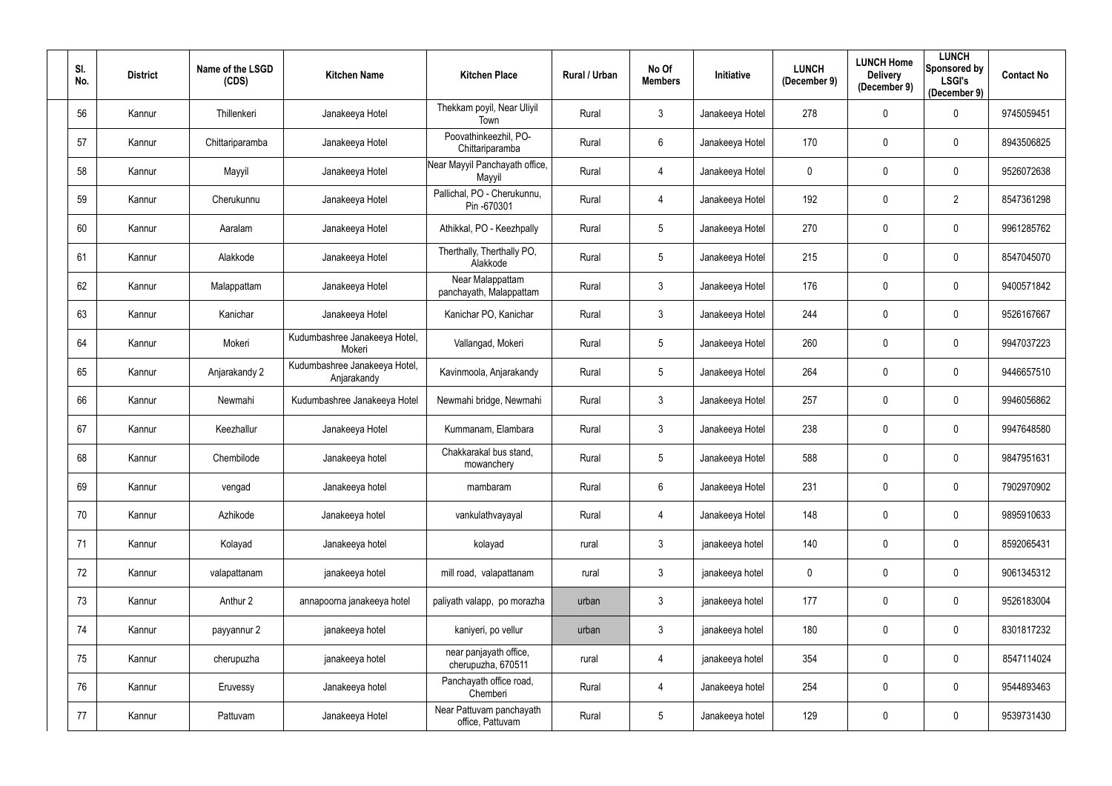| SI.<br>No. | <b>District</b> | Name of the LSGD<br>(CDS) | <b>Kitchen Name</b>                          | <b>Kitchen Place</b>                         | Rural / Urban | No Of<br><b>Members</b> | Initiative      | <b>LUNCH</b><br>(December 9) | <b>LUNCH Home</b><br><b>Delivery</b><br>(December 9) | <b>LUNCH</b><br>Sponsored by<br><b>LSGI's</b><br>(December 9) | <b>Contact No</b> |
|------------|-----------------|---------------------------|----------------------------------------------|----------------------------------------------|---------------|-------------------------|-----------------|------------------------------|------------------------------------------------------|---------------------------------------------------------------|-------------------|
| 56         | Kannur          | Thillenkeri               | Janakeeya Hotel                              | Thekkam poyil, Near Uliyil<br>Town           | Rural         | $\mathfrak{Z}$          | Janakeeya Hotel | 278                          | $\mathbf 0$                                          | $\mathbf 0$                                                   | 9745059451        |
| 57         | Kannur          | Chittariparamba           | Janakeeya Hotel                              | Poovathinkeezhil, PO-<br>Chittariparamba     | Rural         | $6\phantom{.0}$         | Janakeeya Hotel | 170                          | $\mathbf 0$                                          | $\mathbf 0$                                                   | 8943506825        |
| 58         | Kannur          | Mayyil                    | Janakeeya Hotel                              | Near Mayyil Panchayath office,<br>Mayyil     | Rural         | 4                       | Janakeeya Hotel | 0                            | $\pmb{0}$                                            | $\mathbf 0$                                                   | 9526072638        |
| 59         | Kannur          | Cherukunnu                | Janakeeya Hotel                              | Pallichal, PO - Cherukunnu,<br>Pin -670301   | Rural         | 4                       | Janakeeya Hotel | 192                          | $\mathbf 0$                                          | $\overline{2}$                                                | 8547361298        |
| 60         | Kannur          | Aaralam                   | Janakeeya Hotel                              | Athikkal, PO - Keezhpally                    | Rural         | $5\phantom{.0}$         | Janakeeya Hotel | 270                          | $\mathbf 0$                                          | $\mathbf 0$                                                   | 9961285762        |
| 61         | Kannur          | Alakkode                  | Janakeeya Hotel                              | Therthally, Therthally PO,<br>Alakkode       | Rural         | 5 <sub>5</sub>          | Janakeeya Hotel | 215                          | $\mathbf 0$                                          | $\boldsymbol{0}$                                              | 8547045070        |
| 62         | Kannur          | Malappattam               | Janakeeya Hotel                              | Near Malappattam<br>panchayath, Malappattam  | Rural         | $\mathfrak{Z}$          | Janakeeya Hotel | 176                          | $\mathbf{0}$                                         | $\mathbf 0$                                                   | 9400571842        |
| 63         | Kannur          | Kanichar                  | Janakeeya Hotel                              | Kanichar PO, Kanichar                        | Rural         | $\mathfrak{Z}$          | Janakeeya Hotel | 244                          | $\mathbf 0$                                          | $\mathbf 0$                                                   | 9526167667        |
| 64         | Kannur          | Mokeri                    | Kudumbashree Janakeeya Hotel,<br>Mokeri      | Vallangad, Mokeri                            | Rural         | $5\phantom{.0}$         | Janakeeya Hotel | 260                          | $\mathbf 0$                                          | $\mathbf 0$                                                   | 9947037223        |
| 65         | Kannur          | Anjarakandy 2             | Kudumbashree Janakeeya Hotel,<br>Anjarakandy | Kavinmoola, Anjarakandy                      | Rural         | $5\overline{)}$         | Janakeeya Hotel | 264                          | $\mathbf 0$                                          | $\mathbf 0$                                                   | 9446657510        |
| 66         | Kannur          | Newmahi                   | Kudumbashree Janakeeya Hotel                 | Newmahi bridge, Newmahi                      | Rural         | $\mathfrak{Z}$          | Janakeeya Hotel | 257                          | $\pmb{0}$                                            | $\mathbf 0$                                                   | 9946056862        |
| 67         | Kannur          | Keezhallur                | Janakeeya Hotel                              | Kummanam, Elambara                           | Rural         | $\mathfrak{Z}$          | Janakeeya Hotel | 238                          | $\mathbf 0$                                          | $\mathbf 0$                                                   | 9947648580        |
| 68         | Kannur          | Chembilode                | Janakeeya hotel                              | Chakkarakal bus stand,<br>mowanchery         | Rural         | $5\phantom{.0}$         | Janakeeya Hotel | 588                          | $\mathbf 0$                                          | 0                                                             | 9847951631        |
| 69         | Kannur          | vengad                    | Janakeeya hotel                              | mambaram                                     | Rural         | 6                       | Janakeeya Hotel | 231                          | $\overline{0}$                                       | $\mathbf 0$                                                   | 7902970902        |
| 70         | Kannur          | Azhikode                  | Janakeeya hotel                              | vankulathvayayal                             | Rural         | 4                       | Janakeeya Hotel | 148                          | $\pmb{0}$                                            | $\mathbf 0$                                                   | 9895910633        |
| 71         | Kannur          | Kolayad                   | Janakeeya hotel                              | kolayad                                      | rural         | $\mathfrak{Z}$          | janakeeya hotel | 140                          | $\mathbf 0$                                          | $\mathbf 0$                                                   | 8592065431        |
| 72         | Kannur          | valapattanam              | janakeeya hotel                              | mill road, valapattanam                      | rural         | $\mathfrak{Z}$          | janakeeya hotel | 0                            | $\pmb{0}$                                            | $\mathbf 0$                                                   | 9061345312        |
| 73         | Kannur          | Anthur 2                  | annapoorna janakeeya hotel                   | paliyath valapp, po morazha                  | urban         | $\mathfrak{Z}$          | janakeeya hotel | 177                          | $\mathbf 0$                                          | $\mathbf 0$                                                   | 9526183004        |
| 74         | Kannur          | payyannur 2               | janakeeya hotel                              | kaniyeri, po vellur                          | urban         | $\mathfrak{Z}$          | janakeeya hotel | 180                          | $\pmb{0}$                                            | $\mathbf 0$                                                   | 8301817232        |
| 75         | Kannur          | cherupuzha                | janakeeya hotel                              | near panjayath office,<br>cherupuzha, 670511 | rural         | 4                       | janakeeya hotel | 354                          | $\mathbf 0$                                          | $\mathbf 0$                                                   | 8547114024        |
| 76         | Kannur          | Eruvessy                  | Janakeeya hotel                              | Panchayath office road,<br>Chemberi          | Rural         | 4                       | Janakeeya hotel | 254                          | $\overline{0}$                                       | $\mathbf 0$                                                   | 9544893463        |
| 77         | Kannur          | Pattuvam                  | Janakeeya Hotel                              | Near Pattuvam panchayath<br>office, Pattuvam | Rural         | $5\phantom{.0}$         | Janakeeya hotel | 129                          | $\pmb{0}$                                            | $\mathbf 0$                                                   | 9539731430        |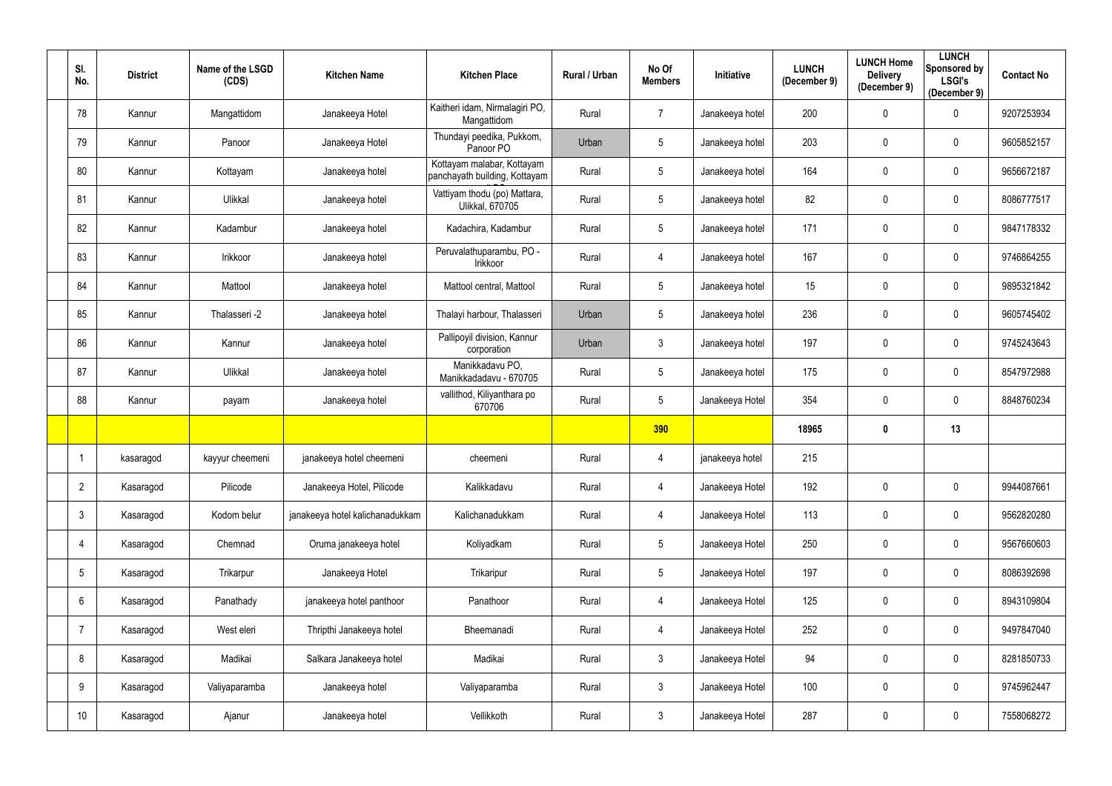| SI.<br>No.      | <b>District</b> | Name of the LSGD<br>(CDS) | <b>Kitchen Name</b>             | <b>Kitchen Place</b>                                        | Rural / Urban | No Of<br><b>Members</b> | Initiative      | <b>LUNCH</b><br>(December 9) | <b>LUNCH Home</b><br><b>Delivery</b><br>(December 9) | <b>LUNCH</b><br>Sponsored by<br><b>LSGI's</b><br>(December 9) | <b>Contact No</b> |
|-----------------|-----------------|---------------------------|---------------------------------|-------------------------------------------------------------|---------------|-------------------------|-----------------|------------------------------|------------------------------------------------------|---------------------------------------------------------------|-------------------|
| 78              | Kannur          | Mangattidom               | Janakeeya Hotel                 | Kaitheri idam, Nirmalagiri PO,<br>Mangattidom               | Rural         | $\overline{7}$          | Janakeeya hotel | 200                          | $\mathbf 0$                                          | $\mathbf 0$                                                   | 9207253934        |
| 79              | Kannur          | Panoor                    | Janakeeya Hotel                 | Thundayi peedika, Pukkom,<br>Panoor PO                      | Urban         | 5                       | Janakeeya hotel | 203                          | $\mathbf 0$                                          | $\mathbf 0$                                                   | 9605852157        |
| 80              | Kannur          | Kottayam                  | Janakeeya hotel                 | Kottayam malabar, Kottayam<br>panchayath building, Kottayam | Rural         | $5\phantom{.0}$         | Janakeeya hotel | 164                          | $\mathbf 0$                                          | $\overline{0}$                                                | 9656672187        |
| 81              | Kannur          | Ulikkal                   | Janakeeya hotel                 | Vattiyam thodu (po) Mattara,<br><b>Ulikkal, 670705</b>      | Rural         | $5\phantom{.0}$         | Janakeeya hotel | 82                           | $\mathbf 0$                                          | $\mathbf 0$                                                   | 8086777517        |
| 82              | Kannur          | Kadambur                  | Janakeeya hotel                 | Kadachira, Kadambur                                         | Rural         | $5\phantom{.0}$         | Janakeeya hotel | 171                          | $\mathbf{0}$                                         | $\overline{0}$                                                | 9847178332        |
| 83              | Kannur          | Irikkoor                  | Janakeeya hotel                 | Peruvalathuparambu, PO -<br>Irikkoor                        | Rural         | 4                       | Janakeeya hotel | 167                          | $\mathbf 0$                                          | $\mathbf 0$                                                   | 9746864255        |
| 84              | Kannur          | Mattool                   | Janakeeya hotel                 | Mattool central, Mattool                                    | Rural         | $5\phantom{.0}$         | Janakeeya hotel | 15                           | $\mathbf 0$                                          | $\mathbf 0$                                                   | 9895321842        |
| 85              | Kannur          | Thalasseri -2             | Janakeeya hotel                 | Thalayi harbour, Thalasseri                                 | Urban         | $5\phantom{.0}$         | Janakeeya hotel | 236                          | $\mathbf 0$                                          | $\overline{0}$                                                | 9605745402        |
| 86              | Kannur          | Kannur                    | Janakeeya hotel                 | Pallipoyil division, Kannur<br>corporation                  | Urban         | $\mathbf{3}$            | Janakeeya hotel | 197                          | $\mathbf 0$                                          | $\mathbf 0$                                                   | 9745243643        |
| 87              | Kannur          | Ulikkal                   | Janakeeya hotel                 | Manikkadavu PO,<br>Manikkadadavu - 670705                   | Rural         | $\overline{5}$          | Janakeeya hotel | 175                          | $\mathbf 0$                                          | $\mathbf 0$                                                   | 8547972988        |
| 88              | Kannur          | payam                     | Janakeeya hotel                 | vallithod, Kiliyanthara po<br>670706                        | Rural         | $5\phantom{.0}$         | Janakeeya Hotel | 354                          | $\mathbf 0$                                          | $\mathbf 0$                                                   | 8848760234        |
|                 |                 |                           |                                 |                                                             |               | 390                     |                 | 18965                        | 0                                                    | 13                                                            |                   |
|                 | kasaragod       | kayyur cheemeni           | janakeeya hotel cheemeni        | cheemeni                                                    | Rural         | 4                       | janakeeya hotel | 215                          |                                                      |                                                               |                   |
| $\overline{2}$  | Kasaragod       | Pilicode                  | Janakeeya Hotel, Pilicode       | Kalikkadavu                                                 | Rural         | 4                       | Janakeeya Hotel | 192                          | $\mathbf 0$                                          | $\mathbf 0$                                                   | 9944087661        |
| $\mathbf{3}$    | Kasaragod       | Kodom belur               | janakeeya hotel kalichanadukkam | Kalichanadukkam                                             | Rural         | $\overline{4}$          | Janakeeya Hotel | 113                          | $\mathbf 0$                                          | $\mathbf 0$                                                   | 9562820280        |
| $\overline{4}$  | Kasaragod       | Chemnad                   | Oruma janakeeya hotel           | Koliyadkam                                                  | Rural         | $5\phantom{.0}$         | Janakeeya Hotel | 250                          | $\pmb{0}$                                            | $\mathbf 0$                                                   | 9567660603        |
| $5\phantom{.0}$ | Kasaragod       | Trikarpur                 | Janakeeya Hotel                 | Trikaripur                                                  | Rural         | $\sqrt{5}$              | Janakeeya Hotel | 197                          | $\mathbf 0$                                          | $\mathbf 0$                                                   | 8086392698        |
| $6\overline{6}$ | Kasaragod       | Panathady                 | janakeeya hotel panthoor        | Panathoor                                                   | Rural         | $\overline{4}$          | Janakeeya Hotel | 125                          | $\mathbf 0$                                          | $\mathbf 0$                                                   | 8943109804        |
| $\overline{7}$  | Kasaragod       | West eleri                | Thripthi Janakeeya hotel        | Bheemanadi                                                  | Rural         | $\overline{4}$          | Janakeeya Hotel | 252                          | $\mathbf 0$                                          | $\mathbf 0$                                                   | 9497847040        |
| 8               | Kasaragod       | Madikai                   | Salkara Janakeeya hotel         | Madikai                                                     | Rural         | $\mathbf{3}$            | Janakeeya Hotel | 94                           | $\pmb{0}$                                            | $\mathbf 0$                                                   | 8281850733        |
| 9               | Kasaragod       | Valiyaparamba             | Janakeeya hotel                 | Valiyaparamba                                               | Rural         | $\mathbf{3}$            | Janakeeya Hotel | 100                          | $\mathbf 0$                                          | $\mathbf 0$                                                   | 9745962447        |
| 10              | Kasaragod       | Ajanur                    | Janakeeya hotel                 | Vellikkoth                                                  | Rural         | $\mathfrak{Z}$          | Janakeeya Hotel | 287                          | $\boldsymbol{0}$                                     | $\pmb{0}$                                                     | 7558068272        |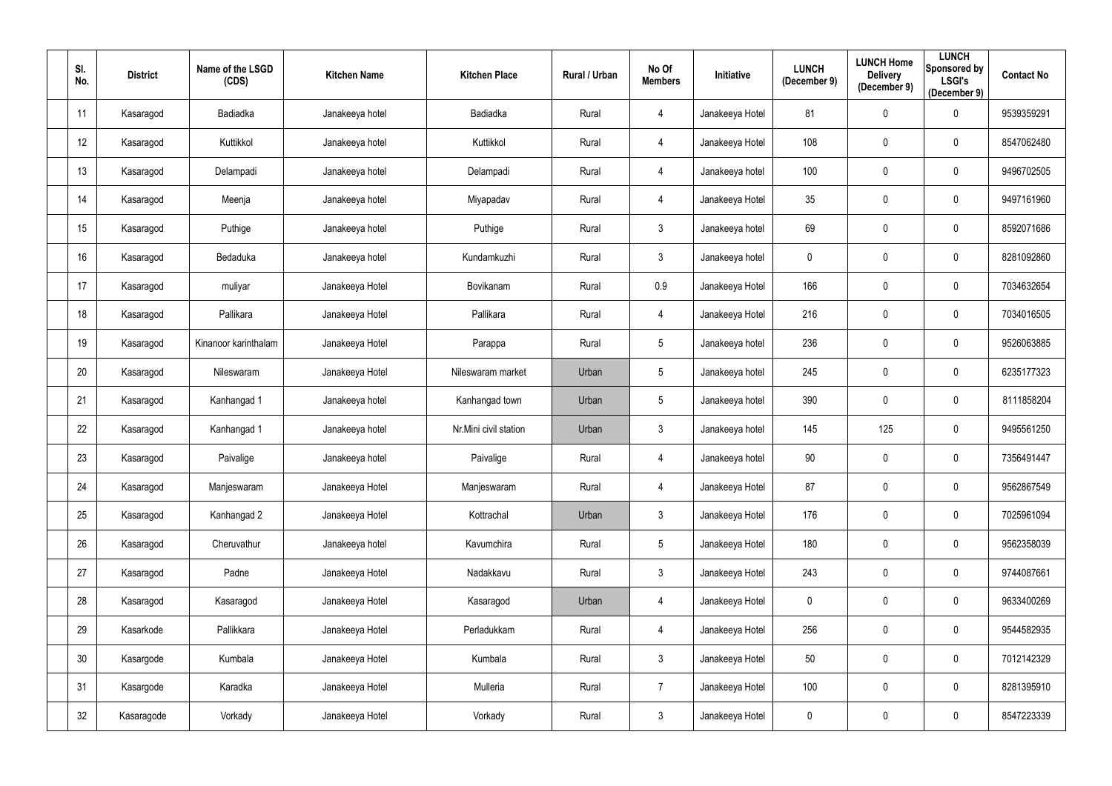| SI.<br>No. | <b>District</b> | Name of the LSGD<br>(CDS) | <b>Kitchen Name</b> | <b>Kitchen Place</b>  | Rural / Urban | No Of<br><b>Members</b> | Initiative      | <b>LUNCH</b><br>(December 9) | <b>LUNCH Home</b><br><b>Delivery</b><br>(December 9) | <b>LUNCH</b><br>Sponsored by<br><b>LSGI's</b><br>(December 9) | <b>Contact No</b> |
|------------|-----------------|---------------------------|---------------------|-----------------------|---------------|-------------------------|-----------------|------------------------------|------------------------------------------------------|---------------------------------------------------------------|-------------------|
| 11         | Kasaragod       | Badiadka                  | Janakeeya hotel     | Badiadka              | Rural         | 4                       | Janakeeya Hotel | 81                           | $\mathbf 0$                                          | $\overline{0}$                                                | 9539359291        |
| 12         | Kasaragod       | Kuttikkol                 | Janakeeya hotel     | Kuttikkol             | Rural         | 4                       | Janakeeya Hotel | 108                          | $\mathbf 0$                                          | $\overline{0}$                                                | 8547062480        |
| 13         | Kasaragod       | Delampadi                 | Janakeeya hotel     | Delampadi             | Rural         | 4                       | Janakeeya hotel | 100                          | $\mathbf 0$                                          | $\overline{0}$                                                | 9496702505        |
| 14         | Kasaragod       | Meenja                    | Janakeeya hotel     | Miyapadav             | Rural         | 4                       | Janakeeya Hotel | 35                           | $\boldsymbol{0}$                                     | $\overline{0}$                                                | 9497161960        |
| 15         | Kasaragod       | Puthige                   | Janakeeya hotel     | Puthige               | Rural         | $\mathfrak{Z}$          | Janakeeya hotel | 69                           | $\mathbf 0$                                          | $\overline{0}$                                                | 8592071686        |
| 16         | Kasaragod       | Bedaduka                  | Janakeeya hotel     | Kundamkuzhi           | Rural         | $\mathfrak{Z}$          | Janakeeya hotel | 0                            | $\mathbf 0$                                          | $\mathbf 0$                                                   | 8281092860        |
| 17         | Kasaragod       | muliyar                   | Janakeeya Hotel     | Bovikanam             | Rural         | 0.9                     | Janakeeya Hotel | 166                          | $\boldsymbol{0}$                                     | $\overline{0}$                                                | 7034632654        |
| 18         | Kasaragod       | Pallikara                 | Janakeeya Hotel     | Pallikara             | Rural         | $\overline{4}$          | Janakeeya Hotel | 216                          | $\mathbf 0$                                          | $\overline{0}$                                                | 7034016505        |
| 19         | Kasaragod       | Kinanoor karinthalam      | Janakeeya Hotel     | Parappa               | Rural         | $5\phantom{.0}$         | Janakeeya hotel | 236                          | $\mathbf 0$                                          | $\overline{0}$                                                | 9526063885        |
| 20         | Kasaragod       | Nileswaram                | Janakeeya Hotel     | Nileswaram market     | Urban         | 5                       | Janakeeya hotel | 245                          | $\mathbf 0$                                          | $\overline{0}$                                                | 6235177323        |
| 21         | Kasaragod       | Kanhangad 1               | Janakeeya hotel     | Kanhangad town        | Urban         | $5\phantom{.0}$         | Janakeeya hotel | 390                          | $\boldsymbol{0}$                                     | $\overline{0}$                                                | 8111858204        |
| 22         | Kasaragod       | Kanhangad 1               | Janakeeya hotel     | Nr.Mini civil station | Urban         | $\mathfrak{Z}$          | Janakeeya hotel | 145                          | 125                                                  | $\overline{0}$                                                | 9495561250        |
| 23         | Kasaragod       | Paivalige                 | Janakeeya hotel     | Paivalige             | Rural         | $\overline{4}$          | Janakeeya hotel | 90                           | $\mathbf 0$                                          | $\mathbf 0$                                                   | 7356491447        |
| 24         | Kasaragod       | Manjeswaram               | Janakeeya Hotel     | Manjeswaram           | Rural         | $\overline{4}$          | Janakeeya Hotel | 87                           | $\mathbf 0$                                          | $\pmb{0}$                                                     | 9562867549        |
| 25         | Kasaragod       | Kanhangad 2               | Janakeeya Hotel     | Kottrachal            | Urban         | $\mathbf{3}$            | Janakeeya Hotel | 176                          | $\mathbf 0$                                          | $\mathbf 0$                                                   | 7025961094        |
| 26         | Kasaragod       | Cheruvathur               | Janakeeya hotel     | Kavumchira            | Rural         | $5\phantom{.0}$         | Janakeeya Hotel | 180                          | $\pmb{0}$                                            | $\mathbf 0$                                                   | 9562358039        |
| 27         | Kasaragod       | Padne                     | Janakeeya Hotel     | Nadakkavu             | Rural         | $\mathfrak{Z}$          | Janakeeya Hotel | 243                          | $\boldsymbol{0}$                                     | $\mathbf 0$                                                   | 9744087661        |
| 28         | Kasaragod       | Kasaragod                 | Janakeeya Hotel     | Kasaragod             | Urban         | $\overline{4}$          | Janakeeya Hotel | $\pmb{0}$                    | $\boldsymbol{0}$                                     | $\mathbf 0$                                                   | 9633400269        |
| 29         | Kasarkode       | Pallikkara                | Janakeeya Hotel     | Perladukkam           | Rural         | $\overline{4}$          | Janakeeya Hotel | 256                          | $\mathbf 0$                                          | $\mathbf 0$                                                   | 9544582935        |
| 30         | Kasargode       | Kumbala                   | Janakeeya Hotel     | Kumbala               | Rural         | $\mathbf{3}$            | Janakeeya Hotel | 50                           | $\pmb{0}$                                            | $\overline{0}$                                                | 7012142329        |
| 31         | Kasargode       | Karadka                   | Janakeeya Hotel     | Mulleria              | Rural         | $\overline{7}$          | Janakeeya Hotel | 100                          | $\boldsymbol{0}$                                     | $\mathbf 0$                                                   | 8281395910        |
| 32         | Kasaragode      | Vorkady                   | Janakeeya Hotel     | Vorkady               | Rural         | $\mathfrak{Z}$          | Janakeeya Hotel | 0                            | $\boldsymbol{0}$                                     | $\overline{0}$                                                | 8547223339        |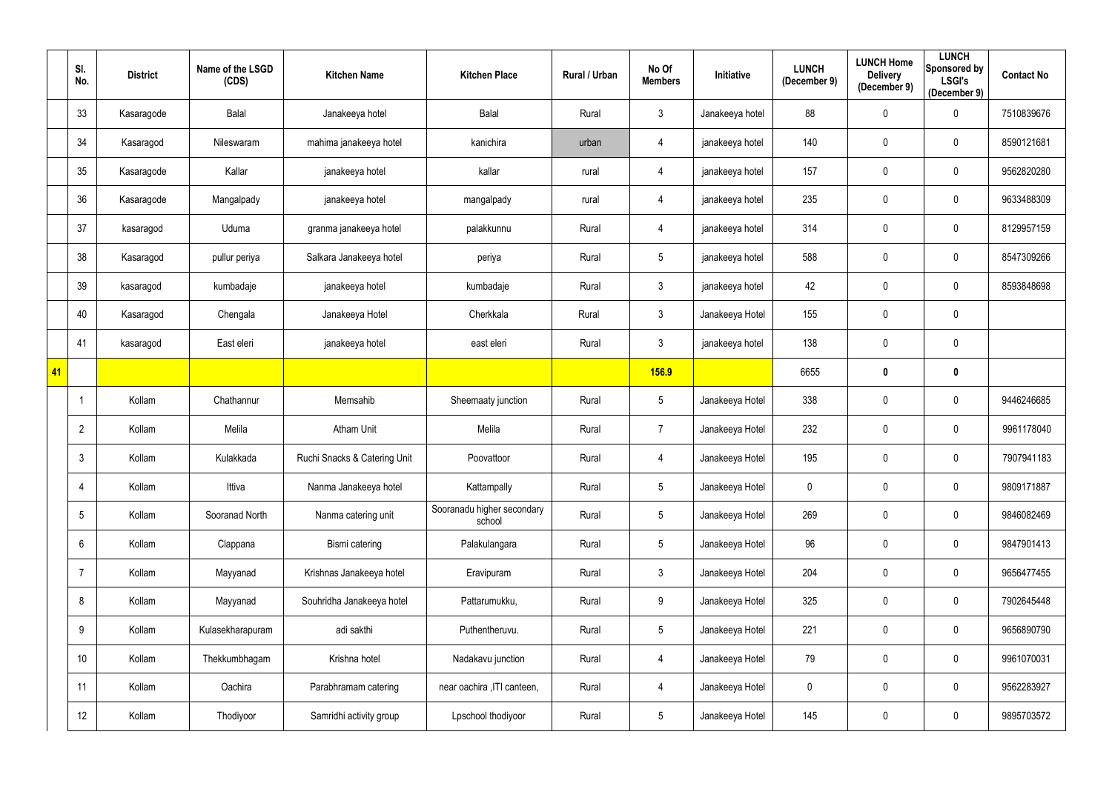|    | SI.<br>No.        | <b>District</b> | Name of the LSGD<br>(CDS) | <b>Kitchen Name</b>          | <b>Kitchen Place</b>                 | Rural / Urban | No Of<br><b>Members</b> | Initiative      | <b>LUNCH</b><br>(December 9) | <b>LUNCH Home</b><br><b>Delivery</b><br>(December 9) | <b>LUNCH</b><br>Sponsored by<br><b>LSGI's</b><br>(December 9) | <b>Contact No</b> |
|----|-------------------|-----------------|---------------------------|------------------------------|--------------------------------------|---------------|-------------------------|-----------------|------------------------------|------------------------------------------------------|---------------------------------------------------------------|-------------------|
|    | 33                | Kasaragode      | Balal                     | Janakeeya hotel              | <b>Balal</b>                         | Rural         | $\mathfrak{Z}$          | Janakeeya hotel | 88                           | $\mathbf 0$                                          | $\overline{0}$                                                | 7510839676        |
|    | 34                | Kasaragod       | Nileswaram                | mahima janakeeya hotel       | kanichira                            | urban         | 4                       | janakeeya hotel | 140                          | $\mathbf 0$                                          | $\mathbf 0$                                                   | 8590121681        |
|    | 35                | Kasaragode      | Kallar                    | janakeeya hotel              | kallar                               | rural         | 4                       | janakeeya hotel | 157                          | $\mathbf 0$                                          | $\overline{0}$                                                | 9562820280        |
|    | 36                | Kasaragode      | Mangalpady                | janakeeya hotel              | mangalpady                           | rural         | 4                       | janakeeya hotel | 235                          | $\mathbf 0$                                          | $\mathbf 0$                                                   | 9633488309        |
|    | 37                | kasaragod       | Uduma                     | granma janakeeya hotel       | palakkunnu                           | Rural         | 4                       | janakeeya hotel | 314                          | $\mathbf 0$                                          | $\overline{0}$                                                | 8129957159        |
|    | 38                | Kasaragod       | pullur periya             | Salkara Janakeeya hotel      | periya                               | Rural         | $5\phantom{.0}$         | janakeeya hotel | 588                          | $\mathbf 0$                                          | $\mathbf 0$                                                   | 8547309266        |
|    | 39                | kasaragod       | kumbadaje                 | janakeeya hotel              | kumbadaje                            | Rural         | $\mathfrak{Z}$          | janakeeya hotel | 42                           | $\mathbf 0$                                          | $\overline{0}$                                                | 8593848698        |
|    | 40                | Kasaragod       | Chengala                  | Janakeeya Hotel              | Cherkkala                            | Rural         | $\mathfrak{Z}$          | Janakeeya Hotel | 155                          | $\overline{0}$                                       | $\overline{0}$                                                |                   |
|    | 41                | kasaragod       | East eleri                | janakeeya hotel              | east eleri                           | Rural         | $\mathfrak{Z}$          | janakeeya hotel | 138                          | $\mathbf 0$                                          | $\overline{0}$                                                |                   |
| 41 |                   |                 |                           |                              |                                      |               | <b>156.9</b>            |                 | 6655                         | $\boldsymbol{0}$                                     | $\mathbf 0$                                                   |                   |
|    | -1                | Kollam          | Chathannur                | Memsahib                     | Sheemaaty junction                   | Rural         | $5\phantom{.0}$         | Janakeeya Hotel | 338                          | $\mathbf 0$                                          | $\mathbf 0$                                                   | 9446246685        |
|    | $\overline{2}$    | Kollam          | Melila                    | <b>Atham Unit</b>            | Melila                               | Rural         | $\overline{7}$          | Janakeeya Hotel | 232                          | $\mathbf 0$                                          | $\mathbf 0$                                                   | 9961178040        |
|    | 3                 | Kollam          | Kulakkada                 | Ruchi Snacks & Catering Unit | Poovattoor                           | Rural         | 4                       | Janakeeya Hotel | 195                          | $\mathbf 0$                                          | $\mathbf 0$                                                   | 7907941183        |
|    | 4                 | Kollam          | Ittiva                    | Nanma Janakeeya hotel        | Kattampally                          | Rural         | $5\phantom{.0}$         | Janakeeya Hotel | $\mathbf 0$                  | $\mathbf 0$                                          | $\mathbf 0$                                                   | 9809171887        |
|    | 5                 | Kollam          | Sooranad North            | Nanma catering unit          | Sooranadu higher secondary<br>school | Rural         | $5\phantom{.0}$         | Janakeeya Hotel | 269                          | $\mathbf 0$                                          | $\overline{0}$                                                | 9846082469        |
|    | $6\phantom{.}$    | Kollam          | Clappana                  | Bismi catering               | Palakulangara                        | Rural         | $5\,$                   | Janakeeya Hotel | 96                           | $\mathbf 0$                                          | $\mathbf 0$                                                   | 9847901413        |
|    | 7                 | Kollam          | Mayyanad                  | Krishnas Janakeeya hotel     | Eravipuram                           | Rural         | $\mathfrak{Z}$          | Janakeeya Hotel | 204                          | $\pmb{0}$                                            | $\mathbf 0$                                                   | 9656477455        |
|    | 8                 | Kollam          | Mayyanad                  | Souhridha Janakeeya hotel    | Pattarumukku,                        | Rural         | $9\,$                   | Janakeeya Hotel | 325                          | $\mathbf 0$                                          | $\overline{0}$                                                | 7902645448        |
|    | 9                 | Kollam          | Kulasekharapuram          | adi sakthi                   | Puthentheruvu.                       | Rural         | $5\phantom{.0}$         | Janakeeya Hotel | 221                          | $\mathbf 0$                                          | $\overline{0}$                                                | 9656890790        |
|    | 10                | Kollam          | Thekkumbhagam             | Krishna hotel                | Nadakavu junction                    | Rural         | 4                       | Janakeeya Hotel | 79                           | $\mathbf 0$                                          | $\overline{0}$                                                | 9961070031        |
|    | 11                | Kollam          | Oachira                   | Parabhramam catering         | near oachira , ITI canteen,          | Rural         | 4                       | Janakeeya Hotel | $\boldsymbol{0}$             | $\pmb{0}$                                            | $\overline{0}$                                                | 9562283927        |
|    | $12 \overline{ }$ | Kollam          | Thodiyoor                 | Samridhi activity group      | Lpschool thodiyoor                   | Rural         | $\sqrt{5}$              | Janakeeya Hotel | 145                          | $\pmb{0}$                                            | $\overline{0}$                                                | 9895703572        |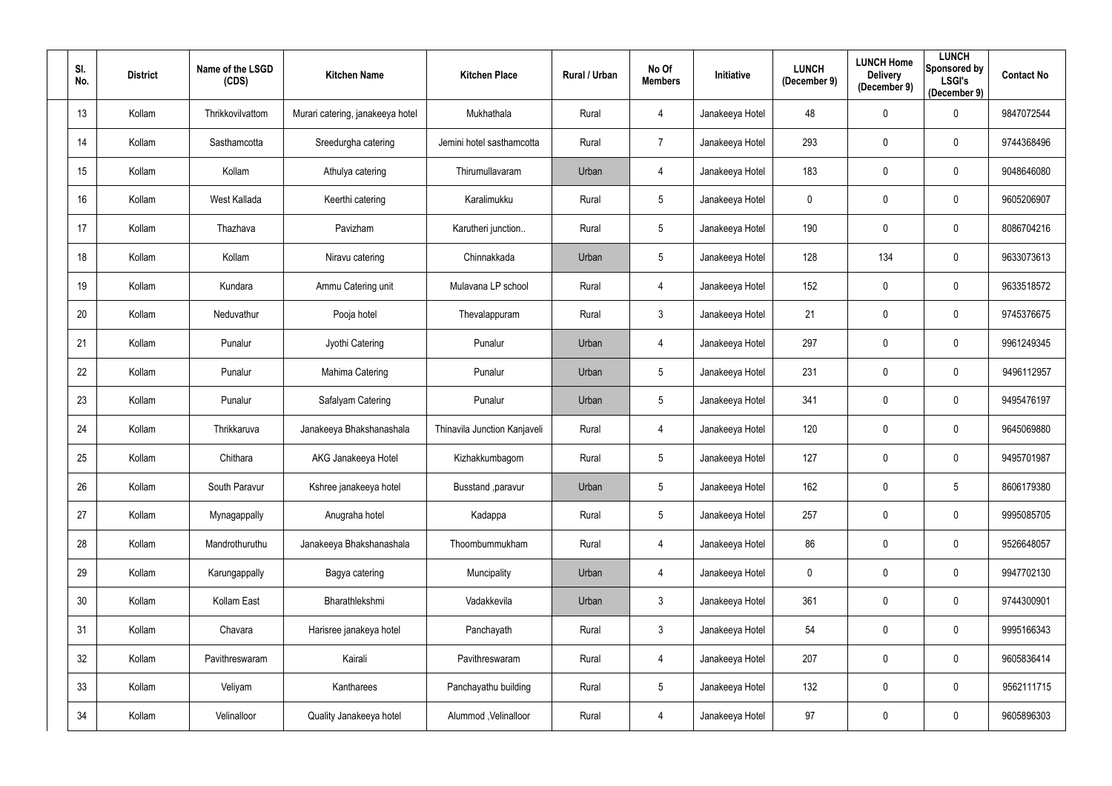| SI.<br>No.      | <b>District</b> | Name of the LSGD<br>(CDS) | <b>Kitchen Name</b>              | <b>Kitchen Place</b>         | Rural / Urban | No Of<br><b>Members</b> | Initiative      | <b>LUNCH</b><br>(December 9) | <b>LUNCH Home</b><br><b>Delivery</b><br>(December 9) | <b>LUNCH</b><br>Sponsored by<br><b>LSGI's</b><br>(December 9) | <b>Contact No</b> |
|-----------------|-----------------|---------------------------|----------------------------------|------------------------------|---------------|-------------------------|-----------------|------------------------------|------------------------------------------------------|---------------------------------------------------------------|-------------------|
| 13              | Kollam          | Thrikkovilvattom          | Murari catering, janakeeya hotel | Mukhathala                   | Rural         | 4                       | Janakeeya Hotel | 48                           | $\pmb{0}$                                            | $\mathbf 0$                                                   | 9847072544        |
| 14              | Kollam          | Sasthamcotta              | Sreedurgha catering              | Jemini hotel sasthamcotta    | Rural         | $\overline{7}$          | Janakeeya Hotel | 293                          | $\mathbf 0$                                          | $\mathbf 0$                                                   | 9744368496        |
| 15              | Kollam          | Kollam                    | Athulya catering                 | Thirumullavaram              | Urban         | 4                       | Janakeeya Hotel | 183                          | $\pmb{0}$                                            | $\overline{0}$                                                | 9048646080        |
| 16              | Kollam          | West Kallada              | Keerthi catering                 | Karalimukku                  | Rural         | $5\phantom{.0}$         | Janakeeya Hotel | $\mathbf 0$                  | $\mathbf 0$                                          | $\overline{0}$                                                | 9605206907        |
| 17              | Kollam          | Thazhava                  | Pavizham                         | Karutheri junction           | Rural         | $5\phantom{.0}$         | Janakeeya Hotel | 190                          | $\mathbf 0$                                          | $\overline{0}$                                                | 8086704216        |
| 18              | Kollam          | Kollam                    | Niravu catering                  | Chinnakkada                  | Urban         | 5                       | Janakeeya Hotel | 128                          | 134                                                  | $\mathbf 0$                                                   | 9633073613        |
| 19              | Kollam          | Kundara                   | Ammu Catering unit               | Mulavana LP school           | Rural         | 4                       | Janakeeya Hotel | 152                          | $\mathbf 0$                                          | $\mathbf 0$                                                   | 9633518572        |
| 20              | Kollam          | Neduvathur                | Pooja hotel                      | Thevalappuram                | Rural         | 3 <sup>1</sup>          | Janakeeya Hotel | 21                           | $\mathbf 0$                                          | $\mathbf 0$                                                   | 9745376675        |
| 21              | Kollam          | Punalur                   | Jyothi Catering                  | Punalur                      | Urban         | 4                       | Janakeeya Hotel | 297                          | $\mathbf 0$                                          | $\mathbf 0$                                                   | 9961249345        |
| 22              | Kollam          | Punalur                   | Mahima Catering                  | Punalur                      | Urban         | $5\overline{)}$         | Janakeeya Hotel | 231                          | $\pmb{0}$                                            | $\overline{0}$                                                | 9496112957        |
| 23              | Kollam          | Punalur                   | Safalyam Catering                | Punalur                      | Urban         | $5\phantom{.0}$         | Janakeeya Hotel | 341                          | $\mathbf 0$                                          | $\mathbf 0$                                                   | 9495476197        |
| 24              | Kollam          | Thrikkaruva               | Janakeeya Bhakshanashala         | Thinavila Junction Kanjaveli | Rural         | 4                       | Janakeeya Hotel | 120                          | $\mathbf 0$                                          | $\overline{0}$                                                | 9645069880        |
| 25              | Kollam          | Chithara                  | AKG Janakeeya Hotel              | Kizhakkumbagom               | Rural         | $5\phantom{.0}$         | Janakeeya Hotel | 127                          | $\mathbf 0$                                          | $\mathbf 0$                                                   | 9495701987        |
| 26              | Kollam          | South Paravur             | Kshree janakeeya hotel           | Busstand , paravur           | Urban         | 5                       | Janakeeya Hotel | 162                          | $\mathbf 0$                                          | $\overline{5}$                                                | 8606179380        |
| 27              | Kollam          | Mynagappally              | Anugraha hotel                   | Kadappa                      | Rural         | $5\phantom{.0}$         | Janakeeya Hotel | 257                          | $\pmb{0}$                                            | $\overline{0}$                                                | 9995085705        |
| 28              | Kollam          | Mandrothuruthu            | Janakeeya Bhakshanashala         | Thoombummukham               | Rural         | $\overline{4}$          | Janakeeya Hotel | 86                           | $\pmb{0}$                                            | $\mathbf 0$                                                   | 9526648057        |
| 29              | Kollam          | Karungappally             | Bagya catering                   | Muncipality                  | Urban         | 4                       | Janakeeya Hotel | 0                            | $\pmb{0}$                                            | $\overline{0}$                                                | 9947702130        |
| 30 <sup>°</sup> | Kollam          | Kollam East               | Bharathlekshmi                   | Vadakkevila                  | Urban         | $\mathfrak{Z}$          | Janakeeya Hotel | 361                          | $\pmb{0}$                                            | $\overline{0}$                                                | 9744300901        |
| 31              | Kollam          | Chavara                   | Harisree janakeya hotel          | Panchayath                   | Rural         | $\mathbf{3}$            | Janakeeya Hotel | 54                           | $\pmb{0}$                                            | $\mathbf 0$                                                   | 9995166343        |
| 32              | Kollam          | Pavithreswaram            | Kairali                          | Pavithreswaram               | Rural         | 4                       | Janakeeya Hotel | 207                          | $\pmb{0}$                                            | $\mathbf 0$                                                   | 9605836414        |
| 33              | Kollam          | Veliyam                   | Kantharees                       | Panchayathu building         | Rural         | $5\phantom{.0}$         | Janakeeya Hotel | 132                          | $\pmb{0}$                                            | $\mathbf 0$                                                   | 9562111715        |
| 34              | Kollam          | Velinalloor               | Quality Janakeeya hotel          | Alummod, Velinalloor         | Rural         | 4                       | Janakeeya Hotel | 97                           | $\boldsymbol{0}$                                     | $\overline{0}$                                                | 9605896303        |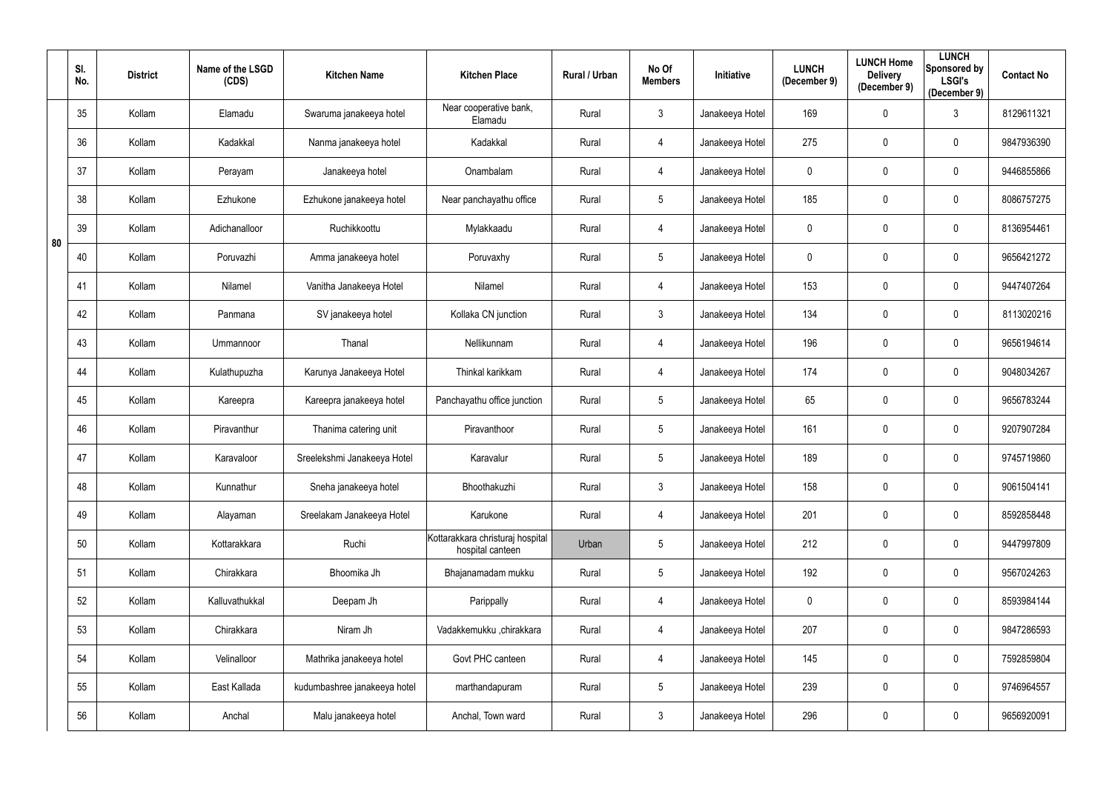|    | SI.<br>No. | <b>District</b> | Name of the LSGD<br>(CDS) | <b>Kitchen Name</b>          | <b>Kitchen Place</b>                                 | Rural / Urban | No Of<br><b>Members</b> | Initiative      | <b>LUNCH</b><br>(December 9) | <b>LUNCH Home</b><br><b>Delivery</b><br>(December 9) | <b>LUNCH</b><br>Sponsored by<br><b>LSGI's</b><br>(December 9) | <b>Contact No</b> |
|----|------------|-----------------|---------------------------|------------------------------|------------------------------------------------------|---------------|-------------------------|-----------------|------------------------------|------------------------------------------------------|---------------------------------------------------------------|-------------------|
|    | 35         | Kollam          | Elamadu                   | Swaruma janakeeya hotel      | Near cooperative bank,<br>Elamadu                    | Rural         | $\mathfrak{Z}$          | Janakeeya Hotel | 169                          | $\mathbf 0$                                          | $\mathfrak{Z}$                                                | 8129611321        |
|    | 36         | Kollam          | Kadakkal                  | Nanma janakeeya hotel        | Kadakkal                                             | Rural         | 4                       | Janakeeya Hotel | 275                          | $\mathbf 0$                                          | $\mathbf 0$                                                   | 9847936390        |
|    | 37         | Kollam          | Perayam                   | Janakeeya hotel              | Onambalam                                            | Rural         | 4                       | Janakeeya Hotel | 0                            | $\pmb{0}$                                            | $\mathbf 0$                                                   | 9446855866        |
|    | 38         | Kollam          | Ezhukone                  | Ezhukone janakeeya hotel     | Near panchayathu office                              | Rural         | 5                       | Janakeeya Hotel | 185                          | $\mathbf 0$                                          | $\mathbf 0$                                                   | 8086757275        |
| 80 | 39         | Kollam          | Adichanalloor             | Ruchikkoottu                 | Mylakkaadu                                           | Rural         | 4                       | Janakeeya Hotel | 0                            | $\mathbf 0$                                          | $\mathbf 0$                                                   | 8136954461        |
|    | 40         | Kollam          | Poruvazhi                 | Amma janakeeya hotel         | Poruvaxhy                                            | Rural         | $5\phantom{.0}$         | Janakeeya Hotel | 0                            | $\mathbf 0$                                          | $\boldsymbol{0}$                                              | 9656421272        |
|    | 41         | Kollam          | Nilamel                   | Vanitha Janakeeya Hotel      | Nilamel                                              | Rural         | 4                       | Janakeeya Hotel | 153                          | $\mathbf 0$                                          | $\mathbf 0$                                                   | 9447407264        |
|    | 42         | Kollam          | Panmana                   | SV janakeeya hotel           | Kollaka CN junction                                  | Rural         | $\mathfrak{Z}$          | Janakeeya Hotel | 134                          | $\mathbf 0$                                          | $\mathbf 0$                                                   | 8113020216        |
|    | 43         | Kollam          | Ummannoor                 | Thanal                       | Nellikunnam                                          | Rural         | 4                       | Janakeeya Hotel | 196                          | $\mathbf 0$                                          | $\mathbf 0$                                                   | 9656194614        |
|    | 44         | Kollam          | Kulathupuzha              | Karunya Janakeeya Hotel      | Thinkal karikkam                                     | Rural         | 4                       | Janakeeya Hotel | 174                          | $\mathbf 0$                                          | $\mathbf 0$                                                   | 9048034267        |
|    | 45         | Kollam          | Kareepra                  | Kareepra janakeeya hotel     | Panchayathu office junction                          | Rural         | $5\phantom{.0}$         | Janakeeya Hotel | 65                           | $\mathbf 0$                                          | $\mathbf 0$                                                   | 9656783244        |
|    | 46         | Kollam          | Piravanthur               | Thanima catering unit        | Piravanthoor                                         | Rural         | 5                       | Janakeeya Hotel | 161                          | $\mathbf 0$                                          | $\mathbf 0$                                                   | 9207907284        |
|    | 47         | Kollam          | Karavaloor                | Sreelekshmi Janakeeya Hotel  | Karavalur                                            | Rural         | $5\phantom{.0}$         | Janakeeya Hotel | 189                          | $\mathbf 0$                                          | $\mathbf 0$                                                   | 9745719860        |
|    | 48         | Kollam          | Kunnathur                 | Sneha janakeeya hotel        | Bhoothakuzhi                                         | Rural         | $\mathfrak{Z}$          | Janakeeya Hotel | 158                          | $\mathbf 0$                                          | $\mathbf 0$                                                   | 9061504141        |
|    | 49         | Kollam          | Alayaman                  | Sreelakam Janakeeya Hotel    | Karukone                                             | Rural         | 4                       | Janakeeya Hotel | 201                          | $\pmb{0}$                                            | $\overline{0}$                                                | 8592858448        |
|    | 50         | Kollam          | Kottarakkara              | Ruchi                        | Kottarakkara christuraj hospital<br>hospital canteen | Urban         | $5\phantom{.0}$         | Janakeeya Hotel | 212                          | $\mathbf 0$                                          | $\mathbf 0$                                                   | 9447997809        |
|    | 51         | Kollam          | Chirakkara                | Bhoomika Jh                  | Bhajanamadam mukku                                   | Rural         | $5\phantom{.0}$         | Janakeeya Hotel | 192                          | $\pmb{0}$                                            | $\overline{0}$                                                | 9567024263        |
|    | 52         | Kollam          | Kalluvathukkal            | Deepam Jh                    | Parippally                                           | Rural         | 4                       | Janakeeya Hotel | $\mathbf 0$                  | $\mathbf 0$                                          | $\mathbf 0$                                                   | 8593984144        |
|    | 53         | Kollam          | Chirakkara                | Niram Jh                     | Vadakkemukku ,chirakkara                             | Rural         | 4                       | Janakeeya Hotel | 207                          | $\pmb{0}$                                            | $\mathbf 0$                                                   | 9847286593        |
|    | 54         | Kollam          | Velinalloor               | Mathrika janakeeya hotel     | Govt PHC canteen                                     | Rural         | 4                       | Janakeeya Hotel | 145                          | $\mathbf 0$                                          | $\mathbf 0$                                                   | 7592859804        |
|    | 55         | Kollam          | East Kallada              | kudumbashree janakeeya hotel | marthandapuram                                       | Rural         | $5\phantom{.0}$         | Janakeeya Hotel | 239                          | $\mathbf 0$                                          | $\mathbf 0$                                                   | 9746964557        |
|    | 56         | Kollam          | Anchal                    | Malu janakeeya hotel         | Anchal, Town ward                                    | Rural         | $\mathfrak{Z}$          | Janakeeya Hotel | 296                          | $\boldsymbol{0}$                                     | $\overline{0}$                                                | 9656920091        |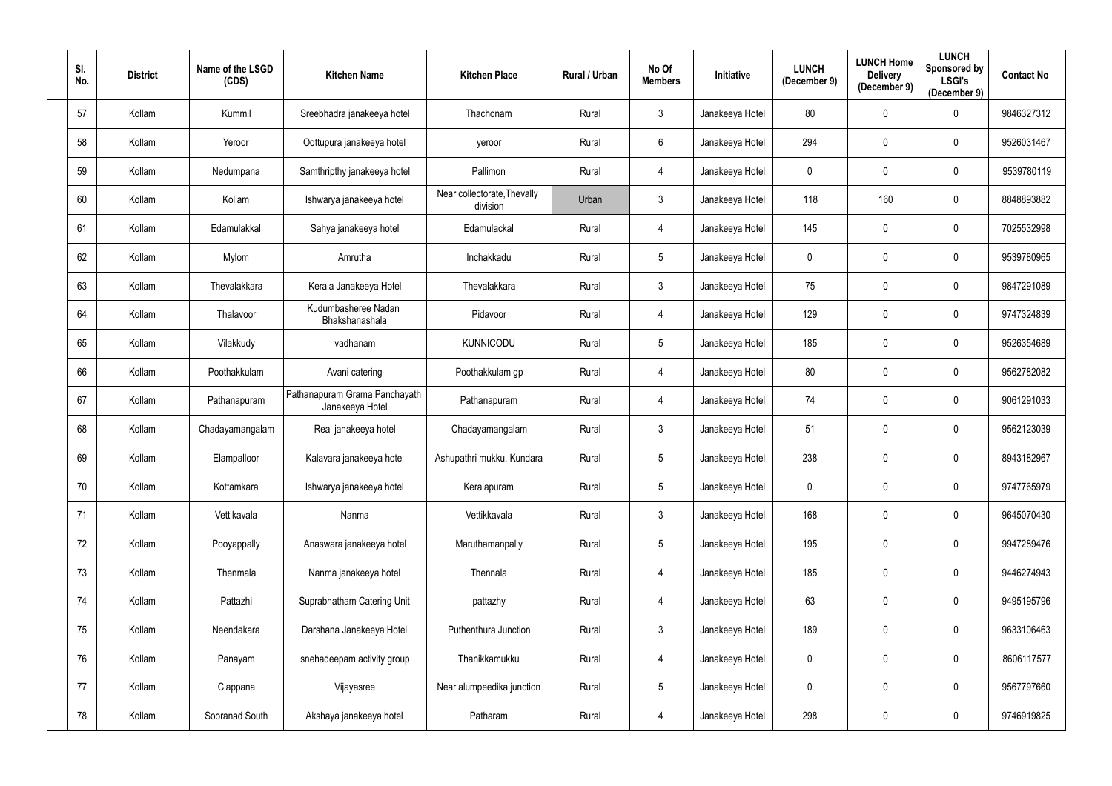| SI.<br>No. | <b>District</b> | Name of the LSGD<br>(CDS) | <b>Kitchen Name</b>                              | <b>Kitchen Place</b>                    | Rural / Urban | No Of<br><b>Members</b> | Initiative      | <b>LUNCH</b><br>(December 9) | <b>LUNCH Home</b><br><b>Delivery</b><br>(December 9) | <b>LUNCH</b><br>Sponsored by<br><b>LSGI's</b><br>(December 9) | <b>Contact No</b> |
|------------|-----------------|---------------------------|--------------------------------------------------|-----------------------------------------|---------------|-------------------------|-----------------|------------------------------|------------------------------------------------------|---------------------------------------------------------------|-------------------|
| 57         | Kollam          | Kummil                    | Sreebhadra janakeeya hotel                       | Thachonam                               | Rural         | $\mathfrak{Z}$          | Janakeeya Hotel | 80                           | $\overline{0}$                                       | $\mathbf 0$                                                   | 9846327312        |
| 58         | Kollam          | Yeroor                    | Oottupura janakeeya hotel                        | yeroor                                  | Rural         | $6\phantom{.}$          | Janakeeya Hotel | 294                          | $\mathbf 0$                                          | $\mathbf 0$                                                   | 9526031467        |
| 59         | Kollam          | Nedumpana                 | Samthripthy janakeeya hotel                      | Pallimon                                | Rural         | 4                       | Janakeeya Hotel | $\mathbf 0$                  | $\pmb{0}$                                            | $\overline{0}$                                                | 9539780119        |
| 60         | Kollam          | Kollam                    | Ishwarya janakeeya hotel                         | Near collectorate, Thevally<br>division | Urban         | $\mathfrak{Z}$          | Janakeeya Hotel | 118                          | 160                                                  | $\overline{0}$                                                | 8848893882        |
| 61         | Kollam          | Edamulakkal               | Sahya janakeeya hotel                            | Edamulackal                             | Rural         | 4                       | Janakeeya Hotel | 145                          | $\mathbf 0$                                          | $\overline{0}$                                                | 7025532998        |
| 62         | Kollam          | Mylom                     | Amrutha                                          | Inchakkadu                              | Rural         | $5\phantom{.0}$         | Janakeeya Hotel | 0                            | $\overline{0}$                                       | $\boldsymbol{0}$                                              | 9539780965        |
| 63         | Kollam          | Thevalakkara              | Kerala Janakeeya Hotel                           | Thevalakkara                            | Rural         | $\mathfrak{Z}$          | Janakeeya Hotel | 75                           | $\mathbf{0}$                                         | $\mathbf 0$                                                   | 9847291089        |
| 64         | Kollam          | Thalavoor                 | Kudumbasheree Nadan<br>Bhakshanashala            | Pidavoor                                | Rural         | 4                       | Janakeeya Hotel | 129                          | $\overline{0}$                                       | $\overline{0}$                                                | 9747324839        |
| 65         | Kollam          | Vilakkudy                 | vadhanam                                         | <b>KUNNICODU</b>                        | Rural         | $5\phantom{.0}$         | Janakeeya Hotel | 185                          | $\mathbf 0$                                          | $\mathbf 0$                                                   | 9526354689        |
| 66         | Kollam          | Poothakkulam              | Avani catering                                   | Poothakkulam gp                         | Rural         | 4                       | Janakeeya Hotel | 80                           | $\mathbf 0$                                          | $\mathbf 0$                                                   | 9562782082        |
| 67         | Kollam          | Pathanapuram              | Pathanapuram Grama Panchayath<br>Janakeeya Hotel | Pathanapuram                            | Rural         | 4                       | Janakeeya Hotel | 74                           | $\pmb{0}$                                            | $\mathbf 0$                                                   | 9061291033        |
| 68         | Kollam          | Chadayamangalam           | Real janakeeya hotel                             | Chadayamangalam                         | Rural         | $\mathfrak{Z}$          | Janakeeya Hotel | 51                           | $\overline{0}$                                       | $\overline{0}$                                                | 9562123039        |
| 69         | Kollam          | Elampalloor               | Kalavara janakeeya hotel                         | Ashupathri mukku, Kundara               | Rural         | $5\phantom{.0}$         | Janakeeya Hotel | 238                          | $\mathbf 0$                                          | $\mathbf 0$                                                   | 8943182967        |
| 70         | Kollam          | Kottamkara                | Ishwarya janakeeya hotel                         | Keralapuram                             | Rural         | $5\phantom{.0}$         | Janakeeya Hotel | $\mathbf 0$                  | $\overline{0}$                                       | $\mathbf 0$                                                   | 9747765979        |
| 71         | Kollam          | Vettikavala               | Nanma                                            | Vettikkavala                            | Rural         | $\mathfrak{Z}$          | Janakeeya Hotel | 168                          | $\mathbf 0$                                          | $\overline{0}$                                                | 9645070430        |
| 72         | Kollam          | Pooyappally               | Anaswara janakeeya hotel                         | Maruthamanpally                         | Rural         | $\overline{5}$          | Janakeeya Hotel | 195                          | $\mathbf 0$                                          | $\overline{0}$                                                | 9947289476        |
| 73         | Kollam          | Thenmala                  | Nanma janakeeya hotel                            | Thennala                                | Rural         | 4                       | Janakeeya Hotel | 185                          | $\mathbf 0$                                          | $\mathbf 0$                                                   | 9446274943        |
| 74         | Kollam          | Pattazhi                  | Suprabhatham Catering Unit                       | pattazhy                                | Rural         | 4                       | Janakeeya Hotel | 63                           | $\mathbf 0$                                          | $\mathbf 0$                                                   | 9495195796        |
| 75         | Kollam          | Neendakara                | Darshana Janakeeya Hotel                         | Puthenthura Junction                    | Rural         | $\mathfrak{Z}$          | Janakeeya Hotel | 189                          | $\mathbf 0$                                          | $\mathbf 0$                                                   | 9633106463        |
| 76         | Kollam          | Panayam                   | snehadeepam activity group                       | Thanikkamukku                           | Rural         | 4                       | Janakeeya Hotel | 0                            | $\mathbf 0$                                          | $\mathbf 0$                                                   | 8606117577        |
| 77         | Kollam          | Clappana                  | Vijayasree                                       | Near alumpeedika junction               | Rural         | $\overline{5}$          | Janakeeya Hotel | $\pmb{0}$                    | $\overline{0}$                                       | $\overline{0}$                                                | 9567797660        |
| 78         | Kollam          | Sooranad South            | Akshaya janakeeya hotel                          | Patharam                                | Rural         | 4                       | Janakeeya Hotel | 298                          | $\overline{0}$                                       | $\overline{0}$                                                | 9746919825        |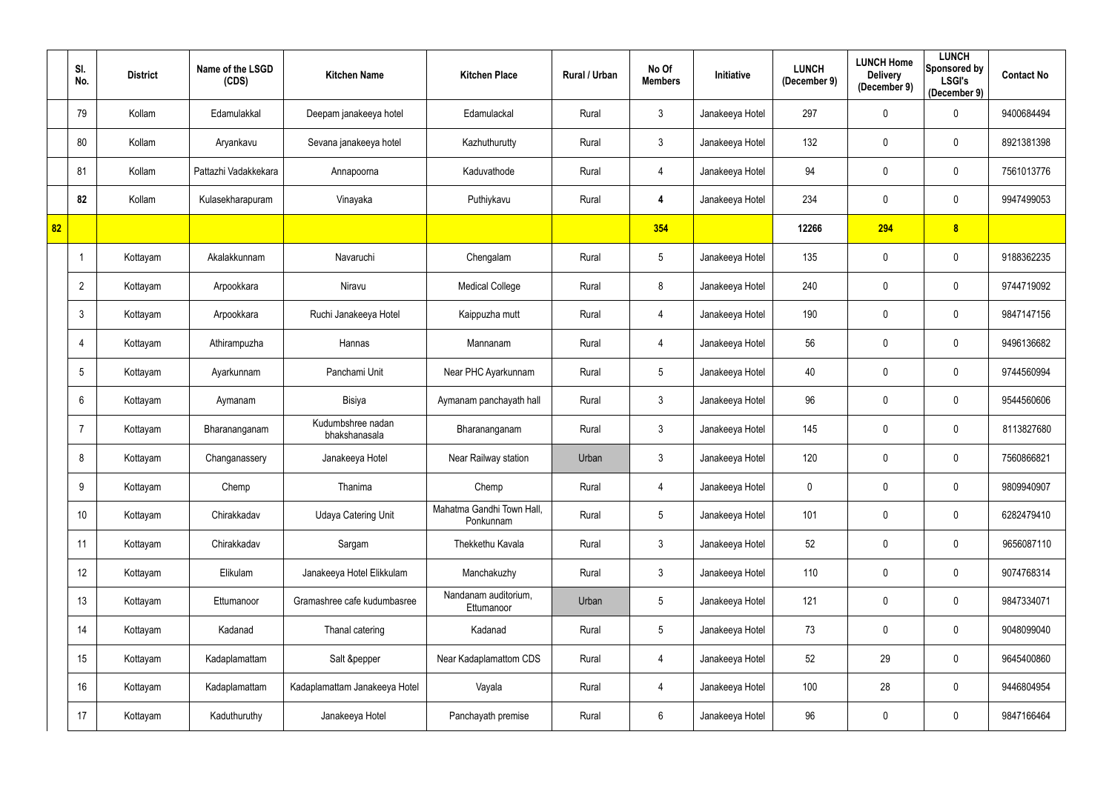|    | SI.<br>No.   | <b>District</b> | Name of the LSGD<br>(CDS) | <b>Kitchen Name</b>                | <b>Kitchen Place</b>                   | Rural / Urban | No Of<br><b>Members</b> | Initiative      | <b>LUNCH</b><br>(December 9) | <b>LUNCH Home</b><br><b>Delivery</b><br>(December 9) | <b>LUNCH</b><br>Sponsored by<br><b>LSGI's</b><br>(December 9) | <b>Contact No</b> |
|----|--------------|-----------------|---------------------------|------------------------------------|----------------------------------------|---------------|-------------------------|-----------------|------------------------------|------------------------------------------------------|---------------------------------------------------------------|-------------------|
|    | 79           | Kollam          | Edamulakkal               | Deepam janakeeya hotel             | Edamulackal                            | Rural         | $\mathfrak{Z}$          | Janakeeya Hotel | 297                          | $\mathbf 0$                                          | $\mathbf 0$                                                   | 9400684494        |
|    | 80           | Kollam          | Aryankavu                 | Sevana janakeeya hotel             | Kazhuthurutty                          | Rural         | $\mathfrak{Z}$          | Janakeeya Hotel | 132                          | $\mathbf 0$                                          | $\mathbf 0$                                                   | 8921381398        |
|    | 81           | Kollam          | Pattazhi Vadakkekara      | Annapoorna                         | Kaduvathode                            | Rural         | 4                       | Janakeeya Hotel | 94                           | $\mathbf 0$                                          | $\mathbf 0$                                                   | 7561013776        |
|    | 82           | Kollam          | Kulasekharapuram          | Vinayaka                           | Puthiykavu                             | Rural         | 4                       | Janakeeya Hotel | 234                          | $\mathbf 0$                                          | $\mathbf 0$                                                   | 9947499053        |
| 82 |              |                 |                           |                                    |                                        |               | 354                     |                 | 12266                        | 294                                                  | $\boldsymbol{8}$                                              |                   |
|    |              | Kottayam        | Akalakkunnam              | Navaruchi                          | Chengalam                              | Rural         | $5\phantom{.0}$         | Janakeeya Hotel | 135                          | $\mathbf 0$                                          | $\mathbf 0$                                                   | 9188362235        |
|    | 2            | Kottayam        | Arpookkara                | Niravu                             | <b>Medical College</b>                 | Rural         | 8                       | Janakeeya Hotel | 240                          | $\mathbf 0$                                          | $\mathbf 0$                                                   | 9744719092        |
|    | $\mathbf{3}$ | Kottayam        | Arpookkara                | Ruchi Janakeeya Hotel              | Kaippuzha mutt                         | Rural         | 4                       | Janakeeya Hotel | 190                          | $\mathbf 0$                                          | $\overline{0}$                                                | 9847147156        |
|    | 4            | Kottayam        | Athirampuzha              | Hannas                             | Mannanam                               | Rural         | 4                       | Janakeeya Hotel | 56                           | $\boldsymbol{0}$                                     | $\mathbf 0$                                                   | 9496136682        |
|    | 5            | Kottayam        | Ayarkunnam                | Panchami Unit                      | Near PHC Ayarkunnam                    | Rural         | 5                       | Janakeeya Hotel | 40                           | $\mathbf 0$                                          | $\mathbf 0$                                                   | 9744560994        |
|    | 6            | Kottayam        | Aymanam                   | Bisiya                             | Aymanam panchayath hall                | Rural         | $\mathfrak{Z}$          | Janakeeya Hotel | 96                           | $\boldsymbol{0}$                                     | $\mathbf 0$                                                   | 9544560606        |
|    |              | Kottayam        | Bharananganam             | Kudumbshree nadan<br>bhakshanasala | Bharananganam                          | Rural         | $\mathfrak{Z}$          | Janakeeya Hotel | 145                          | $\mathbf 0$                                          | $\mathbf 0$                                                   | 8113827680        |
|    | 8            | Kottayam        | Changanassery             | Janakeeya Hotel                    | Near Railway station                   | Urban         | $\mathfrak{Z}$          | Janakeeya Hotel | 120                          | $\mathbf 0$                                          | $\mathbf 0$                                                   | 7560866821        |
|    | 9            | Kottayam        | Chemp                     | Thanima                            | Chemp                                  | Rural         | 4                       | Janakeeya Hotel | 0                            | $\mathbf 0$                                          | $\mathbf 0$                                                   | 9809940907        |
|    | 10           | Kottayam        | Chirakkadav               | <b>Udaya Catering Unit</b>         | Mahatma Gandhi Town Hall,<br>Ponkunnam | Rural         | 5                       | Janakeeya Hotel | 101                          | $\mathbf 0$                                          | $\mathbf 0$                                                   | 6282479410        |
|    | 11           | Kottayam        | Chirakkadav               | Sargam                             | Thekkethu Kavala                       | Rural         | $\mathfrak{Z}$          | Janakeeya Hotel | 52                           | $\mathbf 0$                                          | $\mathbf 0$                                                   | 9656087110        |
|    | 12           | Kottayam        | Elikulam                  | Janakeeya Hotel Elikkulam          | Manchakuzhy                            | Rural         | $\mathfrak{Z}$          | Janakeeya Hotel | 110                          | $\mathbf 0$                                          | $\mathbf 0$                                                   | 9074768314        |
|    | 13           | Kottayam        | Ettumanoor                | Gramashree cafe kudumbasree        | Nandanam auditorium,<br>Ettumanoor     | Urban         | $5\phantom{.0}$         | Janakeeya Hotel | 121                          | $\mathbf 0$                                          | $\mathbf 0$                                                   | 9847334071        |
|    | 14           | Kottayam        | Kadanad                   | Thanal catering                    | Kadanad                                | Rural         | $5\phantom{.0}$         | Janakeeya Hotel | 73                           | $\mathbf 0$                                          | $\mathbf 0$                                                   | 9048099040        |
|    | 15           | Kottayam        | Kadaplamattam             | Salt &pepper                       | Near Kadaplamattom CDS                 | Rural         | 4                       | Janakeeya Hotel | 52                           | 29                                                   | $\mathbf 0$                                                   | 9645400860        |
|    | 16           | Kottayam        | Kadaplamattam             | Kadaplamattam Janakeeya Hotel      | Vayala                                 | Rural         | 4                       | Janakeeya Hotel | 100                          | 28                                                   | $\mathbf 0$                                                   | 9446804954        |
|    | 17           | Kottayam        | Kaduthuruthy              | Janakeeya Hotel                    | Panchayath premise                     | Rural         | $6\phantom{.}$          | Janakeeya Hotel | 96                           | $\boldsymbol{0}$                                     | $\pmb{0}$                                                     | 9847166464        |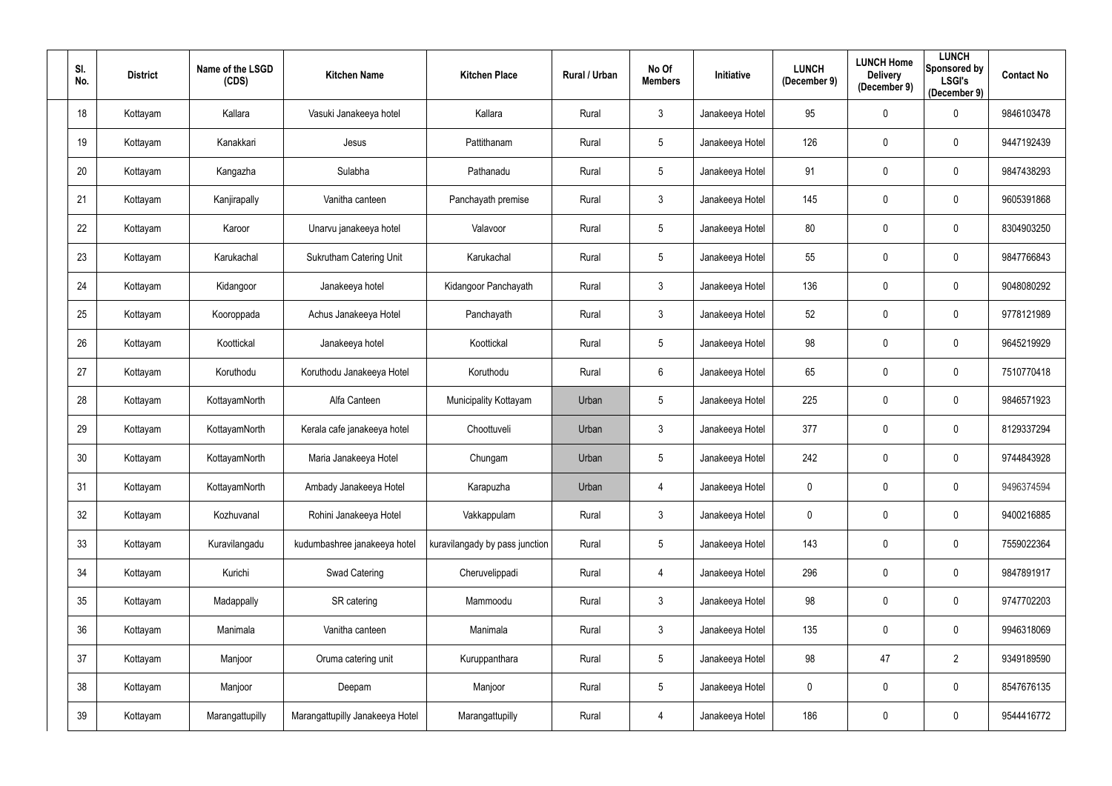| SI.<br>No. | <b>District</b> | Name of the LSGD<br>(CDS) | <b>Kitchen Name</b>             | <b>Kitchen Place</b>           | <b>Rural / Urban</b> | No Of<br><b>Members</b> | Initiative      | <b>LUNCH</b><br>(December 9) | <b>LUNCH Home</b><br><b>Delivery</b><br>(December 9) | <b>LUNCH</b><br>Sponsored by<br><b>LSGI's</b><br>(December 9) | <b>Contact No</b> |
|------------|-----------------|---------------------------|---------------------------------|--------------------------------|----------------------|-------------------------|-----------------|------------------------------|------------------------------------------------------|---------------------------------------------------------------|-------------------|
| 18         | Kottayam        | Kallara                   | Vasuki Janakeeya hotel          | Kallara                        | Rural                | $\mathfrak{Z}$          | Janakeeya Hotel | 95                           | $\boldsymbol{0}$                                     | $\mathbf 0$                                                   | 9846103478        |
| 19         | Kottayam        | Kanakkari                 | Jesus                           | Pattithanam                    | Rural                | $5\overline{)}$         | Janakeeya Hotel | 126                          | $\mathbf 0$                                          | $\mathbf 0$                                                   | 9447192439        |
| 20         | Kottayam        | Kangazha                  | Sulabha                         | Pathanadu                      | Rural                | $5\phantom{.0}$         | Janakeeya Hotel | 91                           | $\pmb{0}$                                            | $\overline{0}$                                                | 9847438293        |
| 21         | Kottayam        | Kanjirapally              | Vanitha canteen                 | Panchayath premise             | Rural                | $\mathfrak{Z}$          | Janakeeya Hotel | 145                          | $\mathbf 0$                                          | $\mathbf 0$                                                   | 9605391868        |
| 22         | Kottayam        | Karoor                    | Unarvu janakeeya hotel          | Valavoor                       | Rural                | 5                       | Janakeeya Hotel | 80                           | $\mathbf 0$                                          | $\overline{0}$                                                | 8304903250        |
| 23         | Kottayam        | Karukachal                | Sukrutham Catering Unit         | Karukachal                     | Rural                | 5                       | Janakeeya Hotel | 55                           | $\mathbf 0$                                          | $\mathbf 0$                                                   | 9847766843        |
| 24         | Kottayam        | Kidangoor                 | Janakeeya hotel                 | Kidangoor Panchayath           | Rural                | $\mathfrak{Z}$          | Janakeeya Hotel | 136                          | $\mathbf 0$                                          | $\mathbf 0$                                                   | 9048080292        |
| 25         | Kottayam        | Kooroppada                | Achus Janakeeya Hotel           | Panchayath                     | Rural                | 3 <sup>1</sup>          | Janakeeya Hotel | $52\,$                       | $\mathbf 0$                                          | $\mathbf 0$                                                   | 9778121989        |
| 26         | Kottayam        | Koottickal                | Janakeeya hotel                 | Koottickal                     | Rural                | $5\phantom{.0}$         | Janakeeya Hotel | 98                           | $\mathbf 0$                                          | $\mathbf 0$                                                   | 9645219929        |
| 27         | Kottayam        | Koruthodu                 | Koruthodu Janakeeya Hotel       | Koruthodu                      | Rural                | $6\phantom{.0}$         | Janakeeya Hotel | 65                           | $\pmb{0}$                                            | $\overline{0}$                                                | 7510770418        |
| 28         | Kottayam        | KottayamNorth             | Alfa Canteen                    | Municipality Kottayam          | Urban                | $5\phantom{.0}$         | Janakeeya Hotel | 225                          | $\pmb{0}$                                            | $\mathbf 0$                                                   | 9846571923        |
| 29         | Kottayam        | KottayamNorth             | Kerala cafe janakeeya hotel     | Choottuveli                    | Urban                | $\mathfrak{Z}$          | Janakeeya Hotel | 377                          | $\mathbf 0$                                          | $\mathbf 0$                                                   | 8129337294        |
| 30         | Kottayam        | KottayamNorth             | Maria Janakeeya Hotel           | Chungam                        | Urban                | $5\phantom{.0}$         | Janakeeya Hotel | 242                          | $\mathbf 0$                                          | $\mathbf 0$                                                   | 9744843928        |
| 31         | Kottayam        | KottayamNorth             | Ambady Janakeeya Hotel          | Karapuzha                      | Urban                | 4                       | Janakeeya Hotel | 0                            | $\mathbf 0$                                          | $\mathbf 0$                                                   | 9496374594        |
| 32         | Kottayam        | Kozhuvanal                | Rohini Janakeeya Hotel          | Vakkappulam                    | Rural                | 3 <sup>1</sup>          | Janakeeya Hotel | $\mathbf 0$                  | $\pmb{0}$                                            | $\overline{0}$                                                | 9400216885        |
| 33         | Kottayam        | Kuravilangadu             | kudumbashree janakeeya hotel    | kuravilangady by pass junction | Rural                | $5\phantom{.0}$         | Janakeeya Hotel | 143                          | $\pmb{0}$                                            | $\mathbf 0$                                                   | 7559022364        |
| 34         | Kottayam        | Kurichi                   | Swad Catering                   | Cheruvelippadi                 | Rural                | 4                       | Janakeeya Hotel | 296                          | $\pmb{0}$                                            | $\overline{0}$                                                | 9847891917        |
| 35         | Kottayam        | Madappally                | SR catering                     | Mammoodu                       | Rural                | $\mathfrak{Z}$          | Janakeeya Hotel | 98                           | $\pmb{0}$                                            | $\mathbf 0$                                                   | 9747702203        |
| 36         | Kottayam        | Manimala                  | Vanitha canteen                 | Manimala                       | Rural                | $\mathbf{3}$            | Janakeeya Hotel | 135                          | $\pmb{0}$                                            | $\mathbf 0$                                                   | 9946318069        |
| 37         | Kottayam        | Manjoor                   | Oruma catering unit             | Kuruppanthara                  | Rural                | $5\phantom{.0}$         | Janakeeya Hotel | 98                           | 47                                                   | $\overline{2}$                                                | 9349189590        |
| 38         | Kottayam        | Manjoor                   | Deepam                          | Manjoor                        | Rural                | $5\phantom{.0}$         | Janakeeya Hotel | $\mathbf 0$                  | $\pmb{0}$                                            | $\mathbf 0$                                                   | 8547676135        |
| 39         | Kottayam        | Marangattupilly           | Marangattupilly Janakeeya Hotel | Marangattupilly                | Rural                | 4                       | Janakeeya Hotel | 186                          | $\boldsymbol{0}$                                     | $\overline{0}$                                                | 9544416772        |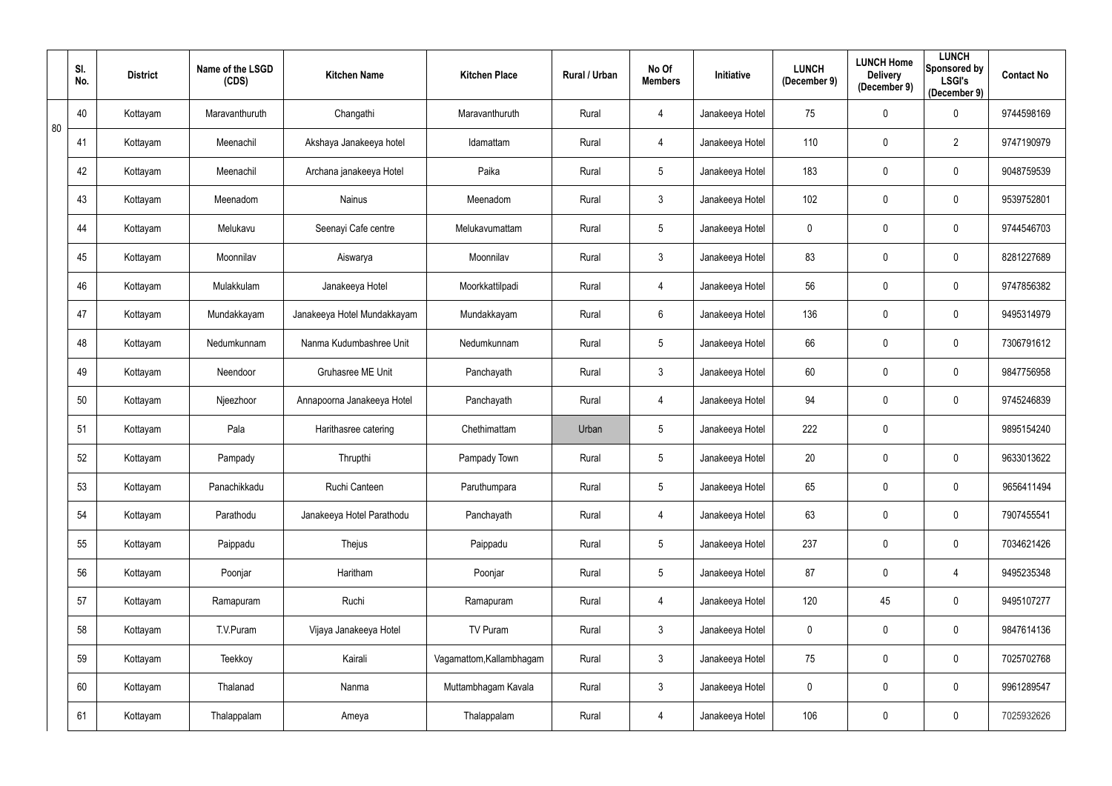|    | SI.<br>No. | <b>District</b> | Name of the LSGD<br>(CDS) | <b>Kitchen Name</b>         | <b>Kitchen Place</b>     | Rural / Urban | No Of<br><b>Members</b> | Initiative      | <b>LUNCH</b><br>(December 9) | <b>LUNCH Home</b><br><b>Delivery</b><br>(December 9) | <b>LUNCH</b><br>Sponsored by<br><b>LSGI's</b><br>(December 9) | <b>Contact No</b> |
|----|------------|-----------------|---------------------------|-----------------------------|--------------------------|---------------|-------------------------|-----------------|------------------------------|------------------------------------------------------|---------------------------------------------------------------|-------------------|
| 80 | 40         | Kottayam        | Maravanthuruth            | Changathi                   | Maravanthuruth           | Rural         | 4                       | Janakeeya Hotel | 75                           | $\pmb{0}$                                            | $\mathbf 0$                                                   | 9744598169        |
|    | 41         | Kottayam        | Meenachil                 | Akshaya Janakeeya hotel     | Idamattam                | Rural         | 4                       | Janakeeya Hotel | 110                          | $\mathbf 0$                                          | $\overline{2}$                                                | 9747190979        |
|    | 42         | Kottayam        | Meenachil                 | Archana janakeeya Hotel     | Paika                    | Rural         | $5\phantom{.0}$         | Janakeeya Hotel | 183                          | $\mathbf 0$                                          | $\overline{0}$                                                | 9048759539        |
|    | 43         | Kottayam        | Meenadom                  | Nainus                      | Meenadom                 | Rural         | $\mathfrak{Z}$          | Janakeeya Hotel | 102                          | $\mathbf 0$                                          | $\overline{0}$                                                | 9539752801        |
|    | 44         | Kottayam        | Melukavu                  | Seenayi Cafe centre         | Melukavumattam           | Rural         | $5\phantom{.0}$         | Janakeeya Hotel | $\mathbf 0$                  | $\mathbf 0$                                          | $\overline{0}$                                                | 9744546703        |
|    | 45         | Kottayam        | Moonnilav                 | Aiswarya                    | Moonnilav                | Rural         | $\mathfrak{Z}$          | Janakeeya Hotel | 83                           | $\mathbf 0$                                          | $\mathbf 0$                                                   | 8281227689        |
|    | 46         | Kottayam        | Mulakkulam                | Janakeeya Hotel             | Moorkkattilpadi          | Rural         | 4                       | Janakeeya Hotel | 56                           | $\mathbf 0$                                          | $\mathbf 0$                                                   | 9747856382        |
|    | 47         | Kottayam        | Mundakkayam               | Janakeeya Hotel Mundakkayam | Mundakkayam              | Rural         | 6                       | Janakeeya Hotel | 136                          | $\mathbf 0$                                          | $\mathbf 0$                                                   | 9495314979        |
|    | 48         | Kottayam        | Nedumkunnam               | Nanma Kudumbashree Unit     | Nedumkunnam              | Rural         | $5\phantom{.0}$         | Janakeeya Hotel | 66                           | $\mathbf 0$                                          | $\mathbf 0$                                                   | 7306791612        |
|    | 49         | Kottayam        | Neendoor                  | Gruhasree ME Unit           | Panchayath               | Rural         | $\mathfrak{Z}$          | Janakeeya Hotel | 60                           | $\pmb{0}$                                            | $\overline{0}$                                                | 9847756958        |
|    | 50         | Kottayam        | Njeezhoor                 | Annapoorna Janakeeya Hotel  | Panchayath               | Rural         | 4                       | Janakeeya Hotel | 94                           | $\mathbf 0$                                          | $\mathbf 0$                                                   | 9745246839        |
|    | 51         | Kottayam        | Pala                      | Harithasree catering        | Chethimattam             | Urban         | 5                       | Janakeeya Hotel | 222                          | $\mathbf 0$                                          |                                                               | 9895154240        |
|    | 52         | Kottayam        | Pampady                   | Thrupthi                    | Pampady Town             | Rural         | $5\phantom{.0}$         | Janakeeya Hotel | 20                           | $\mathbf 0$                                          | $\mathbf 0$                                                   | 9633013622        |
|    | 53         | Kottayam        | Panachikkadu              | Ruchi Canteen               | Paruthumpara             | Rural         | 5                       | Janakeeya Hotel | 65                           | $\mathbf 0$                                          | $\mathbf 0$                                                   | 9656411494        |
|    | 54         | Kottayam        | Parathodu                 | Janakeeya Hotel Parathodu   | Panchayath               | Rural         | 4                       | Janakeeya Hotel | 63                           | $\pmb{0}$                                            | $\mathbf 0$                                                   | 7907455541        |
|    | 55         | Kottayam        | Paippadu                  | Thejus                      | Paippadu                 | Rural         | 5                       | Janakeeya Hotel | 237                          | $\mathbf 0$                                          | $\mathbf 0$                                                   | 7034621426        |
|    | 56         | Kottayam        | Poonjar                   | Haritham                    | Poonjar                  | Rural         | $5\phantom{.0}$         | Janakeeya Hotel | 87                           | $\pmb{0}$                                            | $\overline{4}$                                                | 9495235348        |
|    | 57         | Kottayam        | Ramapuram                 | Ruchi                       | Ramapuram                | Rural         | 4                       | Janakeeya Hotel | 120                          | 45                                                   | $\mathbf 0$                                                   | 9495107277        |
|    | 58         | Kottayam        | T.V.Puram                 | Vijaya Janakeeya Hotel      | TV Puram                 | Rural         | $\mathbf{3}$            | Janakeeya Hotel | $\mathbf 0$                  | $\pmb{0}$                                            | $\mathbf 0$                                                   | 9847614136        |
|    | 59         | Kottayam        | Teekkoy                   | Kairali                     | Vagamattom, Kallambhagam | Rural         | 3 <sup>1</sup>          | Janakeeya Hotel | 75                           | $\pmb{0}$                                            | $\mathbf 0$                                                   | 7025702768        |
|    | 60         | Kottayam        | Thalanad                  | Nanma                       | Muttambhagam Kavala      | Rural         | $\mathfrak{Z}$          | Janakeeya Hotel | $\mathbf 0$                  | $\pmb{0}$                                            | $\mathbf 0$                                                   | 9961289547        |
|    | 61         | Kottayam        | Thalappalam               | Ameya                       | Thalappalam              | Rural         | 4                       | Janakeeya Hotel | 106                          | $\boldsymbol{0}$                                     | $\overline{0}$                                                | 7025932626        |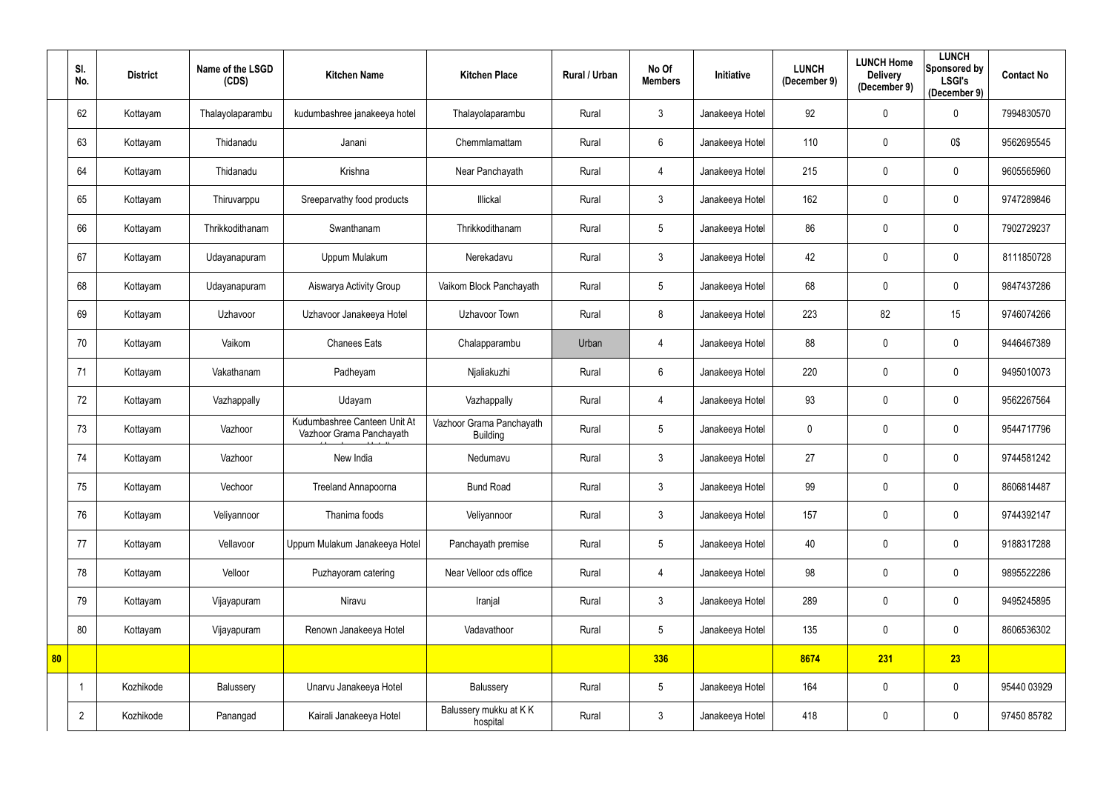|    | SI.<br>No.     | <b>District</b> | Name of the LSGD<br>(CDS) | <b>Kitchen Name</b>                                      | <b>Kitchen Place</b>                        | Rural / Urban | No Of<br><b>Members</b> | <b>Initiative</b> | <b>LUNCH</b><br>(December 9) | <b>LUNCH Home</b><br><b>Delivery</b><br>(December 9) | <b>LUNCH</b><br>Sponsored by<br><b>LSGI's</b><br>(December 9) | <b>Contact No</b> |
|----|----------------|-----------------|---------------------------|----------------------------------------------------------|---------------------------------------------|---------------|-------------------------|-------------------|------------------------------|------------------------------------------------------|---------------------------------------------------------------|-------------------|
|    | 62             | Kottayam        | Thalayolaparambu          | kudumbashree janakeeya hotel                             | Thalayolaparambu                            | Rural         | $\mathfrak{Z}$          | Janakeeya Hotel   | 92                           | $\mathbf 0$                                          | $\overline{0}$                                                | 7994830570        |
|    | 63             | Kottayam        | Thidanadu                 | Janani                                                   | Chemmlamattam                               | Rural         | $6\phantom{.}$          | Janakeeya Hotel   | 110                          | $\mathbf 0$                                          | 0\$                                                           | 9562695545        |
|    | 64             | Kottayam        | Thidanadu                 | Krishna                                                  | Near Panchayath                             | Rural         | 4                       | Janakeeya Hotel   | 215                          | $\mathbf{0}$                                         | $\overline{0}$                                                | 9605565960        |
|    | 65             | Kottayam        | Thiruvarppu               | Sreeparvathy food products                               | Illickal                                    | Rural         | $\mathfrak{Z}$          | Janakeeya Hotel   | 162                          | $\mathbf 0$                                          | $\mathbf 0$                                                   | 9747289846        |
|    | 66             | Kottayam        | Thrikkodithanam           | Swanthanam                                               | Thrikkodithanam                             | Rural         | 5                       | Janakeeya Hotel   | 86                           | $\mathbf{0}$                                         | $\overline{0}$                                                | 7902729237        |
|    | 67             | Kottayam        | Udayanapuram              | Uppum Mulakum                                            | Nerekadavu                                  | Rural         | $\mathfrak{Z}$          | Janakeeya Hotel   | 42                           | $\mathbf{0}$                                         | 0                                                             | 8111850728        |
|    | 68             | Kottayam        | Udayanapuram              | Aiswarya Activity Group                                  | Vaikom Block Panchayath                     | Rural         | 5                       | Janakeeya Hotel   | 68                           | $\mathbf{0}$                                         | $\mathbf 0$                                                   | 9847437286        |
|    | 69             | Kottayam        | Uzhavoor                  | Uzhavoor Janakeeya Hotel                                 | Uzhavoor Town                               | Rural         | 8                       | Janakeeya Hotel   | 223                          | 82                                                   | 15                                                            | 9746074266        |
|    | 70             | Kottayam        | Vaikom                    | <b>Chanees Eats</b>                                      | Chalapparambu                               | Urban         | 4                       | Janakeeya Hotel   | 88                           | $\mathbf 0$                                          | $\overline{0}$                                                | 9446467389        |
|    | 71             | Kottayam        | Vakathanam                | Padheyam                                                 | Njaliakuzhi                                 | Rural         | $6\phantom{.}$          | Janakeeya Hotel   | 220                          | $\mathbf 0$                                          | $\overline{0}$                                                | 9495010073        |
|    | 72             | Kottayam        | Vazhappally               | Udayam                                                   | Vazhappally                                 | Rural         | 4                       | Janakeeya Hotel   | 93                           | $\mathbf{0}$                                         | $\mathbf 0$                                                   | 9562267564        |
|    | 73             | Kottayam        | Vazhoor                   | Kudumbashree Canteen Unit At<br>Vazhoor Grama Panchayath | Vazhoor Grama Panchayath<br><b>Building</b> | Rural         | 5                       | Janakeeya Hotel   | 0                            | $\mathbf{0}$                                         | $\overline{0}$                                                | 9544717796        |
|    | 74             | Kottayam        | Vazhoor                   | New India                                                | Nedumavu                                    | Rural         | $\mathbf{3}$            | Janakeeya Hotel   | 27                           | $\mathbf 0$                                          | $\mathbf 0$                                                   | 9744581242        |
|    | 75             | Kottayam        | Vechoor                   | Treeland Annapoorna                                      | <b>Bund Road</b>                            | Rural         | $\mathfrak{Z}$          | Janakeeya Hotel   | 99                           | $\mathbf 0$                                          | $\overline{0}$                                                | 8606814487        |
|    | 76             | Kottayam        | Veliyannoor               | Thanima foods                                            | Veliyannoor                                 | Rural         | $\mathfrak{Z}$          | Janakeeya Hotel   | 157                          | $\mathbf 0$                                          | $\overline{0}$                                                | 9744392147        |
|    | 77             | Kottayam        | Vellavoor                 | Uppum Mulakum Janakeeya Hotel                            | Panchayath premise                          | Rural         | $5\,$                   | Janakeeya Hotel   | 40                           | $\mathbf 0$                                          | $\mathbf 0$                                                   | 9188317288        |
|    | 78             | Kottayam        | Velloor                   | Puzhayoram catering                                      | Near Velloor cds office                     | Rural         | 4                       | Janakeeya Hotel   | 98                           | $\mathbf 0$                                          | $\mathbf 0$                                                   | 9895522286        |
|    | 79             | Kottayam        | Vijayapuram               | Niravu                                                   | Iranjal                                     | Rural         | $\mathfrak{Z}$          | Janakeeya Hotel   | 289                          | $\mathbf 0$                                          | $\mathbf 0$                                                   | 9495245895        |
|    | 80             | Kottayam        | Vijayapuram               | Renown Janakeeya Hotel                                   | Vadavathoor                                 | Rural         | 5                       | Janakeeya Hotel   | 135                          | $\mathbf 0$                                          | $\overline{0}$                                                | 8606536302        |
| 80 |                |                 |                           |                                                          |                                             |               | 336                     |                   | 8674                         | 231                                                  | 23                                                            |                   |
|    |                | Kozhikode       | Balussery                 | Unarvu Janakeeya Hotel                                   | Balussery                                   | Rural         | $5\phantom{.0}$         | Janakeeya Hotel   | 164                          | $\pmb{0}$                                            | $\overline{0}$                                                | 95440 03929       |
|    | $\overline{2}$ | Kozhikode       | Panangad                  | Kairali Janakeeya Hotel                                  | Balussery mukku at KK<br>hospital           | Rural         | $\mathfrak{Z}$          | Janakeeya Hotel   | 418                          | $\mathbf 0$                                          | $\overline{0}$                                                | 97450 85782       |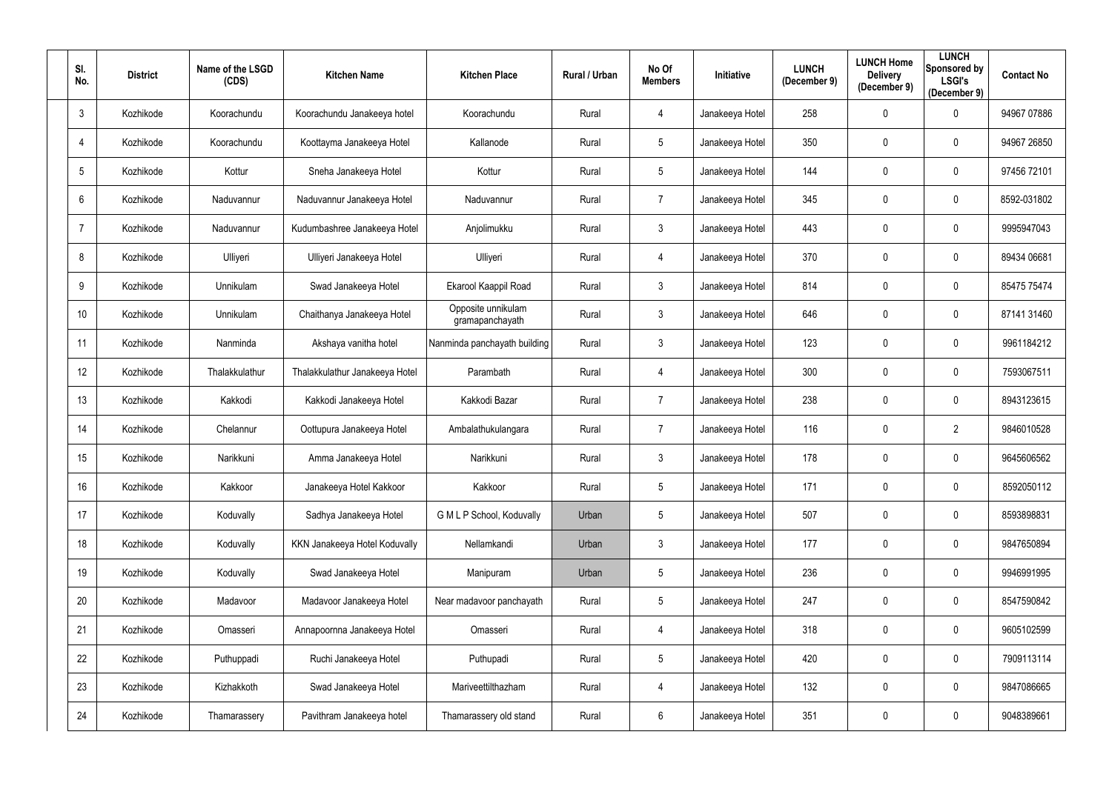| SI.<br>No.      | <b>District</b> | Name of the LSGD<br>(CDS) | <b>Kitchen Name</b>            | <b>Kitchen Place</b>                  | Rural / Urban | No Of<br><b>Members</b> | Initiative      | <b>LUNCH</b><br>(December 9) | <b>LUNCH Home</b><br><b>Delivery</b><br>(December 9) | <b>LUNCH</b><br><b>Sponsored by</b><br><b>LSGI's</b><br>(December 9) | <b>Contact No</b> |
|-----------------|-----------------|---------------------------|--------------------------------|---------------------------------------|---------------|-------------------------|-----------------|------------------------------|------------------------------------------------------|----------------------------------------------------------------------|-------------------|
| $\mathbf{3}$    | Kozhikode       | Koorachundu               | Koorachundu Janakeeya hotel    | Koorachundu                           | Rural         | 4                       | Janakeeya Hotel | 258                          | $\mathbf 0$                                          | 0                                                                    | 94967 07886       |
| $\overline{4}$  | Kozhikode       | Koorachundu               | Koottayma Janakeeya Hotel      | Kallanode                             | Rural         | 5                       | Janakeeya Hotel | 350                          | $\mathbf 0$                                          | 0                                                                    | 94967 26850       |
| $5\phantom{.0}$ | Kozhikode       | Kottur                    | Sneha Janakeeya Hotel          | Kottur                                | Rural         | 5 <sup>5</sup>          | Janakeeya Hotel | 144                          | $\mathbf 0$                                          | $\mathbf 0$                                                          | 97456 72101       |
| 6               | Kozhikode       | Naduvannur                | Naduvannur Janakeeya Hotel     | Naduvannur                            | Rural         | 7                       | Janakeeya Hotel | 345                          | $\mathbf 0$                                          | $\mathbf 0$                                                          | 8592-031802       |
| $\overline{7}$  | Kozhikode       | Naduvannur                | Kudumbashree Janakeeya Hotel   | Anjolimukku                           | Rural         | $\mathfrak{Z}$          | Janakeeya Hotel | 443                          | $\mathbf 0$                                          | $\mathbf 0$                                                          | 9995947043        |
| 8               | Kozhikode       | Ulliyeri                  | Ulliyeri Janakeeya Hotel       | Ulliyeri                              | Rural         | 4                       | Janakeeya Hotel | 370                          | $\mathbf 0$                                          | $\mathbf 0$                                                          | 89434 06681       |
| 9               | Kozhikode       | Unnikulam                 | Swad Janakeeya Hotel           | Ekarool Kaappil Road                  | Rural         | 3 <sup>1</sup>          | Janakeeya Hotel | 814                          | $\mathbf 0$                                          | $\mathbf 0$                                                          | 85475 75474       |
| 10 <sup>°</sup> | Kozhikode       | Unnikulam                 | Chaithanya Janakeeya Hotel     | Opposite unnikulam<br>gramapanchayath | Rural         | $\mathfrak{Z}$          | Janakeeya Hotel | 646                          | $\mathbf 0$                                          | $\mathbf 0$                                                          | 87141 31460       |
| 11              | Kozhikode       | Nanminda                  | Akshaya vanitha hotel          | Nanminda panchayath building          | Rural         | 3 <sup>1</sup>          | Janakeeya Hotel | 123                          | $\mathbf 0$                                          | $\mathbf 0$                                                          | 9961184212        |
| 12              | Kozhikode       | Thalakkulathur            | Thalakkulathur Janakeeya Hotel | Parambath                             | Rural         | 4                       | Janakeeya Hotel | 300                          | $\mathbf 0$                                          | $\mathbf 0$                                                          | 7593067511        |
| 13              | Kozhikode       | Kakkodi                   | Kakkodi Janakeeya Hotel        | Kakkodi Bazar                         | Rural         | $\overline{7}$          | Janakeeya Hotel | 238                          | $\mathbf 0$                                          | $\mathbf 0$                                                          | 8943123615        |
| 14              | Kozhikode       | Chelannur                 | Oottupura Janakeeya Hotel      | Ambalathukulangara                    | Rural         | 7                       | Janakeeya Hotel | 116                          | $\mathbf 0$                                          | $\overline{2}$                                                       | 9846010528        |
| 15              | Kozhikode       | Narikkuni                 | Amma Janakeeya Hotel           | Narikkuni                             | Rural         | $3\phantom{.0}$         | Janakeeya Hotel | 178                          | $\mathbf 0$                                          | 0                                                                    | 9645606562        |
| 16              | Kozhikode       | Kakkoor                   | Janakeeya Hotel Kakkoor        | Kakkoor                               | Rural         | 5                       | Janakeeya Hotel | 171                          | $\mathbf 0$                                          | 0                                                                    | 8592050112        |
| 17              | Kozhikode       | Koduvally                 | Sadhya Janakeeya Hotel         | G M L P School, Koduvally             | Urban         | 5 <sup>5</sup>          | Janakeeya Hotel | 507                          | $\mathbf 0$                                          | $\mathbf 0$                                                          | 8593898831        |
| 18              | Kozhikode       | Koduvally                 | KKN Janakeeya Hotel Koduvally  | Nellamkandi                           | Urban         | 3 <sup>1</sup>          | Janakeeya Hotel | 177                          | $\pmb{0}$                                            | $\mathbf 0$                                                          | 9847650894        |
| 19              | Kozhikode       | Koduvally                 | Swad Janakeeya Hotel           | Manipuram                             | Urban         | 5                       | Janakeeya Hotel | 236                          | $\pmb{0}$                                            | $\mathbf 0$                                                          | 9946991995        |
| 20              | Kozhikode       | Madavoor                  | Madavoor Janakeeya Hotel       | Near madavoor panchayath              | Rural         | 5                       | Janakeeya Hotel | 247                          | $\pmb{0}$                                            | $\bf{0}$                                                             | 8547590842        |
| 21              | Kozhikode       | Omasseri                  | Annapoornna Janakeeya Hotel    | Omasseri                              | Rural         | 4                       | Janakeeya Hotel | 318                          | $\boldsymbol{0}$                                     | $\mathbf 0$                                                          | 9605102599        |
| 22              | Kozhikode       | Puthuppadi                | Ruchi Janakeeya Hotel          | Puthupadi                             | Rural         | $5\phantom{.0}$         | Janakeeya Hotel | 420                          | $\mathbf 0$                                          | $\overline{0}$                                                       | 7909113114        |
| 23              | Kozhikode       | Kizhakkoth                | Swad Janakeeya Hotel           | Mariveettilthazham                    | Rural         | 4                       | Janakeeya Hotel | 132                          | $\boldsymbol{0}$                                     | $\bf{0}$                                                             | 9847086665        |
| 24              | Kozhikode       | Thamarassery              | Pavithram Janakeeya hotel      | Thamarassery old stand                | Rural         | $6\overline{6}$         | Janakeeya Hotel | 351                          | $\boldsymbol{0}$                                     | $\bf{0}$                                                             | 9048389661        |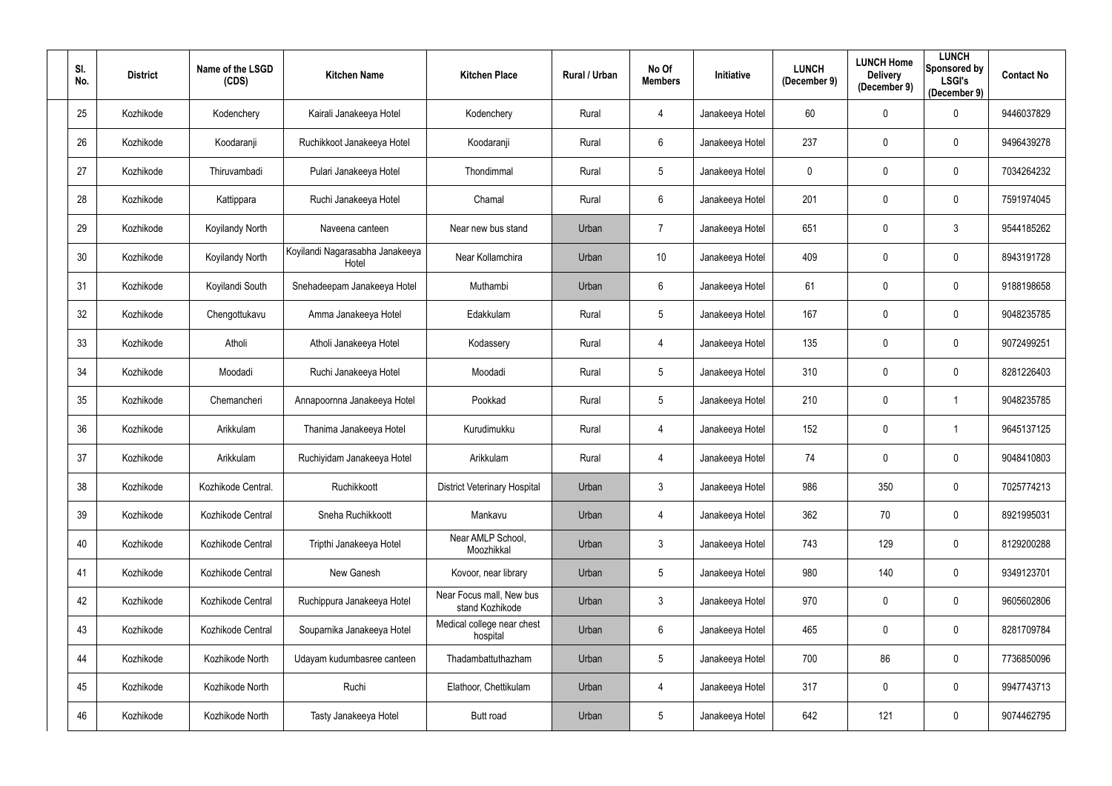| SI.<br>No. | <b>District</b> | Name of the LSGD<br>(CDS) | <b>Kitchen Name</b>                      | <b>Kitchen Place</b>                        | Rural / Urban | No Of<br><b>Members</b> | Initiative      | <b>LUNCH</b><br>(December 9) | <b>LUNCH Home</b><br><b>Delivery</b><br>(December 9) | <b>LUNCH</b><br><b>Sponsored by</b><br><b>LSGI's</b><br>(December 9) | <b>Contact No</b> |
|------------|-----------------|---------------------------|------------------------------------------|---------------------------------------------|---------------|-------------------------|-----------------|------------------------------|------------------------------------------------------|----------------------------------------------------------------------|-------------------|
| 25         | Kozhikode       | Kodenchery                | Kairali Janakeeya Hotel                  | Kodenchery                                  | Rural         | 4                       | Janakeeya Hotel | 60                           | $\mathbf 0$                                          | 0                                                                    | 9446037829        |
| 26         | Kozhikode       | Koodaranji                | Ruchikkoot Janakeeya Hotel               | Koodaranji                                  | Rural         | $6\phantom{.}$          | Janakeeya Hotel | 237                          | $\mathbf 0$                                          | 0                                                                    | 9496439278        |
| 27         | Kozhikode       | Thiruvambadi              | Pulari Janakeeya Hotel                   | Thondimmal                                  | Rural         | $5\phantom{.0}$         | Janakeeya Hotel | 0                            | $\mathbf{0}$                                         | $\mathbf 0$                                                          | 7034264232        |
| 28         | Kozhikode       | Kattippara                | Ruchi Janakeeya Hotel                    | Chamal                                      | Rural         | $6\phantom{.}$          | Janakeeya Hotel | 201                          | $\mathbf 0$                                          | $\mathbf 0$                                                          | 7591974045        |
| 29         | Kozhikode       | Koyilandy North           | Naveena canteen                          | Near new bus stand                          | Urban         | $\overline{7}$          | Janakeeya Hotel | 651                          | $\mathbf 0$                                          | $\mathfrak{Z}$                                                       | 9544185262        |
| 30         | Kozhikode       | Koyilandy North           | Koyilandi Nagarasabha Janakeeya<br>Hotel | Near Kollamchira                            | Urban         | 10 <sup>°</sup>         | Janakeeya Hotel | 409                          | $\mathbf 0$                                          | 0                                                                    | 8943191728        |
| 31         | Kozhikode       | Koyilandi South           | Snehadeepam Janakeeya Hotel              | Muthambi                                    | Urban         | $6^{\circ}$             | Janakeeya Hotel | 61                           | $\mathbf 0$                                          | $\mathbf 0$                                                          | 9188198658        |
| 32         | Kozhikode       | Chengottukavu             | Amma Janakeeya Hotel                     | Edakkulam                                   | Rural         | 5 <sup>5</sup>          | Janakeeya Hotel | 167                          | $\mathbf 0$                                          | $\mathbf 0$                                                          | 9048235785        |
| 33         | Kozhikode       | Atholi                    | Atholi Janakeeya Hotel                   | Kodassery                                   | Rural         | 4                       | Janakeeya Hotel | 135                          | $\mathbf 0$                                          | $\mathbf 0$                                                          | 9072499251        |
| 34         | Kozhikode       | Moodadi                   | Ruchi Janakeeya Hotel                    | Moodadi                                     | Rural         | $5\phantom{.0}$         | Janakeeya Hotel | 310                          | $\mathbf 0$                                          | $\mathbf 0$                                                          | 8281226403        |
| 35         | Kozhikode       | Chemancheri               | Annapoornna Janakeeya Hotel              | Pookkad                                     | Rural         | $5\phantom{.0}$         | Janakeeya Hotel | 210                          | $\mathbf 0$                                          |                                                                      | 9048235785        |
| 36         | Kozhikode       | Arikkulam                 | Thanima Janakeeya Hotel                  | Kurudimukku                                 | Rural         | 4                       | Janakeeya Hotel | 152                          | $\mathbf 0$                                          |                                                                      | 9645137125        |
| 37         | Kozhikode       | Arikkulam                 | Ruchiyidam Janakeeya Hotel               | Arikkulam                                   | Rural         | 4                       | Janakeeya Hotel | 74                           | $\mathbf 0$                                          | 0                                                                    | 9048410803        |
| 38         | Kozhikode       | Kozhikode Central.        | Ruchikkoott                              | <b>District Veterinary Hospital</b>         | Urban         | $\mathfrak{Z}$          | Janakeeya Hotel | 986                          | 350                                                  | $\mathbf 0$                                                          | 7025774213        |
| 39         | Kozhikode       | Kozhikode Central         | Sneha Ruchikkoott                        | Mankavu                                     | Urban         | $\overline{4}$          | Janakeeya Hotel | 362                          | 70                                                   | $\overline{0}$                                                       | 8921995031        |
| 40         | Kozhikode       | Kozhikode Central         | Tripthi Janakeeya Hotel                  | Near AMLP School,<br>Moozhikkal             | Urban         | $\mathfrak{Z}$          | Janakeeya Hotel | 743                          | 129                                                  | $\mathbf 0$                                                          | 8129200288        |
| 41         | Kozhikode       | Kozhikode Central         | New Ganesh                               | Kovoor, near library                        | Urban         | $5\phantom{.0}$         | Janakeeya Hotel | 980                          | 140                                                  | $\mathbf 0$                                                          | 9349123701        |
| 42         | Kozhikode       | Kozhikode Central         | Ruchippura Janakeeya Hotel               | Near Focus mall, New bus<br>stand Kozhikode | Urban         | $\mathfrak{Z}$          | Janakeeya Hotel | 970                          | $\boldsymbol{0}$                                     | $\mathbf 0$                                                          | 9605602806        |
| 43         | Kozhikode       | Kozhikode Central         | Souparnika Janakeeya Hotel               | Medical college near chest<br>hospital      | Urban         | $6\overline{6}$         | Janakeeya Hotel | 465                          | $\boldsymbol{0}$                                     | $\overline{0}$                                                       | 8281709784        |
| 44         | Kozhikode       | Kozhikode North           | Udayam kudumbasree canteen               | Thadambattuthazham                          | Urban         | $5\phantom{.0}$         | Janakeeya Hotel | 700                          | 86                                                   | $\overline{0}$                                                       | 7736850096        |
| 45         | Kozhikode       | Kozhikode North           | Ruchi                                    | Elathoor, Chettikulam                       | Urban         | $\overline{4}$          | Janakeeya Hotel | 317                          | $\pmb{0}$                                            | $\overline{0}$                                                       | 9947743713        |
| 46         | Kozhikode       | Kozhikode North           | Tasty Janakeeya Hotel                    | Butt road                                   | Urban         | $5\phantom{.0}$         | Janakeeya Hotel | 642                          | 121                                                  | $\overline{0}$                                                       | 9074462795        |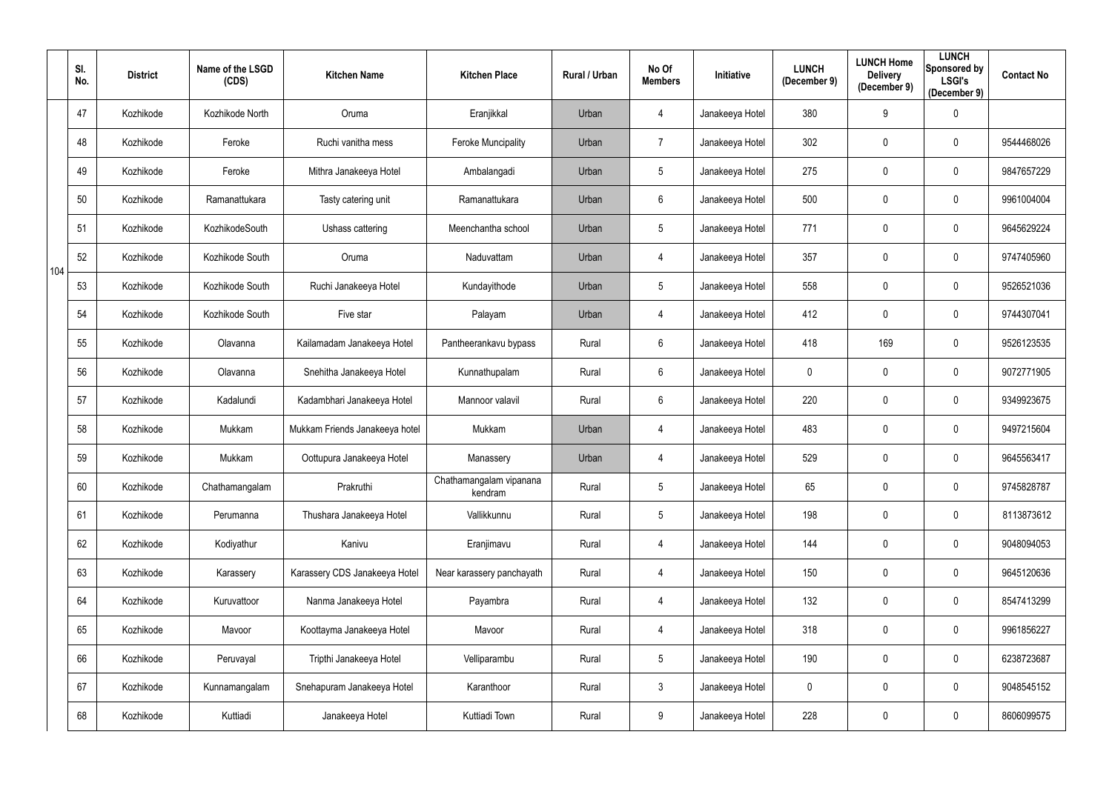|     | SI.<br>No. | <b>District</b> | Name of the LSGD<br>(CDS) | <b>Kitchen Name</b>            | <b>Kitchen Place</b>               | Rural / Urban | No Of<br><b>Members</b> | Initiative      | <b>LUNCH</b><br>(December 9) | <b>LUNCH Home</b><br><b>Delivery</b><br>(December 9) | <b>LUNCH</b><br>Sponsored by<br><b>LSGI's</b><br>(December 9) | <b>Contact No</b> |
|-----|------------|-----------------|---------------------------|--------------------------------|------------------------------------|---------------|-------------------------|-----------------|------------------------------|------------------------------------------------------|---------------------------------------------------------------|-------------------|
|     | 47         | Kozhikode       | Kozhikode North           | Oruma                          | Eranjikkal                         | Urban         | 4                       | Janakeeya Hotel | 380                          | 9                                                    | $\mathbf 0$                                                   |                   |
|     | 48         | Kozhikode       | Feroke                    | Ruchi vanitha mess             | <b>Feroke Muncipality</b>          | Urban         | $\overline{7}$          | Janakeeya Hotel | 302                          | $\mathbf 0$                                          | $\mathbf 0$                                                   | 9544468026        |
|     | 49         | Kozhikode       | Feroke                    | Mithra Janakeeya Hotel         | Ambalangadi                        | Urban         | $5\phantom{.0}$         | Janakeeya Hotel | 275                          | $\pmb{0}$                                            | $\overline{0}$                                                | 9847657229        |
|     | 50         | Kozhikode       | Ramanattukara             | Tasty catering unit            | Ramanattukara                      | Urban         | $6\phantom{.0}$         | Janakeeya Hotel | 500                          | $\overline{0}$                                       | $\mathbf 0$                                                   | 9961004004        |
|     | 51         | Kozhikode       | KozhikodeSouth            | Ushass cattering               | Meenchantha school                 | Urban         | $5\phantom{.0}$         | Janakeeya Hotel | 771                          | $\mathbf 0$                                          | $\overline{0}$                                                | 9645629224        |
| 104 | 52         | Kozhikode       | Kozhikode South           | Oruma                          | Naduvattam                         | Urban         | 4                       | Janakeeya Hotel | 357                          | $\overline{0}$                                       | $\boldsymbol{0}$                                              | 9747405960        |
|     | 53         | Kozhikode       | Kozhikode South           | Ruchi Janakeeya Hotel          | Kundayithode                       | Urban         | $5\phantom{.0}$         | Janakeeya Hotel | 558                          | $\mathbf 0$                                          | $\mathbf 0$                                                   | 9526521036        |
|     | 54         | Kozhikode       | Kozhikode South           | Five star                      | Palayam                            | Urban         | 4                       | Janakeeya Hotel | 412                          | $\overline{0}$                                       | $\mathbf 0$                                                   | 9744307041        |
|     | 55         | Kozhikode       | Olavanna                  | Kailamadam Janakeeya Hotel     | Pantheerankavu bypass              | Rural         | 6                       | Janakeeya Hotel | 418                          | 169                                                  | $\mathbf 0$                                                   | 9526123535        |
|     | 56         | Kozhikode       | Olavanna                  | Snehitha Janakeeya Hotel       | Kunnathupalam                      | Rural         | $6\phantom{.}$          | Janakeeya Hotel | $\mathbf 0$                  | $\mathbf 0$                                          | $\mathbf 0$                                                   | 9072771905        |
|     | 57         | Kozhikode       | Kadalundi                 | Kadambhari Janakeeya Hotel     | Mannoor valavil                    | Rural         | $6\phantom{.}$          | Janakeeya Hotel | 220                          | $\mathbf 0$                                          | $\mathbf 0$                                                   | 9349923675        |
|     | 58         | Kozhikode       | Mukkam                    | Mukkam Friends Janakeeya hotel | Mukkam                             | Urban         | 4                       | Janakeeya Hotel | 483                          | $\mathbf 0$                                          | $\overline{0}$                                                | 9497215604        |
|     | 59         | Kozhikode       | Mukkam                    | Oottupura Janakeeya Hotel      | Manassery                          | Urban         | 4                       | Janakeeya Hotel | 529                          | $\mathbf 0$                                          | $\mathbf 0$                                                   | 9645563417        |
|     | 60         | Kozhikode       | Chathamangalam            | Prakruthi                      | Chathamangalam vipanana<br>kendram | Rural         | $5\phantom{.0}$         | Janakeeya Hotel | 65                           | $\overline{0}$                                       | $\mathbf 0$                                                   | 9745828787        |
|     | 61         | Kozhikode       | Perumanna                 | Thushara Janakeeya Hotel       | Vallikkunnu                        | Rural         | $5\phantom{.0}$         | Janakeeya Hotel | 198                          | $\mathbf 0$                                          | $\overline{0}$                                                | 8113873612        |
|     | 62         | Kozhikode       | Kodiyathur                | Kanivu                         | Eranjimavu                         | Rural         | 4                       | Janakeeya Hotel | 144                          | $\mathbf 0$                                          | $\overline{0}$                                                | 9048094053        |
|     | 63         | Kozhikode       | Karassery                 | Karassery CDS Janakeeya Hotel  | Near karassery panchayath          | Rural         | 4                       | Janakeeya Hotel | 150                          | $\mathbf 0$                                          | $\mathbf 0$                                                   | 9645120636        |
|     | 64         | Kozhikode       | Kuruvattoor               | Nanma Janakeeya Hotel          | Payambra                           | Rural         | 4                       | Janakeeya Hotel | 132                          | $\mathbf 0$                                          | $\mathbf 0$                                                   | 8547413299        |
|     | 65         | Kozhikode       | Mavoor                    | Koottayma Janakeeya Hotel      | Mavoor                             | Rural         | 4                       | Janakeeya Hotel | 318                          | $\mathbf 0$                                          | $\overline{0}$                                                | 9961856227        |
|     | 66         | Kozhikode       | Peruvayal                 | Tripthi Janakeeya Hotel        | Velliparambu                       | Rural         | $\overline{5}$          | Janakeeya Hotel | 190                          | $\mathbf 0$                                          | $\mathbf 0$                                                   | 6238723687        |
|     | 67         | Kozhikode       | Kunnamangalam             | Snehapuram Janakeeya Hotel     | Karanthoor                         | Rural         | $\mathfrak{Z}$          | Janakeeya Hotel | $\pmb{0}$                    | $\overline{0}$                                       | $\overline{0}$                                                | 9048545152        |
|     | 68         | Kozhikode       | Kuttiadi                  | Janakeeya Hotel                | Kuttiadi Town                      | Rural         | 9                       | Janakeeya Hotel | 228                          | $\pmb{0}$                                            | $\mathbf 0$                                                   | 8606099575        |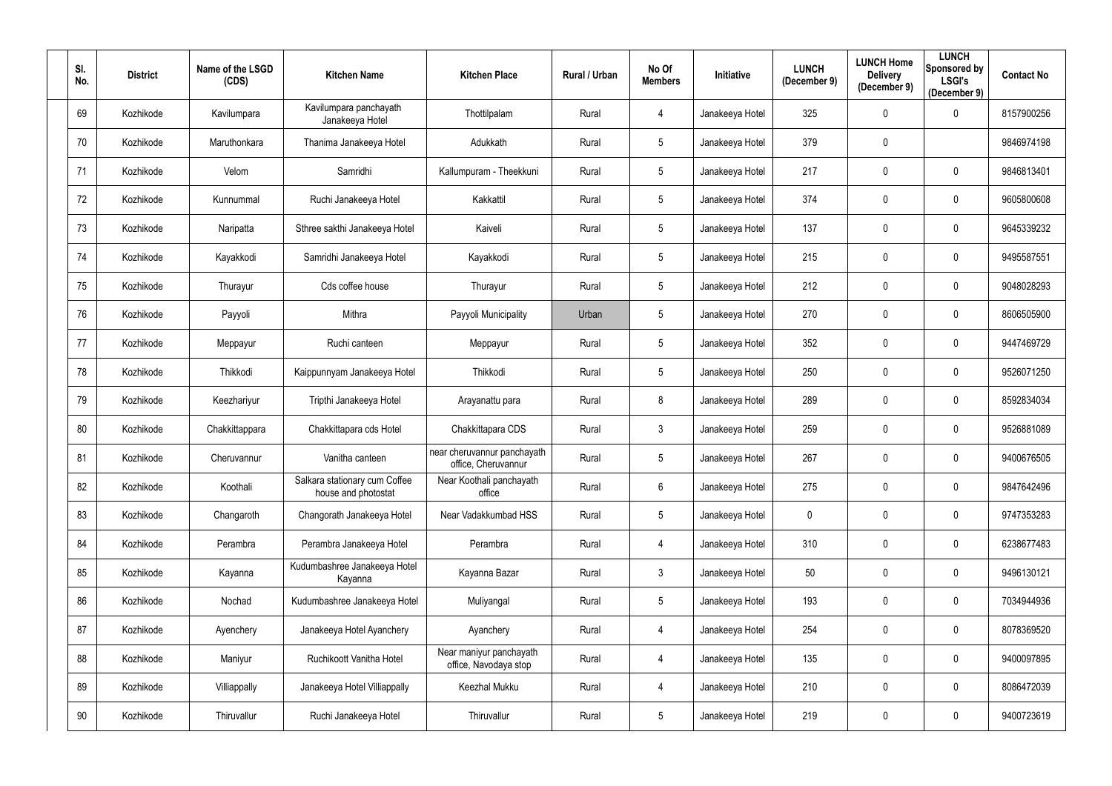| SI.<br>No. | <b>District</b> | Name of the LSGD<br>(CDS) | <b>Kitchen Name</b>                                  | <b>Kitchen Place</b>                               | Rural / Urban | No Of<br><b>Members</b> | Initiative      | <b>LUNCH</b><br>(December 9) | <b>LUNCH Home</b><br><b>Delivery</b><br>(December 9) | <b>LUNCH</b><br><b>Sponsored by</b><br><b>LSGI's</b><br>(December 9) | <b>Contact No</b> |
|------------|-----------------|---------------------------|------------------------------------------------------|----------------------------------------------------|---------------|-------------------------|-----------------|------------------------------|------------------------------------------------------|----------------------------------------------------------------------|-------------------|
| 69         | Kozhikode       | Kavilumpara               | Kavilumpara panchayath<br>Janakeeya Hotel            | Thottilpalam                                       | Rural         | 4                       | Janakeeya Hotel | 325                          | $\mathbf 0$                                          | 0                                                                    | 8157900256        |
| 70         | Kozhikode       | Maruthonkara              | Thanima Janakeeya Hotel                              | Adukkath                                           | Rural         | 5                       | Janakeeya Hotel | 379                          | $\mathbf 0$                                          |                                                                      | 9846974198        |
| 71         | Kozhikode       | Velom                     | Samridhi                                             | Kallumpuram - Theekkuni                            | Rural         | 5                       | Janakeeya Hotel | 217                          | $\mathbf 0$                                          | $\mathbf 0$                                                          | 9846813401        |
| 72         | Kozhikode       | Kunnummal                 | Ruchi Janakeeya Hotel                                | Kakkattil                                          | Rural         | 5                       | Janakeeya Hotel | 374                          | $\mathbf 0$                                          | $\mathbf 0$                                                          | 9605800608        |
| 73         | Kozhikode       | Naripatta                 | Sthree sakthi Janakeeya Hotel                        | Kaiveli                                            | Rural         | 5                       | Janakeeya Hotel | 137                          | $\mathbf 0$                                          | $\mathbf 0$                                                          | 9645339232        |
| 74         | Kozhikode       | Kayakkodi                 | Samridhi Janakeeya Hotel                             | Kayakkodi                                          | Rural         | 5                       | Janakeeya Hotel | 215                          | $\mathbf 0$                                          | $\mathbf 0$                                                          | 9495587551        |
| 75         | Kozhikode       | Thurayur                  | Cds coffee house                                     | Thurayur                                           | Rural         | $5\overline{)}$         | Janakeeya Hotel | 212                          | $\mathbf 0$                                          | $\mathbf 0$                                                          | 9048028293        |
| 76         | Kozhikode       | Payyoli                   | Mithra                                               | Payyoli Municipality                               | Urban         | 5                       | Janakeeya Hotel | 270                          | $\pmb{0}$                                            | $\pmb{0}$                                                            | 8606505900        |
| 77         | Kozhikode       | Meppayur                  | Ruchi canteen                                        | Meppayur                                           | Rural         | 5                       | Janakeeya Hotel | 352                          | $\mathbf 0$                                          | 0                                                                    | 9447469729        |
| 78         | Kozhikode       | Thikkodi                  | Kaippunnyam Janakeeya Hotel                          | Thikkodi                                           | Rural         | 5                       | Janakeeya Hotel | 250                          | $\mathbf 0$                                          | $\mathbf 0$                                                          | 9526071250        |
| 79         | Kozhikode       | Keezhariyur               | Tripthi Janakeeya Hotel                              | Arayanattu para                                    | Rural         | 8                       | Janakeeya Hotel | 289                          | $\mathbf 0$                                          | $\mathbf 0$                                                          | 8592834034        |
| 80         | Kozhikode       | Chakkittappara            | Chakkittapara cds Hotel                              | Chakkittapara CDS                                  | Rural         | $\mathfrak{Z}$          | Janakeeya Hotel | 259                          | $\mathbf 0$                                          | $\mathbf 0$                                                          | 9526881089        |
| 81         | Kozhikode       | Cheruvannur               | Vanitha canteen                                      | near cheruvannur panchayath<br>office, Cheruvannur | Rural         | 5                       | Janakeeya Hotel | 267                          | $\mathbf 0$                                          | 0                                                                    | 9400676505        |
| 82         | Kozhikode       | Koothali                  | Salkara stationary cum Coffee<br>house and photostat | Near Koothali panchayath<br>office                 | Rural         | $6\overline{6}$         | Janakeeya Hotel | 275                          | $\boldsymbol{0}$                                     | $\mathbf 0$                                                          | 9847642496        |
| 83         | Kozhikode       | Changaroth                | Changorath Janakeeya Hotel                           | Near Vadakkumbad HSS                               | Rural         | 5                       | Janakeeya Hotel | 0                            | $\boldsymbol{0}$                                     | $\mathbf 0$                                                          | 9747353283        |
| 84         | Kozhikode       | Perambra                  | Perambra Janakeeya Hotel                             | Perambra                                           | Rural         | 4                       | Janakeeya Hotel | 310                          | $\pmb{0}$                                            | $\mathbf 0$                                                          | 6238677483        |
| 85         | Kozhikode       | Kayanna                   | Kudumbashree Janakeeya Hotel<br>Kayanna              | Kayanna Bazar                                      | Rural         | $\mathfrak{Z}$          | Janakeeya Hotel | 50                           | $\pmb{0}$                                            | $\mathbf 0$                                                          | 9496130121        |
| 86         | Kozhikode       | Nochad                    | Kudumbashree Janakeeya Hotel                         | Muliyangal                                         | Rural         | 5                       | Janakeeya Hotel | 193                          | $\pmb{0}$                                            | $\overline{0}$                                                       | 7034944936        |
| 87         | Kozhikode       | Ayenchery                 | Janakeeya Hotel Ayanchery                            | Ayanchery                                          | Rural         | 4                       | Janakeeya Hotel | 254                          | $\pmb{0}$                                            | $\mathbf 0$                                                          | 8078369520        |
| 88         | Kozhikode       | Maniyur                   | Ruchikoott Vanitha Hotel                             | Near maniyur panchayath<br>office, Navodaya stop   | Rural         | 4                       | Janakeeya Hotel | 135                          | $\boldsymbol{0}$                                     | $\overline{0}$                                                       | 9400097895        |
| 89         | Kozhikode       | Villiappally              | Janakeeya Hotel Villiappally                         | Keezhal Mukku                                      | Rural         | 4                       | Janakeeya Hotel | 210                          | $\boldsymbol{0}$                                     | $\bf{0}$                                                             | 8086472039        |
| 90         | Kozhikode       | Thiruvallur               | Ruchi Janakeeya Hotel                                | Thiruvallur                                        | Rural         | $5\phantom{.0}$         | Janakeeya Hotel | 219                          | $\boldsymbol{0}$                                     | $\overline{0}$                                                       | 9400723619        |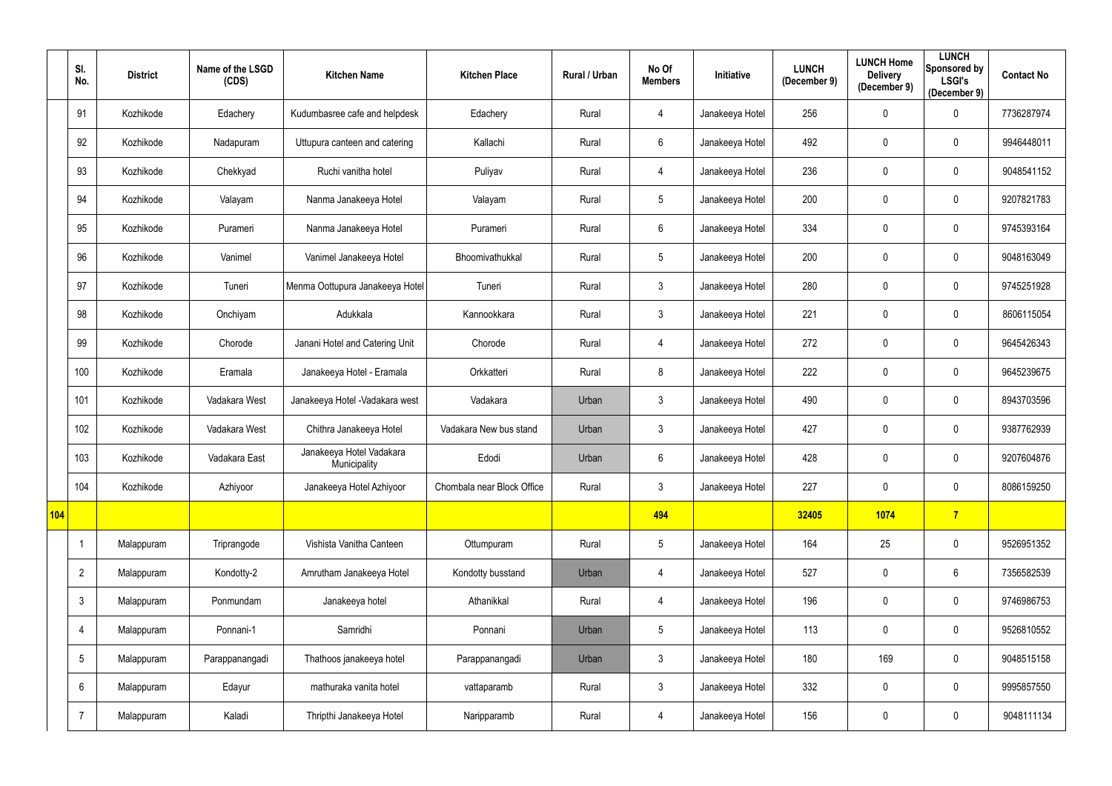|     | SI.<br>No.      | <b>District</b> | Name of the LSGD<br>(CDS) | <b>Kitchen Name</b>                      | <b>Kitchen Place</b>       | Rural / Urban | No Of<br><b>Members</b> | <b>Initiative</b> | <b>LUNCH</b><br>(December 9) | <b>LUNCH Home</b><br><b>Delivery</b><br>(December 9) | <b>LUNCH</b><br>Sponsored by<br><b>LSGI's</b><br>(December 9) | <b>Contact No</b> |
|-----|-----------------|-----------------|---------------------------|------------------------------------------|----------------------------|---------------|-------------------------|-------------------|------------------------------|------------------------------------------------------|---------------------------------------------------------------|-------------------|
|     | 91              | Kozhikode       | Edachery                  | Kudumbasree cafe and helpdesk            | Edachery                   | Rural         | 4                       | Janakeeya Hotel   | 256                          | $\mathbf 0$                                          | $\overline{0}$                                                | 7736287974        |
|     | 92              | Kozhikode       | Nadapuram                 | Uttupura canteen and catering            | Kallachi                   | Rural         | $6\phantom{.}$          | Janakeeya Hotel   | 492                          | $\mathbf 0$                                          | $\overline{0}$                                                | 9946448011        |
|     | 93              | Kozhikode       | Chekkyad                  | Ruchi vanitha hotel                      | Puliyav                    | Rural         | 4                       | Janakeeya Hotel   | 236                          | $\mathbf 0$                                          | $\overline{0}$                                                | 9048541152        |
|     | 94              | Kozhikode       | Valayam                   | Nanma Janakeeya Hotel                    | Valayam                    | Rural         | 5                       | Janakeeya Hotel   | 200                          | $\mathbf 0$                                          | $\overline{0}$                                                | 9207821783        |
|     | 95              | Kozhikode       | Purameri                  | Nanma Janakeeya Hotel                    | Purameri                   | Rural         | $6\phantom{.}$          | Janakeeya Hotel   | 334                          | $\mathbf 0$                                          | $\mathbf 0$                                                   | 9745393164        |
|     | 96              | Kozhikode       | Vanimel                   | Vanimel Janakeeya Hotel                  | Bhoomivathukkal            | Rural         | $5\phantom{.0}$         | Janakeeya Hotel   | 200                          | $\mathbf 0$                                          | $\overline{0}$                                                | 9048163049        |
|     | 97              | Kozhikode       | Tuneri                    | Menma Oottupura Janakeeya Hotel          | Tuneri                     | Rural         | $\mathfrak{Z}$          | Janakeeya Hotel   | 280                          | $\mathbf 0$                                          | $\overline{0}$                                                | 9745251928        |
|     | 98              | Kozhikode       | Onchiyam                  | Adukkala                                 | Kannookkara                | Rural         | $\mathfrak{Z}$          | Janakeeya Hotel   | 221                          | $\mathbf 0$                                          | $\overline{0}$                                                | 8606115054        |
|     | 99              | Kozhikode       | Chorode                   | Janani Hotel and Catering Unit           | Chorode                    | Rural         | 4                       | Janakeeya Hotel   | 272                          | $\mathbf 0$                                          | $\overline{0}$                                                | 9645426343        |
|     | 100             | Kozhikode       | Eramala                   | Janakeeya Hotel - Eramala                | Orkkatteri                 | Rural         | 8                       | Janakeeya Hotel   | 222                          | $\mathbf 0$                                          | $\overline{0}$                                                | 9645239675        |
|     | 101             | Kozhikode       | Vadakara West             | Janakeeya Hotel - Vadakara west          | Vadakara                   | Urban         | $\mathfrak{Z}$          | Janakeeya Hotel   | 490                          | $\mathbf 0$                                          | $\overline{0}$                                                | 8943703596        |
|     | 102             | Kozhikode       | Vadakara West             | Chithra Janakeeya Hotel                  | Vadakara New bus stand     | Urban         | $\mathfrak{Z}$          | Janakeeya Hotel   | 427                          | $\mathbf{0}$                                         | $\overline{0}$                                                | 9387762939        |
|     | 103             | Kozhikode       | Vadakara East             | Janakeeya Hotel Vadakara<br>Municipality | Edodi                      | Urban         | 6                       | Janakeeya Hotel   | 428                          | $\mathbf 0$                                          | $\mathbf 0$                                                   | 9207604876        |
|     | 104             | Kozhikode       | Azhiyoor                  | Janakeeya Hotel Azhiyoor                 | Chombala near Block Office | Rural         | $\mathfrak{Z}$          | Janakeeya Hotel   | 227                          | $\mathbf 0$                                          | $\overline{0}$                                                | 8086159250        |
| 104 |                 |                 |                           |                                          |                            |               | 494                     |                   | 32405                        | 1074                                                 | $\overline{7}$                                                |                   |
|     |                 | Malappuram      | Triprangode               | Vishista Vanitha Canteen                 | Ottumpuram                 | Rural         | $\sqrt{5}$              | Janakeeya Hotel   | 164                          | 25                                                   | $\overline{0}$                                                | 9526951352        |
|     | $\overline{2}$  | Malappuram      | Kondotty-2                | Amrutham Janakeeya Hotel                 | Kondotty busstand          | Urban         | 4                       | Janakeeya Hotel   | 527                          | $\mathbf 0$                                          | $6\phantom{.}6$                                               | 7356582539        |
|     | $\mathfrak{Z}$  | Malappuram      | Ponmundam                 | Janakeeya hotel                          | Athanikkal                 | Rural         | 4                       | Janakeeya Hotel   | 196                          | $\pmb{0}$                                            | $\mathbf 0$                                                   | 9746986753        |
|     | 4               | Malappuram      | Ponnani-1                 | Samridhi                                 | Ponnani                    | Urban         | $5\phantom{.0}$         | Janakeeya Hotel   | 113                          | $\pmb{0}$                                            | $\overline{0}$                                                | 9526810552        |
|     | $5\phantom{.0}$ | Malappuram      | Parappanangadi            | Thathoos janakeeya hotel                 | Parappanangadi             | Urban         | $\mathfrak{Z}$          | Janakeeya Hotel   | 180                          | 169                                                  | $\mathbf 0$                                                   | 9048515158        |
|     | $6\phantom{.}6$ | Malappuram      | Edayur                    | mathuraka vanita hotel                   | vattaparamb                | Rural         | $\mathfrak{Z}$          | Janakeeya Hotel   | 332                          | $\pmb{0}$                                            | $\mathbf 0$                                                   | 9995857550        |
|     | $\overline{7}$  | Malappuram      | Kaladi                    | Thripthi Janakeeya Hotel                 | Naripparamb                | Rural         | 4                       | Janakeeya Hotel   | 156                          | $\boldsymbol{0}$                                     | $\overline{0}$                                                | 9048111134        |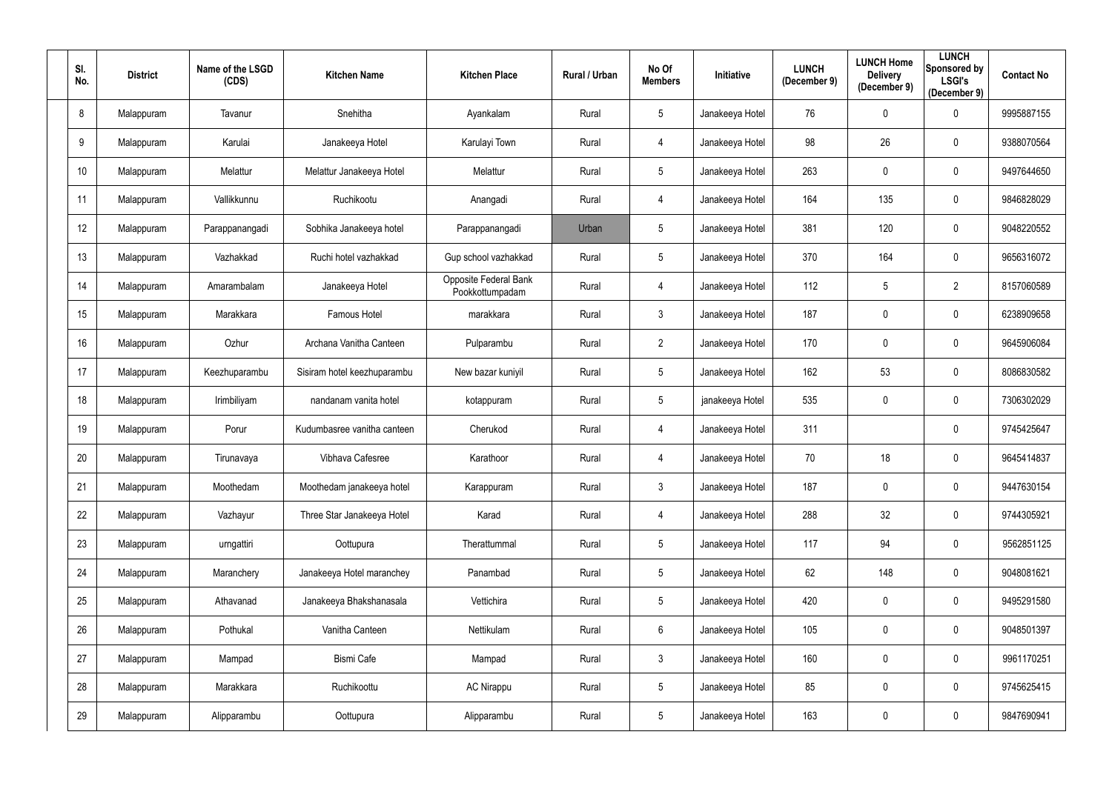| SI.<br>No.      | <b>District</b> | Name of the LSGD<br>(CDS) | <b>Kitchen Name</b>         | <b>Kitchen Place</b>                     | Rural / Urban | No Of<br><b>Members</b> | Initiative      | <b>LUNCH</b><br>(December 9) | <b>LUNCH Home</b><br><b>Delivery</b><br>(December 9) | <b>LUNCH</b><br><b>Sponsored by</b><br><b>LSGI's</b><br>(December 9) | <b>Contact No</b> |
|-----------------|-----------------|---------------------------|-----------------------------|------------------------------------------|---------------|-------------------------|-----------------|------------------------------|------------------------------------------------------|----------------------------------------------------------------------|-------------------|
| 8               | Malappuram      | Tavanur                   | Snehitha                    | Ayankalam                                | Rural         | 5                       | Janakeeya Hotel | 76                           | $\mathbf 0$                                          | 0                                                                    | 9995887155        |
| 9               | Malappuram      | Karulai                   | Janakeeya Hotel             | Karulayi Town                            | Rural         | 4                       | Janakeeya Hotel | 98                           | 26                                                   | 0                                                                    | 9388070564        |
| 10 <sup>°</sup> | Malappuram      | Melattur                  | Melattur Janakeeya Hotel    | Melattur                                 | Rural         | 5 <sup>5</sup>          | Janakeeya Hotel | 263                          | $\mathbf{0}$                                         | $\mathbf 0$                                                          | 9497644650        |
| 11              | Malappuram      | Vallikkunnu               | Ruchikootu                  | Anangadi                                 | Rural         | 4                       | Janakeeya Hotel | 164                          | 135                                                  | $\mathbf 0$                                                          | 9846828029        |
| 12              | Malappuram      | Parappanangadi            | Sobhika Janakeeya hotel     | Parappanangadi                           | Urban         | 5 <sup>5</sup>          | Janakeeya Hotel | 381                          | 120                                                  | $\mathbf 0$                                                          | 9048220552        |
| 13              | Malappuram      | Vazhakkad                 | Ruchi hotel vazhakkad       | Gup school vazhakkad                     | Rural         | 5                       | Janakeeya Hotel | 370                          | 164                                                  | 0                                                                    | 9656316072        |
| 14              | Malappuram      | Amarambalam               | Janakeeya Hotel             | Opposite Federal Bank<br>Pookkottumpadam | Rural         | 4                       | Janakeeya Hotel | 112                          | 5                                                    | $\overline{2}$                                                       | 8157060589        |
| 15              | Malappuram      | Marakkara                 | Famous Hotel                | marakkara                                | Rural         | $\mathfrak{Z}$          | Janakeeya Hotel | 187                          | $\mathbf 0$                                          | $\mathbf 0$                                                          | 6238909658        |
| 16              | Malappuram      | Ozhur                     | Archana Vanitha Canteen     | Pulparambu                               | Rural         | $2^{\circ}$             | Janakeeya Hotel | 170                          | $\mathbf 0$                                          | $\mathbf 0$                                                          | 9645906084        |
| 17              | Malappuram      | Keezhuparambu             | Sisiram hotel keezhuparambu | New bazar kuniyil                        | Rural         | 5                       | Janakeeya Hotel | 162                          | 53                                                   | $\mathbf 0$                                                          | 8086830582        |
| 18              | Malappuram      | Irimbiliyam               | nandanam vanita hotel       | kotappuram                               | Rural         | 5                       | janakeeya Hotel | 535                          | $\mathbf 0$                                          | 0                                                                    | 7306302029        |
| 19              | Malappuram      | Porur                     | Kudumbasree vanitha canteen | Cherukod                                 | Rural         | 4                       | Janakeeya Hotel | 311                          |                                                      | $\mathbf 0$                                                          | 9745425647        |
| 20              | Malappuram      | Tirunavaya                | Vibhava Cafesree            | Karathoor                                | Rural         | 4                       | Janakeeya Hotel | 70                           | 18                                                   | 0                                                                    | 9645414837        |
| 21              | Malappuram      | Moothedam                 | Moothedam janakeeya hotel   | Karappuram                               | Rural         | $\mathfrak{Z}$          | Janakeeya Hotel | 187                          | $\pmb{0}$                                            | $\bf{0}$                                                             | 9447630154        |
| 22              | Malappuram      | Vazhayur                  | Three Star Janakeeya Hotel  | Karad                                    | Rural         | $\overline{4}$          | Janakeeya Hotel | 288                          | 32                                                   | $\mathbf 0$                                                          | 9744305921        |
| 23              | Malappuram      | urngattiri                | Oottupura                   | Therattummal                             | Rural         | $5\phantom{.0}$         | Janakeeya Hotel | 117                          | 94                                                   | $\mathbf 0$                                                          | 9562851125        |
| 24              | Malappuram      | Maranchery                | Janakeeya Hotel maranchey   | Panambad                                 | Rural         | 5                       | Janakeeya Hotel | 62                           | 148                                                  | $\mathbf 0$                                                          | 9048081621        |
| 25              | Malappuram      | Athavanad                 | Janakeeya Bhakshanasala     | Vettichira                               | Rural         | $5\phantom{.0}$         | Janakeeya Hotel | 420                          | $\pmb{0}$                                            | $\mathbf 0$                                                          | 9495291580        |
| 26              | Malappuram      | Pothukal                  | Vanitha Canteen             | Nettikulam                               | Rural         | $6\overline{6}$         | Janakeeya Hotel | 105                          | $\pmb{0}$                                            | $\mathbf 0$                                                          | 9048501397        |
| 27              | Malappuram      | Mampad                    | <b>Bismi Cafe</b>           | Mampad                                   | Rural         | $\mathbf{3}$            | Janakeeya Hotel | 160                          | $\pmb{0}$                                            | $\overline{0}$                                                       | 9961170251        |
| 28              | Malappuram      | Marakkara                 | Ruchikoottu                 | <b>AC Nirappu</b>                        | Rural         | $5\phantom{.0}$         | Janakeeya Hotel | 85                           | $\pmb{0}$                                            | $\mathbf 0$                                                          | 9745625415        |
| 29              | Malappuram      | Alipparambu               | Oottupura                   | Alipparambu                              | Rural         | $5\phantom{.0}$         | Janakeeya Hotel | 163                          | $\boldsymbol{0}$                                     | $\overline{0}$                                                       | 9847690941        |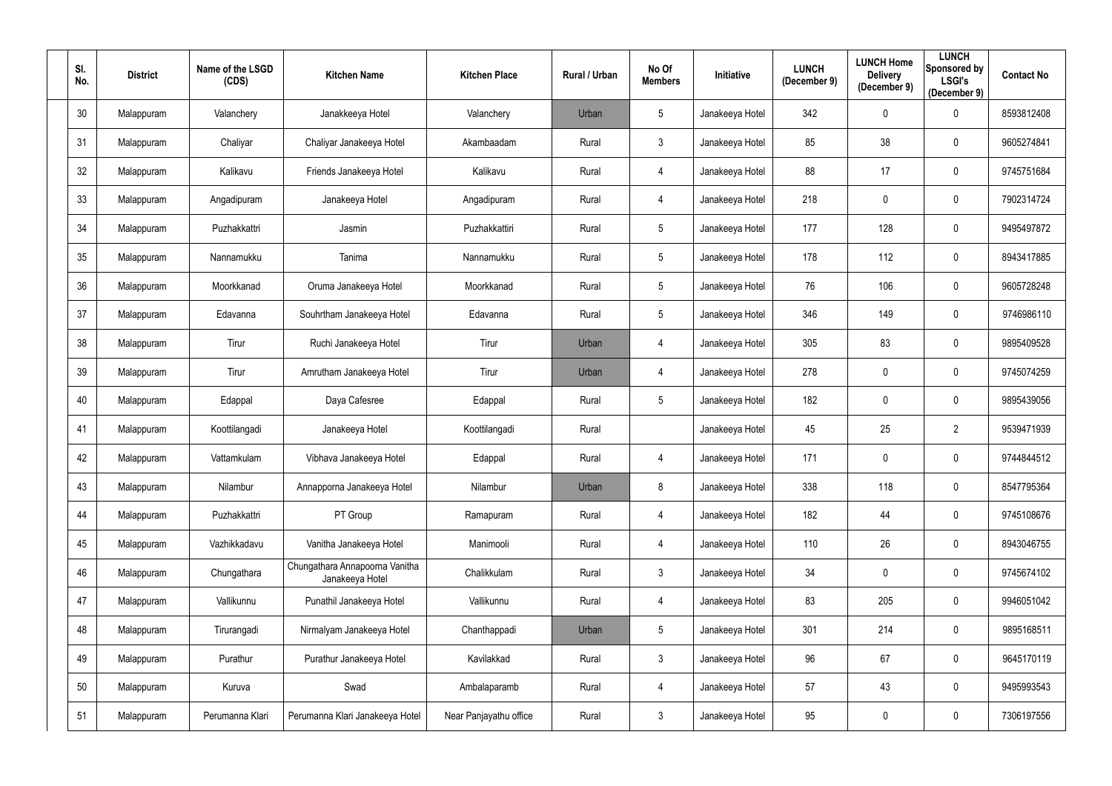| SI.<br>No. | <b>District</b> | Name of the LSGD<br>(CDS) | <b>Kitchen Name</b>                               | <b>Kitchen Place</b>   | Rural / Urban | No Of<br><b>Members</b> | Initiative      | <b>LUNCH</b><br>(December 9) | <b>LUNCH Home</b><br><b>Delivery</b><br>(December 9) | <b>LUNCH</b><br><b>Sponsored by</b><br><b>LSGI's</b><br>(December 9) | <b>Contact No</b> |
|------------|-----------------|---------------------------|---------------------------------------------------|------------------------|---------------|-------------------------|-----------------|------------------------------|------------------------------------------------------|----------------------------------------------------------------------|-------------------|
| 30         | Malappuram      | Valanchery                | Janakkeeya Hotel                                  | Valanchery             | Urban         | 5                       | Janakeeya Hotel | 342                          | $\pmb{0}$                                            | $\mathbf 0$                                                          | 8593812408        |
| 31         | Malappuram      | Chaliyar                  | Chaliyar Janakeeya Hotel                          | Akambaadam             | Rural         | 3                       | Janakeeya Hotel | 85                           | 38                                                   | 0                                                                    | 9605274841        |
| 32         | Malappuram      | Kalikavu                  | Friends Janakeeya Hotel                           | Kalikavu               | Rural         | 4                       | Janakeeya Hotel | 88                           | 17                                                   | $\mathbf 0$                                                          | 9745751684        |
| 33         | Malappuram      | Angadipuram               | Janakeeya Hotel                                   | Angadipuram            | Rural         | 4                       | Janakeeya Hotel | 218                          | $\mathbf 0$                                          | $\mathbf 0$                                                          | 7902314724        |
| 34         | Malappuram      | Puzhakkattri              | Jasmin                                            | Puzhakkattiri          | Rural         | 5 <sup>5</sup>          | Janakeeya Hotel | 177                          | 128                                                  | $\mathbf 0$                                                          | 9495497872        |
| 35         | Malappuram      | Nannamukku                | Tanima                                            | Nannamukku             | Rural         | 5 <sup>5</sup>          | Janakeeya Hotel | 178                          | 112                                                  | 0                                                                    | 8943417885        |
| 36         | Malappuram      | Moorkkanad                | Oruma Janakeeya Hotel                             | Moorkkanad             | Rural         | 5 <sup>5</sup>          | Janakeeya Hotel | 76                           | 106                                                  | $\mathbf 0$                                                          | 9605728248        |
| 37         | Malappuram      | Edavanna                  | Souhrtham Janakeeya Hotel                         | Edavanna               | Rural         | 5 <sup>5</sup>          | Janakeeya Hotel | 346                          | 149                                                  | $\mathbf 0$                                                          | 9746986110        |
| 38         | Malappuram      | Tirur                     | Ruchi Janakeeya Hotel                             | Tirur                  | Urban         | 4                       | Janakeeya Hotel | 305                          | 83                                                   | $\mathbf 0$                                                          | 9895409528        |
| 39         | Malappuram      | Tirur                     | Amrutham Janakeeya Hotel                          | Tirur                  | Urban         | 4                       | Janakeeya Hotel | 278                          | $\pmb{0}$                                            | $\mathbf 0$                                                          | 9745074259        |
| 40         | Malappuram      | Edappal                   | Daya Cafesree                                     | Edappal                | Rural         | 5 <sup>5</sup>          | Janakeeya Hotel | 182                          | $\boldsymbol{0}$                                     | $\mathbf 0$                                                          | 9895439056        |
| 41         | Malappuram      | Koottilangadi             | Janakeeya Hotel                                   | Koottilangadi          | Rural         |                         | Janakeeya Hotel | 45                           | 25                                                   | $\overline{2}$                                                       | 9539471939        |
| 42         | Malappuram      | Vattamkulam               | Vibhava Janakeeya Hotel                           | Edappal                | Rural         | 4                       | Janakeeya Hotel | 171                          | $\boldsymbol{0}$                                     | 0                                                                    | 9744844512        |
| 43         | Malappuram      | Nilambur                  | Annapporna Janakeeya Hotel                        | Nilambur               | Urban         | 8                       | Janakeeya Hotel | 338                          | 118                                                  | $\bf{0}$                                                             | 8547795364        |
| 44         | Malappuram      | Puzhakkattri              | PT Group                                          | Ramapuram              | Rural         | $\overline{4}$          | Janakeeya Hotel | 182                          | 44                                                   | $\overline{0}$                                                       | 9745108676        |
| 45         | Malappuram      | Vazhikkadavu              | Vanitha Janakeeya Hotel                           | Manimooli              | Rural         | 4                       | Janakeeya Hotel | 110                          | 26                                                   | $\mathbf 0$                                                          | 8943046755        |
| 46         | Malappuram      | Chungathara               | Chungathara Annapoorna Vanitha<br>Janakeeya Hotel | Chalikkulam            | Rural         | $\mathfrak{Z}$          | Janakeeya Hotel | 34                           | $\pmb{0}$                                            | $\mathbf 0$                                                          | 9745674102        |
| 47         | Malappuram      | Vallikunnu                | Punathil Janakeeya Hotel                          | Vallikunnu             | Rural         | $\overline{4}$          | Janakeeya Hotel | 83                           | 205                                                  | $\mathbf 0$                                                          | 9946051042        |
| 48         | Malappuram      | Tirurangadi               | Nirmalyam Janakeeya Hotel                         | Chanthappadi           | Urban         | $5\phantom{.0}$         | Janakeeya Hotel | 301                          | 214                                                  | $\mathbf 0$                                                          | 9895168511        |
| 49         | Malappuram      | Purathur                  | Purathur Janakeeya Hotel                          | Kavilakkad             | Rural         | $\mathbf{3}$            | Janakeeya Hotel | 96                           | 67                                                   | $\mathbf 0$                                                          | 9645170119        |
| 50         | Malappuram      | Kuruva                    | Swad                                              | Ambalaparamb           | Rural         | $\overline{4}$          | Janakeeya Hotel | 57                           | 43                                                   | $\mathbf 0$                                                          | 9495993543        |
| 51         | Malappuram      | Perumanna Klari           | Perumanna Klari Janakeeya Hotel                   | Near Panjayathu office | Rural         | $\mathfrak{Z}$          | Janakeeya Hotel | 95                           | $\boldsymbol{0}$                                     | $\bf{0}$                                                             | 7306197556        |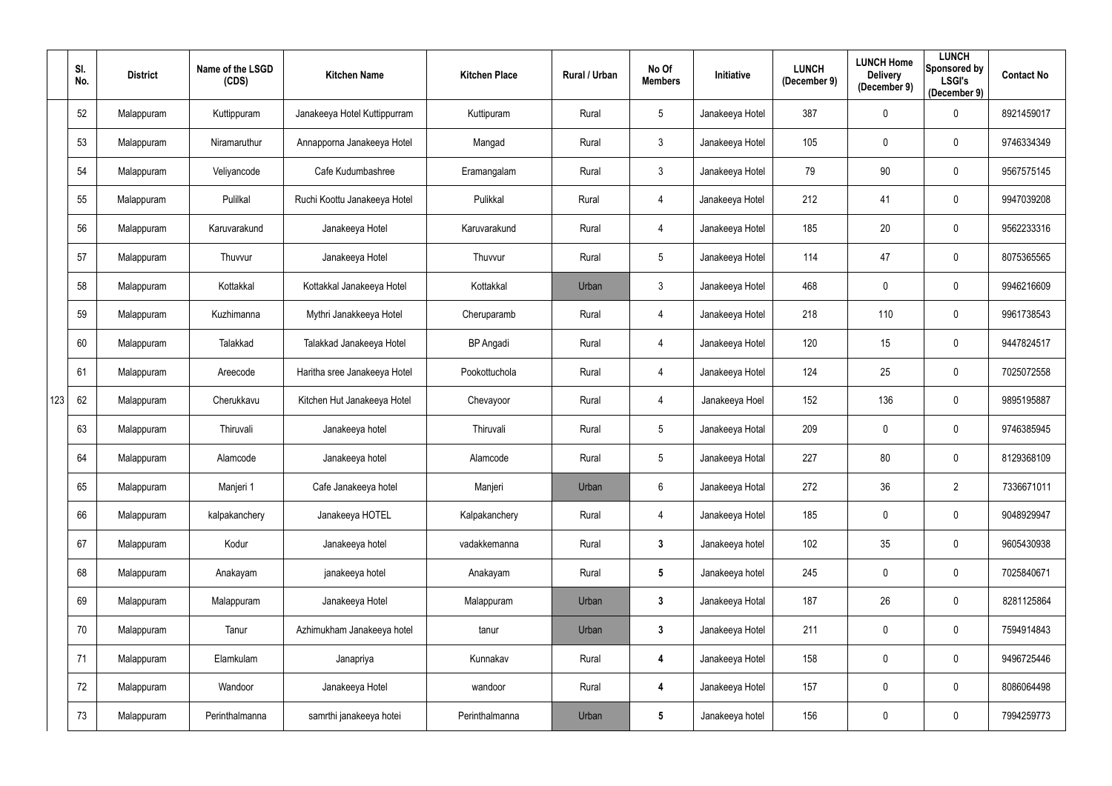|     | SI.<br>No. | <b>District</b> | Name of the LSGD<br>(CDS) | <b>Kitchen Name</b>          | <b>Kitchen Place</b> | Rural / Urban | No Of<br><b>Members</b> | Initiative      | <b>LUNCH</b><br>(December 9) | <b>LUNCH Home</b><br><b>Delivery</b><br>(December 9) | <b>LUNCH</b><br>Sponsored by<br><b>LSGI's</b><br>(December 9) | <b>Contact No</b> |
|-----|------------|-----------------|---------------------------|------------------------------|----------------------|---------------|-------------------------|-----------------|------------------------------|------------------------------------------------------|---------------------------------------------------------------|-------------------|
|     | 52         | Malappuram      | Kuttippuram               | Janakeeya Hotel Kuttippurram | Kuttipuram           | Rural         | $5\phantom{.0}$         | Janakeeya Hotel | 387                          | $\overline{0}$                                       | $\mathbf 0$                                                   | 8921459017        |
|     | 53         | Malappuram      | Niramaruthur              | Annapporna Janakeeya Hotel   | Mangad               | Rural         | $\mathfrak{Z}$          | Janakeeya Hotel | 105                          | $\mathbf 0$                                          | $\mathbf 0$                                                   | 9746334349        |
|     | 54         | Malappuram      | Veliyancode               | Cafe Kudumbashree            | Eramangalam          | Rural         | $\mathfrak{Z}$          | Janakeeya Hotel | 79                           | 90                                                   | $\overline{0}$                                                | 9567575145        |
|     | 55         | Malappuram      | Pulilkal                  | Ruchi Koottu Janakeeya Hotel | Pulikkal             | Rural         | 4                       | Janakeeya Hotel | 212                          | 41                                                   | $\mathbf 0$                                                   | 9947039208        |
|     | 56         | Malappuram      | Karuvarakund              | Janakeeya Hotel              | Karuvarakund         | Rural         | 4                       | Janakeeya Hotel | 185                          | 20                                                   | $\overline{0}$                                                | 9562233316        |
|     | 57         | Malappuram      | Thuvvur                   | Janakeeya Hotel              | Thuvvur              | Rural         | $5\phantom{.0}$         | Janakeeya Hotel | 114                          | 47                                                   | $\mathbf 0$                                                   | 8075365565        |
|     | 58         | Malappuram      | Kottakkal                 | Kottakkal Janakeeya Hotel    | Kottakkal            | Urban         | $\mathfrak{Z}$          | Janakeeya Hotel | 468                          | $\mathbf 0$                                          | $\mathbf 0$                                                   | 9946216609        |
|     | 59         | Malappuram      | Kuzhimanna                | Mythri Janakkeeya Hotel      | Cheruparamb          | Rural         | 4                       | Janakeeya Hotel | 218                          | 110                                                  | $\mathbf 0$                                                   | 9961738543        |
|     | 60         | Malappuram      | Talakkad                  | Talakkad Janakeeya Hotel     | <b>BP</b> Angadi     | Rural         | 4                       | Janakeeya Hotel | 120                          | 15                                                   | $\mathbf 0$                                                   | 9447824517        |
|     | 61         | Malappuram      | Areecode                  | Haritha sree Janakeeya Hotel | Pookottuchola        | Rural         | 4                       | Janakeeya Hotel | 124                          | 25                                                   | $\mathbf 0$                                                   | 7025072558        |
| 123 | 62         | Malappuram      | Cherukkavu                | Kitchen Hut Janakeeya Hotel  | Chevayoor            | Rural         | 4                       | Janakeeya Hoel  | 152                          | 136                                                  | $\mathbf 0$                                                   | 9895195887        |
|     | 63         | Malappuram      | Thiruvali                 | Janakeeya hotel              | Thiruvali            | Rural         | $5\phantom{.0}$         | Janakeeya Hotal | 209                          | $\overline{0}$                                       | $\overline{0}$                                                | 9746385945        |
|     | 64         | Malappuram      | Alamcode                  | Janakeeya hotel              | Alamcode             | Rural         | $5\phantom{.0}$         | Janakeeya Hotal | 227                          | 80                                                   | $\mathbf 0$                                                   | 8129368109        |
|     | 65         | Malappuram      | Manjeri 1                 | Cafe Janakeeya hotel         | Manjeri              | Urban         | $6\phantom{.0}$         | Janakeeya Hotal | 272                          | 36                                                   | $\overline{2}$                                                | 7336671011        |
|     | 66         | Malappuram      | kalpakanchery             | Janakeeya HOTEL              | Kalpakanchery        | Rural         | 4                       | Janakeeya Hotel | 185                          | $\mathbf 0$                                          | $\overline{0}$                                                | 9048929947        |
|     | 67         | Malappuram      | Kodur                     | Janakeeya hotel              | vadakkemanna         | Rural         | 3 <sup>1</sup>          | Janakeeya hotel | 102                          | 35                                                   | $\overline{0}$                                                | 9605430938        |
|     | 68         | Malappuram      | Anakayam                  | janakeeya hotel              | Anakayam             | Rural         | $5\phantom{.0}$         | Janakeeya hotel | 245                          | $\mathbf 0$                                          | $\mathbf 0$                                                   | 7025840671        |
|     | 69         | Malappuram      | Malappuram                | Janakeeya Hotel              | Malappuram           | Urban         | $\mathbf{3}$            | Janakeeya Hotal | 187                          | 26                                                   | $\mathbf 0$                                                   | 8281125864        |
|     | 70         | Malappuram      | Tanur                     | Azhimukham Janakeeya hotel   | tanur                | Urban         | $\mathbf{3}$            | Janakeeya Hotel | 211                          | $\mathbf 0$                                          | $\overline{0}$                                                | 7594914843        |
|     | 71         | Malappuram      | Elamkulam                 | Janapriya                    | Kunnakav             | Rural         | 4                       | Janakeeya Hotel | 158                          | $\mathbf 0$                                          | $\mathbf 0$                                                   | 9496725446        |
|     | 72         | Malappuram      | Wandoor                   | Janakeeya Hotel              | wandoor              | Rural         | 4                       | Janakeeya Hotel | 157                          | $\overline{0}$                                       | $\mathbf 0$                                                   | 8086064498        |
|     | 73         | Malappuram      | Perinthalmanna            | samrthi janakeeya hotei      | Perinthalmanna       | Urban         | $5\phantom{.0}$         | Janakeeya hotel | 156                          | $\boldsymbol{0}$                                     | $\mathbf 0$                                                   | 7994259773        |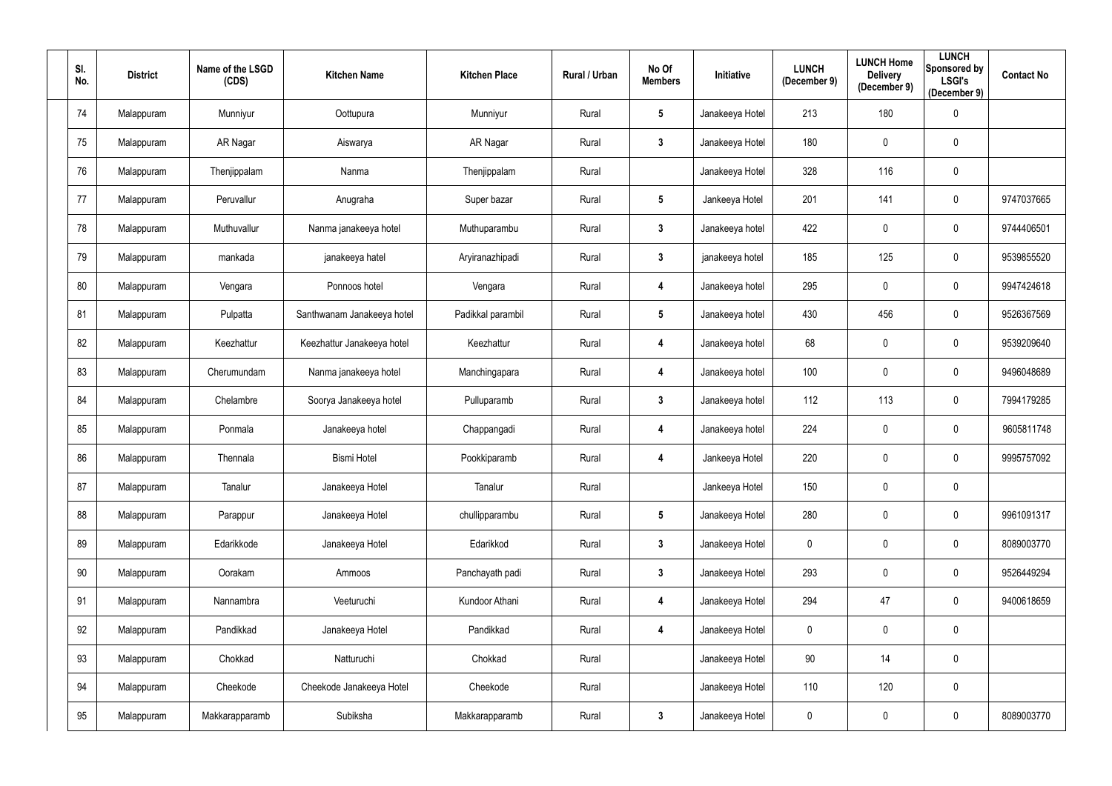| SI.<br>No. | <b>District</b> | Name of the LSGD<br>(CDS) | <b>Kitchen Name</b>        | <b>Kitchen Place</b> | Rural / Urban | No Of<br><b>Members</b> | Initiative      | <b>LUNCH</b><br>(December 9) | <b>LUNCH Home</b><br><b>Delivery</b><br>(December 9) | <b>LUNCH</b><br>Sponsored by<br><b>LSGI's</b><br>(December 9) | <b>Contact No</b> |
|------------|-----------------|---------------------------|----------------------------|----------------------|---------------|-------------------------|-----------------|------------------------------|------------------------------------------------------|---------------------------------------------------------------|-------------------|
| 74         | Malappuram      | Munniyur                  | Oottupura                  | Munniyur             | Rural         | $5\phantom{.0}$         | Janakeeya Hotel | 213                          | 180                                                  | $\overline{0}$                                                |                   |
| 75         | Malappuram      | AR Nagar                  | Aiswarya                   | AR Nagar             | Rural         | $\mathbf{3}$            | Janakeeya Hotel | 180                          | $\overline{0}$                                       | $\overline{0}$                                                |                   |
| 76         | Malappuram      | Thenjippalam              | Nanma                      | Thenjippalam         | Rural         |                         | Janakeeya Hotel | 328                          | 116                                                  | $\mathbf 0$                                                   |                   |
| 77         | Malappuram      | Peruvallur                | Anugraha                   | Super bazar          | Rural         | $5\phantom{.0}$         | Jankeeya Hotel  | 201                          | 141                                                  | $\overline{0}$                                                | 9747037665        |
| 78         | Malappuram      | Muthuvallur               | Nanma janakeeya hotel      | Muthuparambu         | Rural         | $\mathbf{3}$            | Janakeeya hotel | 422                          | $\overline{0}$                                       | $\overline{0}$                                                | 9744406501        |
| 79         | Malappuram      | mankada                   | janakeeya hatel            | Aryiranazhipadi      | Rural         | $\mathbf{3}$            | janakeeya hotel | 185                          | 125                                                  | $\overline{0}$                                                | 9539855520        |
| 80         | Malappuram      | Vengara                   | Ponnoos hotel              | Vengara              | Rural         | 4                       | Janakeeya hotel | 295                          | $\mathbf 0$                                          | $\overline{0}$                                                | 9947424618        |
| 81         | Malappuram      | Pulpatta                  | Santhwanam Janakeeya hotel | Padikkal parambil    | Rural         | $5\phantom{.0}$         | Janakeeya hotel | 430                          | 456                                                  | $\overline{0}$                                                | 9526367569        |
| 82         | Malappuram      | Keezhattur                | Keezhattur Janakeeya hotel | Keezhattur           | Rural         | 4                       | Janakeeya hotel | 68                           | $\overline{0}$                                       | $\mathbf 0$                                                   | 9539209640        |
| 83         | Malappuram      | Cherumundam               | Nanma janakeeya hotel      | Manchingapara        | Rural         | 4                       | Janakeeya hotel | 100                          | $\mathbf 0$                                          | $\overline{0}$                                                | 9496048689        |
| 84         | Malappuram      | Chelambre                 | Soorya Janakeeya hotel     | Pulluparamb          | Rural         | $\mathbf{3}$            | Janakeeya hotel | 112                          | 113                                                  | $\overline{0}$                                                | 7994179285        |
| 85         | Malappuram      | Ponmala                   | Janakeeya hotel            | Chappangadi          | Rural         | 4                       | Janakeeya hotel | 224                          | $\overline{0}$                                       | $\overline{0}$                                                | 9605811748        |
| 86         | Malappuram      | Thennala                  | <b>Bismi Hotel</b>         | Pookkiparamb         | Rural         | 4                       | Jankeeya Hotel  | 220                          | $\pmb{0}$                                            | $\mathbf 0$                                                   | 9995757092        |
| 87         | Malappuram      | Tanalur                   | Janakeeya Hotel            | Tanalur              | Rural         |                         | Jankeeya Hotel  | 150                          | $\mathbf 0$                                          | $\overline{0}$                                                |                   |
| 88         | Malappuram      | Parappur                  | Janakeeya Hotel            | chullipparambu       | Rural         | $5\phantom{.0}$         | Janakeeya Hotel | 280                          | $\mathbf 0$                                          | $\mathbf 0$                                                   | 9961091317        |
| 89         | Malappuram      | Edarikkode                | Janakeeya Hotel            | Edarikkod            | Rural         | $3\phantom{a}$          | Janakeeya Hotel | $\mathbf 0$                  | $\mathbf 0$                                          | $\mathbf 0$                                                   | 8089003770        |
| $90\,$     | Malappuram      | Oorakam                   | Ammoos                     | Panchayath padi      | Rural         | $3\phantom{a}$          | Janakeeya Hotel | 293                          | $\mathbf 0$                                          | $\mathbf 0$                                                   | 9526449294        |
| 91         | Malappuram      | Nannambra                 | Veeturuchi                 | Kundoor Athani       | Rural         | 4                       | Janakeeya Hotel | 294                          | 47                                                   | $\mathbf 0$                                                   | 9400618659        |
| 92         | Malappuram      | Pandikkad                 | Janakeeya Hotel            | Pandikkad            | Rural         | 4                       | Janakeeya Hotel | $\mathbf 0$                  | $\mathbf 0$                                          | $\overline{0}$                                                |                   |
| 93         | Malappuram      | Chokkad                   | Natturuchi                 | Chokkad              | Rural         |                         | Janakeeya Hotel | 90                           | 14                                                   | $\mathbf 0$                                                   |                   |
| 94         | Malappuram      | Cheekode                  | Cheekode Janakeeya Hotel   | Cheekode             | Rural         |                         | Janakeeya Hotel | 110                          | 120                                                  | $\mathbf 0$                                                   |                   |
| 95         | Malappuram      | Makkarapparamb            | Subiksha                   | Makkarapparamb       | Rural         | $\mathbf{3}$            | Janakeeya Hotel | 0                            | $\pmb{0}$                                            | $\boldsymbol{0}$                                              | 8089003770        |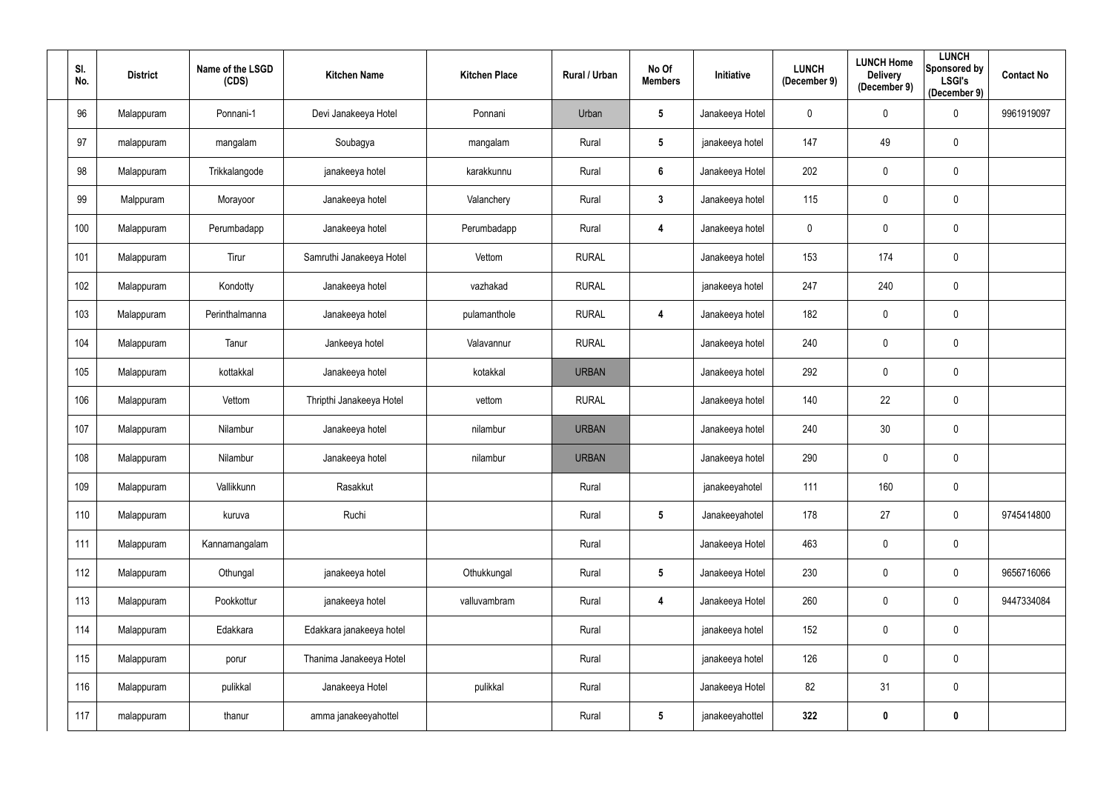| SI.<br>No. | <b>District</b> | Name of the LSGD<br>(CDS) | <b>Kitchen Name</b>      | <b>Kitchen Place</b> | Rural / Urban | No Of<br><b>Members</b> | Initiative      | <b>LUNCH</b><br>(December 9) | <b>LUNCH Home</b><br><b>Delivery</b><br>(December 9) | <b>LUNCH</b><br><b>Sponsored by</b><br><b>LSGI's</b><br>(December 9) | <b>Contact No</b> |
|------------|-----------------|---------------------------|--------------------------|----------------------|---------------|-------------------------|-----------------|------------------------------|------------------------------------------------------|----------------------------------------------------------------------|-------------------|
| 96         | Malappuram      | Ponnani-1                 | Devi Janakeeya Hotel     | Ponnani              | Urban         | $5\phantom{.0}$         | Janakeeya Hotel | $\mathbf{0}$                 | $\pmb{0}$                                            | $\mathbf 0$                                                          | 9961919097        |
| 97         | malappuram      | mangalam                  | Soubagya                 | mangalam             | Rural         | $5\phantom{.0}$         | janakeeya hotel | 147                          | 49                                                   | $\mathbf 0$                                                          |                   |
| 98         | Malappuram      | Trikkalangode             | janakeeya hotel          | karakkunnu           | Rural         | $6\phantom{1}$          | Janakeeya Hotel | 202                          | $\pmb{0}$                                            | $\mathbf 0$                                                          |                   |
| 99         | Malppuram       | Morayoor                  | Janakeeya hotel          | Valanchery           | Rural         | $3\phantom{.0}$         | Janakeeya hotel | 115                          | $\pmb{0}$                                            | $\mathbf 0$                                                          |                   |
| 100        | Malappuram      | Perumbadapp               | Janakeeya hotel          | Perumbadapp          | Rural         | 4                       | Janakeeya hotel | 0                            | $\pmb{0}$                                            | $\mathbf 0$                                                          |                   |
| 101        | Malappuram      | Tirur                     | Samruthi Janakeeya Hotel | Vettom               | <b>RURAL</b>  |                         | Janakeeya hotel | 153                          | 174                                                  | $\overline{0}$                                                       |                   |
| 102        | Malappuram      | Kondotty                  | Janakeeya hotel          | vazhakad             | <b>RURAL</b>  |                         | janakeeya hotel | 247                          | 240                                                  | $\mathbf 0$                                                          |                   |
| 103        | Malappuram      | Perinthalmanna            | Janakeeya hotel          | pulamanthole         | <b>RURAL</b>  | 4                       | Janakeeya hotel | 182                          | $\pmb{0}$                                            | $\overline{0}$                                                       |                   |
| 104        | Malappuram      | Tanur                     | Jankeeya hotel           | Valavannur           | <b>RURAL</b>  |                         | Janakeeya hotel | 240                          | $\pmb{0}$                                            | $\mathbf 0$                                                          |                   |
| 105        | Malappuram      | kottakkal                 | Janakeeya hotel          | kotakkal             | <b>URBAN</b>  |                         | Janakeeya hotel | 292                          | $\pmb{0}$                                            | $\mathbf 0$                                                          |                   |
| 106        | Malappuram      | Vettom                    | Thripthi Janakeeya Hotel | vettom               | <b>RURAL</b>  |                         | Janakeeya hotel | 140                          | 22                                                   | $\mathbf 0$                                                          |                   |
| 107        | Malappuram      | Nilambur                  | Janakeeya hotel          | nilambur             | <b>URBAN</b>  |                         | Janakeeya hotel | 240                          | 30                                                   | $\mathbf 0$                                                          |                   |
| 108        | Malappuram      | Nilambur                  | Janakeeya hotel          | nilambur             | <b>URBAN</b>  |                         | Janakeeya hotel | 290                          | $\pmb{0}$                                            | $\mathbf 0$                                                          |                   |
| 109        | Malappuram      | Vallikkunn                | Rasakkut                 |                      | Rural         |                         | janakeeyahotel  | 111                          | 160                                                  | $\mathbf 0$                                                          |                   |
| 110        | Malappuram      | kuruva                    | Ruchi                    |                      | Rural         | $5\phantom{.0}$         | Janakeeyahotel  | 178                          | 27                                                   | $\mathbf 0$                                                          | 9745414800        |
| 111        | Malappuram      | Kannamangalam             |                          |                      | Rural         |                         | Janakeeya Hotel | 463                          | $\pmb{0}$                                            | $\mathbf 0$                                                          |                   |
| 112        | Malappuram      | Othungal                  | janakeeya hotel          | Othukkungal          | Rural         | $5\phantom{.0}$         | Janakeeya Hotel | 230                          | $\pmb{0}$                                            | $\mathbf 0$                                                          | 9656716066        |
| 113        | Malappuram      | Pookkottur                | janakeeya hotel          | valluvambram         | Rural         | 4                       | Janakeeya Hotel | 260                          | $\pmb{0}$                                            | $\mathbf 0$                                                          | 9447334084        |
| 114        | Malappuram      | Edakkara                  | Edakkara janakeeya hotel |                      | Rural         |                         | janakeeya hotel | 152                          | $\pmb{0}$                                            | $\mathbf 0$                                                          |                   |
| 115        | Malappuram      | porur                     | Thanima Janakeeya Hotel  |                      | Rural         |                         | janakeeya hotel | 126                          | $\pmb{0}$                                            | $\mathbf 0$                                                          |                   |
| 116        | Malappuram      | pulikkal                  | Janakeeya Hotel          | pulikkal             | Rural         |                         | Janakeeya Hotel | 82                           | 31                                                   | $\mathbf 0$                                                          |                   |
| 117        | malappuram      | thanur                    | amma janakeeyahottel     |                      | Rural         | $5\phantom{.0}$         | janakeeyahottel | 322                          | $\boldsymbol{0}$                                     | $\boldsymbol{0}$                                                     |                   |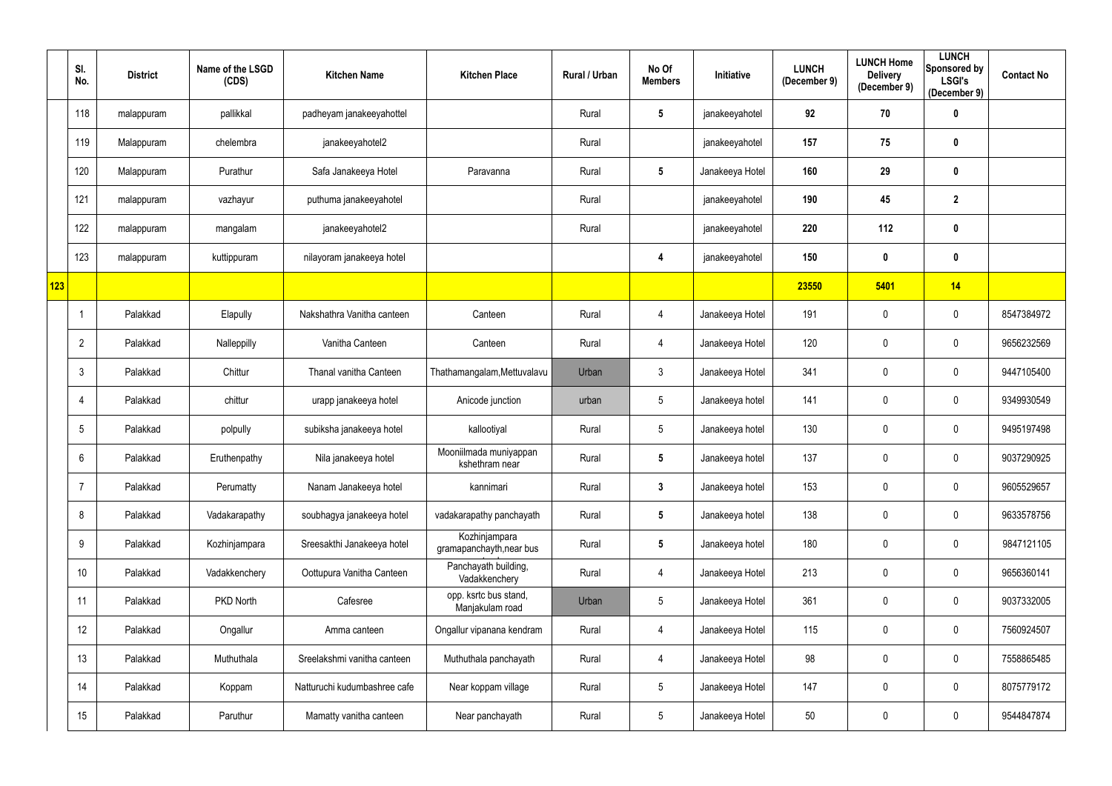|     | SI.<br>No.      | <b>District</b> | Name of the LSGD<br>(CDS) | <b>Kitchen Name</b>          | <b>Kitchen Place</b>                      | Rural / Urban | No Of<br><b>Members</b> | Initiative      | <b>LUNCH</b><br>(December 9) | <b>LUNCH Home</b><br><b>Delivery</b><br>(December 9) | <b>LUNCH</b><br>Sponsored by<br><b>LSGI's</b><br>(December 9) | <b>Contact No</b> |
|-----|-----------------|-----------------|---------------------------|------------------------------|-------------------------------------------|---------------|-------------------------|-----------------|------------------------------|------------------------------------------------------|---------------------------------------------------------------|-------------------|
|     | 118             | malappuram      | pallikkal                 | padheyam janakeeyahottel     |                                           | Rural         | $5\phantom{.0}$         | janakeeyahotel  | 92                           | 70                                                   | $\boldsymbol{0}$                                              |                   |
|     | 119             | Malappuram      | chelembra                 | janakeeyahotel2              |                                           | Rural         |                         | janakeeyahotel  | 157                          | 75                                                   | $\boldsymbol{0}$                                              |                   |
|     | 120             | Malappuram      | Purathur                  | Safa Janakeeya Hotel         | Paravanna                                 | Rural         | $5\phantom{.0}$         | Janakeeya Hotel | 160                          | 29                                                   | $\mathbf 0$                                                   |                   |
|     | 121             | malappuram      | vazhayur                  | puthuma janakeeyahotel       |                                           | Rural         |                         | janakeeyahotel  | 190                          | 45                                                   | $\boldsymbol{2}$                                              |                   |
|     | 122             | malappuram      | mangalam                  | janakeeyahotel2              |                                           | Rural         |                         | janakeeyahotel  | 220                          | 112                                                  | $\mathbf 0$                                                   |                   |
|     | 123             | malappuram      | kuttippuram               | nilayoram janakeeya hotel    |                                           |               | 4                       | janakeeyahotel  | 150                          | $\mathbf 0$                                          | $\mathbf 0$                                                   |                   |
| 123 |                 |                 |                           |                              |                                           |               |                         |                 | 23550                        | 5401                                                 | 14                                                            |                   |
|     | -1              | Palakkad        | Elapully                  | Nakshathra Vanitha canteen   | Canteen                                   | Rural         | 4                       | Janakeeya Hotel | 191                          | $\mathbf 0$                                          | $\mathbf 0$                                                   | 8547384972        |
|     | $\overline{2}$  | Palakkad        | Nalleppilly               | Vanitha Canteen              | Canteen                                   | Rural         | 4                       | Janakeeya Hotel | 120                          | $\mathbf 0$                                          | $\mathbf 0$                                                   | 9656232569        |
|     | $\mathbf{3}$    | Palakkad        | Chittur                   | Thanal vanitha Canteen       | Thathamangalam, Mettuvalavu               | Urban         | $\mathbf{3}$            | Janakeeya Hotel | 341                          | $\mathbf 0$                                          | $\mathbf 0$                                                   | 9447105400        |
|     | 4               | Palakkad        | chittur                   | urapp janakeeya hotel        | Anicode junction                          | urban         | $5\phantom{.0}$         | Janakeeya hotel | 141                          | $\mathbf 0$                                          | $\mathbf 0$                                                   | 9349930549        |
|     | 5               | Palakkad        | polpully                  | subiksha janakeeya hotel     | kallootiyal                               | Rural         | $5\phantom{.0}$         | Janakeeya hotel | 130                          | $\mathbf 0$                                          | $\mathbf 0$                                                   | 9495197498        |
|     | 6               | Palakkad        | Eruthenpathy              | Nila janakeeya hotel         | Mooniilmada muniyappan<br>kshethram near  | Rural         | $5\phantom{.0}$         | Janakeeya hotel | 137                          | $\mathbf 0$                                          | $\mathbf 0$                                                   | 9037290925        |
|     | 7               | Palakkad        | Perumatty                 | Nanam Janakeeya hotel        | kannimari                                 | Rural         | $\mathbf{3}$            | Janakeeya hotel | 153                          | $\mathbf 0$                                          | $\mathbf 0$                                                   | 9605529657        |
|     | 8               | Palakkad        | Vadakarapathy             | soubhagya janakeeya hotel    | vadakarapathy panchayath                  | Rural         | $5\phantom{.0}$         | Janakeeya hotel | 138                          | $\mathbf 0$                                          | $\overline{0}$                                                | 9633578756        |
|     | 9               | Palakkad        | Kozhinjampara             | Sreesakthi Janakeeya hotel   | Kozhinjampara<br>gramapanchayth, near bus | Rural         | $5\phantom{.0}$         | Janakeeya hotel | 180                          | $\mathbf 0$                                          | $\overline{0}$                                                | 9847121105        |
|     | 10 <sup>°</sup> | Palakkad        | Vadakkenchery             | Oottupura Vanitha Canteen    | Panchayath building,<br>Vadakkenchery     | Rural         | 4                       | Janakeeya Hotel | 213                          | $\mathbf 0$                                          | $\overline{0}$                                                | 9656360141        |
|     | 11              | Palakkad        | PKD North                 | Cafesree                     | opp. ksrtc bus stand,<br>Manjakulam road  | Urban         | 5                       | Janakeeya Hotel | 361                          | $\mathbf 0$                                          | $\overline{0}$                                                | 9037332005        |
|     | 12              | Palakkad        | Ongallur                  | Amma canteen                 | Ongallur vipanana kendram                 | Rural         | 4                       | Janakeeya Hotel | 115                          | $\mathbf 0$                                          | $\overline{0}$                                                | 7560924507        |
|     | 13              | Palakkad        | Muthuthala                | Sreelakshmi vanitha canteen  | Muthuthala panchayath                     | Rural         | 4                       | Janakeeya Hotel | 98                           | $\mathbf 0$                                          | $\overline{0}$                                                | 7558865485        |
|     | 14              | Palakkad        | Koppam                    | Natturuchi kudumbashree cafe | Near koppam village                       | Rural         | $\sqrt{5}$              | Janakeeya Hotel | 147                          | $\pmb{0}$                                            | $\mathbf 0$                                                   | 8075779172        |
|     | 15              | Palakkad        | Paruthur                  | Mamatty vanitha canteen      | Near panchayath                           | Rural         | $\sqrt{5}$              | Janakeeya Hotel | 50                           | $\mathbf 0$                                          | $\mathbf 0$                                                   | 9544847874        |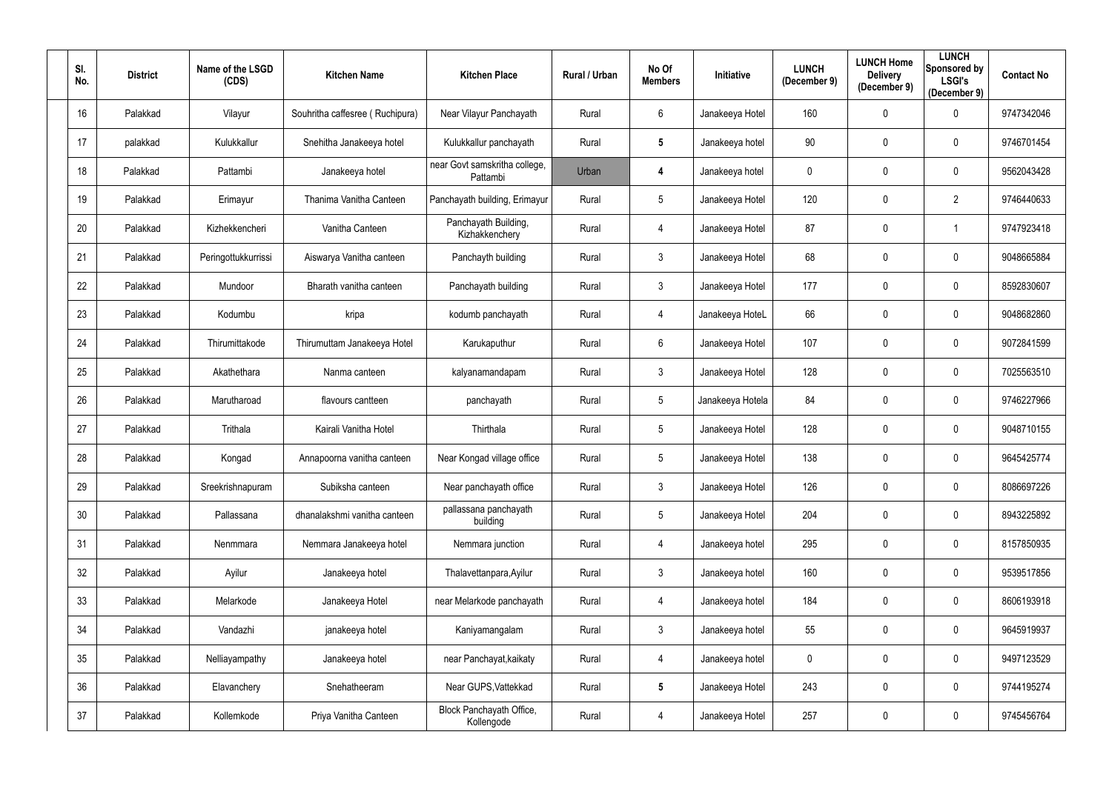| SI.<br>No. | <b>District</b> | Name of the LSGD<br>(CDS) | <b>Kitchen Name</b>             | <b>Kitchen Place</b>                      | <b>Rural / Urban</b> | No Of<br><b>Members</b> | Initiative       | <b>LUNCH</b><br>(December 9) | <b>LUNCH Home</b><br><b>Delivery</b><br>(December 9) | <b>LUNCH</b><br>Sponsored by<br><b>LSGI's</b><br>(December 9) | <b>Contact No</b> |
|------------|-----------------|---------------------------|---------------------------------|-------------------------------------------|----------------------|-------------------------|------------------|------------------------------|------------------------------------------------------|---------------------------------------------------------------|-------------------|
| 16         | Palakkad        | Vilayur                   | Souhritha caffesree (Ruchipura) | Near Vilayur Panchayath                   | Rural                | 6                       | Janakeeya Hotel  | 160                          | $\mathbf 0$                                          | $\mathbf 0$                                                   | 9747342046        |
| 17         | palakkad        | Kulukkallur               | Snehitha Janakeeya hotel        | Kulukkallur panchayath                    | Rural                | $5\phantom{.0}$         | Janakeeya hotel  | 90                           | $\mathbf 0$                                          | $\mathbf 0$                                                   | 9746701454        |
| 18         | Palakkad        | Pattambi                  | Janakeeya hotel                 | near Govt samskritha college,<br>Pattambi | Urban                | 4                       | Janakeeya hotel  | 0                            | $\pmb{0}$                                            | $\mathbf 0$                                                   | 9562043428        |
| 19         | Palakkad        | Erimayur                  | Thanima Vanitha Canteen         | Panchayath building, Erimayur             | Rural                | 5                       | Janakeeya Hotel  | 120                          | $\mathbf 0$                                          | $\overline{2}$                                                | 9746440633        |
| 20         | Palakkad        | Kizhekkencheri            | Vanitha Canteen                 | Panchayath Building,<br>Kizhakkenchery    | Rural                | 4                       | Janakeeya Hotel  | 87                           | $\mathbf 0$                                          |                                                               | 9747923418        |
| 21         | Palakkad        | Peringottukkurrissi       | Aiswarya Vanitha canteen        | Panchayth building                        | Rural                | $\mathfrak{Z}$          | Janakeeya Hotel  | 68                           | $\mathbf 0$                                          | $\boldsymbol{0}$                                              | 9048665884        |
| 22         | Palakkad        | Mundoor                   | Bharath vanitha canteen         | Panchayath building                       | Rural                | $\mathfrak{Z}$          | Janakeeya Hotel  | 177                          | $\mathbf{0}$                                         | $\mathbf 0$                                                   | 8592830607        |
| 23         | Palakkad        | Kodumbu                   | kripa                           | kodumb panchayath                         | Rural                | 4                       | Janakeeya HoteL  | 66                           | $\mathbf 0$                                          | $\mathbf 0$                                                   | 9048682860        |
| 24         | Palakkad        | Thirumittakode            | Thirumuttam Janakeeya Hotel     | Karukaputhur                              | Rural                | 6                       | Janakeeya Hotel  | 107                          | $\mathbf 0$                                          | $\mathbf 0$                                                   | 9072841599        |
| 25         | Palakkad        | Akathethara               | Nanma canteen                   | kalyanamandapam                           | Rural                | $\mathfrak{Z}$          | Janakeeya Hotel  | 128                          | $\mathbf 0$                                          | $\mathbf 0$                                                   | 7025563510        |
| 26         | Palakkad        | Marutharoad               | flavours cantteen               | panchayath                                | Rural                | $5\phantom{.0}$         | Janakeeya Hotela | 84                           | $\mathbf 0$                                          | $\mathbf 0$                                                   | 9746227966        |
| 27         | Palakkad        | Trithala                  | Kairali Vanitha Hotel           | Thirthala                                 | Rural                | 5                       | Janakeeya Hotel  | 128                          | $\mathbf 0$                                          | $\mathbf 0$                                                   | 9048710155        |
| 28         | Palakkad        | Kongad                    | Annapoorna vanitha canteen      | Near Kongad village office                | Rural                | $5\overline{)}$         | Janakeeya Hotel  | 138                          | $\mathbf 0$                                          | 0                                                             | 9645425774        |
| 29         | Palakkad        | Sreekrishnapuram          | Subiksha canteen                | Near panchayath office                    | Rural                | $\mathfrak{Z}$          | Janakeeya Hotel  | 126                          | $\mathbf 0$                                          | $\mathbf 0$                                                   | 8086697226        |
| 30         | Palakkad        | Pallassana                | dhanalakshmi vanitha canteen    | pallassana panchayath<br>building         | Rural                | 5                       | Janakeeya Hotel  | 204                          | $\pmb{0}$                                            | $\overline{0}$                                                | 8943225892        |
| 31         | Palakkad        | Nenmmara                  | Nemmara Janakeeya hotel         | Nemmara junction                          | Rural                | $\overline{4}$          | Janakeeya hotel  | 295                          | $\mathbf 0$                                          | $\overline{0}$                                                | 8157850935        |
| 32         | Palakkad        | Ayilur                    | Janakeeya hotel                 | Thalavettanpara, Ayilur                   | Rural                | $\mathfrak{Z}$          | Janakeeya hotel  | 160                          | $\pmb{0}$                                            | $\overline{0}$                                                | 9539517856        |
| 33         | Palakkad        | Melarkode                 | Janakeeya Hotel                 | near Melarkode panchayath                 | Rural                | 4                       | Janakeeya hotel  | 184                          | $\pmb{0}$                                            | $\overline{0}$                                                | 8606193918        |
| 34         | Palakkad        | Vandazhi                  | janakeeya hotel                 | Kaniyamangalam                            | Rural                | $\mathfrak{Z}$          | Janakeeya hotel  | 55                           | $\pmb{0}$                                            | $\overline{0}$                                                | 9645919937        |
| 35         | Palakkad        | Nelliayampathy            | Janakeeya hotel                 | near Panchayat, kaikaty                   | Rural                | 4                       | Janakeeya hotel  | 0                            | $\pmb{0}$                                            | $\mathbf 0$                                                   | 9497123529        |
| 36         | Palakkad        | Elavanchery               | Snehatheeram                    | Near GUPS, Vattekkad                      | Rural                | $5\phantom{.0}$         | Janakeeya Hotel  | 243                          | $\pmb{0}$                                            | $\overline{0}$                                                | 9744195274        |
| 37         | Palakkad        | Kollemkode                | Priya Vanitha Canteen           | Block Panchayath Office,<br>Kollengode    | Rural                | 4                       | Janakeeya Hotel  | 257                          | $\boldsymbol{0}$                                     | $\overline{0}$                                                | 9745456764        |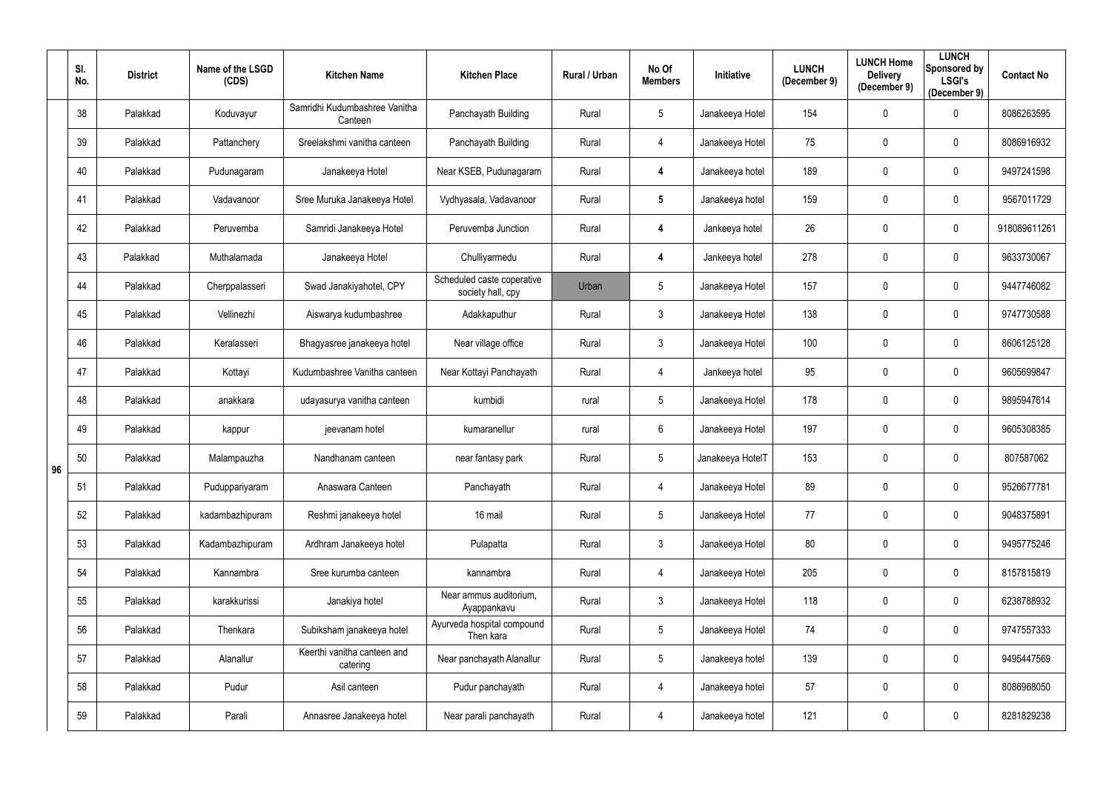|    | SI.<br>No. | <b>District</b> | Name of the LSGD<br>(CDS) | <b>Kitchen Name</b>                      | <b>Kitchen Place</b>                            | Rural / Urban | No Of<br><b>Members</b> | <b>Initiative</b> | <b>LUNCH</b><br>(December 9) | <b>LUNCH Home</b><br><b>Delivery</b><br>(December 9) | <b>LUNCH</b><br>Sponsored by<br><b>LSGI's</b><br>(December 9) | <b>Contact No</b> |
|----|------------|-----------------|---------------------------|------------------------------------------|-------------------------------------------------|---------------|-------------------------|-------------------|------------------------------|------------------------------------------------------|---------------------------------------------------------------|-------------------|
|    | 38         | Palakkad        | Koduvayur                 | Samridhi Kudumbashree Vanitha<br>Canteen | Panchayath Building                             | Rural         | $5\phantom{.0}$         | Janakeeya Hotel   | 154                          | $\mathbf 0$                                          | $\mathbf 0$                                                   | 8086263595        |
|    | 39         | Palakkad        | Pattanchery               | Sreelakshmi vanitha canteen              | Panchayath Building                             | Rural         | 4                       | Janakeeya Hotel   | 75                           | $\mathbf{0}$                                         | 0                                                             | 8086916932        |
|    | 40         | Palakkad        | Pudunagaram               | Janakeeya Hotel                          | Near KSEB, Pudunagaram                          | Rural         | 4                       | Janakeeya hotel   | 189                          | $\mathbf{0}$                                         | $\mathbf 0$                                                   | 9497241598        |
|    | 41         | Palakkad        | Vadavanoor                | Sree Muruka Janakeeya Hotel              | Vydhyasala, Vadavanoor                          | Rural         | $5\phantom{.0}$         | Janakeeya hotel   | 159                          | $\mathbf 0$                                          | $\mathbf 0$                                                   | 9567011729        |
|    | 42         | Palakkad        | Peruvemba                 | Samridi Janakeeya Hotel                  | Peruvemba Junction                              | Rural         | 4                       | Jankeeya hotel    | 26                           | $\mathbf{0}$                                         | $\mathbf 0$                                                   | 918089611261      |
|    | 43         | Palakkad        | Muthalamada               | Janakeeya Hotel                          | Chulliyarmedu                                   | Rural         | 4                       | Jankeeya hotel    | 278                          | $\mathbf{0}$                                         | $\mathbf 0$                                                   | 9633730067        |
|    | 44         | Palakkad        | Cherppalasseri            | Swad Janakiyahotel, CPY                  | Scheduled caste coperative<br>society hall, cpy | Urban         | $5\phantom{.0}$         | Janakeeya Hotel   | 157                          | $\mathbf{0}$                                         | $\mathbf 0$                                                   | 9447746082        |
|    | 45         | Palakkad        | Vellinezhi                | Aiswarya kudumbashree                    | Adakkaputhur                                    | Rural         | $\mathfrak{Z}$          | Janakeeya Hotel   | 138                          | $\mathbf 0$                                          | $\mathbf 0$                                                   | 9747730588        |
|    | 46         | Palakkad        | Keralasseri               | Bhagyasree janakeeya hotel               | Near village office                             | Rural         | $\mathfrak{Z}$          | Janakeeya Hotel   | 100                          | $\mathbf 0$                                          | $\mathbf 0$                                                   | 8606125128        |
|    | 47         | Palakkad        | Kottayi                   | Kudumbashree Vanitha canteen             | Near Kottayi Panchayath                         | Rural         | 4                       | Jankeeya hotel    | 95                           | $\mathbf{0}$                                         | $\mathbf 0$                                                   | 9605699847        |
|    | 48         | Palakkad        | anakkara                  | udayasurya vanitha canteen               | kumbidi                                         | rural         | $5\phantom{.0}$         | Janakeeya Hotel   | 178                          | $\mathbf 0$                                          | $\mathbf 0$                                                   | 9895947614        |
|    | 49         | Palakkad        | kappur                    | jeevanam hotel                           | kumaranellur                                    | rural         | $6\phantom{.}$          | Janakeeya Hotel   | 197                          | $\mathbf 0$                                          | $\mathbf 0$                                                   | 9605308385        |
| 96 | 50         | Palakkad        | Malampauzha               | Nandhanam canteen                        | near fantasy park                               | Rural         | $5\phantom{.0}$         | Janakeeya HotelT  | 153                          | $\mathbf 0$                                          | $\mathbf 0$                                                   | 807587062         |
|    | 51         | Palakkad        | Puduppariyaram            | Anaswara Canteen                         | Panchayath                                      | Rural         | 4                       | Janakeeya Hotel   | 89                           | $\mathbf 0$                                          | $\overline{0}$                                                | 9526677781        |
|    | 52         | Palakkad        | kadambazhipuram           | Reshmi janakeeya hotel                   | 16 mail                                         | Rural         | $5\phantom{.0}$         | Janakeeya Hotel   | 77                           | $\mathbf 0$                                          | $\overline{0}$                                                | 9048375891        |
|    | 53         | Palakkad        | Kadambazhipuram           | Ardhram Janakeeya hotel                  | Pulapatta                                       | Rural         | $\mathfrak{Z}$          | Janakeeya Hotel   | 80                           | $\mathbf 0$                                          | $\overline{0}$                                                | 9495775246        |
|    | 54         | Palakkad        | Kannambra                 | Sree kurumba canteen                     | kannambra                                       | Rural         | $\overline{4}$          | Janakeeya Hotel   | 205                          | $\pmb{0}$                                            | $\mathbf 0$                                                   | 8157815819        |
|    | 55         | Palakkad        | karakkurissi              | Janakiya hotel                           | Near ammus auditorium,<br>Ayappankavu           | Rural         | $\mathfrak{Z}$          | Janakeeya Hotel   | 118                          | $\mathbf 0$                                          | $\overline{0}$                                                | 6238788932        |
|    | 56         | Palakkad        | Thenkara                  | Subiksham janakeeya hotel                | Ayurveda hospital compound<br>Then kara         | Rural         | $5\phantom{.0}$         | Janakeeya Hotel   | 74                           | $\mathbf 0$                                          | $\overline{0}$                                                | 9747557333        |
|    | 57         | Palakkad        | Alanallur                 | Keerthi vanitha canteen and<br>catering  | Near panchayath Alanallur                       | Rural         | $\sqrt{5}$              | Janakeeya hotel   | 139                          | $\mathbf 0$                                          | $\mathbf 0$                                                   | 9495447569        |
|    | 58         | Palakkad        | Pudur                     | Asil canteen                             | Pudur panchayath                                | Rural         | 4                       | Janakeeya hotel   | 57                           | $\pmb{0}$                                            | $\overline{0}$                                                | 8086968050        |
|    | 59         | Palakkad        | Parali                    | Annasree Janakeeya hotel                 | Near parali panchayath                          | Rural         | 4                       | Janakeeya hotel   | 121                          | $\mathbf 0$                                          | $\mathbf 0$                                                   | 8281829238        |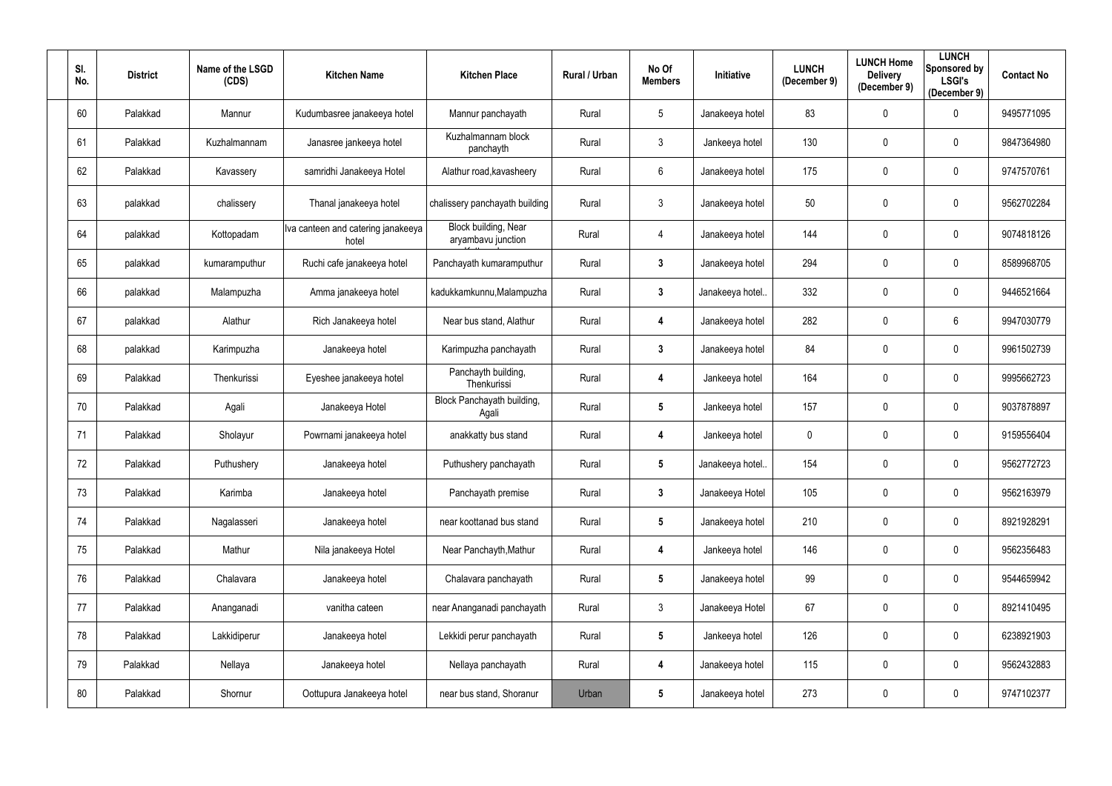| SI.<br>No. | <b>District</b> | Name of the LSGD<br>(CDS) | <b>Kitchen Name</b>                         | <b>Kitchen Place</b>                       | Rural / Urban | No Of<br><b>Members</b> | Initiative      | <b>LUNCH</b><br>(December 9) | <b>LUNCH Home</b><br><b>Delivery</b><br>(December 9) | <b>LUNCH</b><br>Sponsored by<br><b>LSGI's</b><br>(December 9) | <b>Contact No</b> |
|------------|-----------------|---------------------------|---------------------------------------------|--------------------------------------------|---------------|-------------------------|-----------------|------------------------------|------------------------------------------------------|---------------------------------------------------------------|-------------------|
| 60         | Palakkad        | Mannur                    | Kudumbasree janakeeya hotel                 | Mannur panchayath                          | Rural         | $5\phantom{.0}$         | Janakeeya hotel | 83                           | $\overline{0}$                                       | $\mathbf 0$                                                   | 9495771095        |
| 61         | Palakkad        | Kuzhalmannam              | Janasree jankeeya hotel                     | Kuzhalmannam block<br>panchayth            | Rural         | $\mathfrak{Z}$          | Jankeeya hotel  | 130                          | $\mathbf 0$                                          | $\mathbf 0$                                                   | 9847364980        |
| 62         | Palakkad        | Kavassery                 | samridhi Janakeeya Hotel                    | Alathur road, kavasheery                   | Rural         | $6\phantom{.}$          | Janakeeya hotel | 175                          | $\pmb{0}$                                            | $\mathbf 0$                                                   | 9747570761        |
| 63         | palakkad        | chalissery                | Thanal janakeeya hotel                      | chalissery panchayath building             | Rural         | $\mathfrak{Z}$          | Janakeeya hotel | 50                           | $\pmb{0}$                                            | $\bf{0}$                                                      | 9562702284        |
| 64         | palakkad        | Kottopadam                | Iva canteen and catering janakeeya<br>hotel | Block building, Near<br>aryambavu junction | Rural         | 4                       | Janakeeya hotel | 144                          | $\mathbf 0$                                          | $\mathbf 0$                                                   | 9074818126        |
| 65         | palakkad        | kumaramputhur             | Ruchi cafe janakeeya hotel                  | Panchayath kumaramputhur                   | Rural         | $3\phantom{a}$          | Janakeeya hotel | 294                          | $\mathbf 0$                                          | $\mathbf 0$                                                   | 8589968705        |
| 66         | palakkad        | Malampuzha                | Amma janakeeya hotel                        | kadukkamkunnu, Malampuzha                  | Rural         | $3\phantom{a}$          | Janakeeya hotel | 332                          | $\overline{0}$                                       | $\mathbf 0$                                                   | 9446521664        |
| 67         | palakkad        | Alathur                   | Rich Janakeeya hotel                        | Near bus stand, Alathur                    | Rural         | 4                       | Janakeeya hotel | 282                          | $\mathbf 0$                                          | $6\phantom{.}6$                                               | 9947030779        |
| 68         | palakkad        | Karimpuzha                | Janakeeya hotel                             | Karimpuzha panchayath                      | Rural         | $3\phantom{a}$          | Janakeeya hotel | 84                           | $\pmb{0}$                                            | $\mathbf 0$                                                   | 9961502739        |
| 69         | Palakkad        | Thenkurissi               | Eyeshee janakeeya hotel                     | Panchayth building,<br>Thenkurissi         | Rural         | 4                       | Jankeeya hotel  | 164                          | $\mathbf 0$                                          | $\mathbf 0$                                                   | 9995662723        |
| 70         | Palakkad        | Agali                     | Janakeeya Hotel                             | Block Panchayath building,<br>Agali        | Rural         | $5\phantom{.0}$         | Jankeeya hotel  | 157                          | $\overline{0}$                                       | $\overline{0}$                                                | 9037878897        |
| 71         | Palakkad        | Sholayur                  | Powrnami janakeeya hotel                    | anakkatty bus stand                        | Rural         | 4                       | Jankeeya hotel  | 0                            | $\overline{0}$                                       | $\overline{0}$                                                | 9159556404        |
| 72         | Palakkad        | Puthushery                | Janakeeya hotel                             | Puthushery panchayath                      | Rural         | 5                       | Janakeeya hotel | 154                          | $\mathbf 0$                                          | 0                                                             | 9562772723        |
| 73         | Palakkad        | Karimba                   | Janakeeya hotel                             | Panchayath premise                         | Rural         | $\mathbf{3}$            | Janakeeya Hotel | 105                          | $\mathbf 0$                                          | $\overline{0}$                                                | 9562163979        |
| 74         | Palakkad        | Nagalasseri               | Janakeeya hotel                             | near koottanad bus stand                   | Rural         | $5\phantom{.0}$         | Janakeeya hotel | 210                          | $\overline{0}$                                       | $\mathbf 0$                                                   | 8921928291        |
| 75         | Palakkad        | Mathur                    | Nila janakeeya Hotel                        | Near Panchayth, Mathur                     | Rural         | 4                       | Jankeeya hotel  | 146                          | $\mathbf 0$                                          | $\mathbf 0$                                                   | 9562356483        |
| 76         | Palakkad        | Chalavara                 | Janakeeya hotel                             | Chalavara panchayath                       | Rural         | $5\phantom{.0}$         | Janakeeya hotel | 99                           | $\mathbf 0$                                          | $\overline{0}$                                                | 9544659942        |
| 77         | Palakkad        | Ananganadi                | vanitha cateen                              | near Ananganadi panchayath                 | Rural         | $\mathfrak{Z}$          | Janakeeya Hotel | 67                           | $\mathbf 0$                                          | $\mathbf 0$                                                   | 8921410495        |
| 78         | Palakkad        | Lakkidiperur              | Janakeeya hotel                             | Lekkidi perur panchayath                   | Rural         | $5\phantom{.0}$         | Jankeeya hotel  | 126                          | $\overline{0}$                                       | $\mathbf 0$                                                   | 6238921903        |
| 79         | Palakkad        | Nellaya                   | Janakeeya hotel                             | Nellaya panchayath                         | Rural         | 4                       | Janakeeya hotel | 115                          | $\boldsymbol{0}$                                     | $\overline{0}$                                                | 9562432883        |
| 80         | Palakkad        | Shornur                   | Oottupura Janakeeya hotel                   | near bus stand, Shoranur                   | Urban         | $5\phantom{.0}$         | Janakeeya hotel | 273                          | 0                                                    | $\mathbf 0$                                                   | 9747102377        |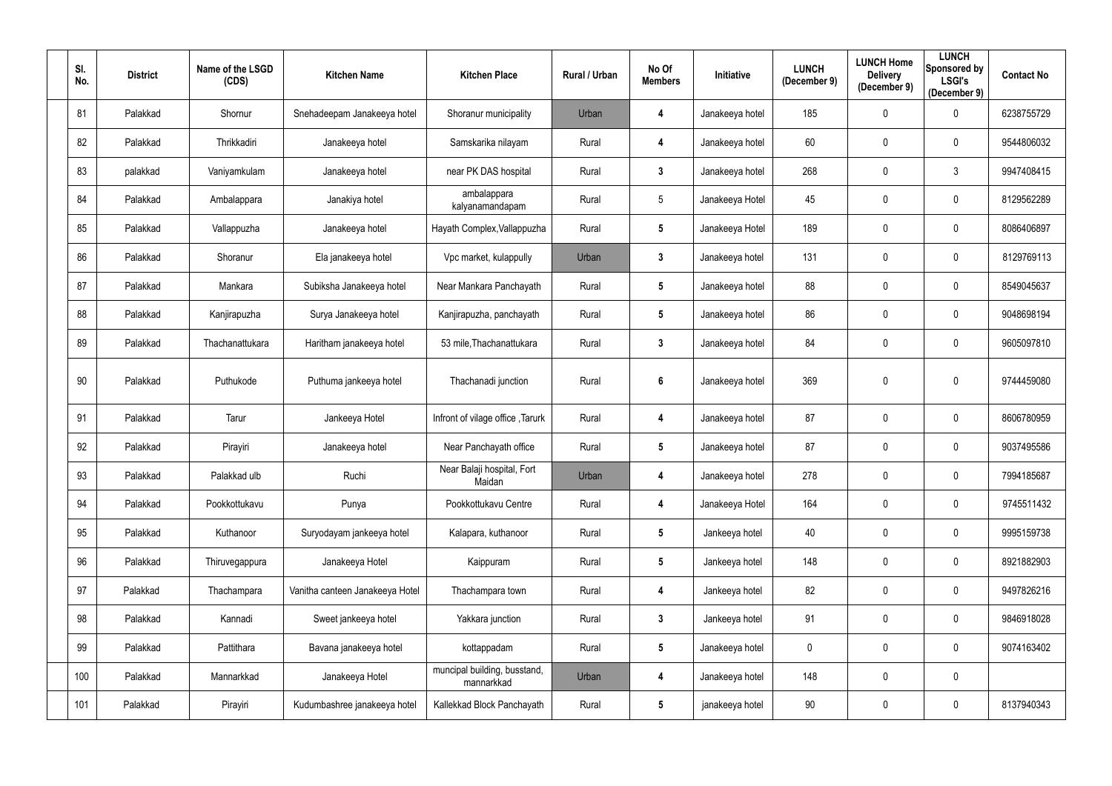| SI.<br>No. | <b>District</b> | Name of the LSGD<br>(CDS) | <b>Kitchen Name</b>             | <b>Kitchen Place</b>                       | <b>Rural / Urban</b> | No Of<br><b>Members</b> | Initiative      | <b>LUNCH</b><br>(December 9) | <b>LUNCH Home</b><br><b>Delivery</b><br>(December 9) | <b>LUNCH</b><br>Sponsored by<br><b>LSGI's</b><br>(December 9) | <b>Contact No</b> |
|------------|-----------------|---------------------------|---------------------------------|--------------------------------------------|----------------------|-------------------------|-----------------|------------------------------|------------------------------------------------------|---------------------------------------------------------------|-------------------|
| 81         | Palakkad        | Shornur                   | Snehadeepam Janakeeya hotel     | Shoranur municipality                      | Urban                | 4                       | Janakeeya hotel | 185                          | $\mathbf 0$                                          | $\mathbf 0$                                                   | 6238755729        |
| 82         | Palakkad        | Thrikkadiri               | Janakeeya hotel                 | Samskarika nilayam                         | Rural                | 4                       | Janakeeya hotel | 60                           | $\mathbf 0$                                          | $\mathbf 0$                                                   | 9544806032        |
| 83         | palakkad        | Vaniyamkulam              | Janakeeya hotel                 | near PK DAS hospital                       | Rural                | $\mathbf{3}$            | Janakeeya hotel | 268                          | $\mathbf 0$                                          | $\mathbf{3}$                                                  | 9947408415        |
| 84         | Palakkad        | Ambalappara               | Janakiya hotel                  | ambalappara<br>kalyanamandapam             | Rural                | $\overline{5}$          | Janakeeya Hotel | 45                           | $\mathbf 0$                                          | $\mathbf 0$                                                   | 8129562289        |
| 85         | Palakkad        | Vallappuzha               | Janakeeya hotel                 | Hayath Complex, Vallappuzha                | Rural                | $5\phantom{.0}$         | Janakeeya Hotel | 189                          | $\mathbf{0}$                                         | $\mathbf 0$                                                   | 8086406897        |
| 86         | Palakkad        | Shoranur                  | Ela janakeeya hotel             | Vpc market, kulappully                     | Urban                | $\mathbf{3}$            | Janakeeya hotel | 131                          | $\mathbf 0$                                          | $\mathbf 0$                                                   | 8129769113        |
| 87         | Palakkad        | Mankara                   | Subiksha Janakeeya hotel        | Near Mankara Panchayath                    | Rural                | $5\phantom{.0}$         | Janakeeya hotel | 88                           | $\mathbf 0$                                          | $\mathbf 0$                                                   | 8549045637        |
| 88         | Palakkad        | Kanjirapuzha              | Surya Janakeeya hotel           | Kanjirapuzha, panchayath                   | Rural                | $5\phantom{.0}$         | Janakeeya hotel | 86                           | $\mathbf 0$                                          | $\mathbf 0$                                                   | 9048698194        |
| 89         | Palakkad        | Thachanattukara           | Haritham janakeeya hotel        | 53 mile, Thachanattukara                   | Rural                | $\mathbf{3}$            | Janakeeya hotel | 84                           | $\mathbf 0$                                          | $\mathbf 0$                                                   | 9605097810        |
| 90         | Palakkad        | Puthukode                 | Puthuma jankeeya hotel          | Thachanadi junction                        | Rural                | $6\phantom{1}$          | Janakeeya hotel | 369                          | $\mathbf 0$                                          | $\mathbf 0$                                                   | 9744459080        |
| 91         | Palakkad        | Tarur                     | Jankeeya Hotel                  | Infront of vilage office, Tarurk           | Rural                | 4                       | Janakeeya hotel | 87                           | $\mathbf 0$                                          | $\mathbf 0$                                                   | 8606780959        |
| 92         | Palakkad        | Pirayiri                  | Janakeeya hotel                 | Near Panchayath office                     | Rural                | $5\phantom{.0}$         | Janakeeya hotel | 87                           | $\mathbf 0$                                          | $\mathbf 0$                                                   | 9037495586        |
| 93         | Palakkad        | Palakkad ulb              | Ruchi                           | Near Balaji hospital, Fort<br>Maidan       | Urban                | 4                       | Janakeeya hotel | 278                          | $\boldsymbol{0}$                                     | $\pmb{0}$                                                     | 7994185687        |
| 94         | Palakkad        | Pookkottukavu             | Punya                           | Pookkottukavu Centre                       | Rural                | 4                       | Janakeeya Hotel | 164                          | $\mathbf 0$                                          | $\mathbf 0$                                                   | 9745511432        |
| 95         | Palakkad        | Kuthanoor                 | Suryodayam jankeeya hotel       | Kalapara, kuthanoor                        | Rural                | $5\phantom{.0}$         | Jankeeya hotel  | 40                           | $\boldsymbol{0}$                                     | $\mathbf 0$                                                   | 9995159738        |
| 96         | Palakkad        | Thiruvegappura            | Janakeeya Hotel                 | Kaippuram                                  | Rural                | $5\phantom{.0}$         | Jankeeya hotel  | 148                          | $\mathbf 0$                                          | $\mathbf 0$                                                   | 8921882903        |
| 97         | Palakkad        | Thachampara               | Vanitha canteen Janakeeya Hotel | Thachampara town                           | Rural                | 4                       | Jankeeya hotel  | 82                           | $\mathbf 0$                                          | $\mathbf 0$                                                   | 9497826216        |
| 98         | Palakkad        | Kannadi                   | Sweet jankeeya hotel            | Yakkara junction                           | Rural                | $\mathbf{3}$            | Jankeeya hotel  | 91                           | $\mathbf 0$                                          | $\mathbf 0$                                                   | 9846918028        |
| 99         | Palakkad        | Pattithara                | Bavana janakeeya hotel          | kottappadam                                | Rural                | $5\phantom{.0}$         | Janakeeya hotel | 0                            | $\mathbf 0$                                          | $\mathbf 0$                                                   | 9074163402        |
| 100        | Palakkad        | Mannarkkad                | Janakeeya Hotel                 | muncipal building, busstand,<br>mannarkkad | Urban                | 4                       | Janakeeya hotel | 148                          | $\mathbf 0$                                          | $\mathbf 0$                                                   |                   |
| 101        | Palakkad        | Pirayiri                  | Kudumbashree janakeeya hotel    | Kallekkad Block Panchayath                 | Rural                | $5\phantom{.0}$         | janakeeya hotel | 90                           | $\boldsymbol{0}$                                     | $\mathbf 0$                                                   | 8137940343        |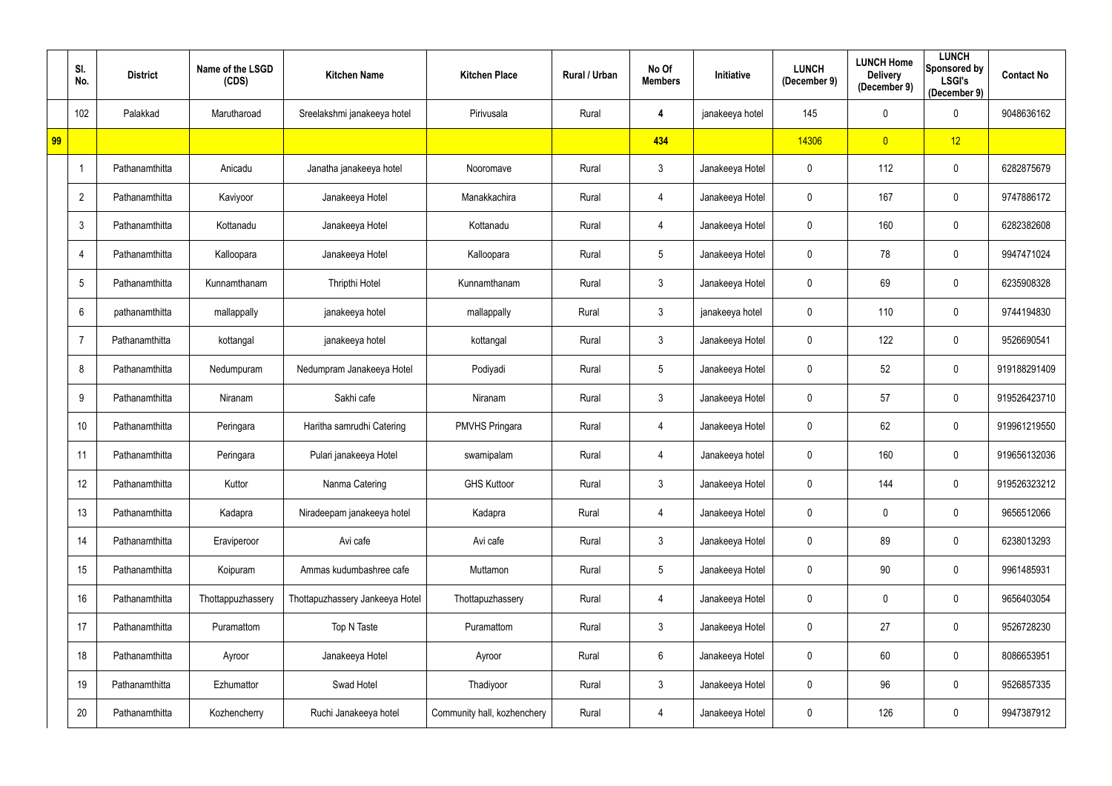|    | SI.<br>No.      | <b>District</b> | Name of the LSGD<br>(CDS) | <b>Kitchen Name</b>             | <b>Kitchen Place</b>        | Rural / Urban | No Of<br><b>Members</b> | <b>Initiative</b> | <b>LUNCH</b><br>(December 9) | <b>LUNCH Home</b><br><b>Delivery</b><br>(December 9) | <b>LUNCH</b><br>Sponsored by<br><b>LSGI's</b><br>(December 9) | <b>Contact No</b> |
|----|-----------------|-----------------|---------------------------|---------------------------------|-----------------------------|---------------|-------------------------|-------------------|------------------------------|------------------------------------------------------|---------------------------------------------------------------|-------------------|
|    | 102             | Palakkad        | Marutharoad               | Sreelakshmi janakeeya hotel     | Pirivusala                  | Rural         | 4                       | janakeeya hotel   | 145                          | $\pmb{0}$                                            | $\mathbf 0$                                                   | 9048636162        |
| 99 |                 |                 |                           |                                 |                             |               | 434                     |                   | 14306                        | $\overline{0}$                                       | 12                                                            |                   |
|    | -1              | Pathanamthitta  | Anicadu                   | Janatha janakeeya hotel         | Nooromave                   | Rural         | $\mathfrak{Z}$          | Janakeeya Hotel   | 0                            | 112                                                  | $\overline{0}$                                                | 6282875679        |
|    | $\overline{2}$  | Pathanamthitta  | Kaviyoor                  | Janakeeya Hotel                 | Manakkachira                | Rural         | 4                       | Janakeeya Hotel   | $\mathbf 0$                  | 167                                                  | $\overline{0}$                                                | 9747886172        |
|    | $\mathbf{3}$    | Pathanamthitta  | Kottanadu                 | Janakeeya Hotel                 | Kottanadu                   | Rural         | 4                       | Janakeeya Hotel   | $\mathbf 0$                  | 160                                                  | $\mathbf 0$                                                   | 6282382608        |
|    | $\overline{4}$  | Pathanamthitta  | Kalloopara                | Janakeeya Hotel                 | Kalloopara                  | Rural         | $5\phantom{.0}$         | Janakeeya Hotel   | $\mathbf 0$                  | 78                                                   | $\mathbf 0$                                                   | 9947471024        |
|    | $5\phantom{.0}$ | Pathanamthitta  | Kunnamthanam              | Thripthi Hotel                  | Kunnamthanam                | Rural         | $\mathfrak{Z}$          | Janakeeya Hotel   | $\mathbf 0$                  | 69                                                   | $\overline{0}$                                                | 6235908328        |
|    | 6               | pathanamthitta  | mallappally               | janakeeya hotel                 | mallappally                 | Rural         | $\mathfrak{Z}$          | janakeeya hotel   | 0                            | 110                                                  | $\overline{0}$                                                | 9744194830        |
|    | -7              | Pathanamthitta  | kottangal                 | janakeeya hotel                 | kottangal                   | Rural         | $\mathfrak{Z}$          | Janakeeya Hotel   | 0                            | 122                                                  | $\overline{0}$                                                | 9526690541        |
|    | 8               | Pathanamthitta  | Nedumpuram                | Nedumpram Janakeeya Hotel       | Podiyadi                    | Rural         | $5\phantom{.0}$         | Janakeeya Hotel   | $\mathbf 0$                  | 52                                                   | $\overline{0}$                                                | 919188291409      |
|    | 9               | Pathanamthitta  | Niranam                   | Sakhi cafe                      | Niranam                     | Rural         | $\mathfrak{Z}$          | Janakeeya Hotel   | $\mathbf 0$                  | 57                                                   | $\mathbf 0$                                                   | 919526423710      |
|    | 10              | Pathanamthitta  | Peringara                 | Haritha samrudhi Catering       | <b>PMVHS Pringara</b>       | Rural         | 4                       | Janakeeya Hotel   | $\mathbf 0$                  | 62                                                   | $\mathbf 0$                                                   | 919961219550      |
|    | 11              | Pathanamthitta  | Peringara                 | Pulari janakeeya Hotel          | swamipalam                  | Rural         | 4                       | Janakeeya hotel   | 0                            | 160                                                  | $\mathbf 0$                                                   | 919656132036      |
|    | 12              | Pathanamthitta  | Kuttor                    | Nanma Catering                  | <b>GHS Kuttoor</b>          | Rural         | $\mathfrak{Z}$          | Janakeeya Hotel   | $\mathbf 0$                  | 144                                                  | $\overline{0}$                                                | 919526323212      |
|    | 13              | Pathanamthitta  | Kadapra                   | Niradeepam janakeeya hotel      | Kadapra                     | Rural         | 4                       | Janakeeya Hotel   | $\mathbf 0$                  | $\mathbf 0$                                          | $\mathbf 0$                                                   | 9656512066        |
|    | 14              | Pathanamthitta  | Eraviperoor               | Avi cafe                        | Avi cafe                    | Rural         | $\mathfrak{Z}$          | Janakeeya Hotel   | $\mathbf 0$                  | 89                                                   | $\mathbf 0$                                                   | 6238013293        |
|    | 15              | Pathanamthitta  | Koipuram                  | Ammas kudumbashree cafe         | Muttamon                    | Rural         | $\overline{5}$          | Janakeeya Hotel   | $\mathbf 0$                  | 90                                                   | $\mathbf 0$                                                   | 9961485931        |
|    | 16              | Pathanamthitta  | Thottappuzhassery         | Thottapuzhassery Jankeeya Hotel | Thottapuzhassery            | Rural         | 4                       | Janakeeya Hotel   | $\mathbf 0$                  | $\pmb{0}$                                            | $\mathbf 0$                                                   | 9656403054        |
|    | 17              | Pathanamthitta  | Puramattom                | Top N Taste                     | Puramattom                  | Rural         | $\mathfrak{Z}$          | Janakeeya Hotel   | $\mathbf 0$                  | 27                                                   | $\mathbf 0$                                                   | 9526728230        |
|    | 18              | Pathanamthitta  | Ayroor                    | Janakeeya Hotel                 | Ayroor                      | Rural         | $6\,$                   | Janakeeya Hotel   | $\mathbf 0$                  | 60                                                   | $\mathbf 0$                                                   | 8086653951        |
|    | 19              | Pathanamthitta  | Ezhumattor                | Swad Hotel                      | Thadiyoor                   | Rural         | $\mathfrak{Z}$          | Janakeeya Hotel   | 0                            | 96                                                   | $\overline{0}$                                                | 9526857335        |
|    | 20              | Pathanamthitta  | Kozhencherry              | Ruchi Janakeeya hotel           | Community hall, kozhenchery | Rural         | 4                       | Janakeeya Hotel   | $\mathbf 0$                  | 126                                                  | $\mathbf 0$                                                   | 9947387912        |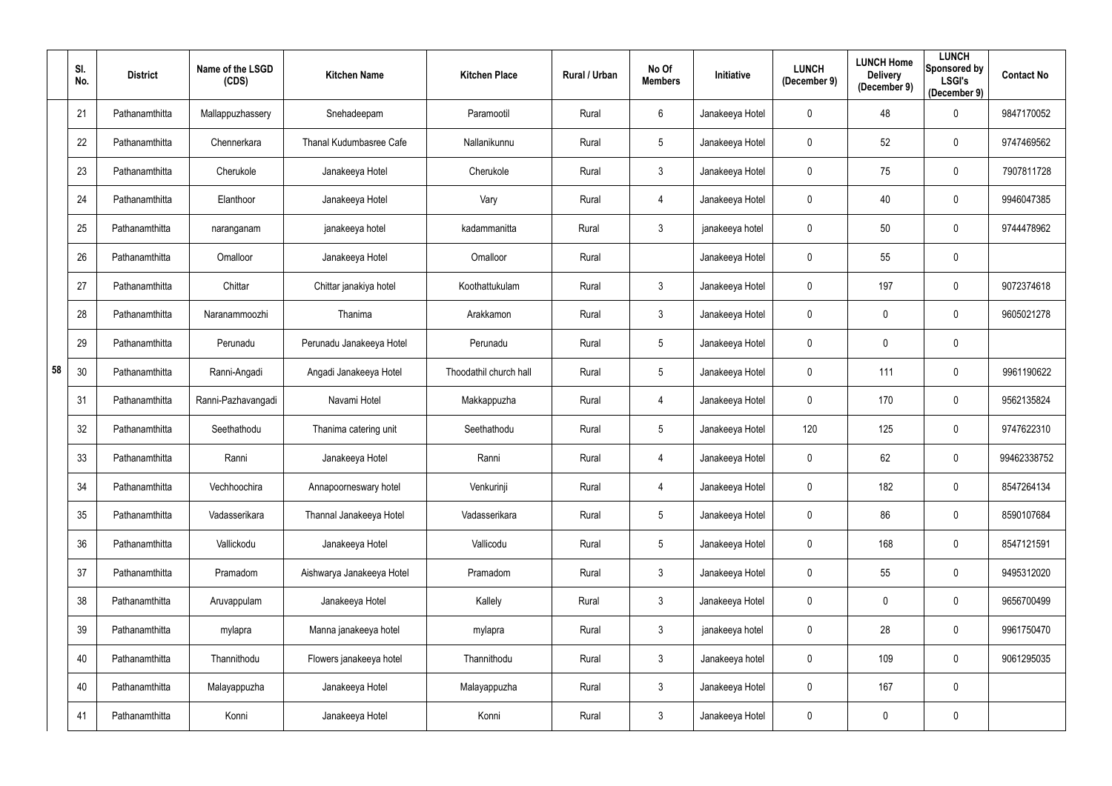|    | SI.<br>No. | <b>District</b> | Name of the LSGD<br>(CDS) | <b>Kitchen Name</b>            | <b>Kitchen Place</b>   | Rural / Urban | No Of<br><b>Members</b> | Initiative      | <b>LUNCH</b><br>(December 9) | <b>LUNCH Home</b><br><b>Delivery</b><br>(December 9) | <b>LUNCH</b><br>Sponsored by<br><b>LSGI's</b><br>(December 9) | <b>Contact No</b> |
|----|------------|-----------------|---------------------------|--------------------------------|------------------------|---------------|-------------------------|-----------------|------------------------------|------------------------------------------------------|---------------------------------------------------------------|-------------------|
|    | 21         | Pathanamthitta  | Mallappuzhassery          | Snehadeepam                    | Paramootil             | Rural         | 6                       | Janakeeya Hotel | 0                            | 48                                                   | $\mathbf 0$                                                   | 9847170052        |
|    | 22         | Pathanamthitta  | Chennerkara               | <b>Thanal Kudumbasree Cafe</b> | Nallanikunnu           | Rural         | 5                       | Janakeeya Hotel | 0                            | 52                                                   | $\mathbf 0$                                                   | 9747469562        |
|    | 23         | Pathanamthitta  | Cherukole                 | Janakeeya Hotel                | Cherukole              | Rural         | $\mathbf{3}$            | Janakeeya Hotel | $\mathbf 0$                  | 75                                                   | $\overline{0}$                                                | 7907811728        |
|    | 24         | Pathanamthitta  | Elanthoor                 | Janakeeya Hotel                | Vary                   | Rural         | 4                       | Janakeeya Hotel | 0                            | 40                                                   | $\overline{0}$                                                | 9946047385        |
|    | 25         | Pathanamthitta  | naranganam                | janakeeya hotel                | kadammanitta           | Rural         | $\mathfrak{Z}$          | janakeeya hotel | 0                            | 50                                                   | $\overline{0}$                                                | 9744478962        |
|    | 26         | Pathanamthitta  | Omalloor                  | Janakeeya Hotel                | Omalloor               | Rural         |                         | Janakeeya Hotel | 0                            | 55                                                   | $\overline{0}$                                                |                   |
|    | 27         | Pathanamthitta  | Chittar                   | Chittar janakiya hotel         | Koothattukulam         | Rural         | 3                       | Janakeeya Hotel | 0                            | 197                                                  | $\overline{0}$                                                | 9072374618        |
|    | 28         | Pathanamthitta  | Naranammoozhi             | Thanima                        | Arakkamon              | Rural         | $\mathfrak{Z}$          | Janakeeya Hotel | 0                            | $\mathbf 0$                                          | $\overline{0}$                                                | 9605021278        |
|    | 29         | Pathanamthitta  | Perunadu                  | Perunadu Janakeeya Hotel       | Perunadu               | Rural         | 5                       | Janakeeya Hotel | 0                            | $\mathbf 0$                                          | $\overline{0}$                                                |                   |
| 58 | 30         | Pathanamthitta  | Ranni-Angadi              | Angadi Janakeeya Hotel         | Thoodathil church hall | Rural         | $5\phantom{.0}$         | Janakeeya Hotel | $\mathbf 0$                  | 111                                                  | $\overline{0}$                                                | 9961190622        |
|    | 31         | Pathanamthitta  | Ranni-Pazhavangadi        | Navami Hotel                   | Makkappuzha            | Rural         | 4                       | Janakeeya Hotel | 0                            | 170                                                  | $\overline{0}$                                                | 9562135824        |
|    | 32         | Pathanamthitta  | Seethathodu               | Thanima catering unit          | Seethathodu            | Rural         | 5                       | Janakeeya Hotel | 120                          | 125                                                  | $\overline{0}$                                                | 9747622310        |
|    | 33         | Pathanamthitta  | Ranni                     | Janakeeya Hotel                | Ranni                  | Rural         | 4                       | Janakeeya Hotel | 0                            | 62                                                   | $\mathbf 0$                                                   | 99462338752       |
|    | 34         | Pathanamthitta  | Vechhoochira              | Annapoorneswary hotel          | Venkurinji             | Rural         | 4                       | Janakeeya Hotel | $\pmb{0}$                    | 182                                                  | $\overline{0}$                                                | 8547264134        |
|    | 35         | Pathanamthitta  | Vadasserikara             | Thannal Janakeeya Hotel        | Vadasserikara          | Rural         | $5\phantom{.0}$         | Janakeeya Hotel | $\mathbf 0$                  | 86                                                   | $\mathbf 0$                                                   | 8590107684        |
|    | 36         | Pathanamthitta  | Vallickodu                | Janakeeya Hotel                | Vallicodu              | Rural         | $5\phantom{.0}$         | Janakeeya Hotel | $\mathbf 0$                  | 168                                                  | $\mathbf 0$                                                   | 8547121591        |
|    | 37         | Pathanamthitta  | Pramadom                  | Aishwarya Janakeeya Hotel      | Pramadom               | Rural         | $\mathfrak{Z}$          | Janakeeya Hotel | 0                            | 55                                                   | $\mathbf 0$                                                   | 9495312020        |
|    | 38         | Pathanamthitta  | Aruvappulam               | Janakeeya Hotel                | Kallely                | Rural         | $\mathfrak{Z}$          | Janakeeya Hotel | $\mathbf 0$                  | $\pmb{0}$                                            | $\mathbf 0$                                                   | 9656700499        |
|    | 39         | Pathanamthitta  | mylapra                   | Manna janakeeya hotel          | mylapra                | Rural         | $\mathbf{3}$            | janakeeya hotel | $\mathbf 0$                  | 28                                                   | $\mathbf 0$                                                   | 9961750470        |
|    | 40         | Pathanamthitta  | Thannithodu               | Flowers janakeeya hotel        | Thannithodu            | Rural         | $\mathfrak{Z}$          | Janakeeya hotel | $\mathbf 0$                  | 109                                                  | $\mathbf 0$                                                   | 9061295035        |
|    | 40         | Pathanamthitta  | Malayappuzha              | Janakeeya Hotel                | Malayappuzha           | Rural         | $\mathfrak{Z}$          | Janakeeya Hotel | $\pmb{0}$                    | 167                                                  | $\mathbf 0$                                                   |                   |
|    | 41         | Pathanamthitta  | Konni                     | Janakeeya Hotel                | Konni                  | Rural         | $\mathfrak{Z}$          | Janakeeya Hotel | 0                            | $\pmb{0}$                                            | $\overline{0}$                                                |                   |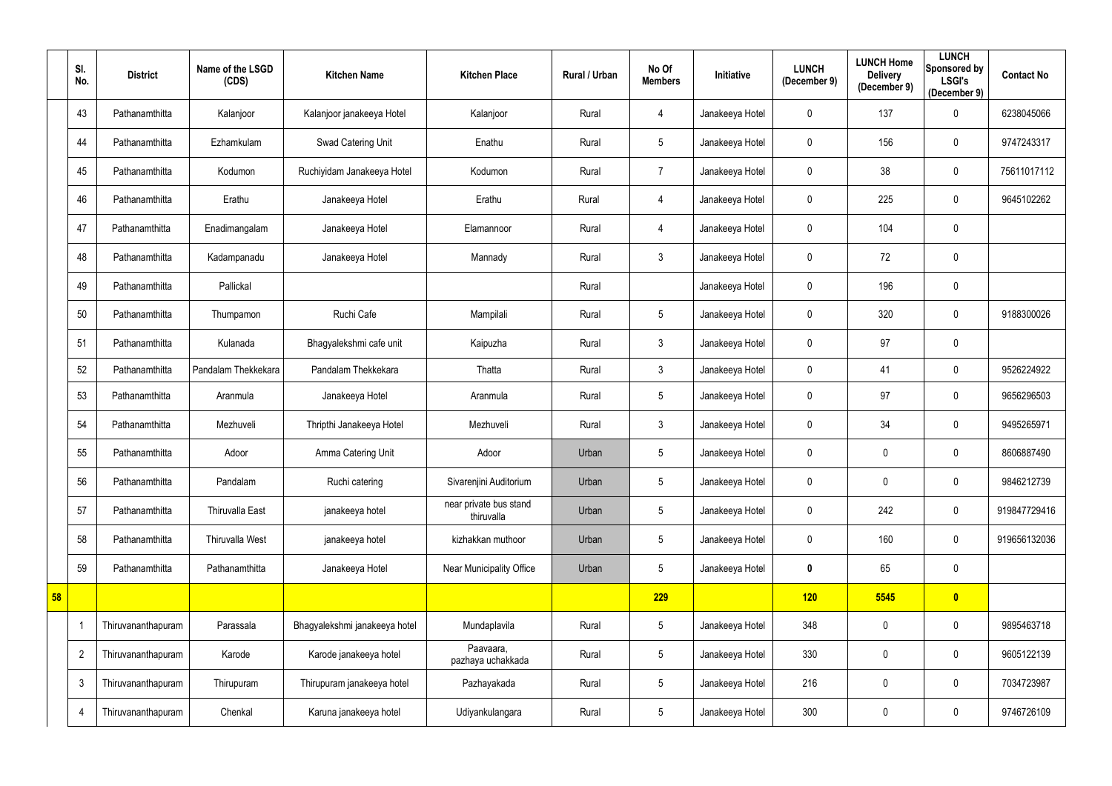|    | SI.<br>No.     | <b>District</b>    | Name of the LSGD<br>(CDS) | <b>Kitchen Name</b>           | <b>Kitchen Place</b>                 | Rural / Urban | No Of<br><b>Members</b> | <b>Initiative</b> | <b>LUNCH</b><br>(December 9) | <b>LUNCH Home</b><br><b>Delivery</b><br>(December 9) | <b>LUNCH</b><br>Sponsored by<br><b>LSGI's</b><br>(December 9) | <b>Contact No</b> |
|----|----------------|--------------------|---------------------------|-------------------------------|--------------------------------------|---------------|-------------------------|-------------------|------------------------------|------------------------------------------------------|---------------------------------------------------------------|-------------------|
|    | 43             | Pathanamthitta     | Kalanjoor                 | Kalanjoor janakeeya Hotel     | Kalanjoor                            | Rural         | 4                       | Janakeeya Hotel   | $\mathbf 0$                  | 137                                                  | $\overline{0}$                                                | 6238045066        |
|    | 44             | Pathanamthitta     | Ezhamkulam                | Swad Catering Unit            | Enathu                               | Rural         | 5                       | Janakeeya Hotel   | 0                            | 156                                                  | $\overline{0}$                                                | 9747243317        |
|    | 45             | Pathanamthitta     | Kodumon                   | Ruchiyidam Janakeeya Hotel    | Kodumon                              | Rural         | $\overline{7}$          | Janakeeya Hotel   | 0                            | 38                                                   | $\overline{0}$                                                | 75611017112       |
|    | 46             | Pathanamthitta     | Erathu                    | Janakeeya Hotel               | Erathu                               | Rural         | 4                       | Janakeeya Hotel   | $\mathbf 0$                  | 225                                                  | $\overline{0}$                                                | 9645102262        |
|    | 47             | Pathanamthitta     | Enadimangalam             | Janakeeya Hotel               | Elamannoor                           | Rural         | 4                       | Janakeeya Hotel   | 0                            | 104                                                  | $\mathbf 0$                                                   |                   |
|    | 48             | Pathanamthitta     | Kadampanadu               | Janakeeya Hotel               | Mannady                              | Rural         | $\mathfrak{Z}$          | Janakeeya Hotel   | 0                            | 72                                                   | $\pmb{0}$                                                     |                   |
|    | 49             | Pathanamthitta     | Pallickal                 |                               |                                      | Rural         |                         | Janakeeya Hotel   | 0                            | 196                                                  | $\overline{0}$                                                |                   |
|    | 50             | Pathanamthitta     | Thumpamon                 | Ruchi Cafe                    | Mampilali                            | Rural         | $5\phantom{.0}$         | Janakeeya Hotel   | $\mathbf 0$                  | 320                                                  | $\mathbf 0$                                                   | 9188300026        |
|    | 51             | Pathanamthitta     | Kulanada                  | Bhagyalekshmi cafe unit       | Kaipuzha                             | Rural         | $\mathfrak{Z}$          | Janakeeya Hotel   | 0                            | 97                                                   | $\mathbf 0$                                                   |                   |
|    | 52             | Pathanamthitta     | Pandalam Thekkekara       | Pandalam Thekkekara           | Thatta                               | Rural         | $\mathfrak{Z}$          | Janakeeya Hotel   | 0                            | 41                                                   | $\overline{0}$                                                | 9526224922        |
|    | 53             | Pathanamthitta     | Aranmula                  | Janakeeya Hotel               | Aranmula                             | Rural         | 5                       | Janakeeya Hotel   | 0                            | 97                                                   | $\overline{0}$                                                | 9656296503        |
|    | 54             | Pathanamthitta     | Mezhuveli                 | Thripthi Janakeeya Hotel      | Mezhuveli                            | Rural         | $\mathfrak{Z}$          | Janakeeya Hotel   | 0                            | 34                                                   | $\mathbf 0$                                                   | 9495265971        |
|    | 55             | Pathanamthitta     | Adoor                     | Amma Catering Unit            | Adoor                                | Urban         | $5\phantom{.0}$         | Janakeeya Hotel   | 0                            | $\mathbf{0}$                                         | $\mathbf 0$                                                   | 8606887490        |
|    | 56             | Pathanamthitta     | Pandalam                  | Ruchi catering                | Sivarenjini Auditorium               | Urban         | 5                       | Janakeeya Hotel   | $\mathbf 0$                  | $\mathbf 0$                                          | $\overline{0}$                                                | 9846212739        |
|    | 57             | Pathanamthitta     | Thiruvalla East           | janakeeya hotel               | near private bus stand<br>thiruvalla | Urban         | $\sqrt{5}$              | Janakeeya Hotel   | $\mathbf 0$                  | 242                                                  | $\mathbf 0$                                                   | 919847729416      |
|    | 58             | Pathanamthitta     | <b>Thiruvalla West</b>    | janakeeya hotel               | kizhakkan muthoor                    | Urban         | $5\phantom{.0}$         | Janakeeya Hotel   | 0                            | 160                                                  | $\overline{0}$                                                | 919656132036      |
|    | 59             | Pathanamthitta     | Pathanamthitta            | Janakeeya Hotel               | Near Municipality Office             | Urban         | 5                       | Janakeeya Hotel   | $\mathbf 0$                  | 65                                                   | $\mathbf 0$                                                   |                   |
| 58 |                |                    |                           |                               |                                      |               | 229                     |                   | 120                          | 5545                                                 | $\bullet$                                                     |                   |
|    |                | Thiruvananthapuram | Parassala                 | Bhagyalekshmi janakeeya hotel | Mundaplavila                         | Rural         | $5\phantom{.0}$         | Janakeeya Hotel   | 348                          | $\mathbf 0$                                          | $\overline{0}$                                                | 9895463718        |
|    | $\overline{2}$ | Thiruvananthapuram | Karode                    | Karode janakeeya hotel        | Paavaara,<br>pazhaya uchakkada       | Rural         | $5\phantom{.0}$         | Janakeeya Hotel   | 330                          | $\mathbf 0$                                          | $\overline{0}$                                                | 9605122139        |
|    | $\mathfrak{Z}$ | Thiruvananthapuram | Thirupuram                | Thirupuram janakeeya hotel    | Pazhayakada                          | Rural         | $5\phantom{.0}$         | Janakeeya Hotel   | 216                          | $\mathbf 0$                                          | $\mathbf 0$                                                   | 7034723987        |
|    | 4              | Thiruvananthapuram | Chenkal                   | Karuna janakeeya hotel        | Udiyankulangara                      | Rural         | $5\,$                   | Janakeeya Hotel   | 300                          | $\pmb{0}$                                            | $\overline{0}$                                                | 9746726109        |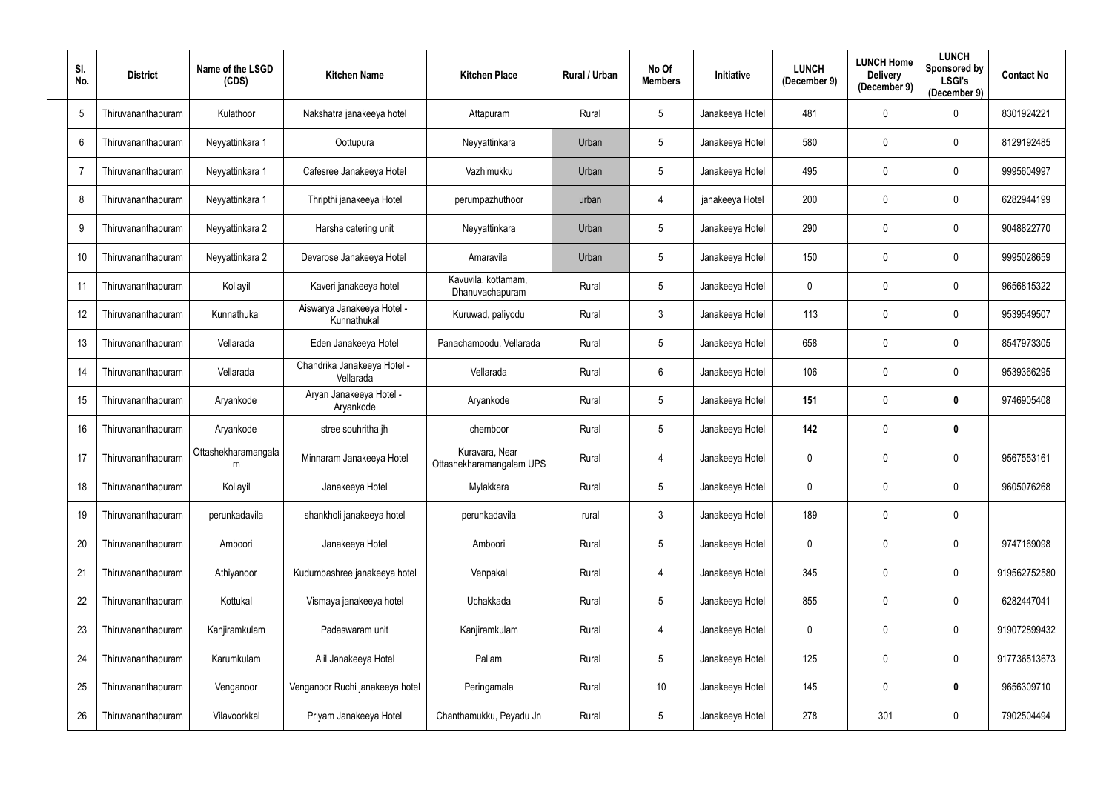| SI.<br>No.     | <b>District</b>    | Name of the LSGD<br>(CDS) | <b>Kitchen Name</b>                       | <b>Kitchen Place</b>                       | Rural / Urban | No Of<br><b>Members</b> | Initiative      | <b>LUNCH</b><br>(December 9) | <b>LUNCH Home</b><br><b>Delivery</b><br>(December 9) | <b>LUNCH</b><br><b>Sponsored by</b><br><b>LSGI's</b><br>(December 9) | <b>Contact No</b> |
|----------------|--------------------|---------------------------|-------------------------------------------|--------------------------------------------|---------------|-------------------------|-----------------|------------------------------|------------------------------------------------------|----------------------------------------------------------------------|-------------------|
| 5              | Thiruvananthapuram | Kulathoor                 | Nakshatra janakeeya hotel                 | Attapuram                                  | Rural         | 5                       | Janakeeya Hotel | 481                          | $\boldsymbol{0}$                                     | 0                                                                    | 8301924221        |
| 6              | Thiruvananthapuram | Neyyattinkara 1           | Oottupura                                 | Neyyattinkara                              | Urban         | 5                       | Janakeeya Hotel | 580                          | $\mathbf 0$                                          | 0                                                                    | 8129192485        |
| $\overline{7}$ | Thiruvananthapuram | Neyyattinkara 1           | Cafesree Janakeeya Hotel                  | Vazhimukku                                 | Urban         | $5\phantom{.0}$         | Janakeeya Hotel | 495                          | $\mathbf 0$                                          | $\mathbf 0$                                                          | 9995604997        |
| 8              | Thiruvananthapuram | Neyyattinkara 1           | Thripthi janakeeya Hotel                  | perumpazhuthoor                            | urban         | 4                       | janakeeya Hotel | 200                          | 0                                                    | $\mathbf 0$                                                          | 6282944199        |
| 9              | Thiruvananthapuram | Neyyattinkara 2           | Harsha catering unit                      | Neyyattinkara                              | Urban         | $5\phantom{.0}$         | Janakeeya Hotel | 290                          | $\mathbf 0$                                          | $\mathbf 0$                                                          | 9048822770        |
| 10             | Thiruvananthapuram | Neyyattinkara 2           | Devarose Janakeeya Hotel                  | Amaravila                                  | Urban         | $5\phantom{.0}$         | Janakeeya Hotel | 150                          | $\mathbf 0$                                          | 0                                                                    | 9995028659        |
| 11             | Thiruvananthapuram | Kollayil                  | Kaveri janakeeya hotel                    | Kavuvila, kottamam,<br>Dhanuvachapuram     | Rural         | 5 <sup>5</sup>          | Janakeeya Hotel | 0                            | $\mathbf 0$                                          | $\mathbf 0$                                                          | 9656815322        |
| 12             | Thiruvananthapuram | Kunnathukal               | Aiswarya Janakeeya Hotel -<br>Kunnathukal | Kuruwad, paliyodu                          | Rural         | 3                       | Janakeeya Hotel | 113                          | 0                                                    | $\mathbf 0$                                                          | 9539549507        |
| 13             | Thiruvananthapuram | Vellarada                 | Eden Janakeeya Hotel                      | Panachamoodu, Vellarada                    | Rural         | $5\phantom{.0}$         | Janakeeya Hotel | 658                          | $\mathbf 0$                                          | $\mathbf 0$                                                          | 8547973305        |
| 14             | Thiruvananthapuram | Vellarada                 | Chandrika Janakeeya Hotel -<br>Vellarada  | Vellarada                                  | Rural         | $6\phantom{.}$          | Janakeeya Hotel | 106                          | $\mathbf 0$                                          | $\mathbf 0$                                                          | 9539366295        |
| 15             | Thiruvananthapuram | Aryankode                 | Aryan Janakeeya Hotel -<br>Aryankode      | Aryankode                                  | Rural         | $5\phantom{.0}$         | Janakeeya Hotel | 151                          | $\boldsymbol{0}$                                     | 0                                                                    | 9746905408        |
| 16             | Thiruvananthapuram | Aryankode                 | stree souhritha jh                        | chemboor                                   | Rural         | 5                       | Janakeeya Hotel | 142                          | $\mathbf 0$                                          | 0                                                                    |                   |
| 17             | Thiruvananthapuram | Ottashekharamangala<br>m  | Minnaram Janakeeya Hotel                  | Kuravara, Near<br>Ottashekharamangalam UPS | Rural         | 4                       | Janakeeya Hotel | 0                            | $\mathbf 0$                                          | 0                                                                    | 9567553161        |
| 18             | Thiruvananthapuram | Kollayil                  | Janakeeya Hotel                           | Mylakkara                                  | Rural         | $5\phantom{.0}$         | Janakeeya Hotel | 0                            | 0                                                    | $\mathbf 0$                                                          | 9605076268        |
| 19             | Thiruvananthapuram | perunkadavila             | shankholi janakeeya hotel                 | perunkadavila                              | rural         | $\mathbf{3}$            | Janakeeya Hotel | 189                          | $\boldsymbol{0}$                                     | $\overline{0}$                                                       |                   |
| 20             | Thiruvananthapuram | Amboori                   | Janakeeya Hotel                           | Amboori                                    | Rural         | $5\phantom{.0}$         | Janakeeya Hotel | 0                            | $\boldsymbol{0}$                                     | $\boldsymbol{0}$                                                     | 9747169098        |
| 21             | Thiruvananthapuram | Athiyanoor                | Kudumbashree janakeeya hotel              | Venpakal                                   | Rural         | 4                       | Janakeeya Hotel | 345                          | $\boldsymbol{0}$                                     | $\mathbf 0$                                                          | 919562752580      |
| 22             | Thiruvananthapuram | Kottukal                  | Vismaya janakeeya hotel                   | Uchakkada                                  | Rural         | $\overline{5}$          | Janakeeya Hotel | 855                          | $\boldsymbol{0}$                                     | $\mathbf 0$                                                          | 6282447041        |
| 23             | Thiruvananthapuram | Kanjiramkulam             | Padaswaram unit                           | Kanjiramkulam                              | Rural         | 4                       | Janakeeya Hotel | 0                            | $\boldsymbol{0}$                                     | $\mathbf 0$                                                          | 919072899432      |
| 24             | Thiruvananthapuram | Karumkulam                | Alil Janakeeya Hotel                      | Pallam                                     | Rural         | $5\phantom{.0}$         | Janakeeya Hotel | 125                          | $\boldsymbol{0}$                                     | $\mathbf{0}$                                                         | 917736513673      |
| 25             | Thiruvananthapuram | Venganoor                 | Venganoor Ruchi janakeeya hotel           | Peringamala                                | Rural         | 10                      | Janakeeya Hotel | 145                          | $\boldsymbol{0}$                                     | $\bm{0}$                                                             | 9656309710        |
| 26             | Thiruvananthapuram | Vilavoorkkal              | Priyam Janakeeya Hotel                    | Chanthamukku, Peyadu Jn                    | Rural         | $5\phantom{.0}$         | Janakeeya Hotel | 278                          | 301                                                  | $\mathbf 0$                                                          | 7902504494        |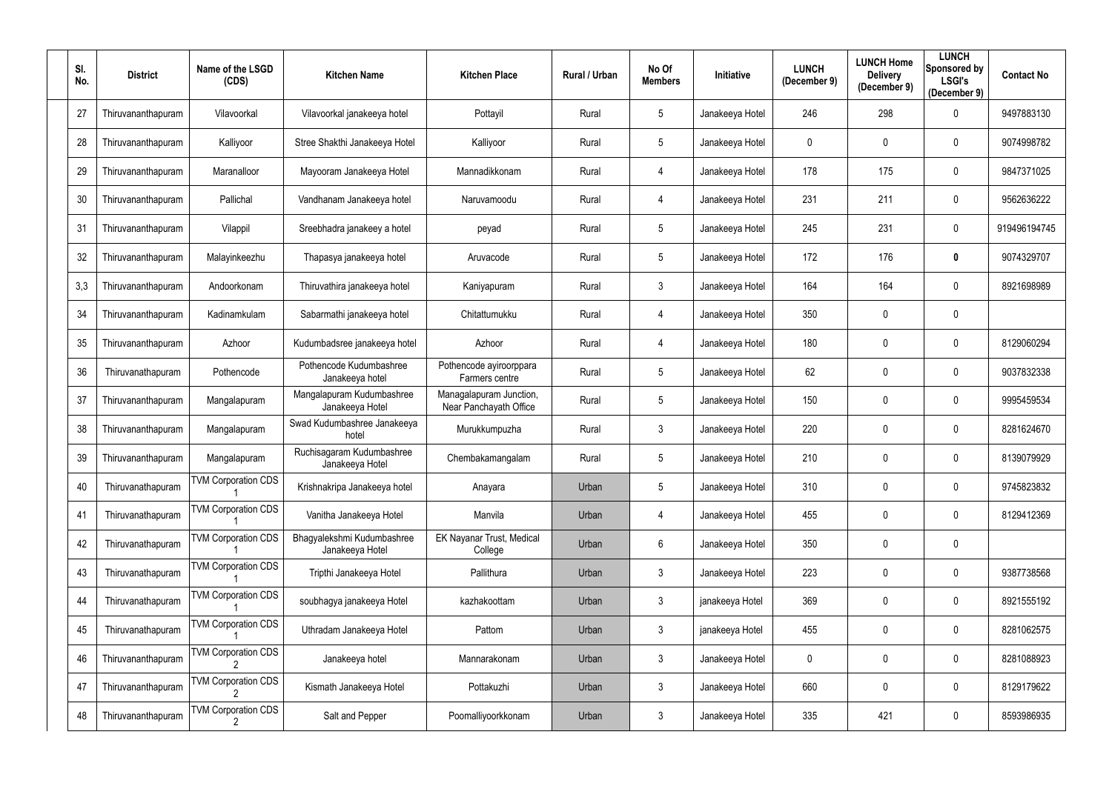| SI.<br>No. | <b>District</b>    | Name of the LSGD<br>(CDS)  | <b>Kitchen Name</b>                           | <b>Kitchen Place</b>                              | Rural / Urban | No Of<br><b>Members</b> | Initiative      | <b>LUNCH</b><br>(December 9) | <b>LUNCH Home</b><br><b>Delivery</b><br>(December 9) | <b>LUNCH</b><br>Sponsored by<br><b>LSGI's</b><br>(December 9) | <b>Contact No</b> |
|------------|--------------------|----------------------------|-----------------------------------------------|---------------------------------------------------|---------------|-------------------------|-----------------|------------------------------|------------------------------------------------------|---------------------------------------------------------------|-------------------|
| 27         | Thiruvananthapuram | Vilavoorkal                | Vilavoorkal janakeeya hotel                   | Pottayil                                          | Rural         | 5                       | Janakeeya Hotel | 246                          | 298                                                  | 0                                                             | 9497883130        |
| 28         | Thiruvananthapuram | Kalliyoor                  | Stree Shakthi Janakeeya Hotel                 | Kalliyoor                                         | Rural         | 5                       | Janakeeya Hotel | 0                            | 0                                                    | 0                                                             | 9074998782        |
| 29         | Thiruvananthapuram | Maranalloor                | Mayooram Janakeeya Hotel                      | Mannadikkonam                                     | Rural         | 4                       | Janakeeya Hotel | 178                          | 175                                                  | $\mathbf 0$                                                   | 9847371025        |
| 30         | Thiruvananthapuram | Pallichal                  | Vandhanam Janakeeya hotel                     | Naruvamoodu                                       | Rural         | 4                       | Janakeeya Hotel | 231                          | 211                                                  | $\mathbf 0$                                                   | 9562636222        |
| 31         | Thiruvananthapuram | Vilappil                   | Sreebhadra janakeey a hotel                   | peyad                                             | Rural         | $5\phantom{.0}$         | Janakeeya Hotel | 245                          | 231                                                  | $\mathbf 0$                                                   | 919496194745      |
| 32         | Thiruvananthapuram | Malayinkeezhu              | Thapasya janakeeya hotel                      | Aruvacode                                         | Rural         | 5                       | Janakeeya Hotel | 172                          | 176                                                  | 0                                                             | 9074329707        |
| 3,3        | Thiruvananthapuram | Andoorkonam                | Thiruvathira janakeeya hotel                  | Kaniyapuram                                       | Rural         | 3 <sup>1</sup>          | Janakeeya Hotel | 164                          | 164                                                  | $\mathbf 0$                                                   | 8921698989        |
| 34         | Thiruvananthapuram | Kadinamkulam               | Sabarmathi janakeeya hotel                    | Chitattumukku                                     | Rural         | 4                       | Janakeeya Hotel | 350                          | 0                                                    | $\mathbf 0$                                                   |                   |
| 35         | Thiruvananthapuram | Azhoor                     | Kudumbadsree janakeeya hotel                  | Azhoor                                            | Rural         | 4                       | Janakeeya Hotel | 180                          | $\mathbf 0$                                          | $\mathbf 0$                                                   | 8129060294        |
| 36         | Thiruvanathapuram  | Pothencode                 | Pothencode Kudumbashree<br>Janakeeya hotel    | Pothencode ayiroorppara<br>Farmers centre         | Rural         | 5                       | Janakeeya Hotel | 62                           | $\mathbf{0}$                                         | $\mathbf 0$                                                   | 9037832338        |
| 37         | Thiruvananthapuram | Mangalapuram               | Mangalapuram Kudumbashree<br>Janakeeya Hotel  | Managalapuram Junction,<br>Near Panchayath Office | Rural         | 5                       | Janakeeya Hotel | 150                          | $\mathbf 0$                                          | 0                                                             | 9995459534        |
| 38         | Thiruvananthapuram | Mangalapuram               | Swad Kudumbashree Janakeeya<br>hotel          | Murukkumpuzha                                     | Rural         | 3                       | Janakeeya Hotel | 220                          | 0                                                    | 0                                                             | 8281624670        |
| 39         | Thiruvananthapuram | Mangalapuram               | Ruchisagaram Kudumbashree<br>Janakeeya Hotel  | Chembakamangalam                                  | Rural         | 5                       | Janakeeya Hotel | 210                          | $\mathbf 0$                                          | 0                                                             | 8139079929        |
| 40         | Thiruvanathapuram  | <b>TVM Corporation CDS</b> | Krishnakripa Janakeeya hotel                  | Anayara                                           | Urban         | 5 <sup>5</sup>          | Janakeeya Hotel | 310                          | 0                                                    | $\boldsymbol{0}$                                              | 9745823832        |
| 41         | Thiruvanathapuram  | <b>TVM Corporation CDS</b> | Vanitha Janakeeya Hotel                       | Manvila                                           | Urban         | 4                       | Janakeeya Hotel | 455                          | $\mathbf 0$                                          | $\overline{0}$                                                | 8129412369        |
| 42         | Thiruvanathapuram  | <b>TVM Corporation CDS</b> | Bhagyalekshmi Kudumbashree<br>Janakeeya Hotel | EK Nayanar Trust, Medical<br>College              | Urban         | $6\overline{6}$         | Janakeeya Hotel | 350                          | $\boldsymbol{0}$                                     | $\mathbf 0$                                                   |                   |
| 43         | Thiruvanathapuram  | <b>TVM Corporation CDS</b> | Tripthi Janakeeya Hotel                       | Pallithura                                        | Urban         | $\mathfrak{Z}$          | Janakeeya Hotel | 223                          | $\boldsymbol{0}$                                     | $\mathbf 0$                                                   | 9387738568        |
| 44         | Thiruvanathapuram  | <b>TVM Corporation CDS</b> | soubhagya janakeeya Hotel                     | kazhakoottam                                      | Urban         | $\mathfrak{Z}$          | janakeeya Hotel | 369                          | $\boldsymbol{0}$                                     | $\mathbf 0$                                                   | 8921555192        |
| 45         | Thiruvanathapuram  | <b>TVM Corporation CDS</b> | Uthradam Janakeeya Hotel                      | Pattom                                            | Urban         | $\mathbf{3}$            | janakeeya Hotel | 455                          | $\boldsymbol{0}$                                     | $\mathbf 0$                                                   | 8281062575        |
| 46         | Thiruvananthapuram | <b>TVM Corporation CDS</b> | Janakeeya hotel                               | Mannarakonam                                      | Urban         | $\mathbf{3}$            | Janakeeya Hotel | 0                            | $\boldsymbol{0}$                                     | $\overline{0}$                                                | 8281088923        |
| 47         | Thiruvananthapuram | <b>TVM Corporation CDS</b> | Kismath Janakeeya Hotel                       | Pottakuzhi                                        | Urban         | $\mathfrak{Z}$          | Janakeeya Hotel | 660                          | $\boldsymbol{0}$                                     | $\mathbf 0$                                                   | 8129179622        |
| 48         | Thiruvananthapuram | <b>TVM Corporation CDS</b> | Salt and Pepper                               | Poomalliyoorkkonam                                | Urban         | $\mathfrak{Z}$          | Janakeeya Hotel | 335                          | 421                                                  | $\mathbf 0$                                                   | 8593986935        |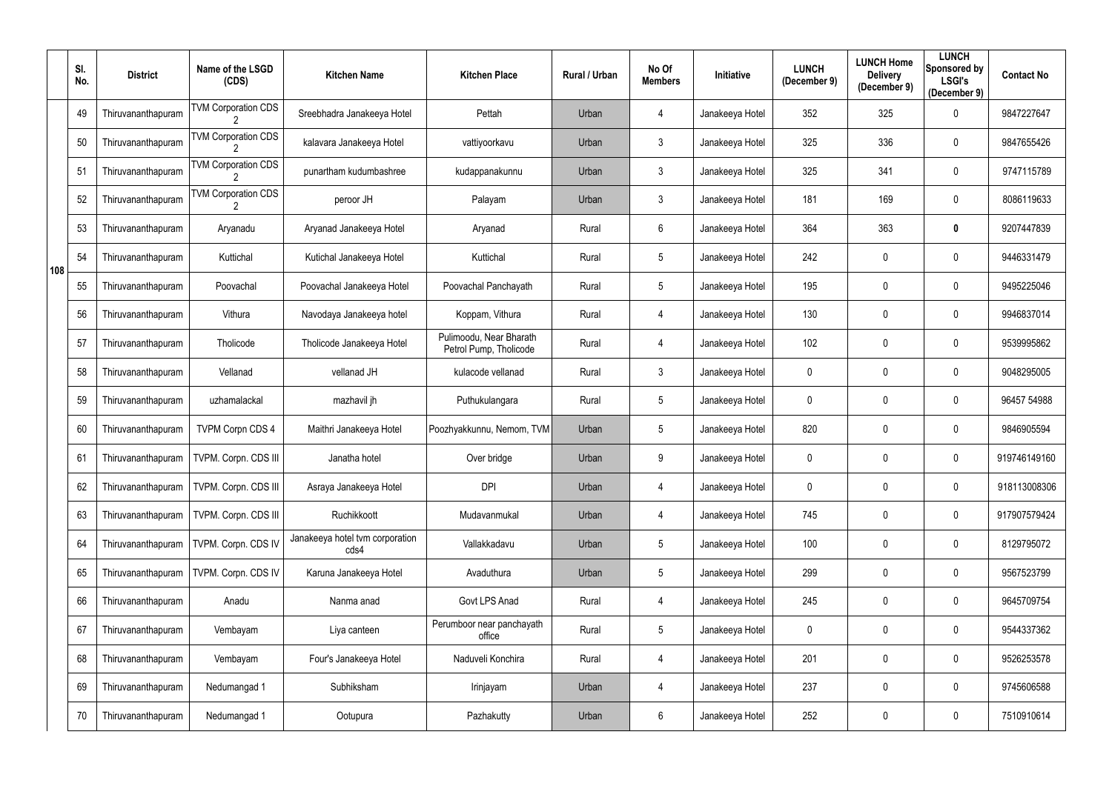|     | SI.<br>No. | <b>District</b>    | Name of the LSGD<br>(CDS)                   | <b>Kitchen Name</b>                     | <b>Kitchen Place</b>                              | Rural / Urban | No Of<br><b>Members</b> | Initiative      | <b>LUNCH</b><br>(December 9) | <b>LUNCH Home</b><br><b>Delivery</b><br>(December 9) | <b>LUNCH</b><br><b>Sponsored by</b><br><b>LSGI's</b><br>(December 9) | <b>Contact No</b> |
|-----|------------|--------------------|---------------------------------------------|-----------------------------------------|---------------------------------------------------|---------------|-------------------------|-----------------|------------------------------|------------------------------------------------------|----------------------------------------------------------------------|-------------------|
|     | 49         | Thiruvananthapuram | <b>TVM Corporation CDS</b>                  | Sreebhadra Janakeeya Hotel              | Pettah                                            | Urban         | 4                       | Janakeeya Hotel | 352                          | 325                                                  | $\mathbf 0$                                                          | 9847227647        |
|     | 50         | Thiruvananthapuram | <b>TVM Corporation CDS</b>                  | kalavara Janakeeya Hotel                | vattiyoorkavu                                     | Urban         | $\mathfrak{Z}$          | Janakeeya Hotel | 325                          | 336                                                  | $\boldsymbol{0}$                                                     | 9847655426        |
|     | 51         | Thiruvananthapuram | <b>TVM Corporation CDS</b>                  | punartham kudumbashree                  | kudappanakunnu                                    | Urban         | $\mathfrak{Z}$          | Janakeeya Hotel | 325                          | 341                                                  | $\overline{0}$                                                       | 9747115789        |
|     | 52         | Thiruvananthapuram | <b>TVM Corporation CDS</b><br>$\mathcal{P}$ | peroor JH                               | Palayam                                           | Urban         | $\mathfrak{Z}$          | Janakeeya Hotel | 181                          | 169                                                  | $\mathbf 0$                                                          | 8086119633        |
|     | 53         | Thiruvananthapuram | Aryanadu                                    | Aryanad Janakeeya Hotel                 | Aryanad                                           | Rural         | 6                       | Janakeeya Hotel | 364                          | 363                                                  | $\mathbf 0$                                                          | 9207447839        |
| 108 | 54         | Thiruvananthapuram | Kuttichal                                   | Kutichal Janakeeya Hotel                | Kuttichal                                         | Rural         | $5\phantom{.0}$         | Janakeeya Hotel | 242                          | $\mathbf 0$                                          | $\boldsymbol{0}$                                                     | 9446331479        |
|     | 55         | Thiruvananthapuram | Poovachal                                   | Poovachal Janakeeya Hotel               | Poovachal Panchayath                              | Rural         | $5\phantom{.0}$         | Janakeeya Hotel | 195                          | $\mathbf 0$                                          | $\mathbf 0$                                                          | 9495225046        |
|     | 56         | Thiruvananthapuram | Vithura                                     | Navodaya Janakeeya hotel                | Koppam, Vithura                                   | Rural         | 4                       | Janakeeya Hotel | 130                          | $\mathbf 0$                                          | $\mathbf 0$                                                          | 9946837014        |
|     | 57         | Thiruvananthapuram | Tholicode                                   | Tholicode Janakeeya Hotel               | Pulimoodu, Near Bharath<br>Petrol Pump, Tholicode | Rural         | 4                       | Janakeeya Hotel | 102                          | $\mathbf 0$                                          | $\mathbf 0$                                                          | 9539995862        |
|     | 58         | Thiruvananthapuram | Vellanad                                    | vellanad JH                             | kulacode vellanad                                 | Rural         | $\mathfrak{Z}$          | Janakeeya Hotel | $\mathbf 0$                  | $\mathbf 0$                                          | $\mathbf 0$                                                          | 9048295005        |
|     | 59         | Thiruvananthapuram | uzhamalackal                                | mazhavil jh                             | Puthukulangara                                    | Rural         | $5\phantom{.0}$         | Janakeeya Hotel | 0                            | $\mathbf 0$                                          | $\mathbf 0$                                                          | 96457 54988       |
|     | 60         | Thiruvananthapuram | <b>TVPM Corpn CDS 4</b>                     | Maithri Janakeeya Hotel                 | Poozhyakkunnu, Nemom, TVM                         | Urban         | 5                       | Janakeeya Hotel | 820                          | $\mathbf 0$                                          | $\overline{0}$                                                       | 9846905594        |
|     | 61         | Thiruvananthapuram | TVPM. Corpn. CDS III                        | Janatha hotel                           | Over bridge                                       | Urban         | 9                       | Janakeeya Hotel | 0                            | $\mathbf 0$                                          | $\mathbf 0$                                                          | 919746149160      |
|     | 62         | Thiruvananthapuram | TVPM. Corpn. CDS III                        | Asraya Janakeeya Hotel                  | <b>DPI</b>                                        | Urban         | 4                       | Janakeeya Hotel | 0                            | $\mathbf 0$                                          | $\mathbf 0$                                                          | 918113008306      |
|     | 63         | Thiruvananthapuram | TVPM. Corpn. CDS III                        | Ruchikkoott                             | Mudavanmukal                                      | Urban         | 4                       | Janakeeya Hotel | 745                          | $\mathbf 0$                                          | $\overline{0}$                                                       | 917907579424      |
|     | 64         | Thiruvananthapuram | TVPM. Corpn. CDS IV                         | Janakeeya hotel tvm corporation<br>cds4 | Vallakkadavu                                      | Urban         | $\overline{5}$          | Janakeeya Hotel | 100                          | $\boldsymbol{0}$                                     | $\overline{0}$                                                       | 8129795072        |
|     | 65         | Thiruvananthapuram | TVPM. Corpn. CDS IV                         | Karuna Janakeeya Hotel                  | Avaduthura                                        | Urban         | $5\phantom{.0}$         | Janakeeya Hotel | 299                          | $\mathbf 0$                                          | $\overline{0}$                                                       | 9567523799        |
|     | 66         | Thiruvananthapuram | Anadu                                       | Nanma anad                              | Govt LPS Anad                                     | Rural         | 4                       | Janakeeya Hotel | 245                          | $\boldsymbol{0}$                                     | $\overline{0}$                                                       | 9645709754        |
|     | 67         | Thiruvananthapuram | Vembayam                                    | Liya canteen                            | Perumboor near panchayath<br>office               | Rural         | $5\phantom{.0}$         | Janakeeya Hotel | 0                            | $\mathbf 0$                                          | $\overline{0}$                                                       | 9544337362        |
|     | 68         | Thiruvananthapuram | Vembayam                                    | Four's Janakeeya Hotel                  | Naduveli Konchira                                 | Rural         | 4                       | Janakeeya Hotel | 201                          | $\boldsymbol{0}$                                     | $\overline{0}$                                                       | 9526253578        |
|     | 69         | Thiruvananthapuram | Nedumangad 1                                | Subhiksham                              | Irinjayam                                         | Urban         | 4                       | Janakeeya Hotel | 237                          | $\mathbf 0$                                          | $\overline{0}$                                                       | 9745606588        |
|     | 70         | Thiruvananthapuram | Nedumangad 1                                | Ootupura                                | Pazhakutty                                        | Urban         | 6                       | Janakeeya Hotel | 252                          | $\boldsymbol{0}$                                     | $\overline{0}$                                                       | 7510910614        |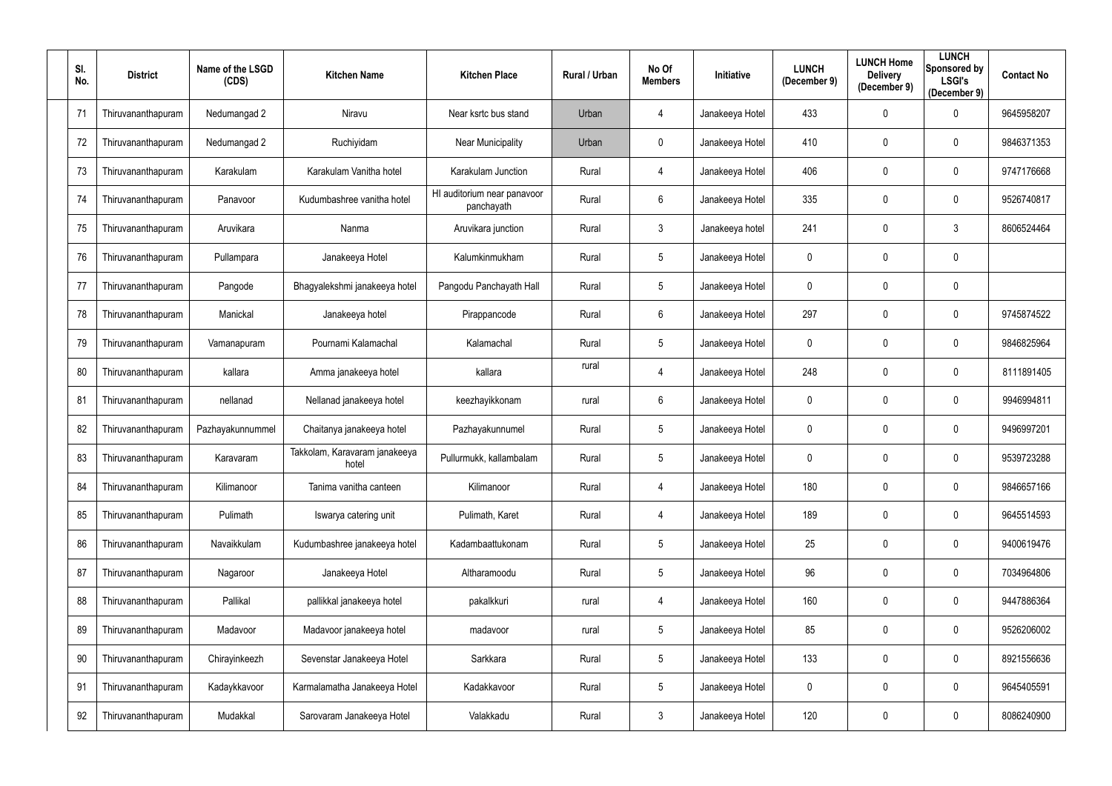| SI.<br>No. | <b>District</b>    | Name of the LSGD<br>(CDS) | <b>Kitchen Name</b>                    | <b>Kitchen Place</b>                      | Rural / Urban | No Of<br><b>Members</b> | Initiative      | <b>LUNCH</b><br>(December 9) | <b>LUNCH Home</b><br><b>Delivery</b><br>(December 9) | <b>LUNCH</b><br><b>Sponsored by</b><br><b>LSGI's</b><br>(December 9) | <b>Contact No</b> |
|------------|--------------------|---------------------------|----------------------------------------|-------------------------------------------|---------------|-------------------------|-----------------|------------------------------|------------------------------------------------------|----------------------------------------------------------------------|-------------------|
| 71         | Thiruvananthapuram | Nedumangad 2              | Niravu                                 | Near ksrtc bus stand                      | Urban         | 4                       | Janakeeya Hotel | 433                          | $\boldsymbol{0}$                                     | 0                                                                    | 9645958207        |
| 72         | Thiruvananthapuram | Nedumangad 2              | Ruchiyidam                             | <b>Near Municipality</b>                  | Urban         | 0                       | Janakeeya Hotel | 410                          | $\mathbf 0$                                          | 0                                                                    | 9846371353        |
| 73         | Thiruvananthapuram | Karakulam                 | Karakulam Vanitha hotel                | Karakulam Junction                        | Rural         | 4                       | Janakeeya Hotel | 406                          | $\mathbf 0$                                          | $\mathbf 0$                                                          | 9747176668        |
| 74         | Thiruvananthapuram | Panavoor                  | Kudumbashree vanitha hotel             | HI auditorium near panavoor<br>panchayath | Rural         | $6\phantom{.}$          | Janakeeya Hotel | 335                          | 0                                                    | $\mathbf 0$                                                          | 9526740817        |
| 75         | Thiruvananthapuram | Aruvikara                 | Nanma                                  | Aruvikara junction                        | Rural         | $\mathfrak{Z}$          | Janakeeya hotel | 241                          | $\mathbf 0$                                          | 3                                                                    | 8606524464        |
| 76         | Thiruvananthapuram | Pullampara                | Janakeeya Hotel                        | Kalumkinmukham                            | Rural         | $5\phantom{.0}$         | Janakeeya Hotel | 0                            | $\mathbf 0$                                          | $\mathbf 0$                                                          |                   |
| 77         | Thiruvananthapuram | Pangode                   | Bhagyalekshmi janakeeya hotel          | Pangodu Panchayath Hall                   | Rural         | $5\phantom{.0}$         | Janakeeya Hotel | 0                            | $\mathbf 0$                                          | $\boldsymbol{0}$                                                     |                   |
| 78         | Thiruvananthapuram | Manickal                  | Janakeeya hotel                        | Pirappancode                              | Rural         | 6                       | Janakeeya Hotel | 297                          | $\mathbf 0$                                          | $\mathbf 0$                                                          | 9745874522        |
| 79         | Thiruvananthapuram | Vamanapuram               | Pournami Kalamachal                    | Kalamachal                                | Rural         | $5\phantom{.0}$         | Janakeeya Hotel | 0                            | $\mathbf 0$                                          | $\mathbf 0$                                                          | 9846825964        |
| 80         | Thiruvananthapuram | kallara                   | Amma janakeeya hotel                   | kallara                                   | rural         | 4                       | Janakeeya Hotel | 248                          | $\mathbf 0$                                          | $\mathbf 0$                                                          | 8111891405        |
| 81         | Thiruvananthapuram | nellanad                  | Nellanad janakeeya hotel               | keezhayikkonam                            | rural         | 6                       | Janakeeya Hotel | 0                            | $\mathbf 0$                                          | 0                                                                    | 9946994811        |
| 82         | Thiruvananthapuram | Pazhayakunnummel          | Chaitanya janakeeya hotel              | Pazhayakunnumel                           | Rural         | 5                       | Janakeeya Hotel | 0                            | $\mathbf 0$                                          | $\mathbf 0$                                                          | 9496997201        |
| 83         | Thiruvananthapuram | Karavaram                 | Takkolam, Karavaram janakeeya<br>hotel | Pullurmukk, kallambalam                   | Rural         | 5                       | Janakeeya Hotel | 0                            | $\mathbf 0$                                          | 0                                                                    | 9539723288        |
| 84         | Thiruvananthapuram | Kilimanoor                | Tanima vanitha canteen                 | Kilimanoor                                | Rural         | 4                       | Janakeeya Hotel | 180                          | 0                                                    | $\bf{0}$                                                             | 9846657166        |
| 85         | Thiruvananthapuram | Pulimath                  | Iswarya catering unit                  | Pulimath, Karet                           | Rural         | 4                       | Janakeeya Hotel | 189                          | $\boldsymbol{0}$                                     | $\bf{0}$                                                             | 9645514593        |
| 86         | Thiruvananthapuram | Navaikkulam               | Kudumbashree janakeeya hotel           | Kadambaattukonam                          | Rural         | $5\phantom{.0}$         | Janakeeya Hotel | 25                           | $\boldsymbol{0}$                                     | $\bf{0}$                                                             | 9400619476        |
| 87         | Thiruvananthapuram | Nagaroor                  | Janakeeya Hotel                        | Altharamoodu                              | Rural         | $5\phantom{.0}$         | Janakeeya Hotel | 96                           | $\pmb{0}$                                            | $\bf{0}$                                                             | 7034964806        |
| 88         | Thiruvananthapuram | Pallikal                  | pallikkal janakeeya hotel              | pakalkkuri                                | rural         | 4                       | Janakeeya Hotel | 160                          | $\boldsymbol{0}$                                     | $\boldsymbol{0}$                                                     | 9447886364        |
| 89         | Thiruvananthapuram | Madavoor                  | Madavoor janakeeya hotel               | madavoor                                  | rural         | $5\phantom{.0}$         | Janakeeya Hotel | 85                           | $\boldsymbol{0}$                                     | $\bf{0}$                                                             | 9526206002        |
| 90         | Thiruvananthapuram | Chirayinkeezh             | Sevenstar Janakeeya Hotel              | Sarkkara                                  | Rural         | $5\phantom{.0}$         | Janakeeya Hotel | 133                          | $\pmb{0}$                                            | $\overline{0}$                                                       | 8921556636        |
| 91         | Thiruvananthapuram | Kadaykkavoor              | Karmalamatha Janakeeya Hotel           | Kadakkavoor                               | Rural         | $5\phantom{.0}$         | Janakeeya Hotel | 0                            | $\boldsymbol{0}$                                     | $\bf{0}$                                                             | 9645405591        |
| 92         | Thiruvananthapuram | Mudakkal                  | Sarovaram Janakeeya Hotel              | Valakkadu                                 | Rural         | $\mathfrak{Z}$          | Janakeeya Hotel | 120                          | $\boldsymbol{0}$                                     | $\mathbf 0$                                                          | 8086240900        |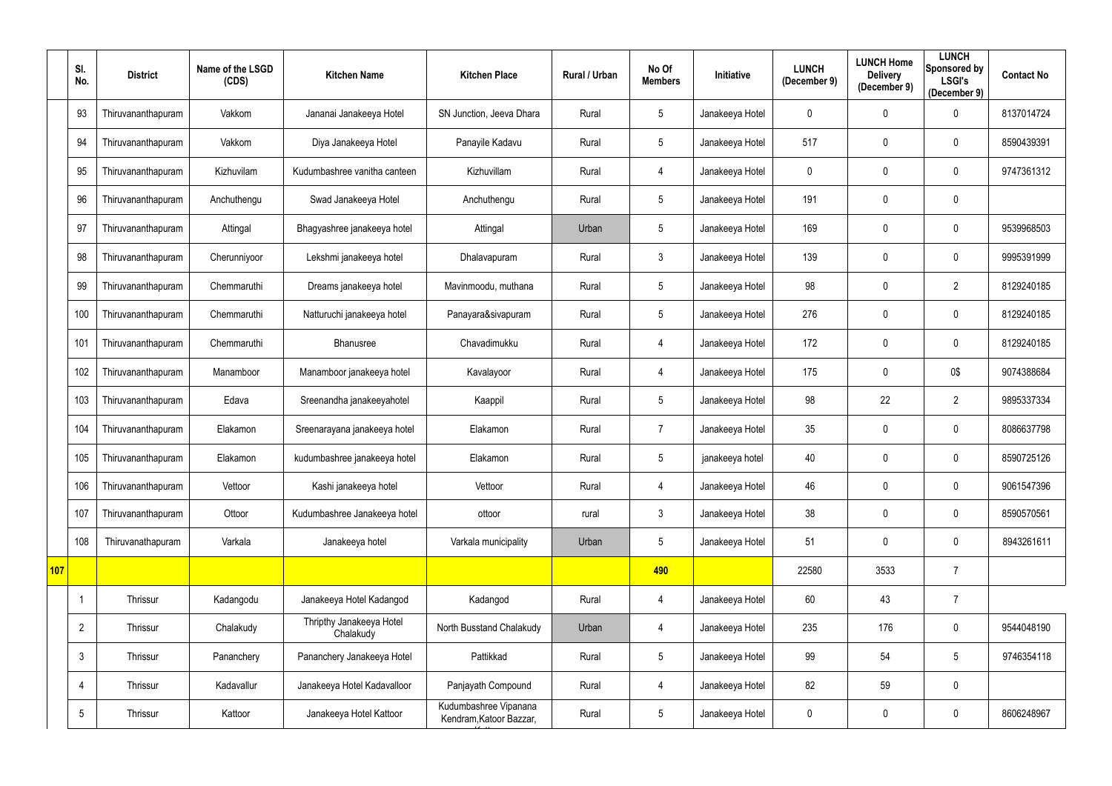|     | SI.<br>No.      | <b>District</b>    | Name of the LSGD<br>(CDS) | <b>Kitchen Name</b>                   | <b>Kitchen Place</b>                             | Rural / Urban | No Of<br><b>Members</b> | Initiative      | <b>LUNCH</b><br>(December 9) | <b>LUNCH Home</b><br><b>Delivery</b><br>(December 9) | <b>LUNCH</b><br>Sponsored by<br><b>LSGI's</b><br>(December 9) | <b>Contact No</b> |
|-----|-----------------|--------------------|---------------------------|---------------------------------------|--------------------------------------------------|---------------|-------------------------|-----------------|------------------------------|------------------------------------------------------|---------------------------------------------------------------|-------------------|
|     | 93              | Thiruvananthapuram | Vakkom                    | Jananai Janakeeya Hotel               | SN Junction, Jeeva Dhara                         | Rural         | 5                       | Janakeeya Hotel | $\mathbf 0$                  | $\mathbf{0}$                                         | $\mathbf 0$                                                   | 8137014724        |
|     | 94              | Thiruvananthapuram | Vakkom                    | Diya Janakeeya Hotel                  | Panayile Kadavu                                  | Rural         | 5                       | Janakeeya Hotel | 517                          | $\mathbf 0$                                          | $\mathbf 0$                                                   | 8590439391        |
|     | 95              | Thiruvananthapuram | Kizhuvilam                | Kudumbashree vanitha canteen          | Kizhuvillam                                      | Rural         | 4                       | Janakeeya Hotel | 0                            | $\mathbf 0$                                          | $\mathbf 0$                                                   | 9747361312        |
|     | 96              | Thiruvananthapuram | Anchuthengu               | Swad Janakeeya Hotel                  | Anchuthengu                                      | Rural         | $\overline{5}$          | Janakeeya Hotel | 191                          | $\mathbf 0$                                          | $\mathbf 0$                                                   |                   |
|     | 97              | Thiruvananthapuram | Attingal                  | Bhagyashree janakeeya hotel           | Attingal                                         | Urban         | $5\phantom{.0}$         | Janakeeya Hotel | 169                          | $\mathbf 0$                                          | $\mathbf 0$                                                   | 9539968503        |
|     | 98              | Thiruvananthapuram | Cherunniyoor              | Lekshmi janakeeya hotel               | Dhalavapuram                                     | Rural         | $\mathfrak{Z}$          | Janakeeya Hotel | 139                          | $\mathbf 0$                                          | $\mathbf 0$                                                   | 9995391999        |
|     | 99              | Thiruvananthapuram | Chemmaruthi               | Dreams janakeeya hotel                | Mavinmoodu, muthana                              | Rural         | $\overline{5}$          | Janakeeya Hotel | 98                           | $\Omega$                                             | $\overline{2}$                                                | 8129240185        |
|     | 100             | Thiruvananthapuram | Chemmaruthi               | Natturuchi janakeeya hotel            | Panayara&sivapuram                               | Rural         | $5\,$                   | Janakeeya Hotel | 276                          | $\mathbf 0$                                          | $\mathbf 0$                                                   | 8129240185        |
|     | 101             | Thiruvananthapuram | Chemmaruthi               | Bhanusree                             | Chavadimukku                                     | Rural         | 4                       | Janakeeya Hotel | 172                          | $\mathbf 0$                                          | $\mathbf 0$                                                   | 8129240185        |
|     | 102             | Thiruvananthapuram | Manamboor                 | Manamboor janakeeya hotel             | Kavalayoor                                       | Rural         | $\overline{4}$          | Janakeeya Hotel | 175                          | $\mathbf 0$                                          | 0\$                                                           | 9074388684        |
|     | 103             | Thiruvananthapuram | Edava                     | Sreenandha janakeeyahotel             | Kaappil                                          | Rural         | $5\phantom{.0}$         | Janakeeya Hotel | 98                           | 22                                                   | $\overline{2}$                                                | 9895337334        |
|     | 104             | Thiruvananthapuram | Elakamon                  | Sreenarayana janakeeya hotel          | Elakamon                                         | Rural         | $\overline{7}$          | Janakeeya Hotel | 35                           | $\mathbf 0$                                          | $\mathbf 0$                                                   | 8086637798        |
|     | 105             | Thiruvananthapuram | Elakamon                  | kudumbashree janakeeya hotel          | Elakamon                                         | Rural         | 5                       | janakeeya hotel | 40                           | $\mathbf{0}$                                         | $\mathbf 0$                                                   | 8590725126        |
|     | 106             | Thiruvananthapuram | Vettoor                   | Kashi janakeeya hotel                 | Vettoor                                          | Rural         | 4                       | Janakeeya Hotel | 46                           | $\mathbf 0$                                          | $\mathbf 0$                                                   | 9061547396        |
|     | 107             | Thiruvananthapuram | Ottoor                    | Kudumbashree Janakeeya hotel          | ottoor                                           | rural         | $\mathfrak{Z}$          | Janakeeya Hotel | 38                           | $\mathbf 0$                                          | $\mathbf 0$                                                   | 8590570561        |
|     | 108             | Thiruvanathapuram  | Varkala                   | Janakeeya hotel                       | Varkala municipality                             | Urban         | $5\,$                   | Janakeeya Hotel | 51                           | $\mathbf 0$                                          | $\mathbf 0$                                                   | 8943261611        |
| 107 |                 |                    |                           |                                       |                                                  |               | 490                     |                 | 22580                        | 3533                                                 | $\overline{7}$                                                |                   |
|     |                 | Thrissur           | Kadangodu                 | Janakeeya Hotel Kadangod              | Kadangod                                         | Rural         | $\overline{4}$          | Janakeeya Hotel | 60                           | 43                                                   | $\overline{7}$                                                |                   |
|     | $\overline{2}$  | Thrissur           | Chalakudy                 | Thripthy Janakeeya Hotel<br>Chalakudy | North Busstand Chalakudy                         | Urban         | $\overline{4}$          | Janakeeya Hotel | 235                          | 176                                                  | $\mathbf 0$                                                   | 9544048190        |
|     | $\mathfrak{Z}$  | Thrissur           | Pananchery                | Pananchery Janakeeya Hotel            | Pattikkad                                        | Rural         | $5\,$                   | Janakeeya Hotel | 99                           | 54                                                   | 5                                                             | 9746354118        |
|     | 4               | Thrissur           | Kadavallur                | Janakeeya Hotel Kadavalloor           | Panjayath Compound                               | Rural         | $\overline{4}$          | Janakeeya Hotel | 82                           | 59                                                   | $\mathbf 0$                                                   |                   |
|     | $5\phantom{.0}$ | Thrissur           | Kattoor                   | Janakeeya Hotel Kattoor               | Kudumbashree Vipanana<br>Kendram, Katoor Bazzar, | Rural         | $5\,$                   | Janakeeya Hotel | 0                            | $\mathbf 0$                                          | $\mathbf 0$                                                   | 8606248967        |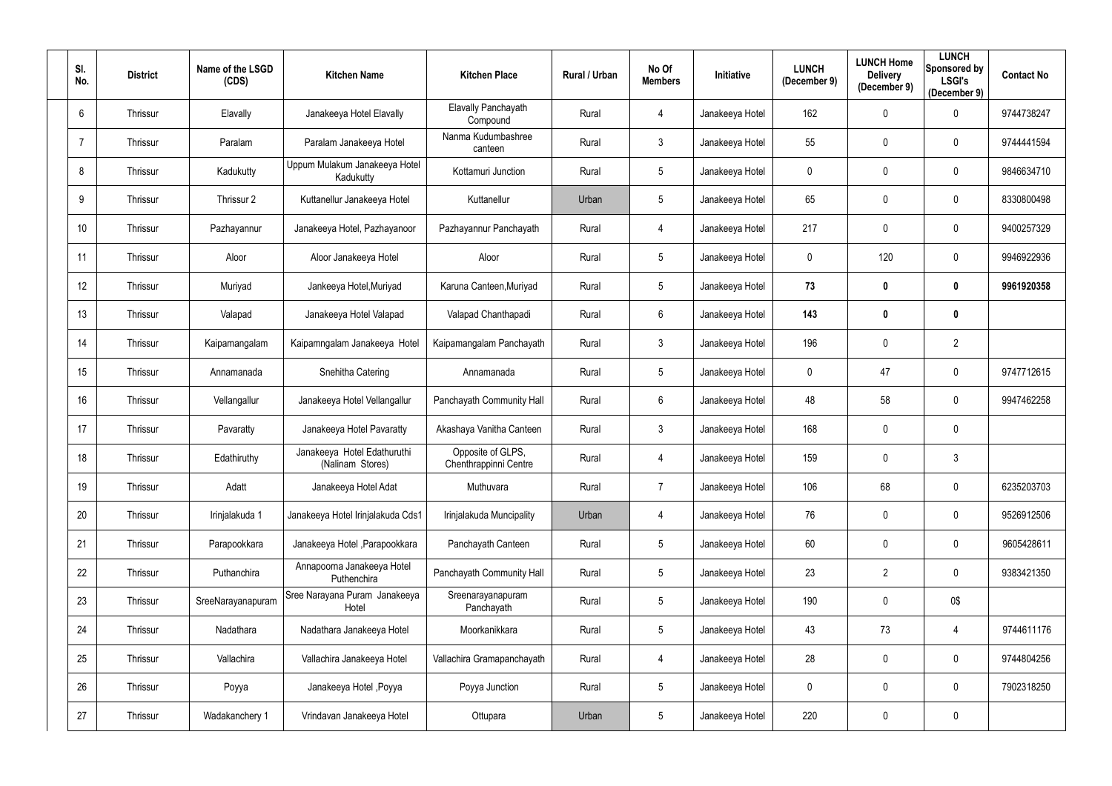| SI.<br>No.      | <b>District</b> | Name of the LSGD<br>(CDS) | <b>Kitchen Name</b>                             | <b>Kitchen Place</b>                       | <b>Rural / Urban</b> | No Of<br><b>Members</b> | Initiative      | <b>LUNCH</b><br>(December 9) | <b>LUNCH Home</b><br><b>Delivery</b><br>(December 9) | <b>LUNCH</b><br>Sponsored by<br><b>LSGI's</b><br>(December 9) | <b>Contact No</b> |
|-----------------|-----------------|---------------------------|-------------------------------------------------|--------------------------------------------|----------------------|-------------------------|-----------------|------------------------------|------------------------------------------------------|---------------------------------------------------------------|-------------------|
| $6\overline{6}$ | Thrissur        | Elavally                  | Janakeeya Hotel Elavally                        | Elavally Panchayath<br>Compound            | Rural                | 4                       | Janakeeya Hotel | 162                          | $\mathbf 0$                                          | $\mathbf 0$                                                   | 9744738247        |
|                 | Thrissur        | Paralam                   | Paralam Janakeeya Hotel                         | Nanma Kudumbashree<br>canteen              | Rural                | $\mathfrak{Z}$          | Janakeeya Hotel | 55                           | $\mathbf 0$                                          | $\mathbf 0$                                                   | 9744441594        |
| 8               | Thrissur        | Kadukutty                 | Uppum Mulakum Janakeeya Hotel<br>Kadukutty      | Kottamuri Junction                         | Rural                | $5\phantom{.0}$         | Janakeeya Hotel | $\mathbf 0$                  | $\mathbf 0$                                          | $\mathbf 0$                                                   | 9846634710        |
| 9               | Thrissur        | Thrissur 2                | Kuttanellur Janakeeya Hotel                     | Kuttanellur                                | Urban                | $5\overline{)}$         | Janakeeya Hotel | 65                           | $\mathbf 0$                                          | $\mathbf 0$                                                   | 8330800498        |
| 10              | Thrissur        | Pazhayannur               | Janakeeya Hotel, Pazhayanoor                    | Pazhayannur Panchayath                     | Rural                | 4                       | Janakeeya Hotel | 217                          | $\mathbf 0$                                          | $\mathbf 0$                                                   | 9400257329        |
| 11              | Thrissur        | Aloor                     | Aloor Janakeeya Hotel                           | Aloor                                      | Rural                | 5                       | Janakeeya Hotel | 0                            | 120                                                  | $\mathbf 0$                                                   | 9946922936        |
| 12              | Thrissur        | Muriyad                   | Jankeeya Hotel, Muriyad                         | Karuna Canteen, Muriyad                    | Rural                | $5\phantom{.0}$         | Janakeeya Hotel | 73                           | 0                                                    | $\mathbf 0$                                                   | 9961920358        |
| 13              | Thrissur        | Valapad                   | Janakeeya Hotel Valapad                         | Valapad Chanthapadi                        | Rural                | 6                       | Janakeeya Hotel | 143                          | $\boldsymbol{0}$                                     | $\mathbf 0$                                                   |                   |
| 14              | Thrissur        | Kaipamangalam             | Kaipamngalam Janakeeya Hotel                    | Kaipamangalam Panchayath                   | Rural                | $\mathfrak{Z}$          | Janakeeya Hotel | 196                          | $\mathbf 0$                                          | $\overline{2}$                                                |                   |
| 15              | Thrissur        | Annamanada                | Snehitha Catering                               | Annamanada                                 | Rural                | $5\overline{)}$         | Janakeeya Hotel | $\mathbf 0$                  | 47                                                   | $\mathbf 0$                                                   | 9747712615        |
| 16              | Thrissur        | Vellangallur              | Janakeeya Hotel Vellangallur                    | Panchayath Community Hall                  | Rural                | 6                       | Janakeeya Hotel | 48                           | 58                                                   | $\mathbf 0$                                                   | 9947462258        |
| 17              | Thrissur        | Pavaratty                 | Janakeeya Hotel Pavaratty                       | Akashaya Vanitha Canteen                   | Rural                | $\mathfrak{Z}$          | Janakeeya Hotel | 168                          | $\mathbf 0$                                          | $\mathbf 0$                                                   |                   |
| 18              | Thrissur        | Edathiruthy               | Janakeeya Hotel Edathuruthi<br>(Nalinam Stores) | Opposite of GLPS,<br>Chenthrappinni Centre | Rural                | 4                       | Janakeeya Hotel | 159                          | $\mathbf 0$                                          | 3                                                             |                   |
| 19              | Thrissur        | Adatt                     | Janakeeya Hotel Adat                            | Muthuvara                                  | Rural                | $\overline{7}$          | Janakeeya Hotel | 106                          | 68                                                   | $\bf{0}$                                                      | 6235203703        |
| 20              | Thrissur        | Irinjalakuda 1            | Janakeeya Hotel Irinjalakuda Cds1               | Irinjalakuda Muncipality                   | Urban                | 4                       | Janakeeya Hotel | 76                           | $\mathbf 0$                                          | $\overline{0}$                                                | 9526912506        |
| 21              | Thrissur        | Parapookkara              | Janakeeya Hotel , Parapookkara                  | Panchayath Canteen                         | Rural                | $5\phantom{.0}$         | Janakeeya Hotel | 60                           | $\pmb{0}$                                            | $\mathbf 0$                                                   | 9605428611        |
| 22              | Thrissur        | Puthanchira               | Annapoorna Janakeeya Hotel<br>Puthenchira       | Panchayath Community Hall                  | Rural                | $5\phantom{.0}$         | Janakeeya Hotel | 23                           | $\overline{2}$                                       | $\mathbf 0$                                                   | 9383421350        |
| 23              | Thrissur        | SreeNarayanapuram         | Sree Narayana Puram Janakeeya<br>Hotel          | Sreenarayanapuram<br>Panchayath            | Rural                | $5\phantom{.0}$         | Janakeeya Hotel | 190                          | $\pmb{0}$                                            | 0\$                                                           |                   |
| 24              | Thrissur        | Nadathara                 | Nadathara Janakeeya Hotel                       | Moorkanikkara                              | Rural                | $5\phantom{.0}$         | Janakeeya Hotel | 43                           | 73                                                   | $\overline{4}$                                                | 9744611176        |
| 25              | Thrissur        | Vallachira                | Vallachira Janakeeya Hotel                      | Vallachira Gramapanchayath                 | Rural                | 4                       | Janakeeya Hotel | 28                           | $\pmb{0}$                                            | $\mathbf 0$                                                   | 9744804256        |
| 26              | Thrissur        | Poyya                     | Janakeeya Hotel, Poyya                          | Poyya Junction                             | Rural                | $5\phantom{.0}$         | Janakeeya Hotel | $\mathbf 0$                  | $\pmb{0}$                                            | $\mathbf 0$                                                   | 7902318250        |
| 27              | Thrissur        | Wadakanchery 1            | Vrindavan Janakeeya Hotel                       | Ottupara                                   | Urban                | $5\phantom{.0}$         | Janakeeya Hotel | 220                          | $\boldsymbol{0}$                                     | $\overline{0}$                                                |                   |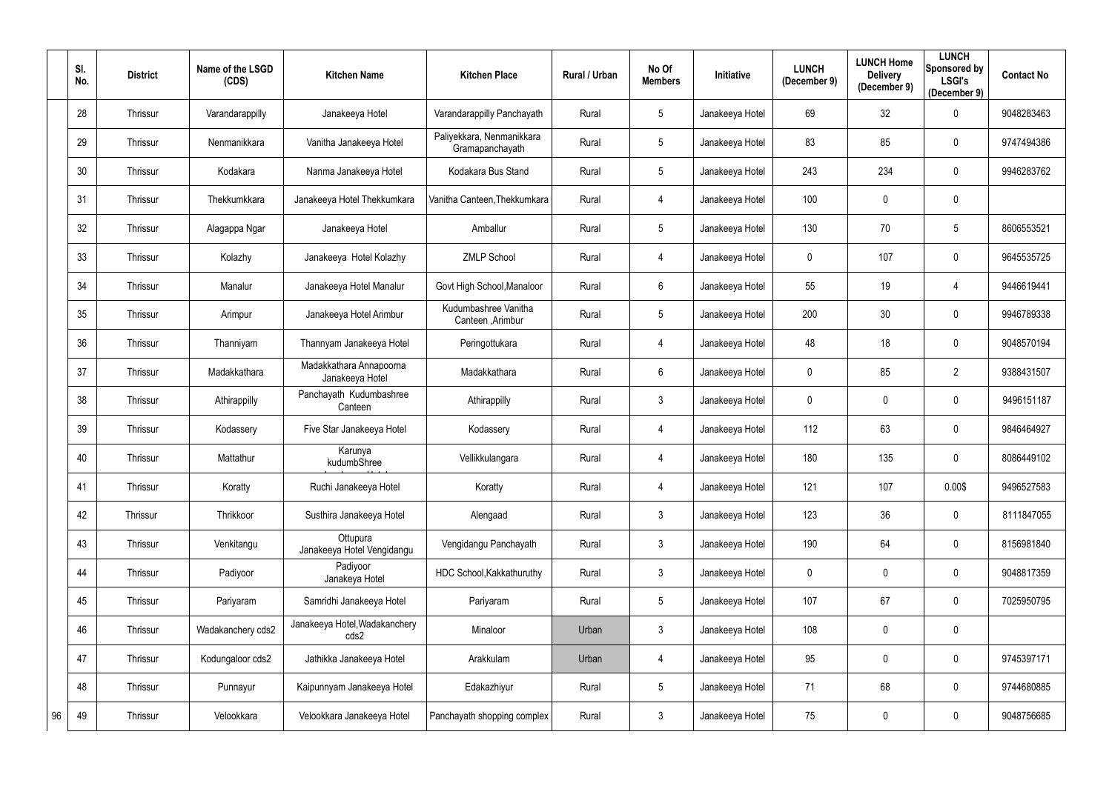|    | SI.<br>No. | <b>District</b> | Name of the LSGD<br>(CDS) | <b>Kitchen Name</b>                        | <b>Kitchen Place</b>                         | Rural / Urban | No Of<br><b>Members</b> | <b>Initiative</b> | <b>LUNCH</b><br>(December 9) | <b>LUNCH Home</b><br><b>Delivery</b><br>(December 9) | <b>LUNCH</b><br>Sponsored by<br><b>LSGI's</b><br>(December 9) | <b>Contact No</b> |
|----|------------|-----------------|---------------------------|--------------------------------------------|----------------------------------------------|---------------|-------------------------|-------------------|------------------------------|------------------------------------------------------|---------------------------------------------------------------|-------------------|
|    | 28         | Thrissur        | Varandarappilly           | Janakeeya Hotel                            | Varandarappilly Panchayath                   | Rural         | $5\phantom{.0}$         | Janakeeya Hotel   | 69                           | 32                                                   | $\mathbf 0$                                                   | 9048283463        |
|    | 29         | Thrissur        | Nenmanikkara              | Vanitha Janakeeya Hotel                    | Paliyekkara, Nenmanikkara<br>Gramapanchayath | Rural         | $5\phantom{.0}$         | Janakeeya Hotel   | 83                           | 85                                                   | $\mathbf 0$                                                   | 9747494386        |
|    | 30         | Thrissur        | Kodakara                  | Nanma Janakeeya Hotel                      | Kodakara Bus Stand                           | Rural         | $5\phantom{.0}$         | Janakeeya Hotel   | 243                          | 234                                                  | $\mathbf 0$                                                   | 9946283762        |
|    | 31         | Thrissur        | Thekkumkkara              | Janakeeya Hotel Thekkumkara                | Vanitha Canteen, Thekkumkara                 | Rural         | 4                       | Janakeeya Hotel   | 100                          | $\mathbf 0$                                          | $\mathbf 0$                                                   |                   |
|    | 32         | Thrissur        | Alagappa Ngar             | Janakeeya Hotel                            | Amballur                                     | Rural         | $5\phantom{.0}$         | Janakeeya Hotel   | 130                          | 70                                                   | 5                                                             | 8606553521        |
|    | 33         | Thrissur        | Kolazhy                   | Janakeeya Hotel Kolazhy                    | <b>ZMLP School</b>                           | Rural         | 4                       | Janakeeya Hotel   | 0                            | 107                                                  | $\mathbf 0$                                                   | 9645535725        |
|    | 34         | Thrissur        | Manalur                   | Janakeeya Hotel Manalur                    | Govt High School, Manaloor                   | Rural         | $6\phantom{.}$          | Janakeeya Hotel   | 55                           | 19                                                   | 4                                                             | 9446619441        |
|    | 35         | Thrissur        | Arimpur                   | Janakeeya Hotel Arimbur                    | Kudumbashree Vanitha<br>Canteen , Arimbur    | Rural         | $5\phantom{.0}$         | Janakeeya Hotel   | 200                          | 30                                                   | $\mathbf 0$                                                   | 9946789338        |
|    | 36         | Thrissur        | Thanniyam                 | Thannyam Janakeeya Hotel                   | Peringottukara                               | Rural         | 4                       | Janakeeya Hotel   | 48                           | 18                                                   | $\mathbf 0$                                                   | 9048570194        |
|    | 37         | Thrissur        | Madakkathara              | Madakkathara Annapoorna<br>Janakeeya Hotel | Madakkathara                                 | Rural         | $6\phantom{.}$          | Janakeeya Hotel   | 0                            | 85                                                   | $\overline{2}$                                                | 9388431507        |
|    | 38         | Thrissur        | Athirappilly              | Panchayath Kudumbashree<br>Canteen         | Athirappilly                                 | Rural         | $\mathbf{3}$            | Janakeeya Hotel   | 0                            | $\mathbf 0$                                          | $\mathbf 0$                                                   | 9496151187        |
|    | 39         | Thrissur        | Kodassery                 | Five Star Janakeeya Hotel                  | Kodassery                                    | Rural         | 4                       | Janakeeya Hotel   | 112                          | 63                                                   | $\mathbf 0$                                                   | 9846464927        |
|    | 40         | Thrissur        | Mattathur                 | Karunya<br>kudumbShree                     | Vellikkulangara                              | Rural         | 4                       | Janakeeya Hotel   | 180                          | 135                                                  | $\mathbf 0$                                                   | 8086449102        |
|    | 41         | Thrissur        | Koratty                   | Ruchi Janakeeya Hotel                      | Koratty                                      | Rural         | 4                       | Janakeeya Hotel   | 121                          | 107                                                  | 0.00\$                                                        | 9496527583        |
|    | 42         | Thrissur        | Thrikkoor                 | Susthira Janakeeya Hotel                   | Alengaad                                     | Rural         | $\mathfrak{Z}$          | Janakeeya Hotel   | 123                          | 36                                                   | $\mathbf 0$                                                   | 8111847055        |
|    | 43         | Thrissur        | Venkitangu                | Ottupura<br>Janakeeya Hotel Vengidangu     | Vengidangu Panchayath                        | Rural         | $\mathfrak{Z}$          | Janakeeya Hotel   | 190                          | 64                                                   | $\mathbf 0$                                                   | 8156981840        |
|    | 44         | Thrissur        | Padiyoor                  | Padiyoor<br>Janakeya Hotel                 | HDC School, Kakkathuruthy                    | Rural         | $\mathfrak{Z}$          | Janakeeya Hotel   | 0                            | $\mathbf 0$                                          | $\mathbf 0$                                                   | 9048817359        |
|    | 45         | Thrissur        | Pariyaram                 | Samridhi Janakeeya Hotel                   | Pariyaram                                    | Rural         | $5\phantom{.0}$         | Janakeeya Hotel   | 107                          | 67                                                   | $\mathbf 0$                                                   | 7025950795        |
|    | 46         | Thrissur        | Wadakanchery cds2         | Janakeeya Hotel, Wadakanchery<br>cds2      | Minaloor                                     | Urban         | $\mathfrak{Z}$          | Janakeeya Hotel   | 108                          | $\mathbf 0$                                          | $\overline{0}$                                                |                   |
|    | 47         | Thrissur        | Kodungaloor cds2          | Jathikka Janakeeya Hotel                   | Arakkulam                                    | Urban         | 4                       | Janakeeya Hotel   | 95                           | $\mathbf 0$                                          | $\mathbf 0$                                                   | 9745397171        |
|    | 48         | Thrissur        | Punnayur                  | Kaipunnyam Janakeeya Hotel                 | Edakazhiyur                                  | Rural         | $5\,$                   | Janakeeya Hotel   | 71                           | 68                                                   | $\mathbf 0$                                                   | 9744680885        |
| 96 | 49         | Thrissur        | Velookkara                | Velookkara Janakeeya Hotel                 | Panchayath shopping complex                  | Rural         | $\mathfrak{Z}$          | Janakeeya Hotel   | 75                           | $\boldsymbol{0}$                                     | $\mathbf 0$                                                   | 9048756685        |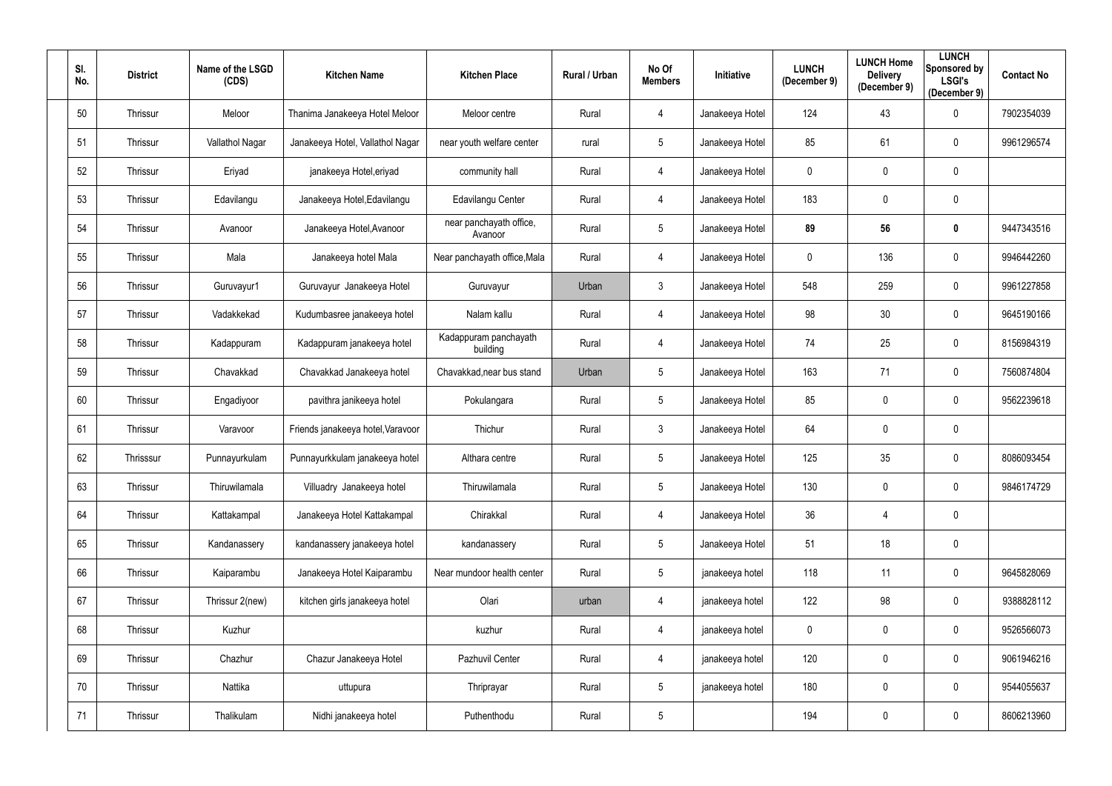| SI.<br>No. | <b>District</b> | Name of the LSGD<br>(CDS) | <b>Kitchen Name</b>               | <b>Kitchen Place</b>               | Rural / Urban | No Of<br><b>Members</b> | Initiative      | <b>LUNCH</b><br>(December 9) | <b>LUNCH Home</b><br><b>Delivery</b><br>(December 9) | <b>LUNCH</b><br>Sponsored by<br><b>LSGI's</b><br>(December 9) | <b>Contact No</b> |
|------------|-----------------|---------------------------|-----------------------------------|------------------------------------|---------------|-------------------------|-----------------|------------------------------|------------------------------------------------------|---------------------------------------------------------------|-------------------|
| 50         | Thrissur        | Meloor                    | Thanima Janakeeya Hotel Meloor    | Meloor centre                      | Rural         | 4                       | Janakeeya Hotel | 124                          | 43                                                   | $\mathbf 0$                                                   | 7902354039        |
| 51         | Thrissur        | Vallathol Nagar           | Janakeeya Hotel, Vallathol Nagar  | near youth welfare center          | rural         | $5\overline{)}$         | Janakeeya Hotel | 85                           | 61                                                   | $\mathbf 0$                                                   | 9961296574        |
| 52         | Thrissur        | Eriyad                    | janakeeya Hotel, eriyad           | community hall                     | Rural         | 4                       | Janakeeya Hotel | 0                            | $\pmb{0}$                                            | $\mathbf 0$                                                   |                   |
| 53         | Thrissur        | Edavilangu                | Janakeeya Hotel, Edavilangu       | Edavilangu Center                  | Rural         | 4                       | Janakeeya Hotel | 183                          | $\mathbf 0$                                          | $\mathbf 0$                                                   |                   |
| 54         | Thrissur        | Avanoor                   | Janakeeya Hotel, Avanoor          | near panchayath office,<br>Avanoor | Rural         | 5                       | Janakeeya Hotel | 89                           | 56                                                   | $\mathbf 0$                                                   | 9447343516        |
| 55         | Thrissur        | Mala                      | Janakeeya hotel Mala              | Near panchayath office, Mala       | Rural         | 4                       | Janakeeya Hotel | 0                            | 136                                                  | $\mathbf 0$                                                   | 9946442260        |
| 56         | Thrissur        | Guruvayur1                | Guruvayur Janakeeya Hotel         | Guruvayur                          | Urban         | $\mathfrak{Z}$          | Janakeeya Hotel | 548                          | 259                                                  | $\mathbf 0$                                                   | 9961227858        |
| 57         | Thrissur        | Vadakkekad                | Kudumbasree janakeeya hotel       | Nalam kallu                        | Rural         | 4                       | Janakeeya Hotel | 98                           | 30                                                   | $\mathbf 0$                                                   | 9645190166        |
| 58         | Thrissur        | Kadappuram                | Kadappuram janakeeya hotel        | Kadappuram panchayath<br>building  | Rural         | 4                       | Janakeeya Hotel | 74                           | 25                                                   | $\mathbf 0$                                                   | 8156984319        |
| 59         | Thrissur        | Chavakkad                 | Chavakkad Janakeeya hotel         | Chavakkad, near bus stand          | Urban         | 5 <sub>5</sub>          | Janakeeya Hotel | 163                          | 71                                                   | $\mathbf 0$                                                   | 7560874804        |
| 60         | Thrissur        | Engadiyoor                | pavithra janikeeya hotel          | Pokulangara                        | Rural         | 5 <sub>5</sub>          | Janakeeya Hotel | 85                           | $\pmb{0}$                                            | $\mathbf 0$                                                   | 9562239618        |
| 61         | Thrissur        | Varavoor                  | Friends janakeeya hotel, Varavoor | Thichur                            | Rural         | $\mathfrak{Z}$          | Janakeeya Hotel | 64                           | $\mathbf 0$                                          | $\mathbf 0$                                                   |                   |
| 62         | Thrisssur       | Punnayurkulam             | Punnayurkkulam janakeeya hotel    | Althara centre                     | Rural         | $5\phantom{.0}$         | Janakeeya Hotel | 125                          | 35                                                   | $\mathbf 0$                                                   | 8086093454        |
| 63         | Thrissur        | Thiruwilamala             | Villuadry Janakeeya hotel         | Thiruwilamala                      | Rural         | 5                       | Janakeeya Hotel | 130                          | $\mathbf 0$                                          | $\mathbf 0$                                                   | 9846174729        |
| 64         | Thrissur        | Kattakampal               | Janakeeya Hotel Kattakampal       | Chirakkal                          | Rural         | 4                       | Janakeeya Hotel | 36                           | 4                                                    | $\mathbf 0$                                                   |                   |
| 65         | Thrissur        | Kandanassery              | kandanassery janakeeya hotel      | kandanassery                       | Rural         | $5\phantom{.0}$         | Janakeeya Hotel | 51                           | 18                                                   | $\mathbf 0$                                                   |                   |
| 66         | Thrissur        | Kaiparambu                | Janakeeya Hotel Kaiparambu        | Near mundoor health center         | Rural         | $5\phantom{.0}$         | janakeeya hotel | 118                          | 11                                                   | $\mathbf 0$                                                   | 9645828069        |
| 67         | Thrissur        | Thrissur 2(new)           | kitchen girls janakeeya hotel     | Olari                              | urban         | 4                       | janakeeya hotel | 122                          | 98                                                   | $\mathbf 0$                                                   | 9388828112        |
| 68         | Thrissur        | Kuzhur                    |                                   | kuzhur                             | Rural         | 4                       | janakeeya hotel | $\mathbf 0$                  | $\pmb{0}$                                            | $\mathbf 0$                                                   | 9526566073        |
| 69         | Thrissur        | Chazhur                   | Chazur Janakeeya Hotel            | Pazhuvil Center                    | Rural         | 4                       | janakeeya hotel | 120                          | $\mathbf 0$                                          | $\mathbf 0$                                                   | 9061946216        |
| 70         | Thrissur        | Nattika                   | uttupura                          | Thriprayar                         | Rural         | $5\phantom{.0}$         | janakeeya hotel | 180                          | $\mathbf 0$                                          | $\mathbf 0$                                                   | 9544055637        |
| 71         | Thrissur        | Thalikulam                | Nidhi janakeeya hotel             | Puthenthodu                        | Rural         | $\sqrt{5}$              |                 | 194                          | $\pmb{0}$                                            | $\overline{0}$                                                | 8606213960        |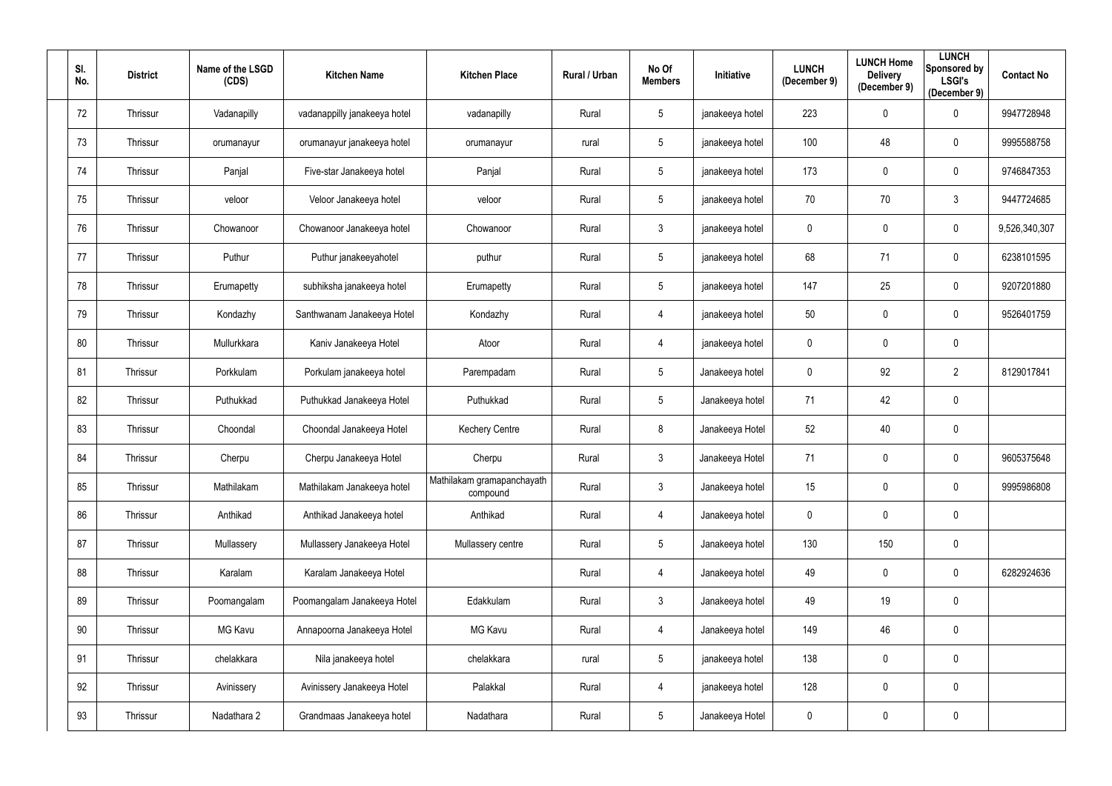| SI.<br>No. | <b>District</b> | Name of the LSGD<br>(CDS) | <b>Kitchen Name</b>          | <b>Kitchen Place</b>                   | Rural / Urban | No Of<br><b>Members</b> | Initiative      | <b>LUNCH</b><br>(December 9) | <b>LUNCH Home</b><br><b>Delivery</b><br>(December 9) | <b>LUNCH</b><br>Sponsored by<br><b>LSGI's</b><br>(December 9) | <b>Contact No</b> |
|------------|-----------------|---------------------------|------------------------------|----------------------------------------|---------------|-------------------------|-----------------|------------------------------|------------------------------------------------------|---------------------------------------------------------------|-------------------|
| 72         | Thrissur        | Vadanapilly               | vadanappilly janakeeya hotel | vadanapilly                            | Rural         | $5\phantom{.0}$         | janakeeya hotel | 223                          | $\mathbf 0$                                          | $\overline{0}$                                                | 9947728948        |
| 73         | Thrissur        | orumanayur                | orumanayur janakeeya hotel   | orumanayur                             | rural         | $5\phantom{.0}$         | janakeeya hotel | 100                          | 48                                                   | $\mathbf 0$                                                   | 9995588758        |
| 74         | Thrissur        | Panjal                    | Five-star Janakeeya hotel    | Panjal                                 | Rural         | 5                       | janakeeya hotel | 173                          | $\mathbf 0$                                          | $\overline{0}$                                                | 9746847353        |
| 75         | Thrissur        | veloor                    | Veloor Janakeeya hotel       | veloor                                 | Rural         | $5\phantom{.0}$         | janakeeya hotel | 70                           | 70                                                   | $\mathfrak{Z}$                                                | 9447724685        |
| 76         | Thrissur        | Chowanoor                 | Chowanoor Janakeeya hotel    | Chowanoor                              | Rural         | $\mathfrak{Z}$          | janakeeya hotel | 0                            | $\mathbf 0$                                          | $\overline{0}$                                                | 9,526,340,307     |
| 77         | Thrissur        | Puthur                    | Puthur janakeeyahotel        | puthur                                 | Rural         | $5\phantom{.0}$         | janakeeya hotel | 68                           | 71                                                   | $\overline{0}$                                                | 6238101595        |
| 78         | Thrissur        | Erumapetty                | subhiksha janakeeya hotel    | Erumapetty                             | Rural         | $5\overline{)}$         | janakeeya hotel | 147                          | 25                                                   | $\mathbf 0$                                                   | 9207201880        |
| 79         | Thrissur        | Kondazhy                  | Santhwanam Janakeeya Hotel   | Kondazhy                               | Rural         | 4                       | janakeeya hotel | 50                           | $\overline{0}$                                       | $\overline{0}$                                                | 9526401759        |
| 80         | Thrissur        | Mullurkkara               | Kaniv Janakeeya Hotel        | Atoor                                  | Rural         | 4                       | janakeeya hotel | 0                            | $\mathbf 0$                                          | $\overline{0}$                                                |                   |
| 81         | Thrissur        | Porkkulam                 | Porkulam janakeeya hotel     | Parempadam                             | Rural         | $5\phantom{.0}$         | Janakeeya hotel | $\mathbf 0$                  | 92                                                   | $\overline{2}$                                                | 8129017841        |
| 82         | Thrissur        | Puthukkad                 | Puthukkad Janakeeya Hotel    | Puthukkad                              | Rural         | 5                       | Janakeeya hotel | 71                           | 42                                                   | $\overline{0}$                                                |                   |
| 83         | Thrissur        | Choondal                  | Choondal Janakeeya Hotel     | <b>Kechery Centre</b>                  | Rural         | 8                       | Janakeeya Hotel | 52                           | 40                                                   | $\mathbf 0$                                                   |                   |
| 84         | Thrissur        | Cherpu                    | Cherpu Janakeeya Hotel       | Cherpu                                 | Rural         | $\mathfrak{Z}$          | Janakeeya Hotel | 71                           | $\mathbf 0$                                          | $\mathbf 0$                                                   | 9605375648        |
| 85         | Thrissur        | Mathilakam                | Mathilakam Janakeeya hotel   | Mathilakam gramapanchayath<br>compound | Rural         | $\mathfrak{Z}$          | Janakeeya hotel | 15                           | $\mathbf 0$                                          | $\overline{0}$                                                | 9995986808        |
| 86         | Thrissur        | Anthikad                  | Anthikad Janakeeya hotel     | Anthikad                               | Rural         | 4                       | Janakeeya hotel | $\pmb{0}$                    | $\mathbf 0$                                          | $\mathbf 0$                                                   |                   |
| 87         | Thrissur        | Mullassery                | Mullassery Janakeeya Hotel   | Mullassery centre                      | Rural         | $\sqrt{5}$              | Janakeeya hotel | 130                          | 150                                                  | $\mathbf 0$                                                   |                   |
| 88         | Thrissur        | Karalam                   | Karalam Janakeeya Hotel      |                                        | Rural         | 4                       | Janakeeya hotel | 49                           | $\mathbf 0$                                          | $\mathbf 0$                                                   | 6282924636        |
| 89         | Thrissur        | Poomangalam               | Poomangalam Janakeeya Hotel  | Edakkulam                              | Rural         | $\mathfrak{Z}$          | Janakeeya hotel | 49                           | 19                                                   | $\mathbf 0$                                                   |                   |
| $90\,$     | Thrissur        | MG Kavu                   | Annapoorna Janakeeya Hotel   | MG Kavu                                | Rural         | 4                       | Janakeeya hotel | 149                          | 46                                                   | $\overline{0}$                                                |                   |
| 91         | Thrissur        | chelakkara                | Nila janakeeya hotel         | chelakkara                             | rural         | $5\phantom{.0}$         | janakeeya hotel | 138                          | $\mathbf 0$                                          | $\overline{0}$                                                |                   |
| 92         | Thrissur        | Avinissery                | Avinissery Janakeeya Hotel   | Palakkal                               | Rural         | 4                       | janakeeya hotel | 128                          | $\mathbf 0$                                          | $\mathbf 0$                                                   |                   |
| 93         | Thrissur        | Nadathara 2               | Grandmaas Janakeeya hotel    | Nadathara                              | Rural         | $5\phantom{.0}$         | Janakeeya Hotel | $\pmb{0}$                    | $\pmb{0}$                                            | $\overline{0}$                                                |                   |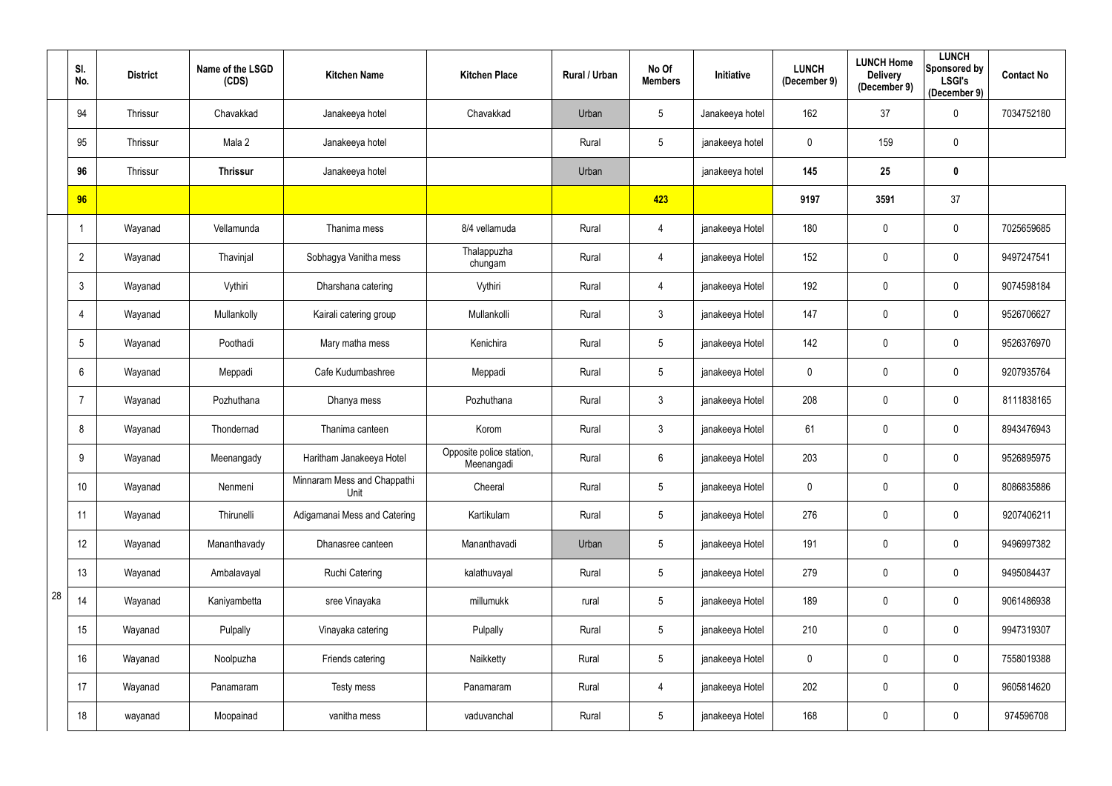|    | SI.<br>No.      | <b>District</b> | Name of the LSGD<br>(CDS) | <b>Kitchen Name</b>                 | <b>Kitchen Place</b>                   | Rural / Urban | No Of<br><b>Members</b> | Initiative      | <b>LUNCH</b><br>(December 9) | <b>LUNCH Home</b><br><b>Delivery</b><br>(December 9) | <b>LUNCH</b><br>Sponsored by<br><b>LSGI's</b><br>(December 9) | <b>Contact No</b> |
|----|-----------------|-----------------|---------------------------|-------------------------------------|----------------------------------------|---------------|-------------------------|-----------------|------------------------------|------------------------------------------------------|---------------------------------------------------------------|-------------------|
|    | 94              | Thrissur        | Chavakkad                 | Janakeeya hotel                     | Chavakkad                              | Urban         | $5\,$                   | Janakeeya hotel | 162                          | 37                                                   | $\mathbf 0$                                                   | 7034752180        |
|    | 95              | Thrissur        | Mala 2                    | Janakeeya hotel                     |                                        | Rural         | $\sqrt{5}$              | janakeeya hotel | 0                            | 159                                                  | $\mathbf 0$                                                   |                   |
|    | 96              | Thrissur        | <b>Thrissur</b>           | Janakeeya hotel                     |                                        | Urban         |                         | janakeeya hotel | 145                          | 25                                                   | $\mathbf 0$                                                   |                   |
|    | 96              |                 |                           |                                     |                                        |               | 423                     |                 | 9197                         | 3591                                                 | 37                                                            |                   |
|    |                 | Wayanad         | Vellamunda                | Thanima mess                        | 8/4 vellamuda                          | Rural         | 4                       | janakeeya Hotel | 180                          | $\mathbf 0$                                          | $\overline{0}$                                                | 7025659685        |
|    | $\overline{2}$  | Wayanad         | Thavinjal                 | Sobhagya Vanitha mess               | Thalappuzha<br>chungam                 | Rural         | 4                       | janakeeya Hotel | 152                          | $\mathbf 0$                                          | $\boldsymbol{0}$                                              | 9497247541        |
|    | 3               | Wayanad         | Vythiri                   | Dharshana catering                  | Vythiri                                | Rural         | $\overline{4}$          | janakeeya Hotel | 192                          | $\mathbf 0$                                          | $\overline{0}$                                                | 9074598184        |
|    | 4               | Wayanad         | Mullankolly               | Kairali catering group              | Mullankolli                            | Rural         | $\mathfrak{Z}$          | janakeeya Hotel | 147                          | $\overline{0}$                                       | $\mathbf 0$                                                   | 9526706627        |
|    | $5\phantom{.0}$ | Wayanad         | Poothadi                  | Mary matha mess                     | Kenichira                              | Rural         | $5\,$                   | janakeeya Hotel | 142                          | $\mathbf 0$                                          | $\mathbf 0$                                                   | 9526376970        |
|    | $6\phantom{1}$  | Wayanad         | Meppadi                   | Cafe Kudumbashree                   | Meppadi                                | Rural         | $5\,$                   | janakeeya Hotel | $\mathbf 0$                  | $\mathbf 0$                                          | $\mathbf 0$                                                   | 9207935764        |
|    | 7               | Wayanad         | Pozhuthana                | Dhanya mess                         | Pozhuthana                             | Rural         | $\mathfrak{Z}$          | janakeeya Hotel | 208                          | $\mathbf 0$                                          | $\mathbf 0$                                                   | 8111838165        |
|    | 8               | Wayanad         | Thondernad                | Thanima canteen                     | Korom                                  | Rural         | $\mathfrak{Z}$          | janakeeya Hotel | 61                           | $\overline{0}$                                       | $\overline{0}$                                                | 8943476943        |
|    | 9               | Wayanad         | Meenangady                | Haritham Janakeeya Hotel            | Opposite police station,<br>Meenangadi | Rural         | 6                       | janakeeya Hotel | 203                          | $\mathbf 0$                                          | 0                                                             | 9526895975        |
|    | 10 <sup>°</sup> | Wayanad         | Nenmeni                   | Minnaram Mess and Chappathi<br>Unit | Cheeral                                | Rural         | $5\,$                   | janakeeya Hotel | $\mathbf 0$                  | $\mathbf 0$                                          | $\bf{0}$                                                      | 8086835886        |
|    | 11              | Wayanad         | Thirunelli                | Adigamanai Mess and Catering        | Kartikulam                             | Rural         | $5\phantom{.0}$         | janakeeya Hotel | 276                          | $\mathbf 0$                                          | $\mathbf 0$                                                   | 9207406211        |
|    | 12              | Wayanad         | Mananthavady              | Dhanasree canteen                   | Mananthavadi                           | Urban         | $\sqrt{5}$              | janakeeya Hotel | 191                          | $\mathbf 0$                                          | $\overline{0}$                                                | 9496997382        |
|    | 13              | Wayanad         | Ambalavayal               | <b>Ruchi Catering</b>               | kalathuvayal                           | Rural         | $5\,$                   | janakeeya Hotel | 279                          | $\mathbf 0$                                          | $\mathbf 0$                                                   | 9495084437        |
| 28 | 14              | Wayanad         | Kaniyambetta              | sree Vinayaka                       | millumukk                              | rural         | $\sqrt{5}$              | janakeeya Hotel | 189                          | $\mathbf 0$                                          | $\mathbf 0$                                                   | 9061486938        |
|    | 15              | Wayanad         | Pulpally                  | Vinayaka catering                   | Pulpally                               | Rural         | $5\,$                   | janakeeya Hotel | 210                          | $\mathbf 0$                                          | $\mathbf 0$                                                   | 9947319307        |
|    | 16              | Wayanad         | Noolpuzha                 | Friends catering                    | Naikketty                              | Rural         | $5\,$                   | janakeeya Hotel | $\mathbf 0$                  | $\mathbf 0$                                          | $\overline{0}$                                                | 7558019388        |
|    | 17              | Wayanad         | Panamaram                 | Testy mess                          | Panamaram                              | Rural         | $\overline{4}$          | janakeeya Hotel | 202                          | $\mathbf 0$                                          | $\mathbf 0$                                                   | 9605814620        |
|    | 18              | wayanad         | Moopainad                 | vanitha mess                        | vaduvanchal                            | Rural         | $\sqrt{5}$              | janakeeya Hotel | 168                          | $\boldsymbol{0}$                                     | $\overline{0}$                                                | 974596708         |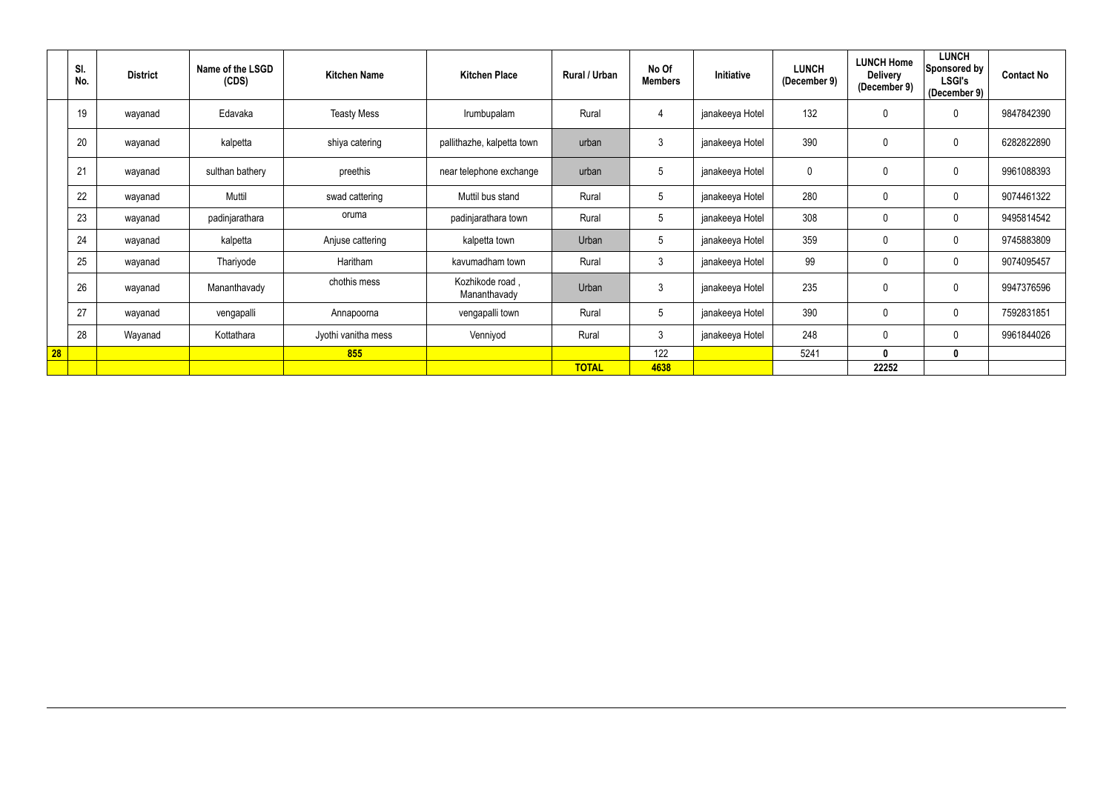|    | SI.<br>No. | <b>District</b> | Name of the LSGD<br>(CDS) | <b>Kitchen Name</b> | <b>Kitchen Place</b>            | Rural / Urban | No Of<br><b>Members</b> | Initiative      | <b>LUNCH</b><br>(December 9) | <b>LUNCH Home</b><br><b>Delivery</b><br>(December 9) | <b>LUNCH</b><br>Sponsored by<br><b>LSGI's</b><br>(December 9) | <b>Contact No</b> |
|----|------------|-----------------|---------------------------|---------------------|---------------------------------|---------------|-------------------------|-----------------|------------------------------|------------------------------------------------------|---------------------------------------------------------------|-------------------|
|    | 19         | wayanad         | Edavaka                   | <b>Teasty Mess</b>  | Irumbupalam                     | Rural         | 4                       | janakeeya Hotel | 132                          | $\mathbf 0$                                          | $\mathbf 0$                                                   | 9847842390        |
|    | 20         | wayanad         | kalpetta                  | shiya catering      | pallithazhe, kalpetta town      | urban         | 3                       | janakeeya Hotel | 390                          | $\mathbf 0$                                          | 0                                                             | 6282822890        |
|    | 21         | wayanad         | sulthan bathery           | preethis            | near telephone exchange         | urban         | .5                      | janakeeya Hotel | 0                            | $\mathbf 0$                                          | $\mathbf 0$                                                   | 9961088393        |
|    | 22         | wayanad         | Muttil                    | swad cattering      | Muttil bus stand                | Rural         | $5\phantom{.0}$         | janakeeya Hotel | 280                          | $\mathbf 0$                                          | $\mathbf 0$                                                   | 9074461322        |
|    | 23         | wayanad         | padinjarathara            | oruma               | padinjarathara town             | Rural         | $5\phantom{.0}$         | janakeeya Hotel | 308                          | $\pmb{0}$                                            | $\mathbf 0$                                                   | 9495814542        |
|    | 24         | wayanad         | kalpetta                  | Anjuse cattering    | kalpetta town                   | Urban         | $5\phantom{.0}$         | janakeeya Hotel | 359                          | $\pmb{0}$                                            | $\boldsymbol{0}$                                              | 9745883809        |
|    | 25         | wayanad         | Thariyode                 | Haritham            | kavumadham town                 | Rural         | $\mathbf{3}$            | janakeeya Hotel | 99                           | $\mathbf 0$                                          | $\mathbf 0$                                                   | 9074095457        |
|    | 26         | wayanad         | Mananthavady              | chothis mess        | Kozhikode road,<br>Mananthavady | Urban         | 3                       | janakeeya Hotel | 235                          | $\pmb{0}$                                            | $\mathbf 0$                                                   | 9947376596        |
|    | 27         | wayanad         | vengapalli                | Annapoorna          | vengapalli town                 | Rural         | 5                       | janakeeya Hotel | 390                          | $\mathbf 0$                                          | $\mathbf 0$                                                   | 7592831851        |
|    | 28         | Wayanad         | Kottathara                | Jyothi vanitha mess | Venniyod                        | Rural         | $\mathbf{3}$            | janakeeya Hotel | 248                          | $\mathbf 0$                                          | $\mathbf 0$                                                   | 9961844026        |
| 28 |            |                 |                           | 855                 |                                 |               | 122                     |                 | 5241                         | $\mathbf{0}$                                         | 0                                                             |                   |
|    |            |                 |                           |                     |                                 | <b>TOTAL</b>  | 4638                    |                 |                              | 22252                                                |                                                               |                   |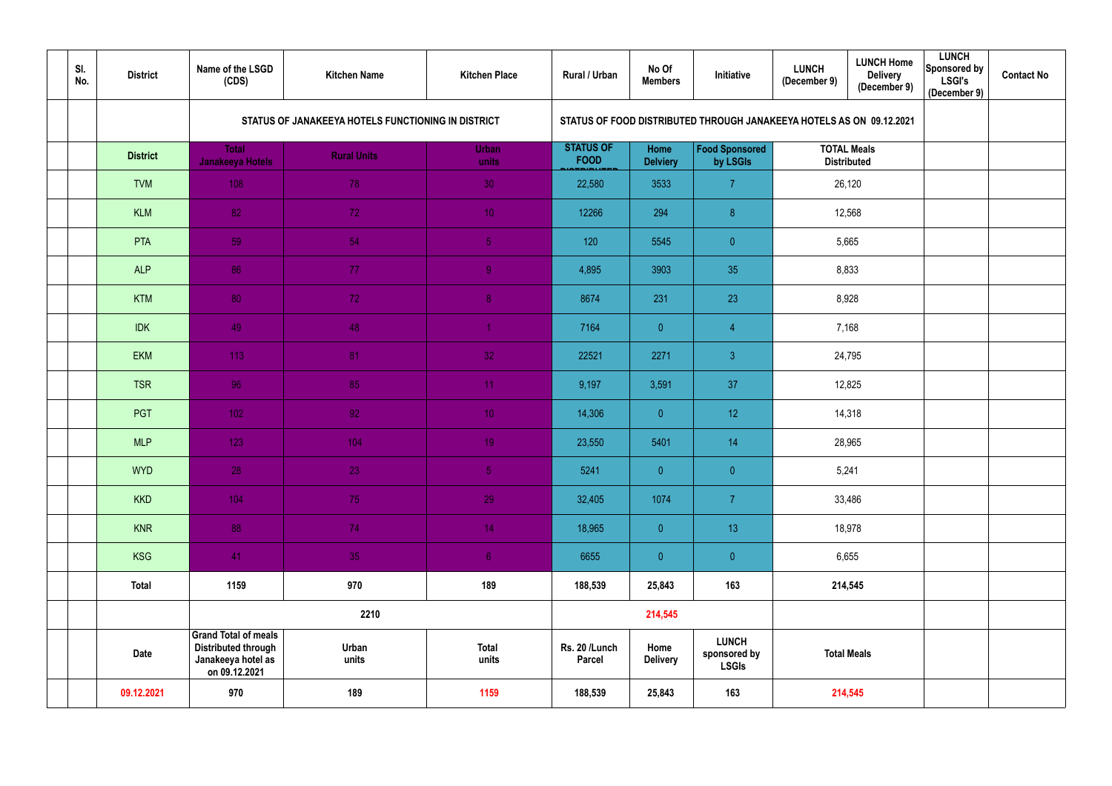| SI.<br>No. | <b>District</b> | Name of the LSGD<br>(CDS)                                                                        | <b>Kitchen Name</b>                                | <b>Kitchen Place</b>  | Rural / Urban                   | No Of<br><b>Members</b> | Initiative                                                           | <b>LUNCH</b><br>(December 9)             | <b>LUNCH Home</b><br><b>Delivery</b><br>(December 9) | <b>LUNCH</b><br>Sponsored by<br><b>LSGI's</b><br>(December 9) | <b>Contact No</b> |
|------------|-----------------|--------------------------------------------------------------------------------------------------|----------------------------------------------------|-----------------------|---------------------------------|-------------------------|----------------------------------------------------------------------|------------------------------------------|------------------------------------------------------|---------------------------------------------------------------|-------------------|
|            |                 |                                                                                                  | STATUS OF JANAKEEYA HOTELS FUNCTIONING IN DISTRICT |                       |                                 |                         | STATUS OF FOOD DISTRIBUTED THROUGH JANAKEEYA HOTELS AS ON 09.12.2021 |                                          |                                                      |                                                               |                   |
|            | <b>District</b> | <b>Total</b><br><b>Janakeeya Hotels</b>                                                          | <b>Rural Units</b>                                 | <b>Urban</b><br>units | <b>STATUS OF</b><br><b>FOOD</b> | Home<br><b>Delviery</b> | <b>Food Sponsored</b><br>by LSGIs                                    | <b>TOTAL Meals</b><br><b>Distributed</b> |                                                      |                                                               |                   |
|            | <b>TVM</b>      | 108                                                                                              | 78                                                 | 30                    | 22,580                          | 3533                    | $\overline{7}$                                                       | 26,120                                   |                                                      |                                                               |                   |
|            | <b>KLM</b>      | 82                                                                                               | 72                                                 | 10 <sub>1</sub>       | 12266                           | 294                     | 8 <sup>°</sup>                                                       | 12,568                                   |                                                      |                                                               |                   |
|            | PTA             | 59                                                                                               | 54                                                 | $\overline{5}$        | 120                             | 5545                    | $\overline{0}$                                                       | 5,665                                    |                                                      |                                                               |                   |
|            | <b>ALP</b>      | 86                                                                                               | 77                                                 | 9 <sub>1</sub>        | 4,895                           | 3903                    | 35                                                                   | 8,833                                    |                                                      |                                                               |                   |
|            | <b>KTM</b>      | 80                                                                                               | 72                                                 | 8 <sub>1</sub>        | 8674                            | 231                     | 23                                                                   | 8,928                                    |                                                      |                                                               |                   |
|            | <b>IDK</b>      | 49                                                                                               | 48                                                 | $\overline{1}$        | 7164                            | $\overline{0}$          | $\overline{4}$                                                       | 7,168                                    |                                                      |                                                               |                   |
|            | <b>EKM</b>      | 113                                                                                              | 81                                                 | 32                    | 22521                           | 2271                    | $\mathbf{3}$                                                         | 24,795                                   |                                                      |                                                               |                   |
|            | <b>TSR</b>      | 96                                                                                               | 85                                                 | 11                    | 9,197                           | 3,591                   | 37                                                                   | 12,825                                   |                                                      |                                                               |                   |
|            | PGT             | 102                                                                                              | 92                                                 | 10 <sup>°</sup>       | 14,306                          | $\overline{0}$          | 12 <sub>2</sub>                                                      |                                          | 14,318                                               |                                                               |                   |
|            | <b>MLP</b>      | 123                                                                                              | 104                                                | 19 <sup>°</sup>       | 23,550                          | 5401                    | 14                                                                   |                                          | 28,965                                               |                                                               |                   |
|            | <b>WYD</b>      | 28                                                                                               | 23                                                 | 5 <sub>1</sub>        | 5241                            | $\overline{0}$          | $\overline{0}$                                                       | 5,241                                    |                                                      |                                                               |                   |
|            | <b>KKD</b>      | 104                                                                                              | 75                                                 | 29                    | 32,405                          | 1074                    | $\overline{7}$                                                       |                                          | 33,486                                               |                                                               |                   |
|            | <b>KNR</b>      | 88                                                                                               | 74                                                 | 14                    | 18,965                          | $\overline{0}$          | 13                                                                   |                                          | 18,978                                               |                                                               |                   |
|            | <b>KSG</b>      | 41                                                                                               | 35                                                 | 6 <sup>1</sup>        | 6655                            | $\overline{0}$          | $\overline{0}$                                                       |                                          | 6,655                                                |                                                               |                   |
|            | <b>Total</b>    | 1159                                                                                             | 970                                                | 189                   | 188,539                         | 25,843                  | 163                                                                  | 214,545                                  |                                                      |                                                               |                   |
|            |                 |                                                                                                  | 2210                                               |                       |                                 | 214,545                 |                                                                      |                                          |                                                      |                                                               |                   |
|            | Date            | <b>Grand Total of meals</b><br><b>Distributed through</b><br>Janakeeya hotel as<br>on 09.12.2021 | Urban<br>units                                     | <b>Total</b><br>units | Rs. 20 /Lunch<br><b>Parcel</b>  | Home<br><b>Delivery</b> | <b>LUNCH</b><br>sponsored by<br><b>LSGIs</b>                         | <b>Total Meals</b>                       |                                                      |                                                               |                   |
|            | 09.12.2021      | 970                                                                                              | 189                                                | 1159                  | 188,539                         | 25,843                  | 163                                                                  |                                          | 214,545                                              |                                                               |                   |